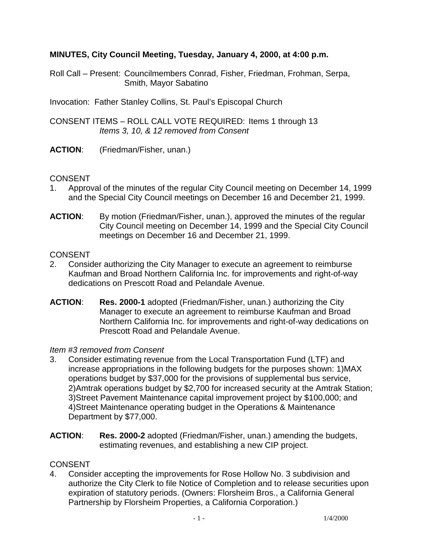# **MINUTES, City Council Meeting, Tuesday, January 4, 2000, at 4:00 p.m.**

- Roll Call Present: Councilmembers Conrad, Fisher, Friedman, Frohman, Serpa, Smith, Mayor Sabatino
- Invocation: Father Stanley Collins, St. Paul's Episcopal Church
- CONSENT ITEMS ROLL CALL VOTE REQUIRED: Items 1 through 13  *Items 3, 10, & 12 removed from Consent*
- **ACTION**: (Friedman/Fisher, unan.)

## **CONSENT**

- 1. Approval of the minutes of the regular City Council meeting on December 14, 1999 and the Special City Council meetings on December 16 and December 21, 1999.
- **ACTION**: By motion (Friedman/Fisher, unan.), approved the minutes of the regular City Council meeting on December 14, 1999 and the Special City Council meetings on December 16 and December 21, 1999.

### **CONSENT**

- 2. Consider authorizing the City Manager to execute an agreement to reimburse Kaufman and Broad Northern California Inc. for improvements and right-of-way dedications on Prescott Road and Pelandale Avenue.
- **ACTION**: **Res. 2000-1** adopted (Friedman/Fisher, unan.) authorizing the City Manager to execute an agreement to reimburse Kaufman and Broad Northern California Inc. for improvements and right-of-way dedications on Prescott Road and Pelandale Avenue.

### *Item #3 removed from Consent*

- 3. Consider estimating revenue from the Local Transportation Fund (LTF) and increase appropriations in the following budgets for the purposes shown: 1)MAX operations budget by \$37,000 for the provisions of supplemental bus service, 2)Amtrak operations budget by \$2,700 for increased security at the Amtrak Station; 3)Street Pavement Maintenance capital improvement project by \$100,000; and 4)Street Maintenance operating budget in the Operations & Maintenance Department by \$77,000.
- **ACTION**: **Res. 2000-2** adopted (Friedman/Fisher, unan.) amending the budgets, estimating revenues, and establishing a new CIP project.

# **CONSENT**

4. Consider accepting the improvements for Rose Hollow No. 3 subdivision and authorize the City Clerk to file Notice of Completion and to release securities upon expiration of statutory periods. (Owners: Florsheim Bros., a California General Partnership by Florsheim Properties, a California Corporation.)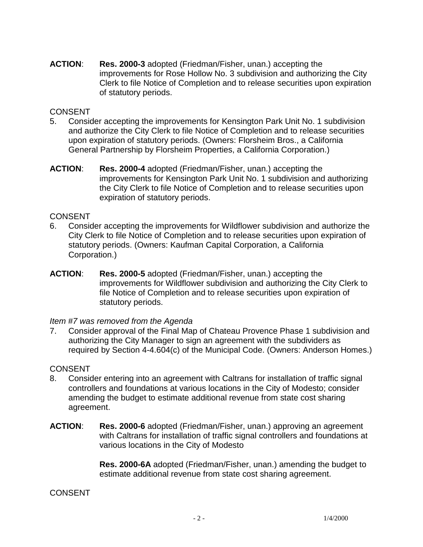**ACTION**: **Res. 2000-3** adopted (Friedman/Fisher, unan.) accepting the improvements for Rose Hollow No. 3 subdivision and authorizing the City Clerk to file Notice of Completion and to release securities upon expiration of statutory periods.

### CONSENT

- 5. Consider accepting the improvements for Kensington Park Unit No. 1 subdivision and authorize the City Clerk to file Notice of Completion and to release securities upon expiration of statutory periods. (Owners: Florsheim Bros., a California General Partnership by Florsheim Properties, a California Corporation.)
- **ACTION**: **Res. 2000-4** adopted (Friedman/Fisher, unan.) accepting the improvements for Kensington Park Unit No. 1 subdivision and authorizing the City Clerk to file Notice of Completion and to release securities upon expiration of statutory periods.

# **CONSENT**

- 6. Consider accepting the improvements for Wildflower subdivision and authorize the City Clerk to file Notice of Completion and to release securities upon expiration of statutory periods. (Owners: Kaufman Capital Corporation, a California Corporation.)
- **ACTION**: **Res. 2000-5** adopted (Friedman/Fisher, unan.) accepting the improvements for Wildflower subdivision and authorizing the City Clerk to file Notice of Completion and to release securities upon expiration of statutory periods.

### *Item #7 was removed from the Agenda*

7. Consider approval of the Final Map of Chateau Provence Phase 1 subdivision and authorizing the City Manager to sign an agreement with the subdividers as required by Section 4-4.604(c) of the Municipal Code. (Owners: Anderson Homes.)

### **CONSENT**

- 8. Consider entering into an agreement with Caltrans for installation of traffic signal controllers and foundations at various locations in the City of Modesto; consider amending the budget to estimate additional revenue from state cost sharing agreement.
- **ACTION**: **Res. 2000-6** adopted (Friedman/Fisher, unan.) approving an agreement with Caltrans for installation of traffic signal controllers and foundations at various locations in the City of Modesto

**Res. 2000-6A** adopted (Friedman/Fisher, unan.) amending the budget to estimate additional revenue from state cost sharing agreement.

# CONSENT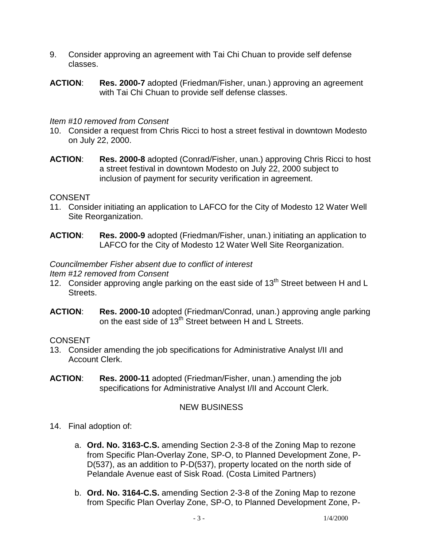- 9. Consider approving an agreement with Tai Chi Chuan to provide self defense classes.
- **ACTION**: **Res. 2000-7** adopted (Friedman/Fisher, unan.) approving an agreement with Tai Chi Chuan to provide self defense classes.

#### *Item #10 removed from Consent*

- 10. Consider a request from Chris Ricci to host a street festival in downtown Modesto on July 22, 2000.
- **ACTION**: **Res. 2000-8** adopted (Conrad/Fisher, unan.) approving Chris Ricci to host a street festival in downtown Modesto on July 22, 2000 subject to inclusion of payment for security verification in agreement.

#### **CONSENT**

- 11. Consider initiating an application to LAFCO for the City of Modesto 12 Water Well Site Reorganization.
- **ACTION**: **Res. 2000-9** adopted (Friedman/Fisher, unan.) initiating an application to LAFCO for the City of Modesto 12 Water Well Site Reorganization.

### *Councilmember Fisher absent due to conflict of interest*

*Item #12 removed from Consent* 

- 12. Consider approving angle parking on the east side of  $13<sup>th</sup>$  Street between H and L Streets.
- **ACTION**: **Res. 2000-10** adopted (Friedman/Conrad, unan.) approving angle parking on the east side of 13<sup>th</sup> Street between H and L Streets.

### **CONSENT**

- 13. Consider amending the job specifications for Administrative Analyst I/II and Account Clerk.
- **ACTION**: **Res. 2000-11** adopted (Friedman/Fisher, unan.) amending the job specifications for Administrative Analyst I/II and Account Clerk.

# NEW BUSINESS

- 14. Final adoption of:
	- a. **Ord. No. 3163-C.S.** amending Section 2-3-8 of the Zoning Map to rezone from Specific Plan-Overlay Zone, SP-O, to Planned Development Zone, P-D(537), as an addition to P-D(537), property located on the north side of Pelandale Avenue east of Sisk Road. (Costa Limited Partners)
	- b. **Ord. No. 3164-C.S.** amending Section 2-3-8 of the Zoning Map to rezone from Specific Plan Overlay Zone, SP-O, to Planned Development Zone, P-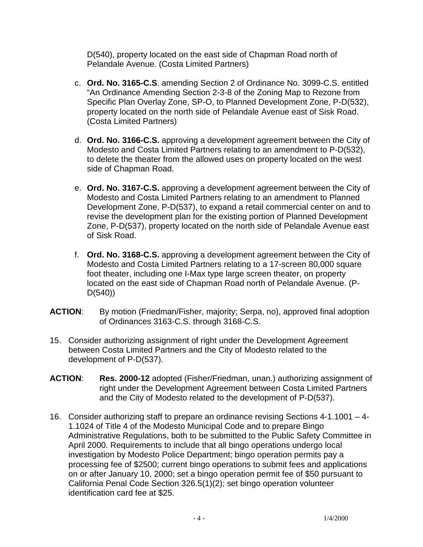D(540), property located on the east side of Chapman Road north of Pelandale Avenue. (Costa Limited Partners)

- c. **Ord. No. 3165-C.S**. amending Section 2 of Ordinance No. 3099-C.S. entitled "An Ordinance Amending Section 2-3-8 of the Zoning Map to Rezone from Specific Plan Overlay Zone, SP-O, to Planned Development Zone, P-D(532), property located on the north side of Pelandale Avenue east of Sisk Road. (Costa Limited Partners)
- d. **Ord. No. 3166-C.S.** approving a development agreement between the City of Modesto and Costa Limited Partners relating to an amendment to P-D(532), to delete the theater from the allowed uses on property located on the west side of Chapman Road.
- e. **Ord. No. 3167-C.S.** approving a development agreement between the City of Modesto and Costa Limited Partners relating to an amendment to Planned Development Zone, P-D(537), to expand a retail commercial center on and to revise the development plan for the existing portion of Planned Development Zone, P-D(537), property located on the north side of Pelandale Avenue east of Sisk Road.
- f. **Ord. No. 3168-C.S.** approving a development agreement between the City of Modesto and Costa Limited Partners relating to a 17-screen 80,000 square foot theater, including one I-Max type large screen theater, on property located on the east side of Chapman Road north of Pelandale Avenue. (P-D(540))
- **ACTION**: By motion (Friedman/Fisher, majority; Serpa, no), approved final adoption of Ordinances 3163-C.S. through 3168-C.S.
- 15. Consider authorizing assignment of right under the Development Agreement between Costa Limited Partners and the City of Modesto related to the development of P-D(537).
- **ACTION**: **Res. 2000-12** adopted (Fisher/Friedman, unan.) authorizing assignment of right under the Development Agreement between Costa Limited Partners and the City of Modesto related to the development of P-D(537).
- 16. Consider authorizing staff to prepare an ordinance revising Sections 4-1.1001 4- 1.1024 of Title 4 of the Modesto Municipal Code and to prepare Bingo Administrative Regulations, both to be submitted to the Public Safety Committee in April 2000. Requirements to include that all bingo operations undergo local investigation by Modesto Police Department; bingo operation permits pay a processing fee of \$2500; current bingo operations to submit fees and applications on or after January 10, 2000; set a bingo operation permit fee of \$50 pursuant to California Penal Code Section 326.5(1)(2); set bingo operation volunteer identification card fee at \$25.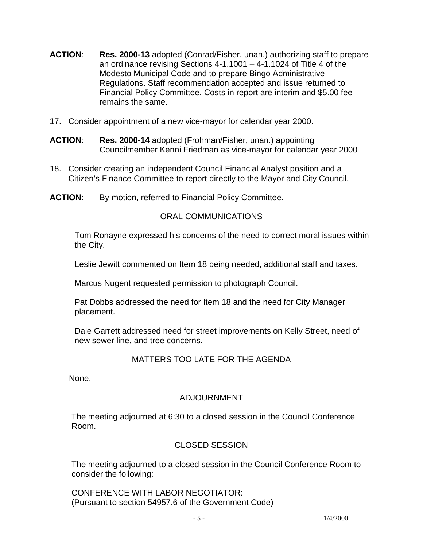- **ACTION**: **Res. 2000-13** adopted (Conrad/Fisher, unan.) authorizing staff to prepare an ordinance revising Sections 4-1.1001 – 4-1.1024 of Title 4 of the Modesto Municipal Code and to prepare Bingo Administrative Regulations. Staff recommendation accepted and issue returned to Financial Policy Committee. Costs in report are interim and \$5.00 fee remains the same.
- 17. Consider appointment of a new vice-mayor for calendar year 2000.
- **ACTION**: **Res. 2000-14** adopted (Frohman/Fisher, unan.) appointing Councilmember Kenni Friedman as vice-mayor for calendar year 2000
- 18. Consider creating an independent Council Financial Analyst position and a Citizen's Finance Committee to report directly to the Mayor and City Council.
- **ACTION**: By motion, referred to Financial Policy Committee.

# ORAL COMMUNICATIONS

 Tom Ronayne expressed his concerns of the need to correct moral issues within the City.

Leslie Jewitt commented on Item 18 being needed, additional staff and taxes.

Marcus Nugent requested permission to photograph Council.

 Pat Dobbs addressed the need for Item 18 and the need for City Manager placement.

 Dale Garrett addressed need for street improvements on Kelly Street, need of new sewer line, and tree concerns.

# MATTERS TOO LATE FOR THE AGENDA

None.

# ADJOURNMENT

 The meeting adjourned at 6:30 to a closed session in the Council Conference Room.

# CLOSED SESSION

 The meeting adjourned to a closed session in the Council Conference Room to consider the following:

 CONFERENCE WITH LABOR NEGOTIATOR: (Pursuant to section 54957.6 of the Government Code)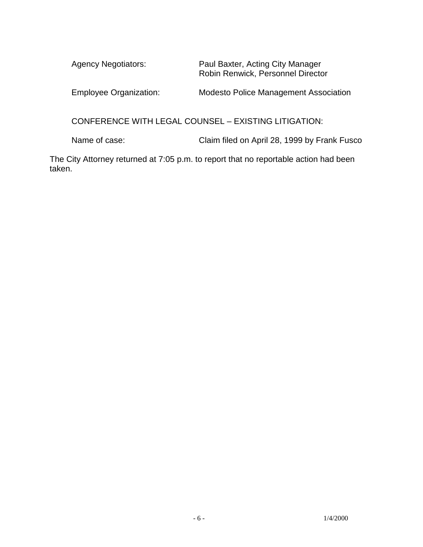| <b>Agency Negotiators:</b>    | Paul Baxter, Acting City Manager<br>Robin Renwick, Personnel Director |
|-------------------------------|-----------------------------------------------------------------------|
| <b>Employee Organization:</b> | <b>Modesto Police Management Association</b>                          |

CONFERENCE WITH LEGAL COUNSEL – EXISTING LITIGATION:

Name of case: Claim filed on April 28, 1999 by Frank Fusco

The City Attorney returned at 7:05 p.m. to report that no reportable action had been taken.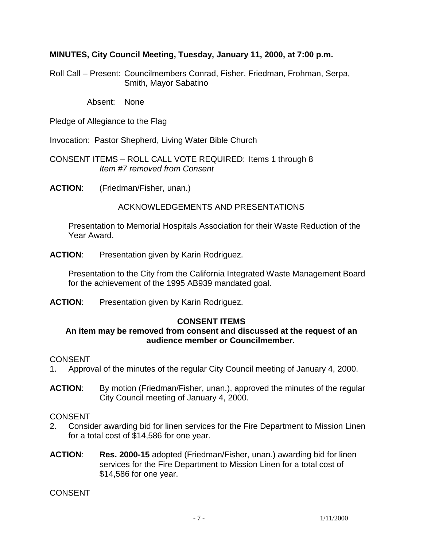## **MINUTES, City Council Meeting, Tuesday, January 11, 2000, at 7:00 p.m.**

Roll Call – Present: Councilmembers Conrad, Fisher, Friedman, Frohman, Serpa, Smith, Mayor Sabatino

Absent: None

Pledge of Allegiance to the Flag

Invocation: Pastor Shepherd, Living Water Bible Church

CONSENT ITEMS – ROLL CALL VOTE REQUIRED: Items 1 through 8 *Item #7 removed from Consent* 

**ACTION**: (Friedman/Fisher, unan.)

## ACKNOWLEDGEMENTS AND PRESENTATIONS

 Presentation to Memorial Hospitals Association for their Waste Reduction of the Year Award.

**ACTION**: Presentation given by Karin Rodriguez.

 Presentation to the City from the California Integrated Waste Management Board for the achievement of the 1995 AB939 mandated goal.

**ACTION**: Presentation given by Karin Rodriguez.

### **CONSENT ITEMS**

### **An item may be removed from consent and discussed at the request of an audience member or Councilmember.**

### CONSENT

- 1. Approval of the minutes of the regular City Council meeting of January 4, 2000.
- **ACTION**: By motion (Friedman/Fisher, unan.), approved the minutes of the regular City Council meeting of January 4, 2000.

### CONSENT

- 2. Consider awarding bid for linen services for the Fire Department to Mission Linen for a total cost of \$14,586 for one year.
- **ACTION**: **Res. 2000-15** adopted (Friedman/Fisher, unan.) awarding bid for linen services for the Fire Department to Mission Linen for a total cost of \$14,586 for one year.

CONSENT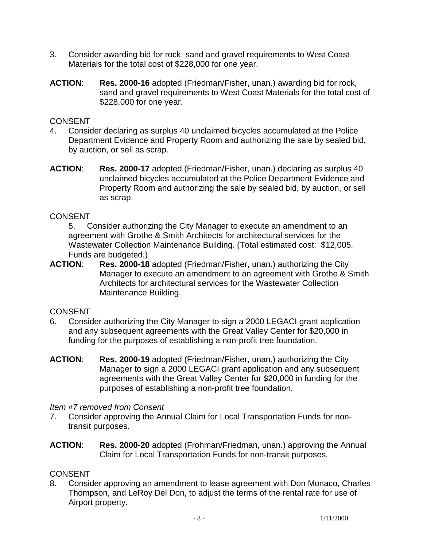- 3. Consider awarding bid for rock, sand and gravel requirements to West Coast Materials for the total cost of \$228,000 for one year.
- **ACTION**: **Res. 2000-16** adopted (Friedman/Fisher, unan.) awarding bid for rock, sand and gravel requirements to West Coast Materials for the total cost of \$228,000 for one year.

## **CONSENT**

- 4. Consider declaring as surplus 40 unclaimed bicycles accumulated at the Police Department Evidence and Property Room and authorizing the sale by sealed bid, by auction, or sell as scrap.
- **ACTION**: **Res. 2000-17** adopted (Friedman/Fisher, unan.) declaring as surplus 40 unclaimed bicycles accumulated at the Police Department Evidence and Property Room and authorizing the sale by sealed bid, by auction, or sell as scrap.

## **CONSENT**

5. Consider authorizing the City Manager to execute an amendment to an agreement with Grothe & Smith Architects for architectural services for the Wastewater Collection Maintenance Building. (Total estimated cost: \$12,005. Funds are budgeted.)

**ACTION**: **Res. 2000-18** adopted (Friedman/Fisher, unan.) authorizing the City Manager to execute an amendment to an agreement with Grothe & Smith Architects for architectural services for the Wastewater Collection Maintenance Building.

### **CONSENT**

- 6. Consider authorizing the City Manager to sign a 2000 LEGACI grant application and any subsequent agreements with the Great Valley Center for \$20,000 in funding for the purposes of establishing a non-profit tree foundation.
- **ACTION**: **Res. 2000-19** adopted (Friedman/Fisher, unan.) authorizing the City Manager to sign a 2000 LEGACI grant application and any subsequent agreements with the Great Valley Center for \$20,000 in funding for the purposes of establishing a non-profit tree foundation.

### *Item #7 removed from Consent*

- 7. Consider approving the Annual Claim for Local Transportation Funds for nontransit purposes.
- **ACTION**: **Res. 2000-20** adopted (Frohman/Friedman, unan.) approving the Annual Claim for Local Transportation Funds for non-transit purposes.

# **CONSENT**

8. Consider approving an amendment to lease agreement with Don Monaco, Charles Thompson, and LeRoy Del Don, to adjust the terms of the rental rate for use of Airport property.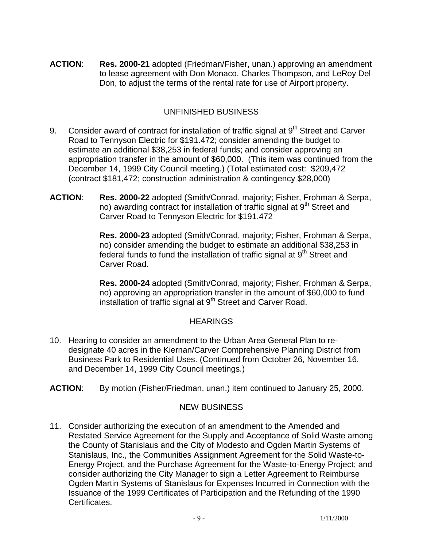**ACTION**: **Res. 2000-21** adopted (Friedman/Fisher, unan.) approving an amendment to lease agreement with Don Monaco, Charles Thompson, and LeRoy Del Don, to adjust the terms of the rental rate for use of Airport property.

# UNFINISHED BUSINESS

- 9. Consider award of contract for installation of traffic signal at  $9<sup>th</sup>$  Street and Carver Road to Tennyson Electric for \$191.472; consider amending the budget to estimate an additional \$38,253 in federal funds; and consider approving an appropriation transfer in the amount of \$60,000. (This item was continued from the December 14, 1999 City Council meeting.) (Total estimated cost: \$209,472 (contract \$181,472; construction administration & contingency \$28,000)
- **ACTION**: **Res. 2000-22** adopted (Smith/Conrad, majority; Fisher, Frohman & Serpa, no) awarding contract for installation of traffic signal at 9<sup>th</sup> Street and Carver Road to Tennyson Electric for \$191.472

**Res. 2000-23** adopted (Smith/Conrad, majority; Fisher, Frohman & Serpa, no) consider amending the budget to estimate an additional \$38,253 in federal funds to fund the installation of traffic signal at 9<sup>th</sup> Street and Carver Road.

**Res. 2000-24** adopted (Smith/Conrad, majority; Fisher, Frohman & Serpa, no) approving an appropriation transfer in the amount of \$60,000 to fund installation of traffic signal at 9<sup>th</sup> Street and Carver Road.

# **HEARINGS**

- 10. Hearing to consider an amendment to the Urban Area General Plan to redesignate 40 acres in the Kiernan/Carver Comprehensive Planning District from Business Park to Residential Uses. (Continued from October 26, November 16, and December 14, 1999 City Council meetings.)
- **ACTION**: By motion (Fisher/Friedman, unan.) item continued to January 25, 2000.

# NEW BUSINESS

11. Consider authorizing the execution of an amendment to the Amended and Restated Service Agreement for the Supply and Acceptance of Solid Waste among the County of Stanislaus and the City of Modesto and Ogden Martin Systems of Stanislaus, Inc., the Communities Assignment Agreement for the Solid Waste-to-Energy Project, and the Purchase Agreement for the Waste-to-Energy Project; and consider authorizing the City Manager to sign a Letter Agreement to Reimburse Ogden Martin Systems of Stanislaus for Expenses Incurred in Connection with the Issuance of the 1999 Certificates of Participation and the Refunding of the 1990 Certificates.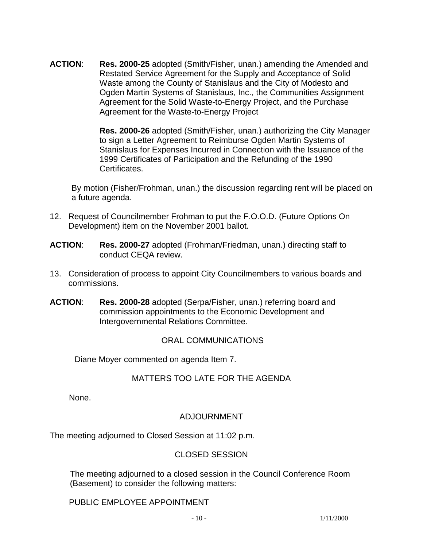**ACTION**: **Res. 2000-25** adopted (Smith/Fisher, unan.) amending the Amended and Restated Service Agreement for the Supply and Acceptance of Solid Waste among the County of Stanislaus and the City of Modesto and Ogden Martin Systems of Stanislaus, Inc., the Communities Assignment Agreement for the Solid Waste-to-Energy Project, and the Purchase Agreement for the Waste-to-Energy Project

> **Res. 2000-26** adopted (Smith/Fisher, unan.) authorizing the City Manager to sign a Letter Agreement to Reimburse Ogden Martin Systems of Stanislaus for Expenses Incurred in Connection with the Issuance of the 1999 Certificates of Participation and the Refunding of the 1990 Certificates.

 By motion (Fisher/Frohman, unan.) the discussion regarding rent will be placed on a future agenda.

- 12. Request of Councilmember Frohman to put the F.O.O.D. (Future Options On Development) item on the November 2001 ballot.
- **ACTION**: **Res. 2000-27** adopted (Frohman/Friedman, unan.) directing staff to conduct CEQA review.
- 13. Consideration of process to appoint City Councilmembers to various boards and commissions.
- **ACTION**: **Res. 2000-28** adopted (Serpa/Fisher, unan.) referring board and commission appointments to the Economic Development and Intergovernmental Relations Committee.

# ORAL COMMUNICATIONS

Diane Moyer commented on agenda Item 7.

# MATTERS TOO LATE FOR THE AGENDA

None.

# ADJOURNMENT

The meeting adjourned to Closed Session at 11:02 p.m.

# CLOSED SESSION

 The meeting adjourned to a closed session in the Council Conference Room (Basement) to consider the following matters:

PUBLIC EMPLOYEE APPOINTMENT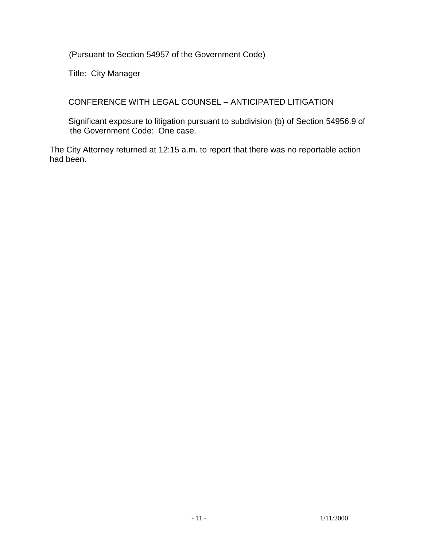(Pursuant to Section 54957 of the Government Code)

Title: City Manager

CONFERENCE WITH LEGAL COUNSEL – ANTICIPATED LITIGATION

 Significant exposure to litigation pursuant to subdivision (b) of Section 54956.9 of the Government Code: One case.

The City Attorney returned at 12:15 a.m. to report that there was no reportable action had been.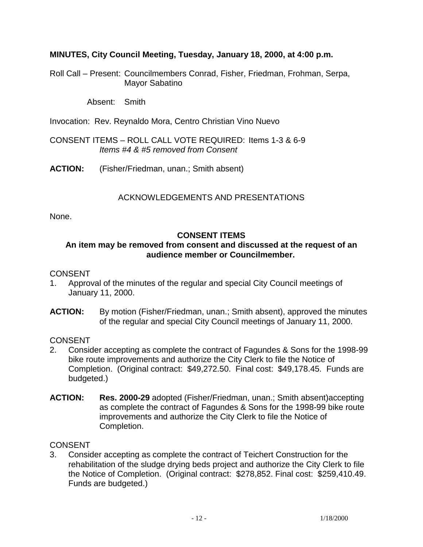## **MINUTES, City Council Meeting, Tuesday, January 18, 2000, at 4:00 p.m.**

Roll Call – Present: Councilmembers Conrad, Fisher, Friedman, Frohman, Serpa, Mayor Sabatino

Absent: Smith

Invocation: Rev. Reynaldo Mora, Centro Christian Vino Nuevo

CONSENT ITEMS – ROLL CALL VOTE REQUIRED: Items 1-3 & 6-9 *Items #4 & #5 removed from Consent* 

**ACTION:** (Fisher/Friedman, unan.; Smith absent)

# ACKNOWLEDGEMENTS AND PRESENTATIONS

None.

## **CONSENT ITEMS**

## **An item may be removed from consent and discussed at the request of an audience member or Councilmember.**

## **CONSENT**

- 1. Approval of the minutes of the regular and special City Council meetings of January 11, 2000.
- **ACTION:** By motion (Fisher/Friedman, unan.; Smith absent), approved the minutes of the regular and special City Council meetings of January 11, 2000.

**CONSENT** 

- 2. Consider accepting as complete the contract of Fagundes & Sons for the 1998-99 bike route improvements and authorize the City Clerk to file the Notice of Completion. (Original contract: \$49,272.50. Final cost: \$49,178.45. Funds are budgeted.)
- **ACTION: Res. 2000-29** adopted (Fisher/Friedman, unan.; Smith absent)accepting as complete the contract of Fagundes & Sons for the 1998-99 bike route improvements and authorize the City Clerk to file the Notice of Completion.

**CONSENT** 

3. Consider accepting as complete the contract of Teichert Construction for the rehabilitation of the sludge drying beds project and authorize the City Clerk to file the Notice of Completion. (Original contract: \$278,852. Final cost: \$259,410.49. Funds are budgeted.)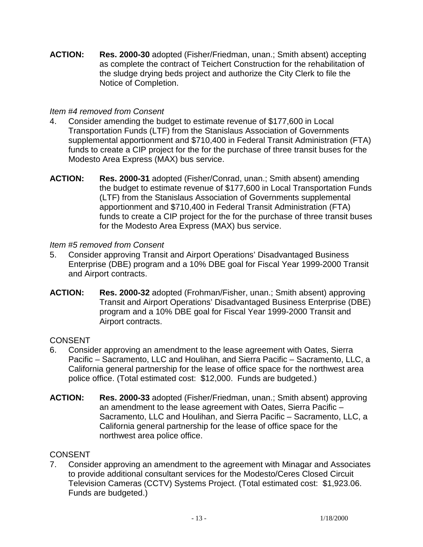**ACTION: Res. 2000-30** adopted (Fisher/Friedman, unan.; Smith absent) accepting as complete the contract of Teichert Construction for the rehabilitation of the sludge drying beds project and authorize the City Clerk to file the Notice of Completion.

## *Item #4 removed from Consent*

- 4. Consider amending the budget to estimate revenue of \$177,600 in Local Transportation Funds (LTF) from the Stanislaus Association of Governments supplemental apportionment and \$710,400 in Federal Transit Administration (FTA) funds to create a CIP project for the for the purchase of three transit buses for the Modesto Area Express (MAX) bus service.
- **ACTION: Res. 2000-31** adopted (Fisher/Conrad, unan.; Smith absent) amending the budget to estimate revenue of \$177,600 in Local Transportation Funds (LTF) from the Stanislaus Association of Governments supplemental apportionment and \$710,400 in Federal Transit Administration (FTA) funds to create a CIP project for the for the purchase of three transit buses for the Modesto Area Express (MAX) bus service.

## *Item #5 removed from Consent*

- 5. Consider approving Transit and Airport Operations' Disadvantaged Business Enterprise (DBE) program and a 10% DBE goal for Fiscal Year 1999-2000 Transit and Airport contracts.
- **ACTION: Res. 2000-32** adopted (Frohman/Fisher, unan.; Smith absent) approving Transit and Airport Operations' Disadvantaged Business Enterprise (DBE) program and a 10% DBE goal for Fiscal Year 1999-2000 Transit and Airport contracts.

# CONSENT

- 6. Consider approving an amendment to the lease agreement with Oates, Sierra Pacific – Sacramento, LLC and Houlihan, and Sierra Pacific – Sacramento, LLC, a California general partnership for the lease of office space for the northwest area police office. (Total estimated cost: \$12,000. Funds are budgeted.)
- **ACTION: Res. 2000-33** adopted (Fisher/Friedman, unan.; Smith absent) approving an amendment to the lease agreement with Oates, Sierra Pacific – Sacramento, LLC and Houlihan, and Sierra Pacific – Sacramento, LLC, a California general partnership for the lease of office space for the northwest area police office.

# **CONSENT**

7. Consider approving an amendment to the agreement with Minagar and Associates to provide additional consultant services for the Modesto/Ceres Closed Circuit Television Cameras (CCTV) Systems Project. (Total estimated cost: \$1,923.06. Funds are budgeted.)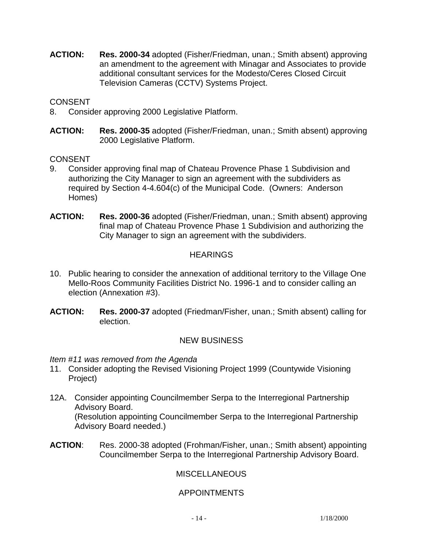**ACTION: Res. 2000-34** adopted (Fisher/Friedman, unan.; Smith absent) approving an amendment to the agreement with Minagar and Associates to provide additional consultant services for the Modesto/Ceres Closed Circuit Television Cameras (CCTV) Systems Project.

## CONSENT

- 8. Consider approving 2000 Legislative Platform.
- **ACTION: Res. 2000-35** adopted (Fisher/Friedman, unan.; Smith absent) approving 2000 Legislative Platform.

## CONSENT

- 9. Consider approving final map of Chateau Provence Phase 1 Subdivision and authorizing the City Manager to sign an agreement with the subdividers as required by Section 4-4.604(c) of the Municipal Code. (Owners: Anderson Homes)
- **ACTION: Res. 2000-36** adopted (Fisher/Friedman, unan.; Smith absent) approving final map of Chateau Provence Phase 1 Subdivision and authorizing the City Manager to sign an agreement with the subdividers.

# **HEARINGS**

- 10. Public hearing to consider the annexation of additional territory to the Village One Mello-Roos Community Facilities District No. 1996-1 and to consider calling an election (Annexation #3).
- **ACTION: Res. 2000-37** adopted (Friedman/Fisher, unan.; Smith absent) calling for election.

# NEW BUSINESS

*Item #11 was removed from the Agenda* 

- 11. Consider adopting the Revised Visioning Project 1999 (Countywide Visioning Project)
- 12A. Consider appointing Councilmember Serpa to the Interregional Partnership Advisory Board. (Resolution appointing Councilmember Serpa to the Interregional Partnership Advisory Board needed.)
- **ACTION**: Res. 2000-38 adopted (Frohman/Fisher, unan.; Smith absent) appointing Councilmember Serpa to the Interregional Partnership Advisory Board.

# **MISCELLANEOUS**

# APPOINTMENTS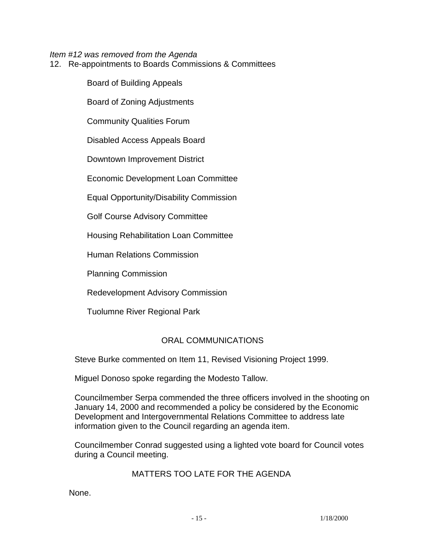*Item #12 was removed from the Agenda* 

12. Re-appointments to Boards Commissions & Committees

 Board of Building Appeals Board of Zoning Adjustments Community Qualities Forum Disabled Access Appeals Board Downtown Improvement District Economic Development Loan Committee Equal Opportunity/Disability Commission Golf Course Advisory Committee Housing Rehabilitation Loan Committee Human Relations Commission

Planning Commission

Redevelopment Advisory Commission

Tuolumne River Regional Park

# ORAL COMMUNICATIONS

Steve Burke commented on Item 11, Revised Visioning Project 1999.

Miguel Donoso spoke regarding the Modesto Tallow.

 Councilmember Serpa commended the three officers involved in the shooting on January 14, 2000 and recommended a policy be considered by the Economic Development and Intergovernmental Relations Committee to address late information given to the Council regarding an agenda item.

 Councilmember Conrad suggested using a lighted vote board for Council votes during a Council meeting.

### MATTERS TOO LATE FOR THE AGENDA

None.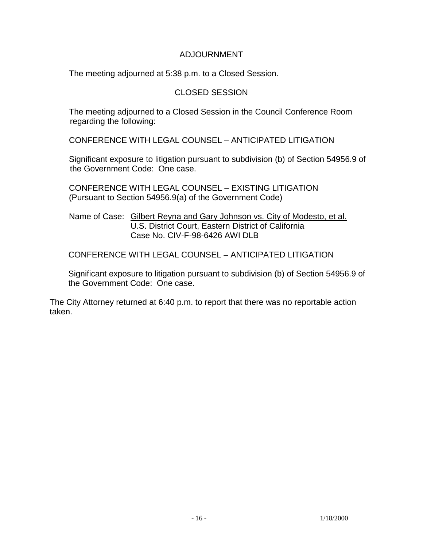## ADJOURNMENT

The meeting adjourned at 5:38 p.m. to a Closed Session.

# CLOSED SESSION

 The meeting adjourned to a Closed Session in the Council Conference Room regarding the following:

CONFERENCE WITH LEGAL COUNSEL – ANTICIPATED LITIGATION

 Significant exposure to litigation pursuant to subdivision (b) of Section 54956.9 of the Government Code: One case.

 CONFERENCE WITH LEGAL COUNSEL – EXISTING LITIGATION (Pursuant to Section 54956.9(a) of the Government Code)

 Name of Case: Gilbert Reyna and Gary Johnson vs. City of Modesto, et al. U.S. District Court, Eastern District of California Case No. CIV-F-98-6426 AWI DLB

CONFERENCE WITH LEGAL COUNSEL – ANTICIPATED LITIGATION

 Significant exposure to litigation pursuant to subdivision (b) of Section 54956.9 of the Government Code: One case.

The City Attorney returned at 6:40 p.m. to report that there was no reportable action taken.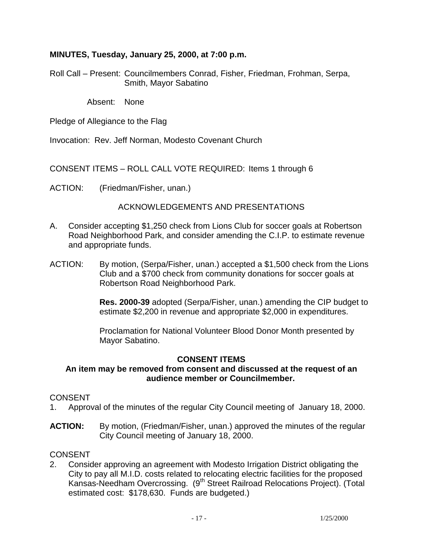## **MINUTES, Tuesday, January 25, 2000, at 7:00 p.m.**

Roll Call – Present: Councilmembers Conrad, Fisher, Friedman, Frohman, Serpa, Smith, Mayor Sabatino

Absent: None

Pledge of Allegiance to the Flag

Invocation: Rev. Jeff Norman, Modesto Covenant Church

CONSENT ITEMS – ROLL CALL VOTE REQUIRED: Items 1 through 6

ACTION: (Friedman/Fisher, unan.)

## ACKNOWLEDGEMENTS AND PRESENTATIONS

- A. Consider accepting \$1,250 check from Lions Club for soccer goals at Robertson Road Neighborhood Park, and consider amending the C.I.P. to estimate revenue and appropriate funds.
- ACTION: By motion, (Serpa/Fisher, unan.) accepted a \$1,500 check from the Lions Club and a \$700 check from community donations for soccer goals at Robertson Road Neighborhood Park.

**Res. 2000-39** adopted (Serpa/Fisher, unan.) amending the CIP budget to estimate \$2,200 in revenue and appropriate \$2,000 in expenditures.

 Proclamation for National Volunteer Blood Donor Month presented by Mayor Sabatino.

# **CONSENT ITEMS**

### **An item may be removed from consent and discussed at the request of an audience member or Councilmember.**

### CONSENT

- 1. Approval of the minutes of the regular City Council meeting of January 18, 2000.
- **ACTION:** By motion, (Friedman/Fisher, unan.) approved the minutes of the regular City Council meeting of January 18, 2000.

### **CONSENT**

2. Consider approving an agreement with Modesto Irrigation District obligating the City to pay all M.I.D. costs related to relocating electric facilities for the proposed Kansas-Needham Overcrossing. (9<sup>th</sup> Street Railroad Relocations Project). (Total estimated cost: \$178,630. Funds are budgeted.)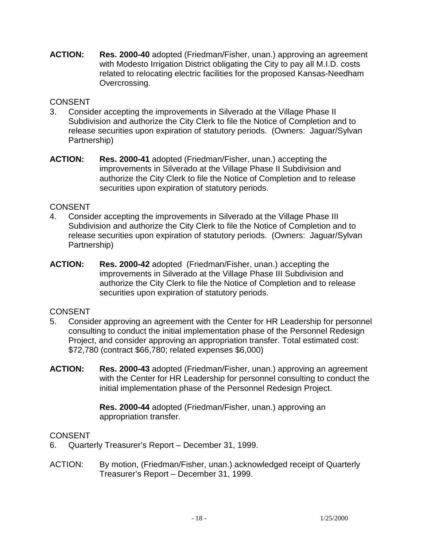**ACTION: Res. 2000-40** adopted (Friedman/Fisher, unan.) approving an agreement with Modesto Irrigation District obligating the City to pay all M.I.D. costs related to relocating electric facilities for the proposed Kansas-Needham Overcrossing.

## **CONSENT**

- 3. Consider accepting the improvements in Silverado at the Village Phase II Subdivision and authorize the City Clerk to file the Notice of Completion and to release securities upon expiration of statutory periods. (Owners: Jaguar/Sylvan Partnership)
- **ACTION: Res. 2000-41** adopted (Friedman/Fisher, unan.) accepting the improvements in Silverado at the Village Phase II Subdivision and authorize the City Clerk to file the Notice of Completion and to release securities upon expiration of statutory periods.

## CONSENT

- 4. Consider accepting the improvements in Silverado at the Village Phase III Subdivision and authorize the City Clerk to file the Notice of Completion and to release securities upon expiration of statutory periods. (Owners: Jaguar/Sylvan Partnership)
- **ACTION: Res. 2000-42** adopted (Friedman/Fisher, unan.) accepting the improvements in Silverado at the Village Phase III Subdivision and authorize the City Clerk to file the Notice of Completion and to release securities upon expiration of statutory periods.

# **CONSENT**

- 5. Consider approving an agreement with the Center for HR Leadership for personnel consulting to conduct the initial implementation phase of the Personnel Redesign Project, and consider approving an appropriation transfer. Total estimated cost: \$72,780 (contract \$66,780; related expenses \$6,000)
- **ACTION: Res. 2000-43** adopted (Friedman/Fisher, unan.) approving an agreement with the Center for HR Leadership for personnel consulting to conduct the initial implementation phase of the Personnel Redesign Project.

**Res. 2000-44** adopted (Friedman/Fisher, unan.) approving an appropriation transfer.

### **CONSENT**

- 6. Quarterly Treasurer's Report December 31, 1999.
- ACTION: By motion, (Friedman/Fisher, unan.) acknowledged receipt of Quarterly Treasurer's Report – December 31, 1999.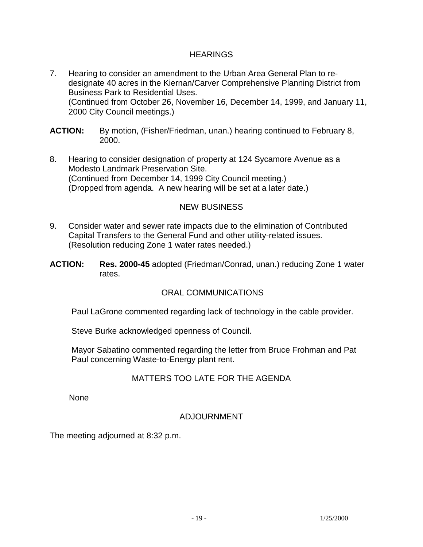## **HEARINGS**

- 7. Hearing to consider an amendment to the Urban Area General Plan to redesignate 40 acres in the Kiernan/Carver Comprehensive Planning District from Business Park to Residential Uses. (Continued from October 26, November 16, December 14, 1999, and January 11, 2000 City Council meetings.)
- **ACTION:** By motion, (Fisher/Friedman, unan.) hearing continued to February 8, 2000.
- 8. Hearing to consider designation of property at 124 Sycamore Avenue as a Modesto Landmark Preservation Site. (Continued from December 14, 1999 City Council meeting.) (Dropped from agenda. A new hearing will be set at a later date.)

# NEW BUSINESS

- 9. Consider water and sewer rate impacts due to the elimination of Contributed Capital Transfers to the General Fund and other utility-related issues. (Resolution reducing Zone 1 water rates needed.)
- **ACTION: Res. 2000-45** adopted (Friedman/Conrad, unan.) reducing Zone 1 water rates.

# ORAL COMMUNICATIONS

Paul LaGrone commented regarding lack of technology in the cable provider.

Steve Burke acknowledged openness of Council.

 Mayor Sabatino commented regarding the letter from Bruce Frohman and Pat Paul concerning Waste-to-Energy plant rent.

### MATTERS TOO LATE FOR THE AGENDA

None

### ADJOURNMENT

The meeting adjourned at 8:32 p.m.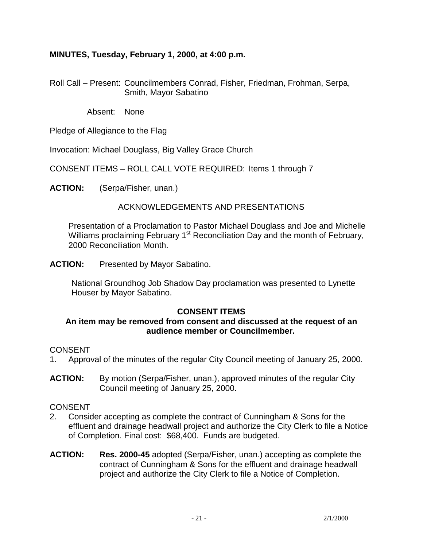# **MINUTES, Tuesday, February 1, 2000, at 4:00 p.m.**

Roll Call – Present: Councilmembers Conrad, Fisher, Friedman, Frohman, Serpa, Smith, Mayor Sabatino

Absent: None

Pledge of Allegiance to the Flag

Invocation: Michael Douglass, Big Valley Grace Church

CONSENT ITEMS – ROLL CALL VOTE REQUIRED: Items 1 through 7

**ACTION:** (Serpa/Fisher, unan.)

## ACKNOWLEDGEMENTS AND PRESENTATIONS

 Presentation of a Proclamation to Pastor Michael Douglass and Joe and Michelle Williams proclaiming February 1<sup>st</sup> Reconciliation Day and the month of February, 2000 Reconciliation Month.

**ACTION:** Presented by Mayor Sabatino.

 National Groundhog Job Shadow Day proclamation was presented to Lynette Houser by Mayor Sabatino.

### **CONSENT ITEMS**

### **An item may be removed from consent and discussed at the request of an audience member or Councilmember.**

### CONSENT

- 1. Approval of the minutes of the regular City Council meeting of January 25, 2000.
- **ACTION:** By motion (Serpa/Fisher, unan.), approved minutes of the regular City Council meeting of January 25, 2000.

### CONSENT

- 2. Consider accepting as complete the contract of Cunningham & Sons for the effluent and drainage headwall project and authorize the City Clerk to file a Notice of Completion. Final cost: \$68,400. Funds are budgeted.
- **ACTION: Res. 2000-45** adopted (Serpa/Fisher, unan.) accepting as complete the contract of Cunningham & Sons for the effluent and drainage headwall project and authorize the City Clerk to file a Notice of Completion.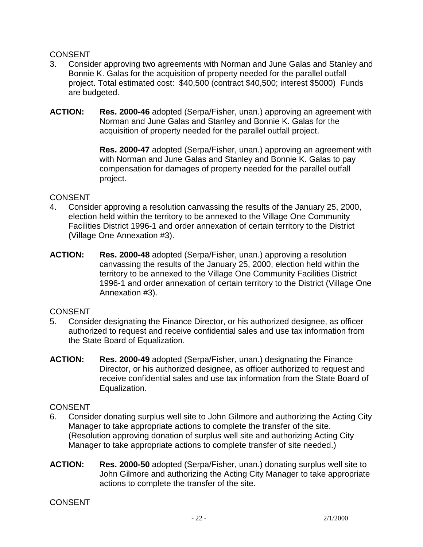## CONSENT

- 3. Consider approving two agreements with Norman and June Galas and Stanley and Bonnie K. Galas for the acquisition of property needed for the parallel outfall project. Total estimated cost: \$40,500 (contract \$40,500; interest \$5000) Funds are budgeted.
- **ACTION: Res. 2000-46** adopted (Serpa/Fisher, unan.) approving an agreement with Norman and June Galas and Stanley and Bonnie K. Galas for the acquisition of property needed for the parallel outfall project.

 **Res. 2000-47** adopted (Serpa/Fisher, unan.) approving an agreement with with Norman and June Galas and Stanley and Bonnie K. Galas to pay compensation for damages of property needed for the parallel outfall project.

### CONSENT

- 4. Consider approving a resolution canvassing the results of the January 25, 2000, election held within the territory to be annexed to the Village One Community Facilities District 1996-1 and order annexation of certain territory to the District (Village One Annexation #3).
- **ACTION: Res. 2000-48** adopted (Serpa/Fisher, unan.) approving a resolution canvassing the results of the January 25, 2000, election held within the territory to be annexed to the Village One Community Facilities District 1996-1 and order annexation of certain territory to the District (Village One Annexation #3).

# **CONSENT**

- 5. Consider designating the Finance Director, or his authorized designee, as officer authorized to request and receive confidential sales and use tax information from the State Board of Equalization.
- **ACTION: Res. 2000-49** adopted (Serpa/Fisher, unan.) designating the Finance Director, or his authorized designee, as officer authorized to request and receive confidential sales and use tax information from the State Board of Equalization.

# **CONSENT**

- 6. Consider donating surplus well site to John Gilmore and authorizing the Acting City Manager to take appropriate actions to complete the transfer of the site. (Resolution approving donation of surplus well site and authorizing Acting City Manager to take appropriate actions to complete transfer of site needed.)
- **ACTION: Res. 2000-50** adopted (Serpa/Fisher, unan.) donating surplus well site to John Gilmore and authorizing the Acting City Manager to take appropriate actions to complete the transfer of the site.

**CONSENT**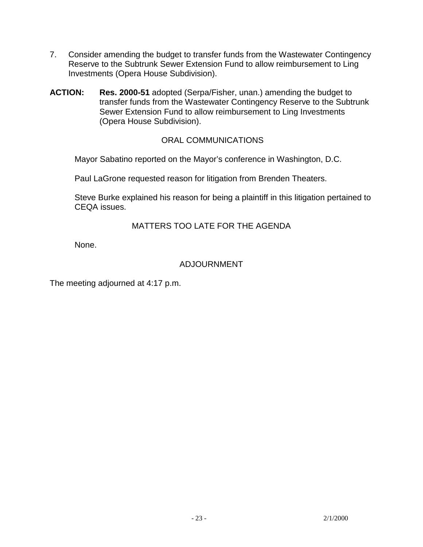- 7. Consider amending the budget to transfer funds from the Wastewater Contingency Reserve to the Subtrunk Sewer Extension Fund to allow reimbursement to Ling Investments (Opera House Subdivision).
- **ACTION: Res. 2000-51** adopted (Serpa/Fisher, unan.) amending the budget to transfer funds from the Wastewater Contingency Reserve to the Subtrunk Sewer Extension Fund to allow reimbursement to Ling Investments (Opera House Subdivision).

# ORAL COMMUNICATIONS

Mayor Sabatino reported on the Mayor's conference in Washington, D.C.

Paul LaGrone requested reason for litigation from Brenden Theaters.

 Steve Burke explained his reason for being a plaintiff in this litigation pertained to CEQA issues.

# MATTERS TOO LATE FOR THE AGENDA

None.

## ADJOURNMENT

The meeting adjourned at 4:17 p.m.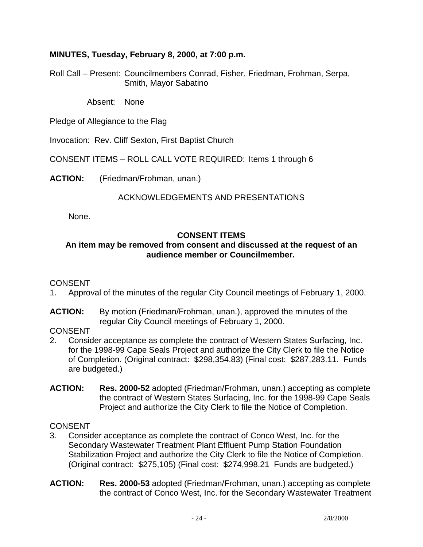# **MINUTES, Tuesday, February 8, 2000, at 7:00 p.m.**

Roll Call – Present: Councilmembers Conrad, Fisher, Friedman, Frohman, Serpa, Smith, Mayor Sabatino

Absent: None

Pledge of Allegiance to the Flag

Invocation: Rev. Cliff Sexton, First Baptist Church

CONSENT ITEMS – ROLL CALL VOTE REQUIRED: Items 1 through 6

**ACTION:** (Friedman/Frohman, unan.)

# ACKNOWLEDGEMENTS AND PRESENTATIONS

None.

## **CONSENT ITEMS**

## **An item may be removed from consent and discussed at the request of an audience member or Councilmember.**

### **CONSENT**

- 1. Approval of the minutes of the regular City Council meetings of February 1, 2000.
- **ACTION:** By motion (Friedman/Frohman, unan.), approved the minutes of the regular City Council meetings of February 1, 2000.

### **CONSENT**

- 2. Consider acceptance as complete the contract of Western States Surfacing, Inc. for the 1998-99 Cape Seals Project and authorize the City Clerk to file the Notice of Completion. (Original contract: \$298,354.83) (Final cost: \$287,283.11. Funds are budgeted.)
- **ACTION: Res. 2000-52** adopted (Friedman/Frohman, unan.) accepting as complete the contract of Western States Surfacing, Inc. for the 1998-99 Cape Seals Project and authorize the City Clerk to file the Notice of Completion.

## **CONSENT**

- 3. Consider acceptance as complete the contract of Conco West, Inc. for the Secondary Wastewater Treatment Plant Effluent Pump Station Foundation Stabilization Project and authorize the City Clerk to file the Notice of Completion. (Original contract: \$275,105) (Final cost: \$274,998.21 Funds are budgeted.)
- **ACTION: Res. 2000-53** adopted (Friedman/Frohman, unan.) accepting as complete the contract of Conco West, Inc. for the Secondary Wastewater Treatment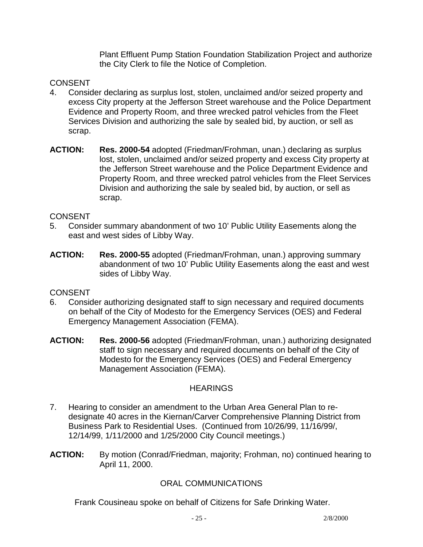Plant Effluent Pump Station Foundation Stabilization Project and authorize the City Clerk to file the Notice of Completion.

# **CONSENT**

- 4. Consider declaring as surplus lost, stolen, unclaimed and/or seized property and excess City property at the Jefferson Street warehouse and the Police Department Evidence and Property Room, and three wrecked patrol vehicles from the Fleet Services Division and authorizing the sale by sealed bid, by auction, or sell as scrap.
- **ACTION: Res. 2000-54** adopted (Friedman/Frohman, unan.) declaring as surplus lost, stolen, unclaimed and/or seized property and excess City property at the Jefferson Street warehouse and the Police Department Evidence and Property Room, and three wrecked patrol vehicles from the Fleet Services Division and authorizing the sale by sealed bid, by auction, or sell as scrap.

## **CONSENT**

- 5. Consider summary abandonment of two 10' Public Utility Easements along the east and west sides of Libby Way.
- **ACTION: Res. 2000-55** adopted (Friedman/Frohman, unan.) approving summary abandonment of two 10' Public Utility Easements along the east and west sides of Libby Way.

# **CONSENT**

- 6. Consider authorizing designated staff to sign necessary and required documents on behalf of the City of Modesto for the Emergency Services (OES) and Federal Emergency Management Association (FEMA).
- **ACTION: Res. 2000-56** adopted (Friedman/Frohman, unan.) authorizing designated staff to sign necessary and required documents on behalf of the City of Modesto for the Emergency Services (OES) and Federal Emergency Management Association (FEMA).

# **HEARINGS**

- 7. Hearing to consider an amendment to the Urban Area General Plan to redesignate 40 acres in the Kiernan/Carver Comprehensive Planning District from Business Park to Residential Uses. (Continued from 10/26/99, 11/16/99/, 12/14/99, 1/11/2000 and 1/25/2000 City Council meetings.)
- **ACTION:** By motion (Conrad/Friedman, majority; Frohman, no) continued hearing to April 11, 2000.

# ORAL COMMUNICATIONS

Frank Cousineau spoke on behalf of Citizens for Safe Drinking Water.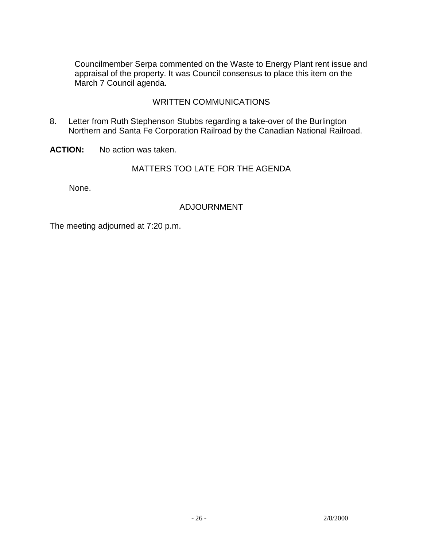Councilmember Serpa commented on the Waste to Energy Plant rent issue and appraisal of the property. It was Council consensus to place this item on the March 7 Council agenda.

## WRITTEN COMMUNICATIONS

8. Letter from Ruth Stephenson Stubbs regarding a take-over of the Burlington Northern and Santa Fe Corporation Railroad by the Canadian National Railroad.

**ACTION:** No action was taken.

## MATTERS TOO LATE FOR THE AGENDA

None.

## ADJOURNMENT

The meeting adjourned at 7:20 p.m.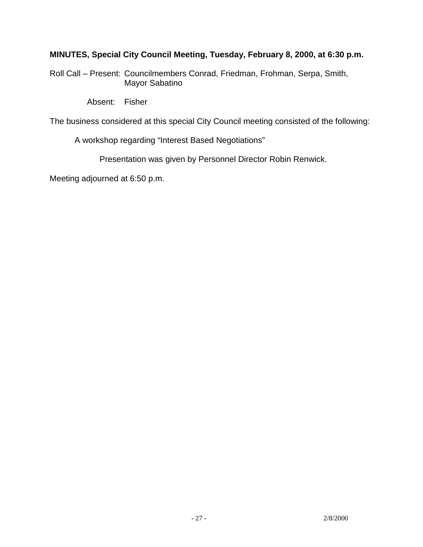# **MINUTES, Special City Council Meeting, Tuesday, February 8, 2000, at 6:30 p.m.**

Roll Call – Present: Councilmembers Conrad, Friedman, Frohman, Serpa, Smith, Mayor Sabatino

Absent: Fisher

The business considered at this special City Council meeting consisted of the following:

A workshop regarding "Interest Based Negotiations"

Presentation was given by Personnel Director Robin Renwick.

Meeting adjourned at 6:50 p.m.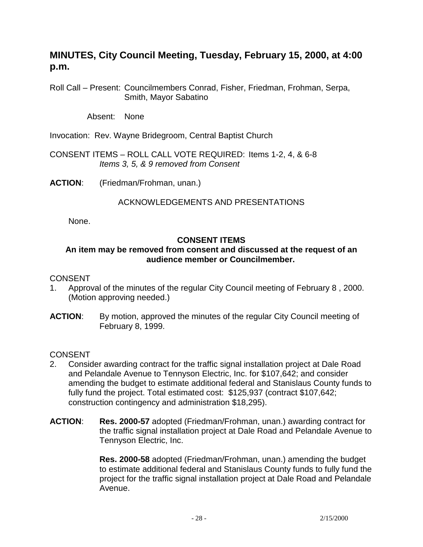# **MINUTES, City Council Meeting, Tuesday, February 15, 2000, at 4:00 p.m.**

Roll Call – Present: Councilmembers Conrad, Fisher, Friedman, Frohman, Serpa, Smith, Mayor Sabatino

Absent: None

Invocation: Rev. Wayne Bridegroom, Central Baptist Church

CONSENT ITEMS – ROLL CALL VOTE REQUIRED: Items 1-2, 4, & 6-8 *Items 3, 5, & 9 removed from Consent* 

**ACTION**: (Friedman/Frohman, unan.)

### ACKNOWLEDGEMENTS AND PRESENTATIONS

None.

### **CONSENT ITEMS**

## **An item may be removed from consent and discussed at the request of an audience member or Councilmember.**

#### CONSENT

- 1. Approval of the minutes of the regular City Council meeting of February 8 , 2000. (Motion approving needed.)
- **ACTION:** By motion, approved the minutes of the regular City Council meeting of February 8, 1999.

CONSENT

- 2. Consider awarding contract for the traffic signal installation project at Dale Road and Pelandale Avenue to Tennyson Electric, Inc. for \$107,642; and consider amending the budget to estimate additional federal and Stanislaus County funds to fully fund the project. Total estimated cost: \$125,937 (contract \$107,642; construction contingency and administration \$18,295).
- **ACTION**: **Res. 2000-57** adopted (Friedman/Frohman, unan.) awarding contract for the traffic signal installation project at Dale Road and Pelandale Avenue to Tennyson Electric, Inc.

**Res. 2000-58** adopted (Friedman/Frohman, unan.) amending the budget to estimate additional federal and Stanislaus County funds to fully fund the project for the traffic signal installation project at Dale Road and Pelandale Avenue.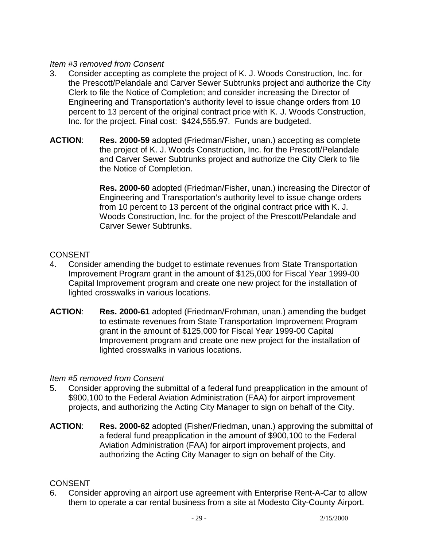## *Item #3 removed from Consent*

- 3. Consider accepting as complete the project of K. J. Woods Construction, Inc. for the Prescott/Pelandale and Carver Sewer Subtrunks project and authorize the City Clerk to file the Notice of Completion; and consider increasing the Director of Engineering and Transportation's authority level to issue change orders from 10 percent to 13 percent of the original contract price with K. J. Woods Construction, Inc. for the project. Final cost: \$424,555.97. Funds are budgeted.
- **ACTION**: **Res. 2000-59** adopted (Friedman/Fisher, unan.) accepting as complete the project of K. J. Woods Construction, Inc. for the Prescott/Pelandale and Carver Sewer Subtrunks project and authorize the City Clerk to file the Notice of Completion.

**Res. 2000-60** adopted (Friedman/Fisher, unan.) increasing the Director of Engineering and Transportation's authority level to issue change orders from 10 percent to 13 percent of the original contract price with K. J. Woods Construction, Inc. for the project of the Prescott/Pelandale and Carver Sewer Subtrunks.

# **CONSENT**

- 4. Consider amending the budget to estimate revenues from State Transportation Improvement Program grant in the amount of \$125,000 for Fiscal Year 1999-00 Capital Improvement program and create one new project for the installation of lighted crosswalks in various locations.
- **ACTION**: **Res. 2000-61** adopted (Friedman/Frohman, unan.) amending the budget to estimate revenues from State Transportation Improvement Program grant in the amount of \$125,000 for Fiscal Year 1999-00 Capital Improvement program and create one new project for the installation of lighted crosswalks in various locations.

# *Item #5 removed from Consent*

- 5. Consider approving the submittal of a federal fund preapplication in the amount of \$900,100 to the Federal Aviation Administration (FAA) for airport improvement projects, and authorizing the Acting City Manager to sign on behalf of the City.
- **ACTION**: **Res. 2000-62** adopted (Fisher/Friedman, unan.) approving the submittal of a federal fund preapplication in the amount of \$900,100 to the Federal Aviation Administration (FAA) for airport improvement projects, and authorizing the Acting City Manager to sign on behalf of the City.

# **CONSENT**

6. Consider approving an airport use agreement with Enterprise Rent-A-Car to allow them to operate a car rental business from a site at Modesto City-County Airport.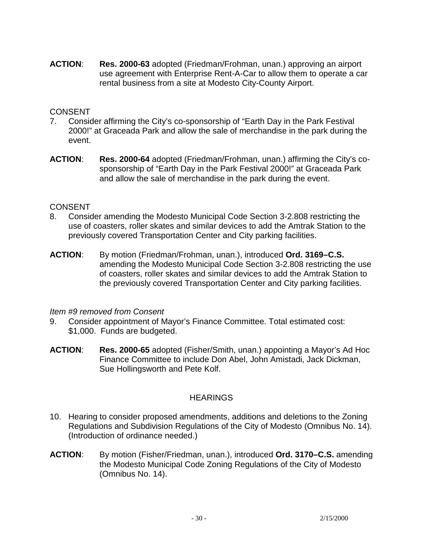**ACTION**: **Res. 2000-63** adopted (Friedman/Frohman, unan.) approving an airport use agreement with Enterprise Rent-A-Car to allow them to operate a car rental business from a site at Modesto City-County Airport.

## CONSENT

- 7. Consider affirming the City's co-sponsorship of "Earth Day in the Park Festival 2000!" at Graceada Park and allow the sale of merchandise in the park during the event.
- **ACTION**: **Res. 2000-64** adopted (Friedman/Frohman, unan.) affirming the City's cosponsorship of "Earth Day in the Park Festival 2000!" at Graceada Park and allow the sale of merchandise in the park during the event.

## CONSENT

- 8. Consider amending the Modesto Municipal Code Section 3-2.808 restricting the use of coasters, roller skates and similar devices to add the Amtrak Station to the previously covered Transportation Center and City parking facilities.
- **ACTION**: By motion (Friedman/Frohman, unan.), introduced **Ord. 3169–C.S.** amending the Modesto Municipal Code Section 3-2.808 restricting the use of coasters, roller skates and similar devices to add the Amtrak Station to the previously covered Transportation Center and City parking facilities.

### *Item #9 removed from Consent*

- 9. Consider appointment of Mayor's Finance Committee. Total estimated cost: \$1,000. Funds are budgeted.
- **ACTION**: **Res. 2000-65** adopted (Fisher/Smith, unan.) appointing a Mayor's Ad Hoc Finance Committee to include Don Abel, John Amistadi, Jack Dickman, Sue Hollingsworth and Pete Kolf.

### **HEARINGS**

- 10. Hearing to consider proposed amendments, additions and deletions to the Zoning Regulations and Subdivision Regulations of the City of Modesto (Omnibus No. 14). (Introduction of ordinance needed.)
- **ACTION**: By motion (Fisher/Friedman, unan.), introduced **Ord. 3170–C.S.** amending the Modesto Municipal Code Zoning Regulations of the City of Modesto (Omnibus No. 14).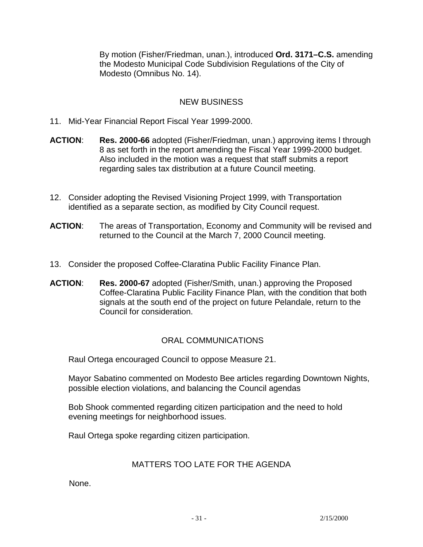By motion (Fisher/Friedman, unan.), introduced **Ord. 3171–C.S.** amending the Modesto Municipal Code Subdivision Regulations of the City of Modesto (Omnibus No. 14).

# NEW BUSINESS

- 11. Mid-Year Financial Report Fiscal Year 1999-2000.
- **ACTION**: **Res. 2000-66** adopted (Fisher/Friedman, unan.) approving items l through 8 as set forth in the report amending the Fiscal Year 1999-2000 budget. Also included in the motion was a request that staff submits a report regarding sales tax distribution at a future Council meeting.
- 12. Consider adopting the Revised Visioning Project 1999, with Transportation identified as a separate section, as modified by City Council request.
- **ACTION**: The areas of Transportation, Economy and Community will be revised and returned to the Council at the March 7, 2000 Council meeting.
- 13. Consider the proposed Coffee-Claratina Public Facility Finance Plan.
- **ACTION**: **Res. 2000-67** adopted (Fisher/Smith, unan.) approving the Proposed Coffee-Claratina Public Facility Finance Plan, with the condition that both signals at the south end of the project on future Pelandale, return to the Council for consideration.

# ORAL COMMUNICATIONS

Raul Ortega encouraged Council to oppose Measure 21.

 Mayor Sabatino commented on Modesto Bee articles regarding Downtown Nights, possible election violations, and balancing the Council agendas

 Bob Shook commented regarding citizen participation and the need to hold evening meetings for neighborhood issues.

Raul Ortega spoke regarding citizen participation.

# MATTERS TOO LATE FOR THE AGENDA

None.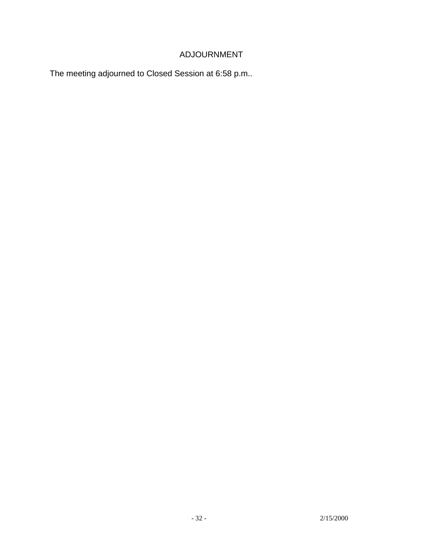# ADJOURNMENT

The meeting adjourned to Closed Session at 6:58 p.m..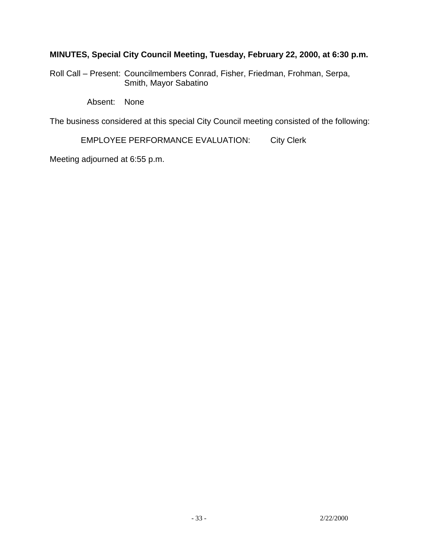# **MINUTES, Special City Council Meeting, Tuesday, February 22, 2000, at 6:30 p.m.**

Roll Call – Present: Councilmembers Conrad, Fisher, Friedman, Frohman, Serpa, Smith, Mayor Sabatino

Absent: None

The business considered at this special City Council meeting consisted of the following:

EMPLOYEE PERFORMANCE EVALUATION: City Clerk

Meeting adjourned at 6:55 p.m.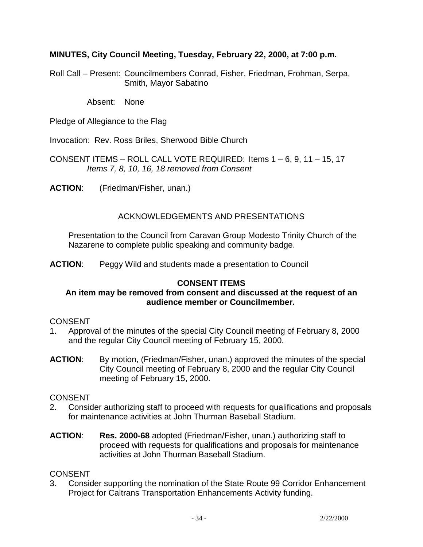## **MINUTES, City Council Meeting, Tuesday, February 22, 2000, at 7:00 p.m.**

Roll Call – Present: Councilmembers Conrad, Fisher, Friedman, Frohman, Serpa, Smith, Mayor Sabatino

Absent: None

Pledge of Allegiance to the Flag

Invocation: Rev. Ross Briles, Sherwood Bible Church

CONSENT ITEMS – ROLL CALL VOTE REQUIRED: Items 1 – 6, 9, 11 – 15, 17  *Items 7, 8, 10, 16, 18 removed from Consent* 

**ACTION**: (Friedman/Fisher, unan.)

# ACKNOWLEDGEMENTS AND PRESENTATIONS

 Presentation to the Council from Caravan Group Modesto Trinity Church of the Nazarene to complete public speaking and community badge.

**ACTION**: Peggy Wild and students made a presentation to Council

# **CONSENT ITEMS**

### **An item may be removed from consent and discussed at the request of an audience member or Councilmember.**

### CONSENT

- 1. Approval of the minutes of the special City Council meeting of February 8, 2000 and the regular City Council meeting of February 15, 2000.
- **ACTION**: By motion, (Friedman/Fisher, unan.) approved the minutes of the special City Council meeting of February 8, 2000 and the regular City Council meeting of February 15, 2000.

### CONSENT

- 2. Consider authorizing staff to proceed with requests for qualifications and proposals for maintenance activities at John Thurman Baseball Stadium.
- **ACTION**: **Res. 2000-68** adopted (Friedman/Fisher, unan.) authorizing staff to proceed with requests for qualifications and proposals for maintenance activities at John Thurman Baseball Stadium.

### **CONSENT**

3. Consider supporting the nomination of the State Route 99 Corridor Enhancement Project for Caltrans Transportation Enhancements Activity funding.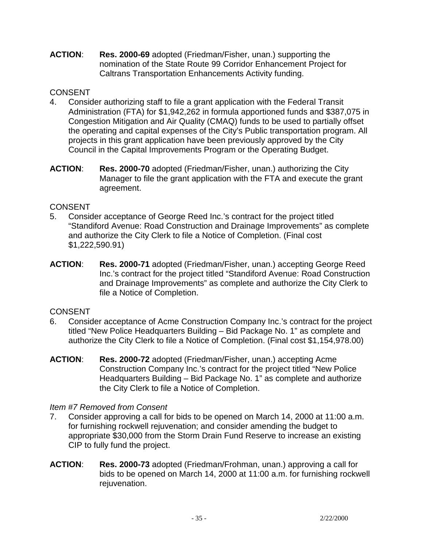**ACTION**: **Res. 2000-69** adopted (Friedman/Fisher, unan.) supporting the nomination of the State Route 99 Corridor Enhancement Project for Caltrans Transportation Enhancements Activity funding.

# **CONSENT**

- 4. Consider authorizing staff to file a grant application with the Federal Transit Administration (FTA) for \$1,942,262 in formula apportioned funds and \$387,075 in Congestion Mitigation and Air Quality (CMAQ) funds to be used to partially offset the operating and capital expenses of the City's Public transportation program. All projects in this grant application have been previously approved by the City Council in the Capital Improvements Program or the Operating Budget.
- **ACTION**: **Res. 2000-70** adopted (Friedman/Fisher, unan.) authorizing the City Manager to file the grant application with the FTA and execute the grant agreement.

# **CONSENT**

- 5. Consider acceptance of George Reed Inc.'s contract for the project titled "Standiford Avenue: Road Construction and Drainage Improvements" as complete and authorize the City Clerk to file a Notice of Completion. (Final cost \$1,222,590.91)
- **ACTION**: **Res. 2000-71** adopted (Friedman/Fisher, unan.) accepting George Reed Inc.'s contract for the project titled "Standiford Avenue: Road Construction and Drainage Improvements" as complete and authorize the City Clerk to file a Notice of Completion.

# **CONSENT**

- 6. Consider acceptance of Acme Construction Company Inc.'s contract for the project titled "New Police Headquarters Building – Bid Package No. 1" as complete and authorize the City Clerk to file a Notice of Completion. (Final cost \$1,154,978.00)
- **ACTION**: **Res. 2000-72** adopted (Friedman/Fisher, unan.) accepting Acme Construction Company Inc.'s contract for the project titled "New Police Headquarters Building – Bid Package No. 1" as complete and authorize the City Clerk to file a Notice of Completion.

# *Item #7 Removed from Consent*

- 7. Consider approving a call for bids to be opened on March 14, 2000 at 11:00 a.m. for furnishing rockwell rejuvenation; and consider amending the budget to appropriate \$30,000 from the Storm Drain Fund Reserve to increase an existing CIP to fully fund the project.
- **ACTION**: **Res. 2000-73** adopted (Friedman/Frohman, unan.) approving a call for bids to be opened on March 14, 2000 at 11:00 a.m. for furnishing rockwell rejuvenation.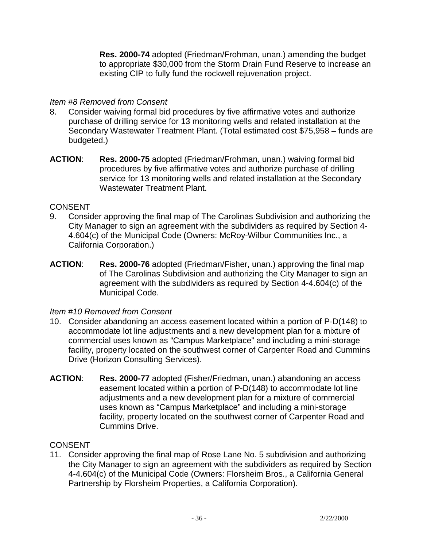**Res. 2000-74** adopted (Friedman/Frohman, unan.) amending the budget to appropriate \$30,000 from the Storm Drain Fund Reserve to increase an existing CIP to fully fund the rockwell rejuvenation project.

## *Item #8 Removed from Consent*

- 8. Consider waiving formal bid procedures by five affirmative votes and authorize purchase of drilling service for 13 monitoring wells and related installation at the Secondary Wastewater Treatment Plant. (Total estimated cost \$75,958 – funds are budgeted.)
- **ACTION**: **Res. 2000-75** adopted (Friedman/Frohman, unan.) waiving formal bid procedures by five affirmative votes and authorize purchase of drilling service for 13 monitoring wells and related installation at the Secondary Wastewater Treatment Plant.

## **CONSENT**

- 9. Consider approving the final map of The Carolinas Subdivision and authorizing the City Manager to sign an agreement with the subdividers as required by Section 4- 4.604(c) of the Municipal Code (Owners: McRoy-Wilbur Communities Inc., a California Corporation.)
- **ACTION**: **Res. 2000-76** adopted (Friedman/Fisher, unan.) approving the final map of The Carolinas Subdivision and authorizing the City Manager to sign an agreement with the subdividers as required by Section 4-4.604(c) of the Municipal Code.

### *Item #10 Removed from Consent*

- 10. Consider abandoning an access easement located within a portion of P-D(148) to accommodate lot line adjustments and a new development plan for a mixture of commercial uses known as "Campus Marketplace" and including a mini-storage facility, property located on the southwest corner of Carpenter Road and Cummins Drive (Horizon Consulting Services).
- **ACTION**: **Res. 2000-77** adopted (Fisher/Friedman, unan.) abandoning an access easement located within a portion of P-D(148) to accommodate lot line adjustments and a new development plan for a mixture of commercial uses known as "Campus Marketplace" and including a mini-storage facility, property located on the southwest corner of Carpenter Road and Cummins Drive.

# **CONSENT**

11. Consider approving the final map of Rose Lane No. 5 subdivision and authorizing the City Manager to sign an agreement with the subdividers as required by Section 4-4.604(c) of the Municipal Code (Owners: Florsheim Bros., a California General Partnership by Florsheim Properties, a California Corporation).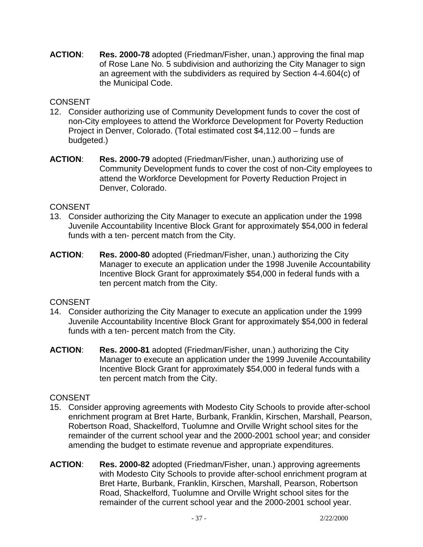**ACTION**: **Res. 2000-78** adopted (Friedman/Fisher, unan.) approving the final map of Rose Lane No. 5 subdivision and authorizing the City Manager to sign an agreement with the subdividers as required by Section 4-4.604(c) of the Municipal Code.

# CONSENT

- 12. Consider authorizing use of Community Development funds to cover the cost of non-City employees to attend the Workforce Development for Poverty Reduction Project in Denver, Colorado. (Total estimated cost \$4,112.00 – funds are budgeted.)
- **ACTION**: **Res. 2000-79** adopted (Friedman/Fisher, unan.) authorizing use of Community Development funds to cover the cost of non-City employees to attend the Workforce Development for Poverty Reduction Project in Denver, Colorado.

# CONSENT

- 13. Consider authorizing the City Manager to execute an application under the 1998 Juvenile Accountability Incentive Block Grant for approximately \$54,000 in federal funds with a ten- percent match from the City.
- **ACTION**: **Res. 2000-80** adopted (Friedman/Fisher, unan.) authorizing the City Manager to execute an application under the 1998 Juvenile Accountability Incentive Block Grant for approximately \$54,000 in federal funds with a ten percent match from the City.

# CONSENT

- 14. Consider authorizing the City Manager to execute an application under the 1999 Juvenile Accountability Incentive Block Grant for approximately \$54,000 in federal funds with a ten- percent match from the City.
- **ACTION**: **Res. 2000-81** adopted (Friedman/Fisher, unan.) authorizing the City Manager to execute an application under the 1999 Juvenile Accountability Incentive Block Grant for approximately \$54,000 in federal funds with a ten percent match from the City.

- 15. Consider approving agreements with Modesto City Schools to provide after-school enrichment program at Bret Harte, Burbank, Franklin, Kirschen, Marshall, Pearson, Robertson Road, Shackelford, Tuolumne and Orville Wright school sites for the remainder of the current school year and the 2000-2001 school year; and consider amending the budget to estimate revenue and appropriate expenditures.
- **ACTION**: **Res. 2000-82** adopted (Friedman/Fisher, unan.) approving agreements with Modesto City Schools to provide after-school enrichment program at Bret Harte, Burbank, Franklin, Kirschen, Marshall, Pearson, Robertson Road, Shackelford, Tuolumne and Orville Wright school sites for the remainder of the current school year and the 2000-2001 school year.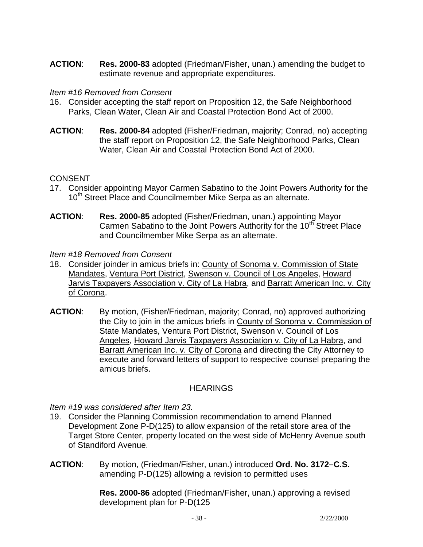**ACTION**: **Res. 2000-83** adopted (Friedman/Fisher, unan.) amending the budget to estimate revenue and appropriate expenditures.

### *Item #16 Removed from Consent*

- 16. Consider accepting the staff report on Proposition 12, the Safe Neighborhood Parks, Clean Water, Clean Air and Coastal Protection Bond Act of 2000.
- **ACTION**: **Res. 2000-84** adopted (Fisher/Friedman, majority; Conrad, no) accepting the staff report on Proposition 12, the Safe Neighborhood Parks, Clean Water, Clean Air and Coastal Protection Bond Act of 2000.

# **CONSENT**

- 17. Consider appointing Mayor Carmen Sabatino to the Joint Powers Authority for the 10<sup>th</sup> Street Place and Councilmember Mike Serpa as an alternate.
- **ACTION**: **Res. 2000-85** adopted (Fisher/Friedman, unan.) appointing Mayor Carmen Sabatino to the Joint Powers Authority for the 10<sup>th</sup> Street Place and Councilmember Mike Serpa as an alternate.

### *Item #18 Removed from Consent*

- 18. Consider joinder in amicus briefs in: County of Sonoma v. Commission of State Mandates, Ventura Port District, Swenson v. Council of Los Angeles, Howard Jarvis Taxpayers Association v. City of La Habra, and Barratt American Inc. v. City of Corona.
- **ACTION**: By motion, (Fisher/Friedman, majority; Conrad, no) approved authorizing the City to join in the amicus briefs in County of Sonoma v. Commission of State Mandates, Ventura Port District, Swenson v. Council of Los Angeles, Howard Jarvis Taxpayers Association v. City of La Habra, and Barratt American Inc. v. City of Corona and directing the City Attorney to execute and forward letters of support to respective counsel preparing the amicus briefs.

# **HEARINGS**

*Item #19 was considered after Item 23.* 

- 19. Consider the Planning Commission recommendation to amend Planned Development Zone P-D(125) to allow expansion of the retail store area of the Target Store Center, property located on the west side of McHenry Avenue south of Standiford Avenue.
- **ACTION**: By motion, (Friedman/Fisher, unan.) introduced **Ord. No. 3172–C.S.** amending P-D(125) allowing a revision to permitted uses

**Res. 2000-86** adopted (Friedman/Fisher, unan.) approving a revised development plan for P-D(125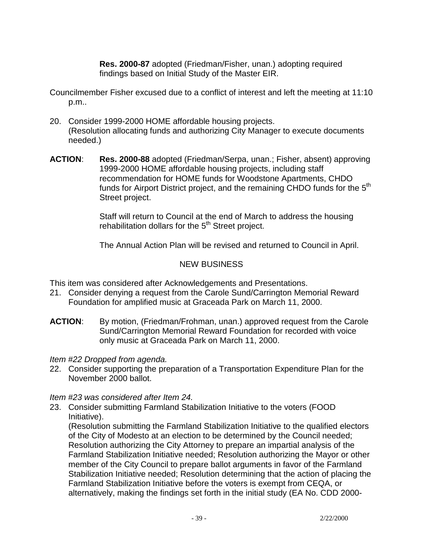**Res. 2000-87** adopted (Friedman/Fisher, unan.) adopting required findings based on Initial Study of the Master EIR.

- Councilmember Fisher excused due to a conflict of interest and left the meeting at 11:10 p.m..
- 20. Consider 1999-2000 HOME affordable housing projects. (Resolution allocating funds and authorizing City Manager to execute documents needed.)
- **ACTION**: **Res. 2000-88** adopted (Friedman/Serpa, unan.; Fisher, absent) approving 1999-2000 HOME affordable housing projects, including staff recommendation for HOME funds for Woodstone Apartments, CHDO funds for Airport District project, and the remaining CHDO funds for the 5<sup>th</sup> Street project.

 Staff will return to Council at the end of March to address the housing rehabilitation dollars for the 5<sup>th</sup> Street project.

The Annual Action Plan will be revised and returned to Council in April.

### NEW BUSINESS

This item was considered after Acknowledgements and Presentations.

- 21. Consider denying a request from the Carole Sund/Carrington Memorial Reward Foundation for amplified music at Graceada Park on March 11, 2000.
- **ACTION**: By motion, (Friedman/Frohman, unan.) approved request from the Carole Sund/Carrington Memorial Reward Foundation for recorded with voice only music at Graceada Park on March 11, 2000.

*Item #22 Dropped from agenda.* 

22. Consider supporting the preparation of a Transportation Expenditure Plan for the November 2000 ballot.

*Item #23 was considered after Item 24.* 

23. Consider submitting Farmland Stabilization Initiative to the voters (FOOD Initiative).

 (Resolution submitting the Farmland Stabilization Initiative to the qualified electors of the City of Modesto at an election to be determined by the Council needed; Resolution authorizing the City Attorney to prepare an impartial analysis of the Farmland Stabilization Initiative needed; Resolution authorizing the Mayor or other member of the City Council to prepare ballot arguments in favor of the Farmland Stabilization Initiative needed; Resolution determining that the action of placing the Farmland Stabilization Initiative before the voters is exempt from CEQA, or alternatively, making the findings set forth in the initial study (EA No. CDD 2000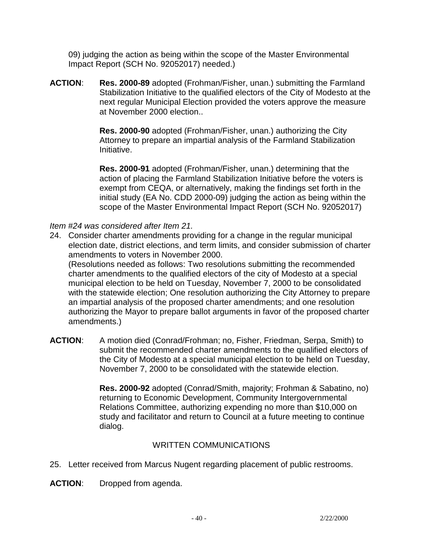09) judging the action as being within the scope of the Master Environmental Impact Report (SCH No. 92052017) needed.)

**ACTION**: **Res. 2000-89** adopted (Frohman/Fisher, unan.) submitting the Farmland Stabilization Initiative to the qualified electors of the City of Modesto at the next regular Municipal Election provided the voters approve the measure at November 2000 election..

> **Res. 2000-90** adopted (Frohman/Fisher, unan.) authorizing the City Attorney to prepare an impartial analysis of the Farmland Stabilization Initiative.

**Res. 2000-91** adopted (Frohman/Fisher, unan.) determining that the action of placing the Farmland Stabilization Initiative before the voters is exempt from CEQA, or alternatively, making the findings set forth in the initial study (EA No. CDD 2000-09) judging the action as being within the scope of the Master Environmental Impact Report (SCH No. 92052017)

*Item #24 was considered after Item 21.* 

24. Consider charter amendments providing for a change in the regular municipal election date, district elections, and term limits, and consider submission of charter amendments to voters in November 2000.

 (Resolutions needed as follows: Two resolutions submitting the recommended charter amendments to the qualified electors of the city of Modesto at a special municipal election to be held on Tuesday, November 7, 2000 to be consolidated with the statewide election; One resolution authorizing the City Attorney to prepare an impartial analysis of the proposed charter amendments; and one resolution authorizing the Mayor to prepare ballot arguments in favor of the proposed charter amendments.)

**ACTION**: A motion died (Conrad/Frohman; no, Fisher, Friedman, Serpa, Smith) to submit the recommended charter amendments to the qualified electors of the City of Modesto at a special municipal election to be held on Tuesday, November 7, 2000 to be consolidated with the statewide election.

> **Res. 2000-92** adopted (Conrad/Smith, majority; Frohman & Sabatino, no) returning to Economic Development, Community Intergovernmental Relations Committee, authorizing expending no more than \$10,000 on study and facilitator and return to Council at a future meeting to continue dialog.

# WRITTEN COMMUNICATIONS

25. Letter received from Marcus Nugent regarding placement of public restrooms.

**ACTION**: Dropped from agenda.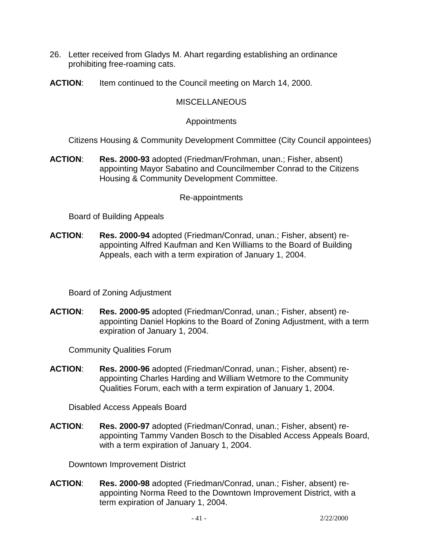- 26. Letter received from Gladys M. Ahart regarding establishing an ordinance prohibiting free-roaming cats.
- **ACTION**: Item continued to the Council meeting on March 14, 2000.

### **MISCELLANEOUS**

### Appointments

Citizens Housing & Community Development Committee (City Council appointees)

**ACTION**: **Res. 2000-93** adopted (Friedman/Frohman, unan.; Fisher, absent) appointing Mayor Sabatino and Councilmember Conrad to the Citizens Housing & Community Development Committee.

### Re-appointments

Board of Building Appeals

**ACTION**: **Res. 2000-94** adopted (Friedman/Conrad, unan.; Fisher, absent) reappointing Alfred Kaufman and Ken Williams to the Board of Building Appeals, each with a term expiration of January 1, 2004.

Board of Zoning Adjustment

**ACTION**: **Res. 2000-95** adopted (Friedman/Conrad, unan.; Fisher, absent) reappointing Daniel Hopkins to the Board of Zoning Adjustment, with a term expiration of January 1, 2004.

Community Qualities Forum

**ACTION**: **Res. 2000-96** adopted (Friedman/Conrad, unan.; Fisher, absent) reappointing Charles Harding and William Wetmore to the Community Qualities Forum, each with a term expiration of January 1, 2004.

Disabled Access Appeals Board

**ACTION**: **Res. 2000-97** adopted (Friedman/Conrad, unan.; Fisher, absent) reappointing Tammy Vanden Bosch to the Disabled Access Appeals Board, with a term expiration of January 1, 2004.

Downtown Improvement District

**ACTION**: **Res. 2000-98** adopted (Friedman/Conrad, unan.; Fisher, absent) reappointing Norma Reed to the Downtown Improvement District, with a term expiration of January 1, 2004.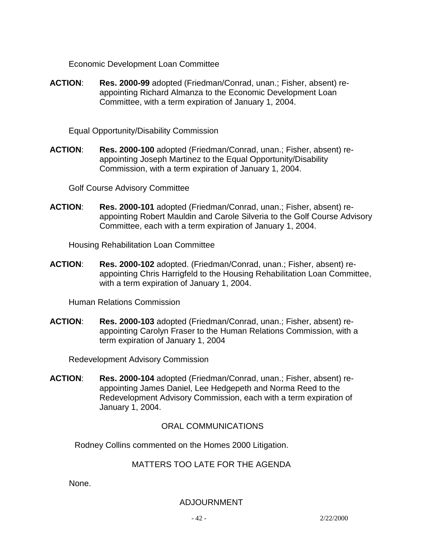Economic Development Loan Committee

**ACTION**: **Res. 2000-99** adopted (Friedman/Conrad, unan.; Fisher, absent) reappointing Richard Almanza to the Economic Development Loan Committee, with a term expiration of January 1, 2004.

Equal Opportunity/Disability Commission

**ACTION**: **Res. 2000-100** adopted (Friedman/Conrad, unan.; Fisher, absent) reappointing Joseph Martinez to the Equal Opportunity/Disability Commission, with a term expiration of January 1, 2004.

Golf Course Advisory Committee

**ACTION**: **Res. 2000-101** adopted (Friedman/Conrad, unan.; Fisher, absent) reappointing Robert Mauldin and Carole Silveria to the Golf Course Advisory Committee, each with a term expiration of January 1, 2004.

Housing Rehabilitation Loan Committee

**ACTION**: **Res. 2000-102** adopted. (Friedman/Conrad, unan.; Fisher, absent) reappointing Chris Harrigfeld to the Housing Rehabilitation Loan Committee, with a term expiration of January 1, 2004.

Human Relations Commission

**ACTION**: **Res. 2000-103** adopted (Friedman/Conrad, unan.; Fisher, absent) reappointing Carolyn Fraser to the Human Relations Commission, with a term expiration of January 1, 2004

Redevelopment Advisory Commission

**ACTION**: **Res. 2000-104** adopted (Friedman/Conrad, unan.; Fisher, absent) reappointing James Daniel, Lee Hedgepeth and Norma Reed to the Redevelopment Advisory Commission, each with a term expiration of January 1, 2004.

ORAL COMMUNICATIONS

Rodney Collins commented on the Homes 2000 Litigation.

# MATTERS TOO LATE FOR THE AGENDA

None.

ADJOURNMENT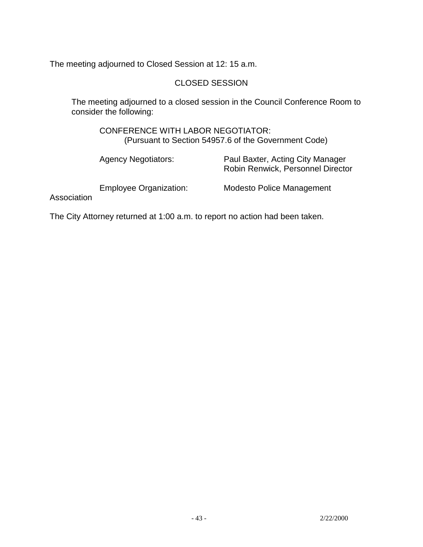The meeting adjourned to Closed Session at 12: 15 a.m.

## CLOSED SESSION

 The meeting adjourned to a closed session in the Council Conference Room to consider the following:

 CONFERENCE WITH LABOR NEGOTIATOR: (Pursuant to Section 54957.6 of the Government Code)

|             | <b>Agency Negotiators:</b>    | Paul Baxter, Acting City Manager<br>Robin Renwick, Personnel Director |
|-------------|-------------------------------|-----------------------------------------------------------------------|
| Association | <b>Employee Organization:</b> | Modesto Police Management                                             |

The City Attorney returned at 1:00 a.m. to report no action had been taken.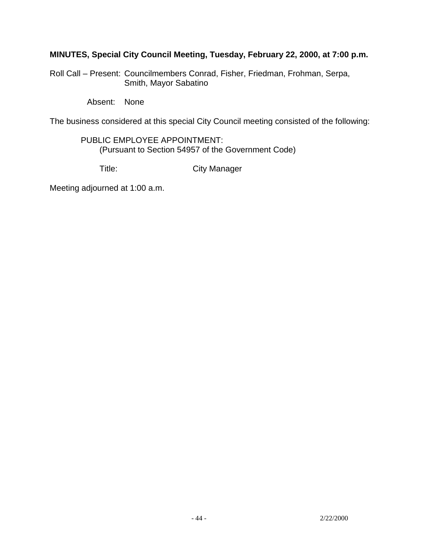# **MINUTES, Special City Council Meeting, Tuesday, February 22, 2000, at 7:00 p.m.**

Roll Call – Present: Councilmembers Conrad, Fisher, Friedman, Frohman, Serpa, Smith, Mayor Sabatino

Absent: None

The business considered at this special City Council meeting consisted of the following:

# PUBLIC EMPLOYEE APPOINTMENT: (Pursuant to Section 54957 of the Government Code)

Title: City Manager

Meeting adjourned at 1:00 a.m.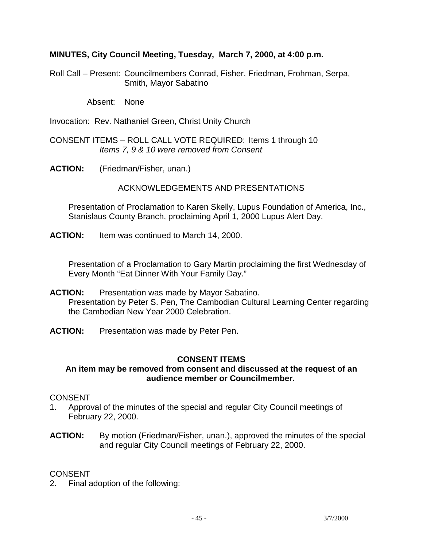### **MINUTES, City Council Meeting, Tuesday, March 7, 2000, at 4:00 p.m.**

Roll Call – Present: Councilmembers Conrad, Fisher, Friedman, Frohman, Serpa, Smith, Mayor Sabatino

Absent: None

Invocation: Rev. Nathaniel Green, Christ Unity Church

CONSENT ITEMS – ROLL CALL VOTE REQUIRED: Items 1 through 10 *Items 7, 9 & 10 were removed from Consent* 

**ACTION:** (Friedman/Fisher, unan.)

#### ACKNOWLEDGEMENTS AND PRESENTATIONS

 Presentation of Proclamation to Karen Skelly, Lupus Foundation of America, Inc., Stanislaus County Branch, proclaiming April 1, 2000 Lupus Alert Day.

**ACTION:** Item was continued to March 14, 2000.

 Presentation of a Proclamation to Gary Martin proclaiming the first Wednesday of Every Month "Eat Dinner With Your Family Day."

- **ACTION:** Presentation was made by Mayor Sabatino. Presentation by Peter S. Pen, The Cambodian Cultural Learning Center regarding the Cambodian New Year 2000 Celebration.
- **ACTION:** Presentation was made by Peter Pen.

#### **CONSENT ITEMS**

#### **An item may be removed from consent and discussed at the request of an audience member or Councilmember.**

#### CONSENT

- 1. Approval of the minutes of the special and regular City Council meetings of February 22, 2000.
- **ACTION:** By motion (Friedman/Fisher, unan.), approved the minutes of the special and regular City Council meetings of February 22, 2000.

#### **CONSENT**

2. Final adoption of the following: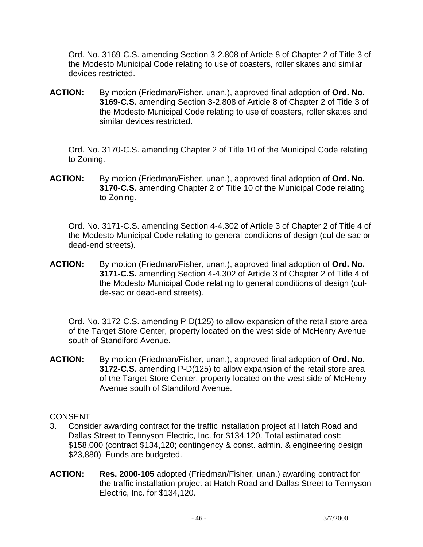Ord. No. 3169-C.S. amending Section 3-2.808 of Article 8 of Chapter 2 of Title 3 of the Modesto Municipal Code relating to use of coasters, roller skates and similar devices restricted.

**ACTION:** By motion (Friedman/Fisher, unan.), approved final adoption of **Ord. No. 3169-C.S.** amending Section 3-2.808 of Article 8 of Chapter 2 of Title 3 of the Modesto Municipal Code relating to use of coasters, roller skates and similar devices restricted.

 Ord. No. 3170-C.S. amending Chapter 2 of Title 10 of the Municipal Code relating to Zoning.

**ACTION:** By motion (Friedman/Fisher, unan.), approved final adoption of **Ord. No. 3170-C.S.** amending Chapter 2 of Title 10 of the Municipal Code relating to Zoning.

 Ord. No. 3171-C.S. amending Section 4-4.302 of Article 3 of Chapter 2 of Title 4 of the Modesto Municipal Code relating to general conditions of design (cul-de-sac or dead-end streets).

**ACTION:** By motion (Friedman/Fisher, unan.), approved final adoption of **Ord. No. 3171-C.S.** amending Section 4-4.302 of Article 3 of Chapter 2 of Title 4 of the Modesto Municipal Code relating to general conditions of design (culde-sac or dead-end streets).

 Ord. No. 3172-C.S. amending P-D(125) to allow expansion of the retail store area of the Target Store Center, property located on the west side of McHenry Avenue south of Standiford Avenue.

**ACTION:** By motion (Friedman/Fisher, unan.), approved final adoption of **Ord. No. 3172-C.S.** amending P-D(125) to allow expansion of the retail store area of the Target Store Center, property located on the west side of McHenry Avenue south of Standiford Avenue.

- 3. Consider awarding contract for the traffic installation project at Hatch Road and Dallas Street to Tennyson Electric, Inc. for \$134,120. Total estimated cost: \$158,000 (contract \$134,120; contingency & const. admin. & engineering design \$23,880) Funds are budgeted.
- **ACTION: Res. 2000-105** adopted (Friedman/Fisher, unan.) awarding contract for the traffic installation project at Hatch Road and Dallas Street to Tennyson Electric, Inc. for \$134,120.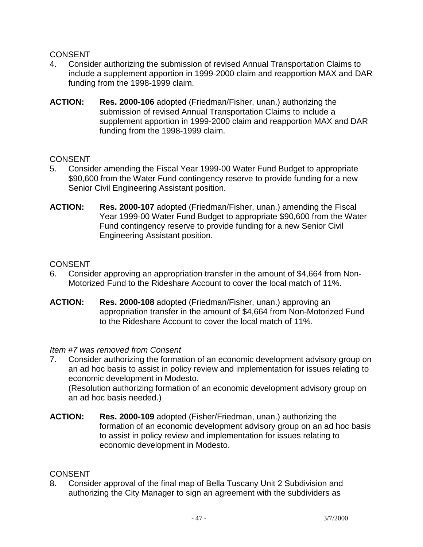- 4. Consider authorizing the submission of revised Annual Transportation Claims to include a supplement apportion in 1999-2000 claim and reapportion MAX and DAR funding from the 1998-1999 claim.
- **ACTION: Res. 2000-106** adopted (Friedman/Fisher, unan.) authorizing the submission of revised Annual Transportation Claims to include a supplement apportion in 1999-2000 claim and reapportion MAX and DAR funding from the 1998-1999 claim.

### CONSENT

- 5. Consider amending the Fiscal Year 1999-00 Water Fund Budget to appropriate \$90,600 from the Water Fund contingency reserve to provide funding for a new Senior Civil Engineering Assistant position.
- **ACTION: Res. 2000-107** adopted (Friedman/Fisher, unan.) amending the Fiscal Year 1999-00 Water Fund Budget to appropriate \$90,600 from the Water Fund contingency reserve to provide funding for a new Senior Civil Engineering Assistant position.

### **CONSENT**

- 6. Consider approving an appropriation transfer in the amount of \$4,664 from Non-Motorized Fund to the Rideshare Account to cover the local match of 11%.
- **ACTION: Res. 2000-108** adopted (Friedman/Fisher, unan.) approving an appropriation transfer in the amount of \$4,664 from Non-Motorized Fund to the Rideshare Account to cover the local match of 11%.

#### *Item #7 was removed from Consent*

7. Consider authorizing the formation of an economic development advisory group on an ad hoc basis to assist in policy review and implementation for issues relating to economic development in Modesto.

 (Resolution authorizing formation of an economic development advisory group on an ad hoc basis needed.)

**ACTION: Res. 2000-109** adopted (Fisher/Friedman, unan.) authorizing the formation of an economic development advisory group on an ad hoc basis to assist in policy review and implementation for issues relating to economic development in Modesto.

#### **CONSENT**

8. Consider approval of the final map of Bella Tuscany Unit 2 Subdivision and authorizing the City Manager to sign an agreement with the subdividers as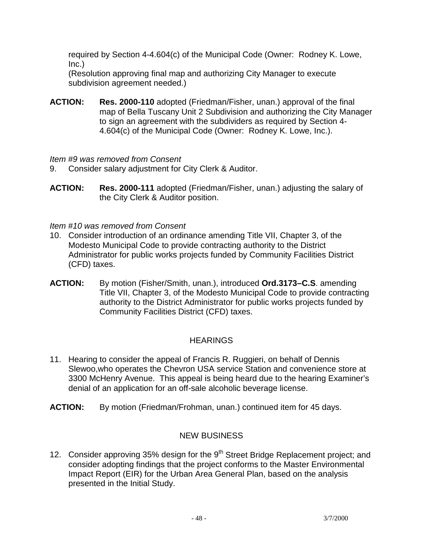required by Section 4-4.604(c) of the Municipal Code (Owner: Rodney K. Lowe, Inc.)

 (Resolution approving final map and authorizing City Manager to execute subdivision agreement needed.)

**ACTION: Res. 2000-110** adopted (Friedman/Fisher, unan.) approval of the final map of Bella Tuscany Unit 2 Subdivision and authorizing the City Manager to sign an agreement with the subdividers as required by Section 4- 4.604(c) of the Municipal Code (Owner: Rodney K. Lowe, Inc.).

*Item #9 was removed from Consent* 

- 9. Consider salary adjustment for City Clerk & Auditor.
- **ACTION: Res. 2000-111** adopted (Friedman/Fisher, unan.) adjusting the salary of the City Clerk & Auditor position.

*Item #10 was removed from Consent* 

- 10. Consider introduction of an ordinance amending Title VII, Chapter 3, of the Modesto Municipal Code to provide contracting authority to the District Administrator for public works projects funded by Community Facilities District (CFD) taxes.
- **ACTION:** By motion (Fisher/Smith, unan.), introduced **Ord.3173–C.S**. amending Title VII, Chapter 3, of the Modesto Municipal Code to provide contracting authority to the District Administrator for public works projects funded by Community Facilities District (CFD) taxes.

# **HEARINGS**

- 11. Hearing to consider the appeal of Francis R. Ruggieri, on behalf of Dennis Slewoo,who operates the Chevron USA service Station and convenience store at 3300 McHenry Avenue. This appeal is being heard due to the hearing Examiner's denial of an application for an off-sale alcoholic beverage license.
- **ACTION:** By motion (Friedman/Frohman, unan.) continued item for 45 days.

# NEW BUSINESS

12. Consider approving 35% design for the 9<sup>th</sup> Street Bridge Replacement project; and consider adopting findings that the project conforms to the Master Environmental Impact Report (EIR) for the Urban Area General Plan, based on the analysis presented in the Initial Study.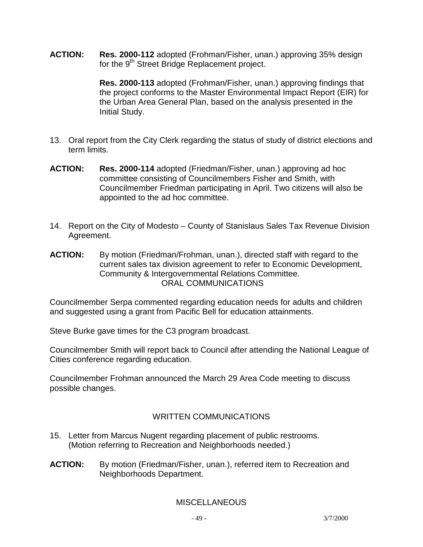**ACTION: Res. 2000-112** adopted (Frohman/Fisher, unan.) approving 35% design for the 9<sup>th</sup> Street Bridge Replacement project.

> **Res. 2000-113** adopted (Frohman/Fisher, unan.) approving findings that the project conforms to the Master Environmental Impact Report (EIR) for the Urban Area General Plan, based on the analysis presented in the Initial Study.

- 13. Oral report from the City Clerk regarding the status of study of district elections and term limits.
- **ACTION: Res. 2000-114** adopted (Friedman/Fisher, unan.) approving ad hoc committee consisting of Councilmembers Fisher and Smith, with Councilmember Friedman participating in April. Two citizens will also be appointed to the ad hoc committee.
- 14. Report on the City of Modesto County of Stanislaus Sales Tax Revenue Division Agreement.
- **ACTION:** By motion (Friedman/Frohman, unan.), directed staff with regard to the current sales tax division agreement to refer to Economic Development, Community & Intergovernmental Relations Committee. ORAL COMMUNICATIONS

Councilmember Serpa commented regarding education needs for adults and children and suggested using a grant from Pacific Bell for education attainments.

Steve Burke gave times for the C3 program broadcast.

Councilmember Smith will report back to Council after attending the National League of Cities conference regarding education.

Councilmember Frohman announced the March 29 Area Code meeting to discuss possible changes.

# WRITTEN COMMUNICATIONS

- 15. Letter from Marcus Nugent regarding placement of public restrooms. (Motion referring to Recreation and Neighborhoods needed.)
- **ACTION:** By motion (Friedman/Fisher, unan.), referred item to Recreation and Neighborhoods Department.

# **MISCELLANEOUS**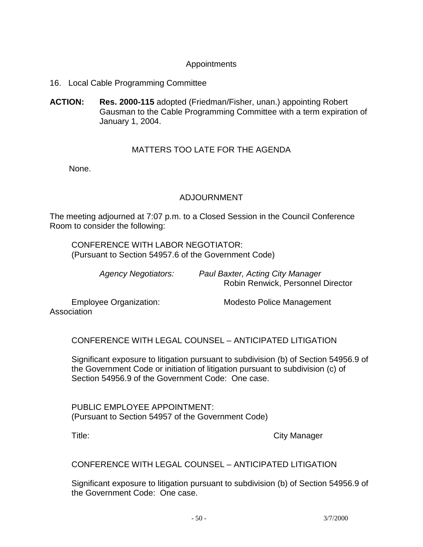# Appointments

- 16. Local Cable Programming Committee
- **ACTION: Res. 2000-115** adopted (Friedman/Fisher, unan.) appointing Robert Gausman to the Cable Programming Committee with a term expiration of January 1, 2004.

### MATTERS TOO LATE FOR THE AGENDA

None.

### ADJOURNMENT

The meeting adjourned at 7:07 p.m. to a Closed Session in the Council Conference Room to consider the following:

 CONFERENCE WITH LABOR NEGOTIATOR: (Pursuant to Section 54957.6 of the Government Code)

| <b>Agency Negotiators:</b> | Paul Baxter, Acting City Manager  |
|----------------------------|-----------------------------------|
|                            | Robin Renwick, Personnel Director |

Association

Employee Organization: Modesto Police Management

CONFERENCE WITH LEGAL COUNSEL – ANTICIPATED LITIGATION

 Significant exposure to litigation pursuant to subdivision (b) of Section 54956.9 of the Government Code or initiation of litigation pursuant to subdivision (c) of Section 54956.9 of the Government Code: One case.

 PUBLIC EMPLOYEE APPOINTMENT: (Pursuant to Section 54957 of the Government Code)

Title: City Manager

CONFERENCE WITH LEGAL COUNSEL – ANTICIPATED LITIGATION

 Significant exposure to litigation pursuant to subdivision (b) of Section 54956.9 of the Government Code: One case.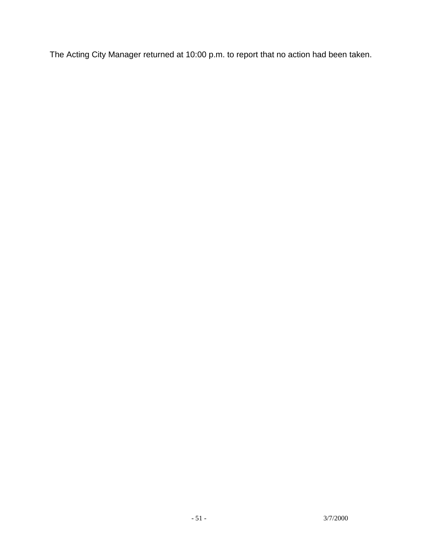The Acting City Manager returned at 10:00 p.m. to report that no action had been taken.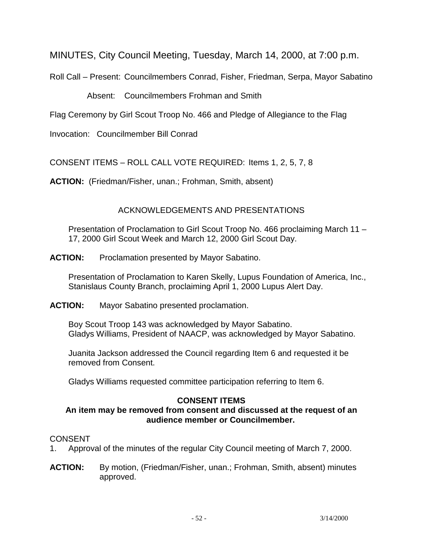MINUTES, City Council Meeting, Tuesday, March 14, 2000, at 7:00 p.m.

Roll Call – Present: Councilmembers Conrad, Fisher, Friedman, Serpa, Mayor Sabatino

Absent: Councilmembers Frohman and Smith

Flag Ceremony by Girl Scout Troop No. 466 and Pledge of Allegiance to the Flag

Invocation: Councilmember Bill Conrad

CONSENT ITEMS – ROLL CALL VOTE REQUIRED: Items 1, 2, 5, 7, 8

**ACTION:** (Friedman/Fisher, unan.; Frohman, Smith, absent)

# ACKNOWLEDGEMENTS AND PRESENTATIONS

 Presentation of Proclamation to Girl Scout Troop No. 466 proclaiming March 11 – 17, 2000 Girl Scout Week and March 12, 2000 Girl Scout Day.

**ACTION:** Proclamation presented by Mayor Sabatino.

 Presentation of Proclamation to Karen Skelly, Lupus Foundation of America, Inc., Stanislaus County Branch, proclaiming April 1, 2000 Lupus Alert Day.

**ACTION:** Mayor Sabatino presented proclamation.

Boy Scout Troop 143 was acknowledged by Mayor Sabatino. Gladys Williams, President of NAACP, was acknowledged by Mayor Sabatino.

 Juanita Jackson addressed the Council regarding Item 6 and requested it be removed from Consent.

Gladys Williams requested committee participation referring to Item 6.

# **CONSENT ITEMS**

# **An item may be removed from consent and discussed at the request of an audience member or Councilmember.**

- 1. Approval of the minutes of the regular City Council meeting of March 7, 2000.
- **ACTION:** By motion, (Friedman/Fisher, unan.; Frohman, Smith, absent) minutes approved.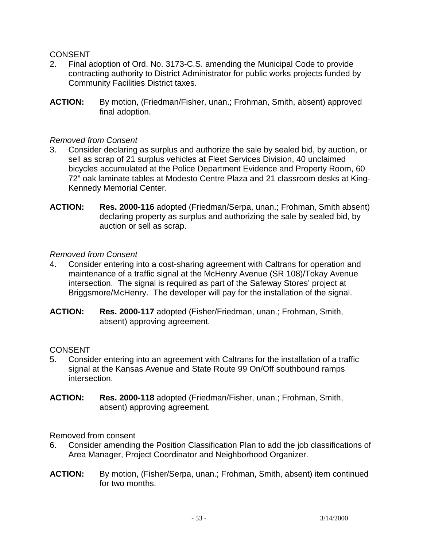- 2. Final adoption of Ord. No. 3173-C.S. amending the Municipal Code to provide contracting authority to District Administrator for public works projects funded by Community Facilities District taxes.
- **ACTION:** By motion, (Friedman/Fisher, unan.; Frohman, Smith, absent) approved final adoption.

#### *Removed from Consent*

- 3. Consider declaring as surplus and authorize the sale by sealed bid, by auction, or sell as scrap of 21 surplus vehicles at Fleet Services Division, 40 unclaimed bicycles accumulated at the Police Department Evidence and Property Room, 60 72" oak laminate tables at Modesto Centre Plaza and 21 classroom desks at King-Kennedy Memorial Center.
- **ACTION: Res. 2000-116** adopted (Friedman/Serpa, unan.; Frohman, Smith absent) declaring property as surplus and authorizing the sale by sealed bid, by auction or sell as scrap.

#### *Removed from Consent*

- 4. Consider entering into a cost-sharing agreement with Caltrans for operation and maintenance of a traffic signal at the McHenry Avenue (SR 108)/Tokay Avenue intersection. The signal is required as part of the Safeway Stores' project at Briggsmore/McHenry. The developer will pay for the installation of the signal.
- **ACTION: Res. 2000-117** adopted (Fisher/Friedman, unan.; Frohman, Smith, absent) approving agreement.

### **CONSENT**

- 5. Consider entering into an agreement with Caltrans for the installation of a traffic signal at the Kansas Avenue and State Route 99 On/Off southbound ramps intersection.
- **ACTION: Res. 2000-118** adopted (Friedman/Fisher, unan.; Frohman, Smith, absent) approving agreement.

Removed from consent

- 6. Consider amending the Position Classification Plan to add the job classifications of Area Manager, Project Coordinator and Neighborhood Organizer.
- **ACTION:** By motion, (Fisher/Serpa, unan.; Frohman, Smith, absent) item continued for two months.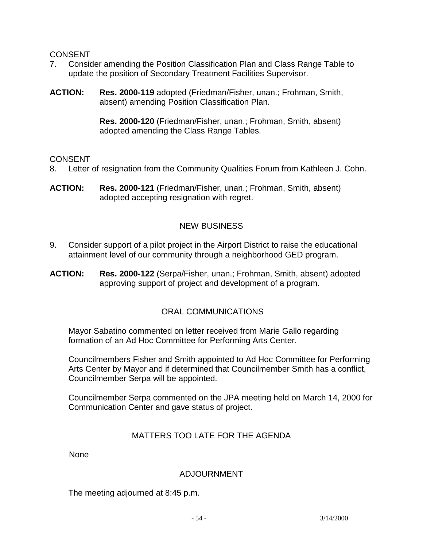- 7. Consider amending the Position Classification Plan and Class Range Table to update the position of Secondary Treatment Facilities Supervisor.
- **ACTION: Res. 2000-119** adopted (Friedman/Fisher, unan.; Frohman, Smith, absent) amending Position Classification Plan.

**Res. 2000-120** (Friedman/Fisher, unan.; Frohman, Smith, absent) adopted amending the Class Range Tables.

### CONSENT

- 8. Letter of resignation from the Community Qualities Forum from Kathleen J. Cohn.
- **ACTION: Res. 2000-121** (Friedman/Fisher, unan.; Frohman, Smith, absent) adopted accepting resignation with regret.

# NEW BUSINESS

- 9. Consider support of a pilot project in the Airport District to raise the educational attainment level of our community through a neighborhood GED program.
- **ACTION: Res. 2000-122** (Serpa/Fisher, unan.; Frohman, Smith, absent) adopted approving support of project and development of a program.

# ORAL COMMUNICATIONS

 Mayor Sabatino commented on letter received from Marie Gallo regarding formation of an Ad Hoc Committee for Performing Arts Center.

 Councilmembers Fisher and Smith appointed to Ad Hoc Committee for Performing Arts Center by Mayor and if determined that Councilmember Smith has a conflict, Councilmember Serpa will be appointed.

 Councilmember Serpa commented on the JPA meeting held on March 14, 2000 for Communication Center and gave status of project.

# MATTERS TOO LATE FOR THE AGENDA

None

# ADJOURNMENT

The meeting adjourned at 8:45 p.m.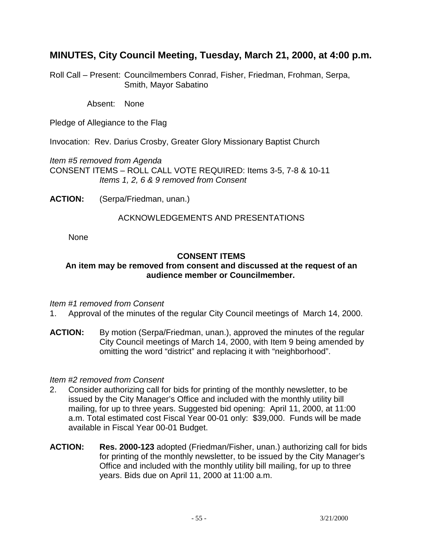# **MINUTES, City Council Meeting, Tuesday, March 21, 2000, at 4:00 p.m.**

Roll Call – Present: Councilmembers Conrad, Fisher, Friedman, Frohman, Serpa, Smith, Mayor Sabatino

Absent: None

Pledge of Allegiance to the Flag

Invocation: Rev. Darius Crosby, Greater Glory Missionary Baptist Church

*Item #5 removed from Agenda* CONSENT ITEMS – ROLL CALL VOTE REQUIRED: Items 3-5, 7-8 & 10-11 *Items 1, 2, 6 & 9 removed from Consent* 

**ACTION:** (Serpa/Friedman, unan.)

#### ACKNOWLEDGEMENTS AND PRESENTATIONS

None

### **CONSENT ITEMS**

#### **An item may be removed from consent and discussed at the request of an audience member or Councilmember.**

#### *Item #1 removed from Consent*

- 1. Approval of the minutes of the regular City Council meetings of March 14, 2000.
- **ACTION:** By motion (Serpa/Friedman, unan.), approved the minutes of the regular City Council meetings of March 14, 2000, with Item 9 being amended by omitting the word "district" and replacing it with "neighborhood".

#### *Item #2 removed from Consent*

- 2. Consider authorizing call for bids for printing of the monthly newsletter, to be issued by the City Manager's Office and included with the monthly utility bill mailing, for up to three years. Suggested bid opening: April 11, 2000, at 11:00 a.m. Total estimated cost Fiscal Year 00-01 only: \$39,000. Funds will be made available in Fiscal Year 00-01 Budget.
- **ACTION: Res. 2000-123** adopted (Friedman/Fisher, unan.) authorizing call for bids for printing of the monthly newsletter, to be issued by the City Manager's Office and included with the monthly utility bill mailing, for up to three years. Bids due on April 11, 2000 at 11:00 a.m.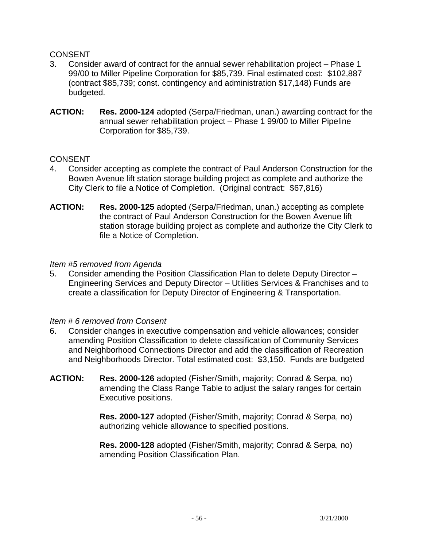- 3. Consider award of contract for the annual sewer rehabilitation project Phase 1 99/00 to Miller Pipeline Corporation for \$85,739. Final estimated cost: \$102,887 (contract \$85,739; const. contingency and administration \$17,148) Funds are budgeted.
- **ACTION: Res. 2000-124** adopted (Serpa/Friedman, unan.) awarding contract for the annual sewer rehabilitation project – Phase 1 99/00 to Miller Pipeline Corporation for \$85,739.

### CONSENT

- 4. Consider accepting as complete the contract of Paul Anderson Construction for the Bowen Avenue lift station storage building project as complete and authorize the City Clerk to file a Notice of Completion. (Original contract: \$67,816)
- **ACTION: Res. 2000-125** adopted (Serpa/Friedman, unan.) accepting as complete the contract of Paul Anderson Construction for the Bowen Avenue lift station storage building project as complete and authorize the City Clerk to file a Notice of Completion.

#### *Item #5 removed from Agenda*

5. Consider amending the Position Classification Plan to delete Deputy Director – Engineering Services and Deputy Director – Utilities Services & Franchises and to create a classification for Deputy Director of Engineering & Transportation.

#### *Item # 6 removed from Consent*

- 6. Consider changes in executive compensation and vehicle allowances; consider amending Position Classification to delete classification of Community Services and Neighborhood Connections Director and add the classification of Recreation and Neighborhoods Director. Total estimated cost: \$3,150. Funds are budgeted
- **ACTION: Res. 2000-126** adopted (Fisher/Smith, majority; Conrad & Serpa, no) amending the Class Range Table to adjust the salary ranges for certain Executive positions.

**Res. 2000-127** adopted (Fisher/Smith, majority; Conrad & Serpa, no) authorizing vehicle allowance to specified positions.

**Res. 2000-128** adopted (Fisher/Smith, majority; Conrad & Serpa, no) amending Position Classification Plan.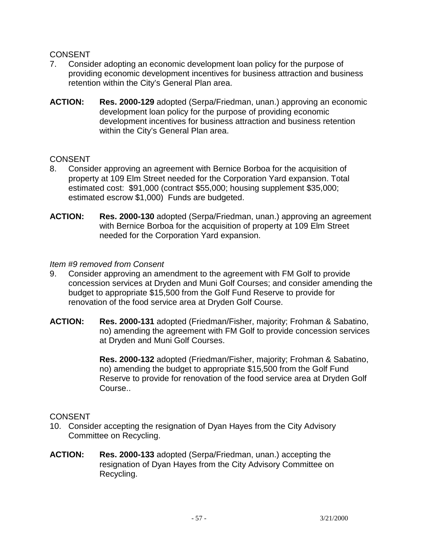- 7. Consider adopting an economic development loan policy for the purpose of providing economic development incentives for business attraction and business retention within the City's General Plan area.
- **ACTION: Res. 2000-129** adopted (Serpa/Friedman, unan.) approving an economic development loan policy for the purpose of providing economic development incentives for business attraction and business retention within the City's General Plan area.

### CONSENT

- 8. Consider approving an agreement with Bernice Borboa for the acquisition of property at 109 Elm Street needed for the Corporation Yard expansion. Total estimated cost: \$91,000 (contract \$55,000; housing supplement \$35,000; estimated escrow \$1,000) Funds are budgeted.
- **ACTION: Res. 2000-130** adopted (Serpa/Friedman, unan.) approving an agreement with Bernice Borboa for the acquisition of property at 109 Elm Street needed for the Corporation Yard expansion.

#### *Item #9 removed from Consent*

- 9. Consider approving an amendment to the agreement with FM Golf to provide concession services at Dryden and Muni Golf Courses; and consider amending the budget to appropriate \$15,500 from the Golf Fund Reserve to provide for renovation of the food service area at Dryden Golf Course.
- **ACTION: Res. 2000-131** adopted (Friedman/Fisher, majority; Frohman & Sabatino, no) amending the agreement with FM Golf to provide concession services at Dryden and Muni Golf Courses.

 **Res. 2000-132** adopted (Friedman/Fisher, majority; Frohman & Sabatino, no) amending the budget to appropriate \$15,500 from the Golf Fund Reserve to provide for renovation of the food service area at Dryden Golf Course..

- 10. Consider accepting the resignation of Dyan Hayes from the City Advisory Committee on Recycling.
- **ACTION: Res. 2000-133** adopted (Serpa/Friedman, unan.) accepting the resignation of Dyan Hayes from the City Advisory Committee on Recycling.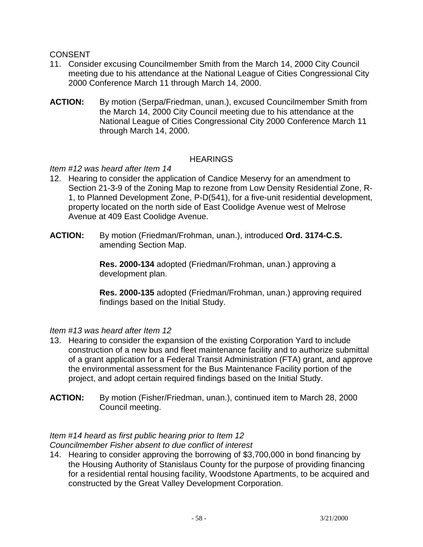- 11. Consider excusing Councilmember Smith from the March 14, 2000 City Council meeting due to his attendance at the National League of Cities Congressional City 2000 Conference March 11 through March 14, 2000.
- **ACTION:** By motion (Serpa/Friedman, unan.), excused Councilmember Smith from the March 14, 2000 City Council meeting due to his attendance at the National League of Cities Congressional City 2000 Conference March 11 through March 14, 2000.

### **HEARINGS**

# *Item #12 was heard after Item 14*

- 12. Hearing to consider the application of Candice Meservy for an amendment to Section 21-3-9 of the Zoning Map to rezone from Low Density Residential Zone, R-1, to Planned Development Zone, P-D(541), for a five-unit residential development, property located on the north side of East Coolidge Avenue west of Melrose Avenue at 409 East Coolidge Avenue.
- **ACTION:** By motion (Friedman/Frohman, unan.), introduced **Ord. 3174-C.S.** amending Section Map.

**Res. 2000-134** adopted (Friedman/Frohman, unan.) approving a development plan.

**Res. 2000-135** adopted (Friedman/Frohman, unan.) approving required findings based on the Initial Study.

#### *Item #13 was heard after Item 12*

- 13. Hearing to consider the expansion of the existing Corporation Yard to include construction of a new bus and fleet maintenance facility and to authorize submittal of a grant application for a Federal Transit Administration (FTA) grant, and approve the environmental assessment for the Bus Maintenance Facility portion of the project, and adopt certain required findings based on the Initial Study.
- **ACTION:** By motion (Fisher/Friedman, unan.), continued item to March 28, 2000 Council meeting.

# *Item #14 heard as first public hearing prior to Item 12*

*Councilmember Fisher absent to due conflict of interest* 

14. Hearing to consider approving the borrowing of \$3,700,000 in bond financing by the Housing Authority of Stanislaus County for the purpose of providing financing for a residential rental housing facility, Woodstone Apartments, to be acquired and constructed by the Great Valley Development Corporation.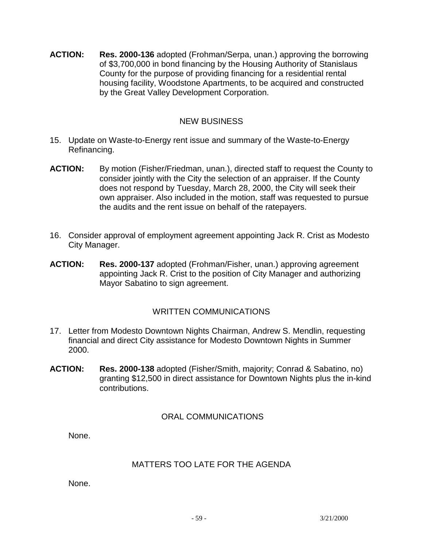**ACTION: Res. 2000-136** adopted (Frohman/Serpa, unan.) approving the borrowing of \$3,700,000 in bond financing by the Housing Authority of Stanislaus County for the purpose of providing financing for a residential rental housing facility, Woodstone Apartments, to be acquired and constructed by the Great Valley Development Corporation.

## NEW BUSINESS

- 15. Update on Waste-to-Energy rent issue and summary of the Waste-to-Energy Refinancing.
- **ACTION:** By motion (Fisher/Friedman, unan.), directed staff to request the County to consider jointly with the City the selection of an appraiser. If the County does not respond by Tuesday, March 28, 2000, the City will seek their own appraiser. Also included in the motion, staff was requested to pursue the audits and the rent issue on behalf of the ratepayers.
- 16. Consider approval of employment agreement appointing Jack R. Crist as Modesto City Manager.
- **ACTION: Res. 2000-137** adopted (Frohman/Fisher, unan.) approving agreement appointing Jack R. Crist to the position of City Manager and authorizing Mayor Sabatino to sign agreement.

# WRITTEN COMMUNICATIONS

- 17. Letter from Modesto Downtown Nights Chairman, Andrew S. Mendlin, requesting financial and direct City assistance for Modesto Downtown Nights in Summer 2000.
- **ACTION: Res. 2000-138** adopted (Fisher/Smith, majority; Conrad & Sabatino, no) granting \$12,500 in direct assistance for Downtown Nights plus the in-kind contributions.

# ORAL COMMUNICATIONS

None.

# MATTERS TOO LATE FOR THE AGENDA

None.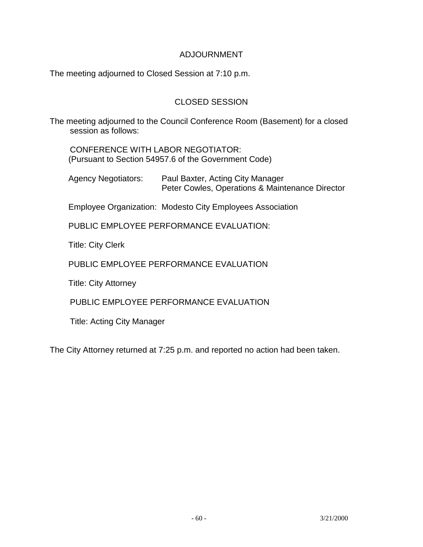### ADJOURNMENT

The meeting adjourned to Closed Session at 7:10 p.m.

# CLOSED SESSION

The meeting adjourned to the Council Conference Room (Basement) for a closed session as follows:

 CONFERENCE WITH LABOR NEGOTIATOR: (Pursuant to Section 54957.6 of the Government Code)

 Agency Negotiators: Paul Baxter, Acting City Manager Peter Cowles, Operations & Maintenance Director

Employee Organization: Modesto City Employees Association

PUBLIC EMPLOYEE PERFORMANCE EVALUATION:

Title: City Clerk

PUBLIC EMPLOYEE PERFORMANCE EVALUATION

Title: City Attorney

PUBLIC EMPLOYEE PERFORMANCE EVALUATION

Title: Acting City Manager

The City Attorney returned at 7:25 p.m. and reported no action had been taken.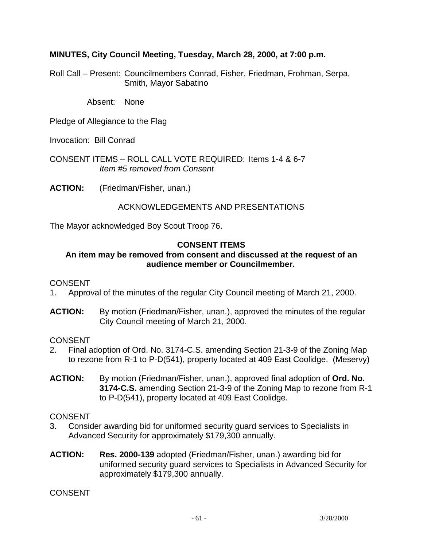### **MINUTES, City Council Meeting, Tuesday, March 28, 2000, at 7:00 p.m.**

Roll Call – Present: Councilmembers Conrad, Fisher, Friedman, Frohman, Serpa, Smith, Mayor Sabatino

Absent: None

Pledge of Allegiance to the Flag

Invocation: Bill Conrad

CONSENT ITEMS – ROLL CALL VOTE REQUIRED: Items 1-4 & 6-7 *Item #5 removed from Consent* 

**ACTION:** (Friedman/Fisher, unan.)

### ACKNOWLEDGEMENTS AND PRESENTATIONS

The Mayor acknowledged Boy Scout Troop 76.

### **CONSENT ITEMS**

## **An item may be removed from consent and discussed at the request of an audience member or Councilmember.**

#### **CONSENT**

- 1. Approval of the minutes of the regular City Council meeting of March 21, 2000.
- **ACTION:** By motion (Friedman/Fisher, unan.), approved the minutes of the regular City Council meeting of March 21, 2000.

#### CONSENT

- 2. Final adoption of Ord. No. 3174-C.S. amending Section 21-3-9 of the Zoning Map to rezone from R-1 to P-D(541), property located at 409 East Coolidge. (Meservy)
- **ACTION:** By motion (Friedman/Fisher, unan.), approved final adoption of **Ord. No. 3174-C.S.** amending Section 21-3-9 of the Zoning Map to rezone from R-1 to P-D(541), property located at 409 East Coolidge.

#### CONSENT

- 3. Consider awarding bid for uniformed security guard services to Specialists in Advanced Security for approximately \$179,300 annually.
- **ACTION: Res. 2000-139** adopted (Friedman/Fisher, unan.) awarding bid for uniformed security guard services to Specialists in Advanced Security for approximately \$179,300 annually.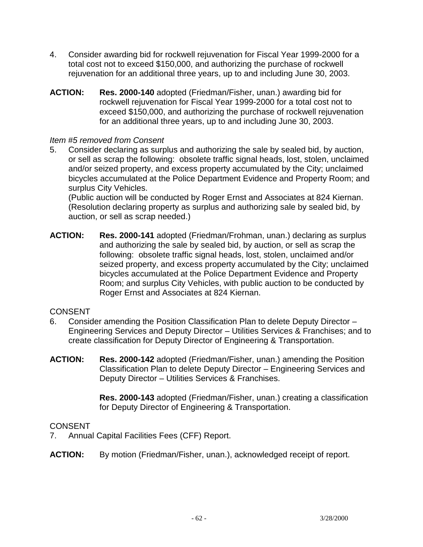- 4. Consider awarding bid for rockwell rejuvenation for Fiscal Year 1999-2000 for a total cost not to exceed \$150,000, and authorizing the purchase of rockwell rejuvenation for an additional three years, up to and including June 30, 2003.
- **ACTION: Res. 2000-140** adopted (Friedman/Fisher, unan.) awarding bid for rockwell rejuvenation for Fiscal Year 1999-2000 for a total cost not to exceed \$150,000, and authorizing the purchase of rockwell rejuvenation for an additional three years, up to and including June 30, 2003.

### *Item #5 removed from Consent*

5. Consider declaring as surplus and authorizing the sale by sealed bid, by auction, or sell as scrap the following: obsolete traffic signal heads, lost, stolen, unclaimed and/or seized property, and excess property accumulated by the City; unclaimed bicycles accumulated at the Police Department Evidence and Property Room; and surplus City Vehicles.

 (Public auction will be conducted by Roger Ernst and Associates at 824 Kiernan. (Resolution declaring property as surplus and authorizing sale by sealed bid, by auction, or sell as scrap needed.)

**ACTION: Res. 2000-141** adopted (Friedman/Frohman, unan.) declaring as surplus and authorizing the sale by sealed bid, by auction, or sell as scrap the following: obsolete traffic signal heads, lost, stolen, unclaimed and/or seized property, and excess property accumulated by the City; unclaimed bicycles accumulated at the Police Department Evidence and Property Room; and surplus City Vehicles, with public auction to be conducted by Roger Ernst and Associates at 824 Kiernan.

# CONSENT

- 6. Consider amending the Position Classification Plan to delete Deputy Director Engineering Services and Deputy Director – Utilities Services & Franchises; and to create classification for Deputy Director of Engineering & Transportation.
- **ACTION: Res. 2000-142** adopted (Friedman/Fisher, unan.) amending the Position Classification Plan to delete Deputy Director – Engineering Services and Deputy Director – Utilities Services & Franchises.

 **Res. 2000-143** adopted (Friedman/Fisher, unan.) creating a classification for Deputy Director of Engineering & Transportation.

- 7. Annual Capital Facilities Fees (CFF) Report.
- **ACTION:** By motion (Friedman/Fisher, unan.), acknowledged receipt of report.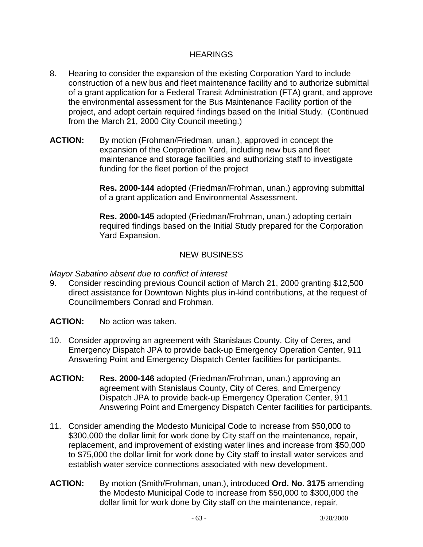### HEARINGS

- 8. Hearing to consider the expansion of the existing Corporation Yard to include construction of a new bus and fleet maintenance facility and to authorize submittal of a grant application for a Federal Transit Administration (FTA) grant, and approve the environmental assessment for the Bus Maintenance Facility portion of the project, and adopt certain required findings based on the Initial Study. (Continued from the March 21, 2000 City Council meeting.)
- **ACTION:** By motion (Frohman/Friedman, unan.), approved in concept the expansion of the Corporation Yard, including new bus and fleet maintenance and storage facilities and authorizing staff to investigate funding for the fleet portion of the project

 **Res. 2000-144** adopted (Friedman/Frohman, unan.) approving submittal of a grant application and Environmental Assessment.

 **Res. 2000-145** adopted (Friedman/Frohman, unan.) adopting certain required findings based on the Initial Study prepared for the Corporation Yard Expansion.

# NEW BUSINESS

*Mayor Sabatino absent due to conflict of interest* 

9. Consider rescinding previous Council action of March 21, 2000 granting \$12,500 direct assistance for Downtown Nights plus in-kind contributions, at the request of Councilmembers Conrad and Frohman.

**ACTION:** No action was taken.

- 10. Consider approving an agreement with Stanislaus County, City of Ceres, and Emergency Dispatch JPA to provide back-up Emergency Operation Center, 911 Answering Point and Emergency Dispatch Center facilities for participants.
- **ACTION: Res. 2000-146** adopted (Friedman/Frohman, unan.) approving an agreement with Stanislaus County, City of Ceres, and Emergency Dispatch JPA to provide back-up Emergency Operation Center, 911 Answering Point and Emergency Dispatch Center facilities for participants.
- 11. Consider amending the Modesto Municipal Code to increase from \$50,000 to \$300,000 the dollar limit for work done by City staff on the maintenance, repair, replacement, and improvement of existing water lines and increase from \$50,000 to \$75,000 the dollar limit for work done by City staff to install water services and establish water service connections associated with new development.
- **ACTION:** By motion (Smith/Frohman, unan.), introduced **Ord. No. 3175** amending the Modesto Municipal Code to increase from \$50,000 to \$300,000 the dollar limit for work done by City staff on the maintenance, repair,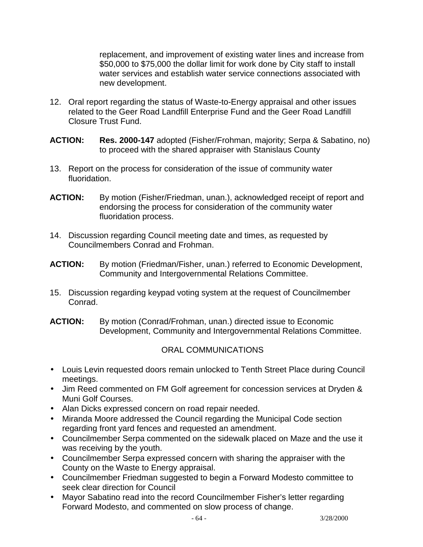replacement, and improvement of existing water lines and increase from \$50,000 to \$75,000 the dollar limit for work done by City staff to install water services and establish water service connections associated with new development.

- 12. Oral report regarding the status of Waste-to-Energy appraisal and other issues related to the Geer Road Landfill Enterprise Fund and the Geer Road Landfill Closure Trust Fund.
- **ACTION: Res. 2000-147** adopted (Fisher/Frohman, majority; Serpa & Sabatino, no) to proceed with the shared appraiser with Stanislaus County
- 13. Report on the process for consideration of the issue of community water fluoridation.
- **ACTION:** By motion (Fisher/Friedman, unan.), acknowledged receipt of report and endorsing the process for consideration of the community water fluoridation process.
- 14. Discussion regarding Council meeting date and times, as requested by Councilmembers Conrad and Frohman.
- **ACTION:** By motion (Friedman/Fisher, unan.) referred to Economic Development, Community and Intergovernmental Relations Committee.
- 15. Discussion regarding keypad voting system at the request of Councilmember Conrad.
- **ACTION:** By motion (Conrad/Frohman, unan.) directed issue to Economic Development, Community and Intergovernmental Relations Committee.

# ORAL COMMUNICATIONS

- Louis Levin requested doors remain unlocked to Tenth Street Place during Council meetings.
- Jim Reed commented on FM Golf agreement for concession services at Dryden & Muni Golf Courses.
- Alan Dicks expressed concern on road repair needed.
- Miranda Moore addressed the Council regarding the Municipal Code section regarding front yard fences and requested an amendment.
- Councilmember Serpa commented on the sidewalk placed on Maze and the use it was receiving by the youth.
- Councilmember Serpa expressed concern with sharing the appraiser with the County on the Waste to Energy appraisal.
- Councilmember Friedman suggested to begin a Forward Modesto committee to seek clear direction for Council
- Mayor Sabatino read into the record Councilmember Fisher's letter regarding Forward Modesto, and commented on slow process of change.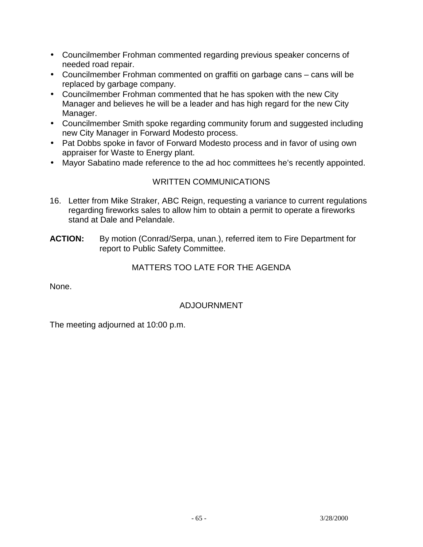- Councilmember Frohman commented regarding previous speaker concerns of needed road repair.
- Councilmember Frohman commented on graffiti on garbage cans cans will be replaced by garbage company.
- Councilmember Frohman commented that he has spoken with the new City Manager and believes he will be a leader and has high regard for the new City Manager.
- Councilmember Smith spoke regarding community forum and suggested including new City Manager in Forward Modesto process.
- Pat Dobbs spoke in favor of Forward Modesto process and in favor of using own appraiser for Waste to Energy plant.
- Mayor Sabatino made reference to the ad hoc committees he's recently appointed.

# WRITTEN COMMUNICATIONS

- 16. Letter from Mike Straker, ABC Reign, requesting a variance to current regulations regarding fireworks sales to allow him to obtain a permit to operate a fireworks stand at Dale and Pelandale.
- ACTION: By motion (Conrad/Serpa, unan.), referred item to Fire Department for report to Public Safety Committee.

# MATTERS TOO LATE FOR THE AGENDA

None.

# ADJOURNMENT

The meeting adjourned at 10:00 p.m.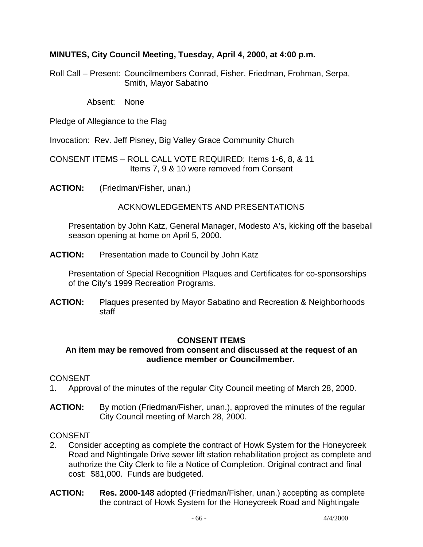## **MINUTES, City Council Meeting, Tuesday, April 4, 2000, at 4:00 p.m.**

Roll Call – Present: Councilmembers Conrad, Fisher, Friedman, Frohman, Serpa, Smith, Mayor Sabatino

Absent: None

Pledge of Allegiance to the Flag

Invocation: Rev. Jeff Pisney, Big Valley Grace Community Church

CONSENT ITEMS – ROLL CALL VOTE REQUIRED: Items 1-6, 8, & 11 Items 7, 9 & 10 were removed from Consent

**ACTION:** (Friedman/Fisher, unan.)

ACKNOWLEDGEMENTS AND PRESENTATIONS

 Presentation by John Katz, General Manager, Modesto A's, kicking off the baseball season opening at home on April 5, 2000.

**ACTION:** Presentation made to Council by John Katz

 Presentation of Special Recognition Plaques and Certificates for co-sponsorships of the City's 1999 Recreation Programs.

**ACTION:** Plaques presented by Mayor Sabatino and Recreation & Neighborhoods staff

#### **CONSENT ITEMS**

### **An item may be removed from consent and discussed at the request of an audience member or Councilmember.**

#### **CONSENT**

- 1. Approval of the minutes of the regular City Council meeting of March 28, 2000.
- **ACTION:** By motion (Friedman/Fisher, unan.), approved the minutes of the regular City Council meeting of March 28, 2000.

- 2. Consider accepting as complete the contract of Howk System for the Honeycreek Road and Nightingale Drive sewer lift station rehabilitation project as complete and authorize the City Clerk to file a Notice of Completion. Original contract and final cost: \$81,000. Funds are budgeted.
- **ACTION: Res. 2000-148** adopted (Friedman/Fisher, unan.) accepting as complete the contract of Howk System for the Honeycreek Road and Nightingale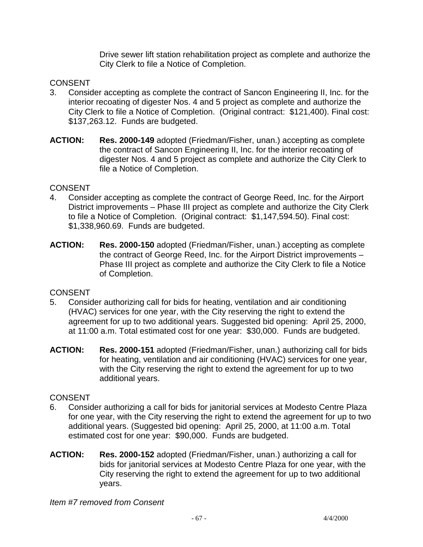Drive sewer lift station rehabilitation project as complete and authorize the City Clerk to file a Notice of Completion.

# CONSENT

- 3. Consider accepting as complete the contract of Sancon Engineering II, Inc. for the interior recoating of digester Nos. 4 and 5 project as complete and authorize the City Clerk to file a Notice of Completion. (Original contract: \$121,400). Final cost: \$137,263.12. Funds are budgeted.
- **ACTION: Res. 2000-149** adopted (Friedman/Fisher, unan.) accepting as complete the contract of Sancon Engineering II, Inc. for the interior recoating of digester Nos. 4 and 5 project as complete and authorize the City Clerk to file a Notice of Completion.

### **CONSENT**

- 4. Consider accepting as complete the contract of George Reed, Inc. for the Airport District improvements – Phase III project as complete and authorize the City Clerk to file a Notice of Completion. (Original contract: \$1,147,594.50). Final cost: \$1,338,960.69. Funds are budgeted.
- **ACTION: Res. 2000-150** adopted (Friedman/Fisher, unan.) accepting as complete the contract of George Reed, Inc. for the Airport District improvements – Phase III project as complete and authorize the City Clerk to file a Notice of Completion.

# **CONSENT**

- 5. Consider authorizing call for bids for heating, ventilation and air conditioning (HVAC) services for one year, with the City reserving the right to extend the agreement for up to two additional years. Suggested bid opening: April 25, 2000, at 11:00 a.m. Total estimated cost for one year: \$30,000. Funds are budgeted.
- **ACTION: Res. 2000-151** adopted (Friedman/Fisher, unan.) authorizing call for bids for heating, ventilation and air conditioning (HVAC) services for one year, with the City reserving the right to extend the agreement for up to two additional years.

# CONSENT

- 6. Consider authorizing a call for bids for janitorial services at Modesto Centre Plaza for one year, with the City reserving the right to extend the agreement for up to two additional years. (Suggested bid opening: April 25, 2000, at 11:00 a.m. Total estimated cost for one year: \$90,000. Funds are budgeted.
- **ACTION: Res. 2000-152** adopted (Friedman/Fisher, unan.) authorizing a call for bids for janitorial services at Modesto Centre Plaza for one year, with the City reserving the right to extend the agreement for up to two additional years.

*Item #7 removed from Consent*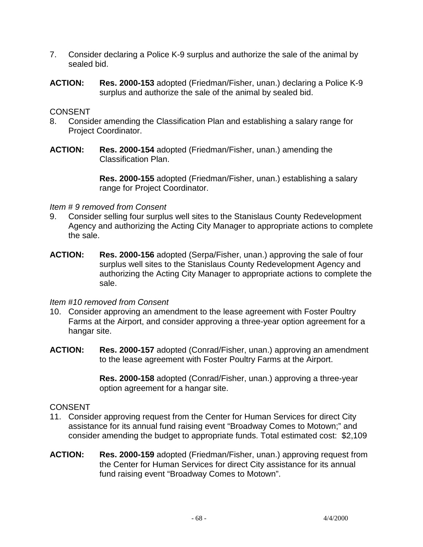- 7. Consider declaring a Police K-9 surplus and authorize the sale of the animal by sealed bid.
- **ACTION: Res. 2000-153** adopted (Friedman/Fisher, unan.) declaring a Police K-9 surplus and authorize the sale of the animal by sealed bid.

- 8. Consider amending the Classification Plan and establishing a salary range for Project Coordinator.
- **ACTION: Res. 2000-154** adopted (Friedman/Fisher, unan.) amending the Classification Plan.

 **Res. 2000-155** adopted (Friedman/Fisher, unan.) establishing a salary range for Project Coordinator.

#### *Item # 9 removed from Consent*

- 9. Consider selling four surplus well sites to the Stanislaus County Redevelopment Agency and authorizing the Acting City Manager to appropriate actions to complete the sale.
- **ACTION: Res. 2000-156** adopted (Serpa/Fisher, unan.) approving the sale of four surplus well sites to the Stanislaus County Redevelopment Agency and authorizing the Acting City Manager to appropriate actions to complete the sale.

#### *Item #10 removed from Consent*

- 10. Consider approving an amendment to the lease agreement with Foster Poultry Farms at the Airport, and consider approving a three-year option agreement for a hangar site.
- **ACTION: Res. 2000-157** adopted (Conrad/Fisher, unan.) approving an amendment to the lease agreement with Foster Poultry Farms at the Airport.

 **Res. 2000-158** adopted (Conrad/Fisher, unan.) approving a three-year option agreement for a hangar site.

- 11. Consider approving request from the Center for Human Services for direct City assistance for its annual fund raising event "Broadway Comes to Motown;" and consider amending the budget to appropriate funds. Total estimated cost: \$2,109
- **ACTION: Res. 2000-159** adopted (Friedman/Fisher, unan.) approving request from the Center for Human Services for direct City assistance for its annual fund raising event "Broadway Comes to Motown".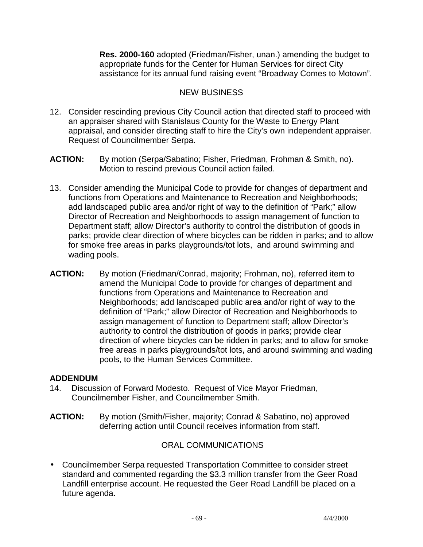**Res. 2000-160** adopted (Friedman/Fisher, unan.) amending the budget to appropriate funds for the Center for Human Services for direct City assistance for its annual fund raising event "Broadway Comes to Motown".

# NEW BUSINESS

- 12. Consider rescinding previous City Council action that directed staff to proceed with an appraiser shared with Stanislaus County for the Waste to Energy Plant appraisal, and consider directing staff to hire the City's own independent appraiser. Request of Councilmember Serpa.
- **ACTION:** By motion (Serpa/Sabatino; Fisher, Friedman, Frohman & Smith, no). Motion to rescind previous Council action failed.
- 13. Consider amending the Municipal Code to provide for changes of department and functions from Operations and Maintenance to Recreation and Neighborhoods; add landscaped public area and/or right of way to the definition of "Park;" allow Director of Recreation and Neighborhoods to assign management of function to Department staff; allow Director's authority to control the distribution of goods in parks; provide clear direction of where bicycles can be ridden in parks; and to allow for smoke free areas in parks playgrounds/tot lots, and around swimming and wading pools.
- **ACTION:** By motion (Friedman/Conrad, majority; Frohman, no), referred item to amend the Municipal Code to provide for changes of department and functions from Operations and Maintenance to Recreation and Neighborhoods; add landscaped public area and/or right of way to the definition of "Park;" allow Director of Recreation and Neighborhoods to assign management of function to Department staff; allow Director's authority to control the distribution of goods in parks; provide clear direction of where bicycles can be ridden in parks; and to allow for smoke free areas in parks playgrounds/tot lots, and around swimming and wading pools, to the Human Services Committee.

#### **ADDENDUM**

- 14. Discussion of Forward Modesto. Request of Vice Mayor Friedman, Councilmember Fisher, and Councilmember Smith.
- **ACTION:** By motion (Smith/Fisher, majority; Conrad & Sabatino, no) approved deferring action until Council receives information from staff.

# ORAL COMMUNICATIONS

• Councilmember Serpa requested Transportation Committee to consider street standard and commented regarding the \$3.3 million transfer from the Geer Road Landfill enterprise account. He requested the Geer Road Landfill be placed on a future agenda.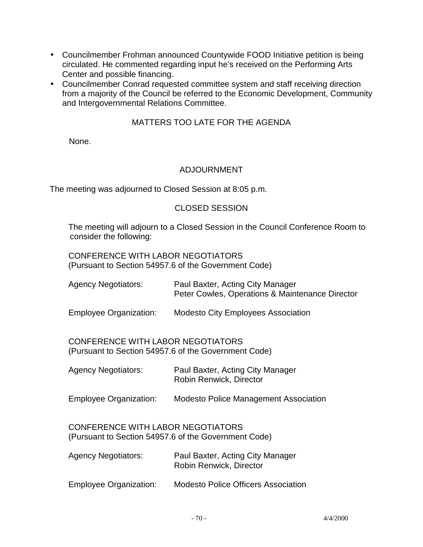- Councilmember Frohman announced Countywide FOOD Initiative petition is being circulated. He commented regarding input he's received on the Performing Arts Center and possible financing.
- Councilmember Conrad requested committee system and staff receiving direction from a majority of the Council be referred to the Economic Development, Community and Intergovernmental Relations Committee.

# MATTERS TOO LATE FOR THE AGENDA

None.

### ADJOURNMENT

The meeting was adjourned to Closed Session at 8:05 p.m.

### CLOSED SESSION

 The meeting will adjourn to a Closed Session in the Council Conference Room to consider the following:

 CONFERENCE WITH LABOR NEGOTIATORS (Pursuant to Section 54957.6 of the Government Code)

| <b>Agency Negotiators:</b>                                                                       | Paul Baxter, Acting City Manager<br>Peter Cowles, Operations & Maintenance Director |  |
|--------------------------------------------------------------------------------------------------|-------------------------------------------------------------------------------------|--|
| <b>Employee Organization:</b>                                                                    | <b>Modesto City Employees Association</b>                                           |  |
| CONFERENCE WITH LABOR NEGOTIATORS<br>(Pursuant to Section 54957.6 of the Government Code)        |                                                                                     |  |
| <b>Agency Negotiators:</b>                                                                       | Paul Baxter, Acting City Manager<br>Robin Renwick, Director                         |  |
| <b>Employee Organization:</b>                                                                    | <b>Modesto Police Management Association</b>                                        |  |
| <b>CONFERENCE WITH LABOR NEGOTIATORS</b><br>(Pursuant to Section 54957.6 of the Government Code) |                                                                                     |  |
| <b>Agency Negotiators:</b>                                                                       | Paul Baxter, Acting City Manager<br>Robin Renwick, Director                         |  |
| <b>Employee Organization:</b>                                                                    | <b>Modesto Police Officers Association</b>                                          |  |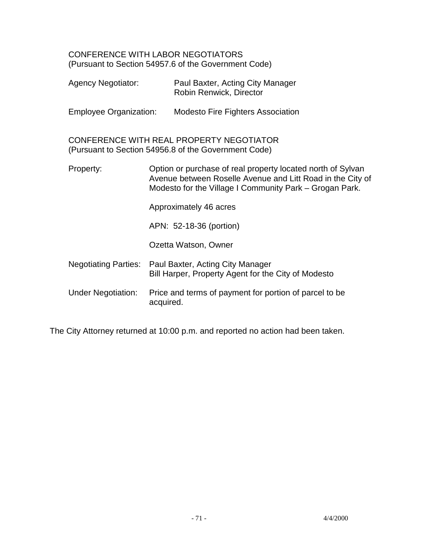CONFERENCE WITH LABOR NEGOTIATORS (Pursuant to Section 54957.6 of the Government Code)

|  | <b>Agency Negotiator:</b>           |           | Paul Baxter, Acting City Manager<br>Robin Renwick, Director                                                                                                                          |
|--|-------------------------------------|-----------|--------------------------------------------------------------------------------------------------------------------------------------------------------------------------------------|
|  | <b>Employee Organization:</b>       |           | <b>Modesto Fire Fighters Association</b>                                                                                                                                             |
|  |                                     |           | CONFERENCE WITH REAL PROPERTY NEGOTIATOR<br>(Pursuant to Section 54956.8 of the Government Code)                                                                                     |
|  | Property:<br>Approximately 46 acres |           | Option or purchase of real property located north of Sylvan<br>Avenue between Roselle Avenue and Litt Road in the City of<br>Modesto for the Village I Community Park - Grogan Park. |
|  |                                     |           |                                                                                                                                                                                      |
|  |                                     |           | APN: 52-18-36 (portion)                                                                                                                                                              |
|  |                                     |           | Ozetta Watson, Owner                                                                                                                                                                 |
|  | <b>Negotiating Parties:</b>         |           | Paul Baxter, Acting City Manager<br>Bill Harper, Property Agent for the City of Modesto                                                                                              |
|  | <b>Under Negotiation:</b>           | acquired. | Price and terms of payment for portion of parcel to be                                                                                                                               |

The City Attorney returned at 10:00 p.m. and reported no action had been taken.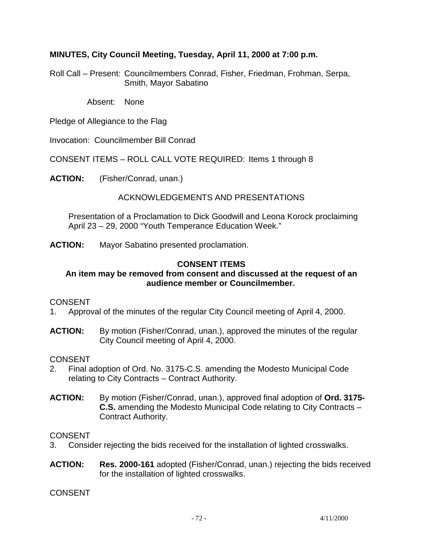### **MINUTES, City Council Meeting, Tuesday, April 11, 2000 at 7:00 p.m.**

Roll Call – Present: Councilmembers Conrad, Fisher, Friedman, Frohman, Serpa, Smith, Mayor Sabatino

Absent: None

Pledge of Allegiance to the Flag

Invocation: Councilmember Bill Conrad

CONSENT ITEMS – ROLL CALL VOTE REQUIRED: Items 1 through 8

**ACTION:** (Fisher/Conrad, unan.)

### ACKNOWLEDGEMENTS AND PRESENTATIONS

 Presentation of a Proclamation to Dick Goodwill and Leona Korock proclaiming April 23 – 29, 2000 "Youth Temperance Education Week."

**ACTION:** Mayor Sabatino presented proclamation.

#### **CONSENT ITEMS**

#### **An item may be removed from consent and discussed at the request of an audience member or Councilmember.**

#### CONSENT

1. Approval of the minutes of the regular City Council meeting of April 4, 2000.

**ACTION:** By motion (Fisher/Conrad, unan.), approved the minutes of the regular City Council meeting of April 4, 2000.

#### CONSENT

- 2. Final adoption of Ord. No. 3175-C.S. amending the Modesto Municipal Code relating to City Contracts – Contract Authority.
- **ACTION:** By motion (Fisher/Conrad, unan.), approved final adoption of **Ord. 3175- C.S.** amending the Modesto Municipal Code relating to City Contracts – Contract Authority.

#### CONSENT

- 3. Consider rejecting the bids received for the installation of lighted crosswalks.
- **ACTION: Res. 2000-161** adopted (Fisher/Conrad, unan.) rejecting the bids received for the installation of lighted crosswalks.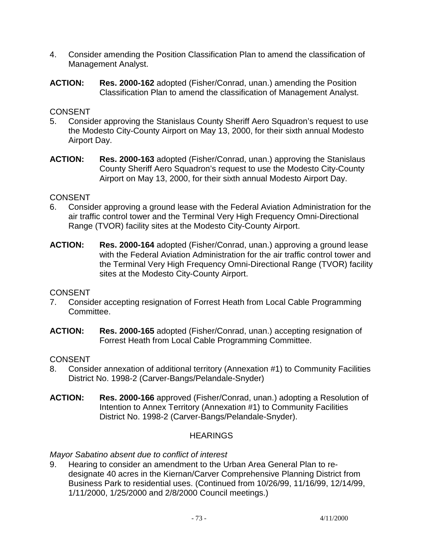- 4. Consider amending the Position Classification Plan to amend the classification of Management Analyst.
- **ACTION: Res. 2000-162** adopted (Fisher/Conrad, unan.) amending the Position Classification Plan to amend the classification of Management Analyst.

- 5. Consider approving the Stanislaus County Sheriff Aero Squadron's request to use the Modesto City-County Airport on May 13, 2000, for their sixth annual Modesto Airport Day.
- **ACTION: Res. 2000-163** adopted (Fisher/Conrad, unan.) approving the Stanislaus County Sheriff Aero Squadron's request to use the Modesto City-County Airport on May 13, 2000, for their sixth annual Modesto Airport Day.

### CONSENT

- 6. Consider approving a ground lease with the Federal Aviation Administration for the air traffic control tower and the Terminal Very High Frequency Omni-Directional Range (TVOR) facility sites at the Modesto City-County Airport.
- **ACTION: Res. 2000-164** adopted (Fisher/Conrad, unan.) approving a ground lease with the Federal Aviation Administration for the air traffic control tower and the Terminal Very High Frequency Omni-Directional Range (TVOR) facility sites at the Modesto City-County Airport.

# **CONSENT**

- 7. Consider accepting resignation of Forrest Heath from Local Cable Programming Committee.
- **ACTION: Res. 2000-165** adopted (Fisher/Conrad, unan.) accepting resignation of Forrest Heath from Local Cable Programming Committee.

# **CONSENT**

- 8. Consider annexation of additional territory (Annexation #1) to Community Facilities District No. 1998-2 (Carver-Bangs/Pelandale-Snyder)
- **ACTION: Res. 2000-166** approved (Fisher/Conrad, unan.) adopting a Resolution of Intention to Annex Territory (Annexation #1) to Community Facilities District No. 1998-2 (Carver-Bangs/Pelandale-Snyder).

# **HEARINGS**

*Mayor Sabatino absent due to conflict of interest* 

9. Hearing to consider an amendment to the Urban Area General Plan to redesignate 40 acres in the Kiernan/Carver Comprehensive Planning District from Business Park to residential uses. (Continued from 10/26/99, 11/16/99, 12/14/99, 1/11/2000, 1/25/2000 and 2/8/2000 Council meetings.)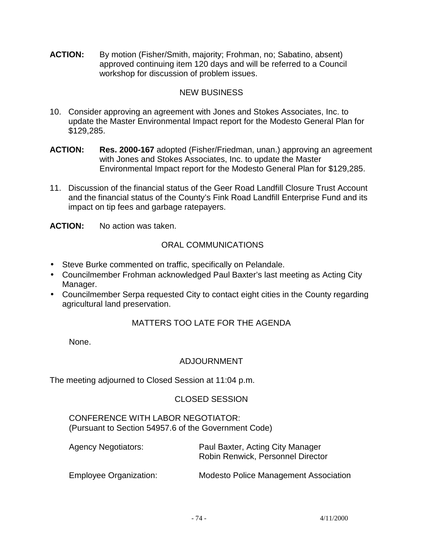**ACTION:** By motion (Fisher/Smith, majority; Frohman, no; Sabatino, absent) approved continuing item 120 days and will be referred to a Council workshop for discussion of problem issues.

### NEW BUSINESS

- 10. Consider approving an agreement with Jones and Stokes Associates, Inc. to update the Master Environmental Impact report for the Modesto General Plan for \$129,285.
- **ACTION: Res. 2000-167** adopted (Fisher/Friedman, unan.) approving an agreement with Jones and Stokes Associates, Inc. to update the Master Environmental Impact report for the Modesto General Plan for \$129,285.
- 11. Discussion of the financial status of the Geer Road Landfill Closure Trust Account and the financial status of the County's Fink Road Landfill Enterprise Fund and its impact on tip fees and garbage ratepayers.

**ACTION:** No action was taken.

### ORAL COMMUNICATIONS

- Steve Burke commented on traffic, specifically on Pelandale.
- Councilmember Frohman acknowledged Paul Baxter's last meeting as Acting City Manager.
- Councilmember Serpa requested City to contact eight cities in the County regarding agricultural land preservation.

### MATTERS TOO LATE FOR THE AGENDA

None.

### ADJOURNMENT

The meeting adjourned to Closed Session at 11:04 p.m.

### CLOSED SESSION

 CONFERENCE WITH LABOR NEGOTIATOR: (Pursuant to Section 54957.6 of the Government Code)

| <b>Agency Negotiators:</b>    | Paul Baxter, Acting City Manager<br>Robin Renwick, Personnel Director |
|-------------------------------|-----------------------------------------------------------------------|
| <b>Employee Organization:</b> | <b>Modesto Police Management Association</b>                          |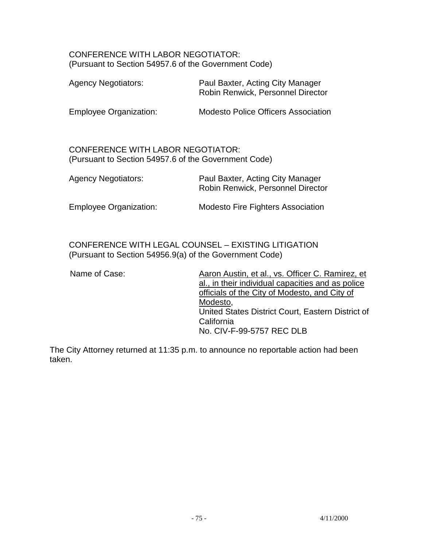#### CONFERENCE WITH LABOR NEGOTIATOR: (Pursuant to Section 54957.6 of the Government Code)

| <b>Agency Negotiators:</b>                                                                       | Paul Baxter, Acting City Manager<br>Robin Renwick, Personnel Director |
|--------------------------------------------------------------------------------------------------|-----------------------------------------------------------------------|
| <b>Employee Organization:</b>                                                                    | Modesto Police Officers Association                                   |
| <b>CONFERENCE WITH LABOR NEGOTIATOR:</b><br>(Pursuant to Section 54957.6 of the Government Code) |                                                                       |
| <b>Agency Negotiators:</b>                                                                       | Paul Baxter, Acting City Manager<br>Robin Renwick, Personnel Director |
| <b>Employee Organization:</b>                                                                    | <b>Modesto Fire Fighters Association</b>                              |

 CONFERENCE WITH LEGAL COUNSEL – EXISTING LITIGATION (Pursuant to Section 54956.9(a) of the Government Code)

Name of Case: Aaron Austin, et al., vs. Officer C. Ramirez, et al., in their individual capacities and as police officials of the City of Modesto, and City of Modesto, United States District Court, Eastern District of California No. CIV-F-99-5757 REC DLB

The City Attorney returned at 11:35 p.m. to announce no reportable action had been taken.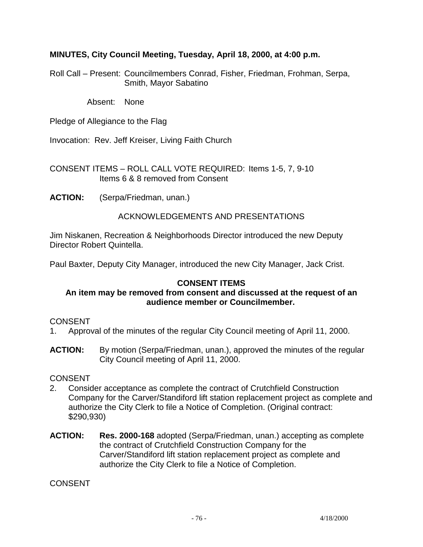### **MINUTES, City Council Meeting, Tuesday, April 18, 2000, at 4:00 p.m.**

Roll Call – Present: Councilmembers Conrad, Fisher, Friedman, Frohman, Serpa, Smith, Mayor Sabatino

Absent: None

Pledge of Allegiance to the Flag

Invocation: Rev. Jeff Kreiser, Living Faith Church

CONSENT ITEMS – ROLL CALL VOTE REQUIRED: Items 1-5, 7, 9-10 Items 6 & 8 removed from Consent

**ACTION:** (Serpa/Friedman, unan.)

### ACKNOWLEDGEMENTS AND PRESENTATIONS

Jim Niskanen, Recreation & Neighborhoods Director introduced the new Deputy Director Robert Quintella.

Paul Baxter, Deputy City Manager, introduced the new City Manager, Jack Crist.

### **CONSENT ITEMS**

### **An item may be removed from consent and discussed at the request of an audience member or Councilmember.**

#### **CONSENT**

- 1. Approval of the minutes of the regular City Council meeting of April 11, 2000.
- **ACTION:** By motion (Serpa/Friedman, unan.), approved the minutes of the regular City Council meeting of April 11, 2000.

#### **CONSENT**

- 2. Consider acceptance as complete the contract of Crutchfield Construction Company for the Carver/Standiford lift station replacement project as complete and authorize the City Clerk to file a Notice of Completion. (Original contract: \$290,930)
- **ACTION: Res. 2000-168** adopted (Serpa/Friedman, unan.) accepting as complete the contract of Crutchfield Construction Company for the Carver/Standiford lift station replacement project as complete and authorize the City Clerk to file a Notice of Completion.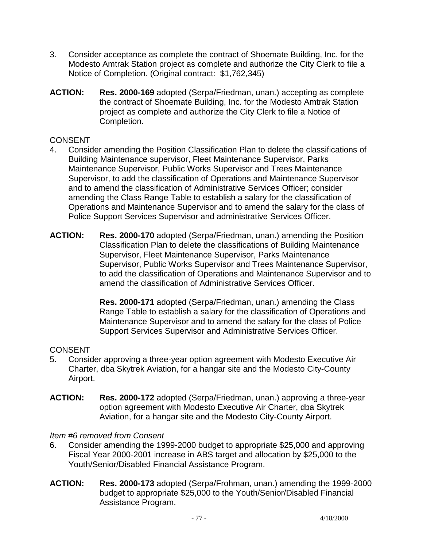- 3. Consider acceptance as complete the contract of Shoemate Building, Inc. for the Modesto Amtrak Station project as complete and authorize the City Clerk to file a Notice of Completion. (Original contract: \$1,762,345)
- **ACTION: Res. 2000-169** adopted (Serpa/Friedman, unan.) accepting as complete the contract of Shoemate Building, Inc. for the Modesto Amtrak Station project as complete and authorize the City Clerk to file a Notice of Completion.

- 4. Consider amending the Position Classification Plan to delete the classifications of Building Maintenance supervisor, Fleet Maintenance Supervisor, Parks Maintenance Supervisor, Public Works Supervisor and Trees Maintenance Supervisor, to add the classification of Operations and Maintenance Supervisor and to amend the classification of Administrative Services Officer; consider amending the Class Range Table to establish a salary for the classification of Operations and Maintenance Supervisor and to amend the salary for the class of Police Support Services Supervisor and administrative Services Officer.
- **ACTION: Res. 2000-170** adopted (Serpa/Friedman, unan.) amending the Position Classification Plan to delete the classifications of Building Maintenance Supervisor, Fleet Maintenance Supervisor, Parks Maintenance Supervisor, Public Works Supervisor and Trees Maintenance Supervisor, to add the classification of Operations and Maintenance Supervisor and to amend the classification of Administrative Services Officer.

 **Res. 2000-171** adopted (Serpa/Friedman, unan.) amending the Class Range Table to establish a salary for the classification of Operations and Maintenance Supervisor and to amend the salary for the class of Police Support Services Supervisor and Administrative Services Officer.

### CONSENT

- 5. Consider approving a three-year option agreement with Modesto Executive Air Charter, dba Skytrek Aviation, for a hangar site and the Modesto City-County Airport.
- **ACTION: Res. 2000-172** adopted (Serpa/Friedman, unan.) approving a three-year option agreement with Modesto Executive Air Charter, dba Skytrek Aviation, for a hangar site and the Modesto City-County Airport.

#### *Item #6 removed from Consent*

- 6. Consider amending the 1999-2000 budget to appropriate \$25,000 and approving Fiscal Year 2000-2001 increase in ABS target and allocation by \$25,000 to the Youth/Senior/Disabled Financial Assistance Program.
- **ACTION: Res. 2000-173** adopted (Serpa/Frohman, unan.) amending the 1999-2000 budget to appropriate \$25,000 to the Youth/Senior/Disabled Financial Assistance Program.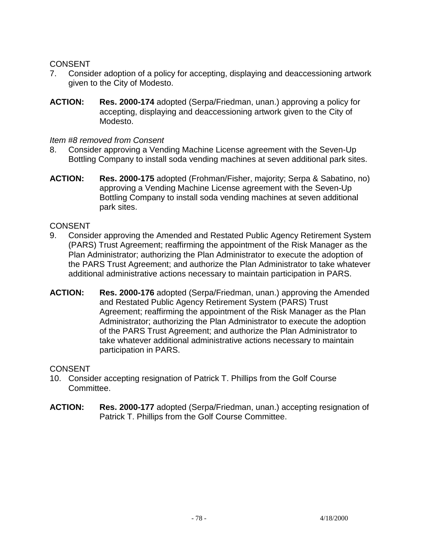- 7. Consider adoption of a policy for accepting, displaying and deaccessioning artwork given to the City of Modesto.
- **ACTION: Res. 2000-174** adopted (Serpa/Friedman, unan.) approving a policy for accepting, displaying and deaccessioning artwork given to the City of Modesto.

#### *Item #8 removed from Consent*

- 8. Consider approving a Vending Machine License agreement with the Seven-Up Bottling Company to install soda vending machines at seven additional park sites.
- **ACTION: Res. 2000-175** adopted (Frohman/Fisher, majority; Serpa & Sabatino, no) approving a Vending Machine License agreement with the Seven-Up Bottling Company to install soda vending machines at seven additional park sites.

#### CONSENT

- 9. Consider approving the Amended and Restated Public Agency Retirement System (PARS) Trust Agreement; reaffirming the appointment of the Risk Manager as the Plan Administrator; authorizing the Plan Administrator to execute the adoption of the PARS Trust Agreement; and authorize the Plan Administrator to take whatever additional administrative actions necessary to maintain participation in PARS.
- **ACTION: Res. 2000-176** adopted (Serpa/Friedman, unan.) approving the Amended and Restated Public Agency Retirement System (PARS) Trust Agreement; reaffirming the appointment of the Risk Manager as the Plan Administrator; authorizing the Plan Administrator to execute the adoption of the PARS Trust Agreement; and authorize the Plan Administrator to take whatever additional administrative actions necessary to maintain participation in PARS.

- 10. Consider accepting resignation of Patrick T. Phillips from the Golf Course Committee.
- **ACTION: Res. 2000-177** adopted (Serpa/Friedman, unan.) accepting resignation of Patrick T. Phillips from the Golf Course Committee.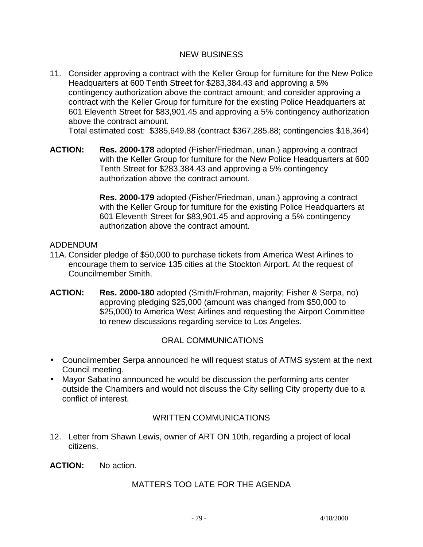### NEW BUSINESS

11. Consider approving a contract with the Keller Group for furniture for the New Police Headquarters at 600 Tenth Street for \$283,384.43 and approving a 5% contingency authorization above the contract amount; and consider approving a contract with the Keller Group for furniture for the existing Police Headquarters at 601 Eleventh Street for \$83,901.45 and approving a 5% contingency authorization above the contract amount.

Total estimated cost: \$385,649.88 (contract \$367,285.88; contingencies \$18,364)

**ACTION: Res. 2000-178** adopted (Fisher/Friedman, unan.) approving a contract with the Keller Group for furniture for the New Police Headquarters at 600 Tenth Street for \$283,384.43 and approving a 5% contingency authorization above the contract amount.

> **Res. 2000-179** adopted (Fisher/Friedman, unan.) approving a contract with the Keller Group for furniture for the existing Police Headquarters at 601 Eleventh Street for \$83,901.45 and approving a 5% contingency authorization above the contract amount.

### ADDENDUM

- 11A. Consider pledge of \$50,000 to purchase tickets from America West Airlines to encourage them to service 135 cities at the Stockton Airport. At the request of Councilmember Smith.
- **ACTION: Res. 2000-180** adopted (Smith/Frohman, majority; Fisher & Serpa, no) approving pledging \$25,000 (amount was changed from \$50,000 to \$25,000) to America West Airlines and requesting the Airport Committee to renew discussions regarding service to Los Angeles.

### ORAL COMMUNICATIONS

- Councilmember Serpa announced he will request status of ATMS system at the next Council meeting.
- Mayor Sabatino announced he would be discussion the performing arts center outside the Chambers and would not discuss the City selling City property due to a conflict of interest.

### WRITTEN COMMUNICATIONS

12. Letter from Shawn Lewis, owner of ART ON 10th, regarding a project of local citizens.

**ACTION:** No action.

### MATTERS TOO LATE FOR THE AGENDA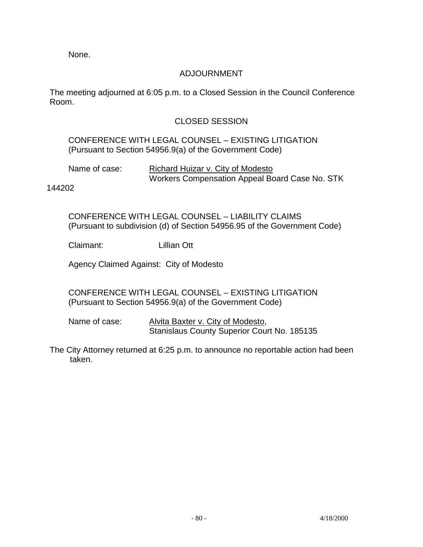None.

### ADJOURNMENT

The meeting adjourned at 6:05 p.m. to a Closed Session in the Council Conference Room.

### CLOSED SESSION

### CONFERENCE WITH LEGAL COUNSEL – EXISTING LITIGATION (Pursuant to Section 54956.9(a) of the Government Code)

| Name of case: | Richard Huizar v. City of Modesto              |
|---------------|------------------------------------------------|
|               | Workers Compensation Appeal Board Case No. STK |

144202

 CONFERENCE WITH LEGAL COUNSEL – LIABILITY CLAIMS (Pursuant to subdivision (d) of Section 54956.95 of the Government Code)

Claimant: Lillian Ott

Agency Claimed Against: City of Modesto

 CONFERENCE WITH LEGAL COUNSEL – EXISTING LITIGATION (Pursuant to Section 54956.9(a) of the Government Code)

Name of case: Alvita Baxter v. City of Modesto, Stanislaus County Superior Court No. 185135

The City Attorney returned at 6:25 p.m. to announce no reportable action had been taken.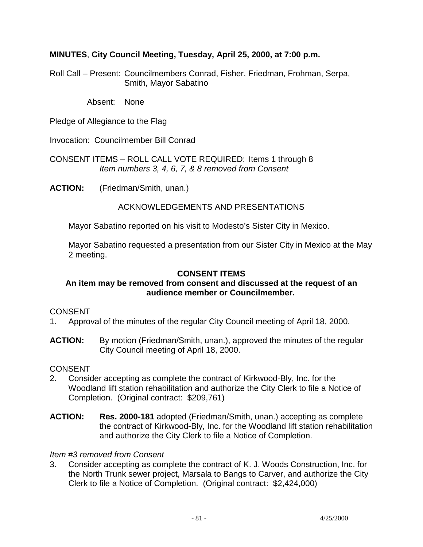### **MINUTES**, **City Council Meeting, Tuesday, April 25, 2000, at 7:00 p.m.**

Roll Call – Present: Councilmembers Conrad, Fisher, Friedman, Frohman, Serpa, Smith, Mayor Sabatino

Absent: None

Pledge of Allegiance to the Flag

Invocation: Councilmember Bill Conrad

CONSENT ITEMS – ROLL CALL VOTE REQUIRED: Items 1 through 8  *Item numbers 3, 4, 6, 7, & 8 removed from Consent* 

**ACTION:** (Friedman/Smith, unan.)

#### ACKNOWLEDGEMENTS AND PRESENTATIONS

Mayor Sabatino reported on his visit to Modesto's Sister City in Mexico.

 Mayor Sabatino requested a presentation from our Sister City in Mexico at the May 2 meeting.

#### **CONSENT ITEMS**

#### **An item may be removed from consent and discussed at the request of an audience member or Councilmember.**

#### CONSENT

- 1. Approval of the minutes of the regular City Council meeting of April 18, 2000.
- **ACTION:** By motion (Friedman/Smith, unan.), approved the minutes of the regular City Council meeting of April 18, 2000.

#### **CONSENT**

- 2. Consider accepting as complete the contract of Kirkwood-Bly, Inc. for the Woodland lift station rehabilitation and authorize the City Clerk to file a Notice of Completion. (Original contract: \$209,761)
- **ACTION: Res. 2000-181** adopted (Friedman/Smith, unan.) accepting as complete the contract of Kirkwood-Bly, Inc. for the Woodland lift station rehabilitation and authorize the City Clerk to file a Notice of Completion.

#### *Item #3 removed from Consent*

3. Consider accepting as complete the contract of K. J. Woods Construction, Inc. for the North Trunk sewer project, Marsala to Bangs to Carver, and authorize the City Clerk to file a Notice of Completion. (Original contract: \$2,424,000)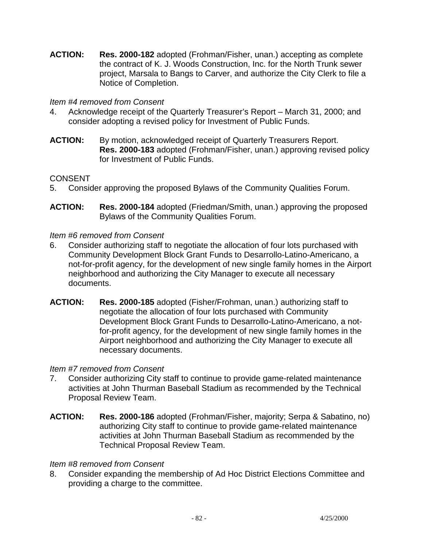**ACTION: Res. 2000-182** adopted (Frohman/Fisher, unan.) accepting as complete the contract of K. J. Woods Construction, Inc. for the North Trunk sewer project, Marsala to Bangs to Carver, and authorize the City Clerk to file a Notice of Completion.

### *Item #4 removed from Consent*

- 4. Acknowledge receipt of the Quarterly Treasurer's Report March 31, 2000; and consider adopting a revised policy for Investment of Public Funds.
- ACTION: By motion, acknowledged receipt of Quarterly Treasurers Report.  **Res. 2000-183** adopted (Frohman/Fisher, unan.) approving revised policy for Investment of Public Funds.

### CONSENT

- 5. Consider approving the proposed Bylaws of the Community Qualities Forum.
- **ACTION: Res. 2000-184** adopted (Friedman/Smith, unan.) approving the proposed Bylaws of the Community Qualities Forum.

#### *Item #6 removed from Consent*

- 6. Consider authorizing staff to negotiate the allocation of four lots purchased with Community Development Block Grant Funds to Desarrollo-Latino-Americano, a not-for-profit agency, for the development of new single family homes in the Airport neighborhood and authorizing the City Manager to execute all necessary documents.
- **ACTION: Res. 2000-185** adopted (Fisher/Frohman, unan.) authorizing staff to negotiate the allocation of four lots purchased with Community Development Block Grant Funds to Desarrollo-Latino-Americano, a notfor-profit agency, for the development of new single family homes in the Airport neighborhood and authorizing the City Manager to execute all necessary documents.

#### *Item #7 removed from Consent*

- 7. Consider authorizing City staff to continue to provide game-related maintenance activities at John Thurman Baseball Stadium as recommended by the Technical Proposal Review Team.
- **ACTION: Res. 2000-186** adopted (Frohman/Fisher, majority; Serpa & Sabatino, no) authorizing City staff to continue to provide game-related maintenance activities at John Thurman Baseball Stadium as recommended by the Technical Proposal Review Team.

#### *Item #8 removed from Consent*

8. Consider expanding the membership of Ad Hoc District Elections Committee and providing a charge to the committee.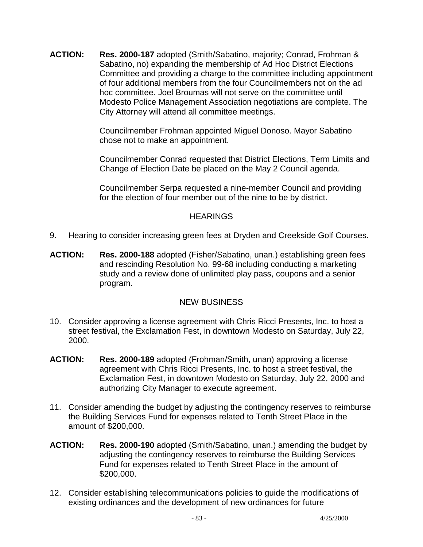**ACTION: Res. 2000-187** adopted (Smith/Sabatino, majority; Conrad, Frohman & Sabatino, no) expanding the membership of Ad Hoc District Elections Committee and providing a charge to the committee including appointment of four additional members from the four Councilmembers not on the ad hoc committee. Joel Broumas will not serve on the committee until Modesto Police Management Association negotiations are complete. The City Attorney will attend all committee meetings.

> Councilmember Frohman appointed Miguel Donoso. Mayor Sabatino chose not to make an appointment.

 Councilmember Conrad requested that District Elections, Term Limits and Change of Election Date be placed on the May 2 Council agenda.

 Councilmember Serpa requested a nine-member Council and providing for the election of four member out of the nine to be by district.

### **HEARINGS**

- 9. Hearing to consider increasing green fees at Dryden and Creekside Golf Courses.
- **ACTION: Res. 2000-188** adopted (Fisher/Sabatino, unan.) establishing green fees and rescinding Resolution No. 99-68 including conducting a marketing study and a review done of unlimited play pass, coupons and a senior program.

### NEW BUSINESS

- 10. Consider approving a license agreement with Chris Ricci Presents, Inc. to host a street festival, the Exclamation Fest, in downtown Modesto on Saturday, July 22, 2000.
- **ACTION: Res. 2000-189** adopted (Frohman/Smith, unan) approving a license agreement with Chris Ricci Presents, Inc. to host a street festival, the Exclamation Fest, in downtown Modesto on Saturday, July 22, 2000 and authorizing City Manager to execute agreement.
- 11. Consider amending the budget by adjusting the contingency reserves to reimburse the Building Services Fund for expenses related to Tenth Street Place in the amount of \$200,000.
- **ACTION: Res. 2000-190** adopted (Smith/Sabatino, unan.) amending the budget by adjusting the contingency reserves to reimburse the Building Services Fund for expenses related to Tenth Street Place in the amount of \$200,000.
- 12. Consider establishing telecommunications policies to guide the modifications of existing ordinances and the development of new ordinances for future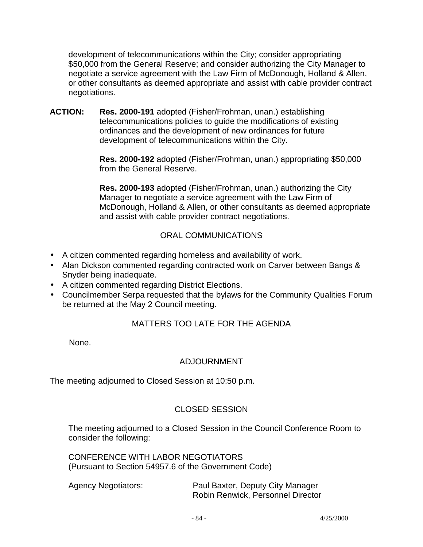development of telecommunications within the City; consider appropriating \$50,000 from the General Reserve; and consider authorizing the City Manager to negotiate a service agreement with the Law Firm of McDonough, Holland & Allen, or other consultants as deemed appropriate and assist with cable provider contract negotiations.

**ACTION: Res. 2000-191** adopted (Fisher/Frohman, unan.) establishing telecommunications policies to guide the modifications of existing ordinances and the development of new ordinances for future development of telecommunications within the City.

> **Res. 2000-192** adopted (Fisher/Frohman, unan.) appropriating \$50,000 from the General Reserve.

 **Res. 2000-193** adopted (Fisher/Frohman, unan.) authorizing the City Manager to negotiate a service agreement with the Law Firm of McDonough, Holland & Allen, or other consultants as deemed appropriate and assist with cable provider contract negotiations.

### ORAL COMMUNICATIONS

- A citizen commented regarding homeless and availability of work.
- Alan Dickson commented regarding contracted work on Carver between Bangs & Snyder being inadequate.
- A citizen commented regarding District Elections.
- Councilmember Serpa requested that the bylaws for the Community Qualities Forum be returned at the May 2 Council meeting.

# MATTERS TOO LATE FOR THE AGENDA

None.

# ADJOURNMENT

The meeting adjourned to Closed Session at 10:50 p.m.

# CLOSED SESSION

 The meeting adjourned to a Closed Session in the Council Conference Room to consider the following:

 CONFERENCE WITH LABOR NEGOTIATORS (Pursuant to Section 54957.6 of the Government Code)

| <b>Agency Negotiators:</b> |  |
|----------------------------|--|
|----------------------------|--|

Paul Baxter, Deputy City Manager Robin Renwick, Personnel Director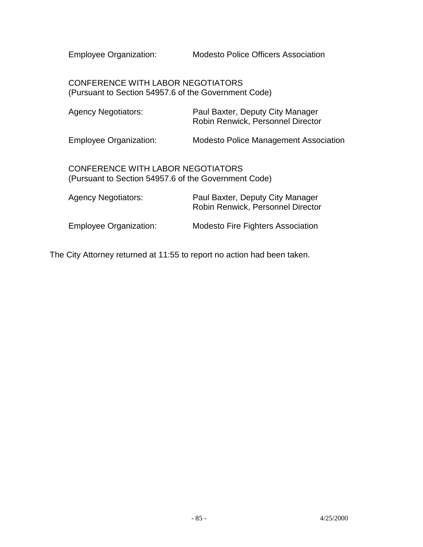Employee Organization: Modesto Police Officers Association

 CONFERENCE WITH LABOR NEGOTIATORS (Pursuant to Section 54957.6 of the Government Code)

| <b>Agency Negotiators:</b>                                                                | Paul Baxter, Deputy City Manager<br>Robin Renwick, Personnel Director |
|-------------------------------------------------------------------------------------------|-----------------------------------------------------------------------|
| <b>Employee Organization:</b>                                                             | Modesto Police Management Association                                 |
| CONFERENCE WITH LABOR NEGOTIATORS<br>(Pursuant to Section 54957.6 of the Government Code) |                                                                       |
| <b>Agency Negotiators:</b>                                                                | Paul Baxter, Deputy City Manager<br>Robin Renwick, Personnel Director |
| <b>Employee Organization:</b>                                                             | <b>Modesto Fire Fighters Association</b>                              |

The City Attorney returned at 11:55 to report no action had been taken.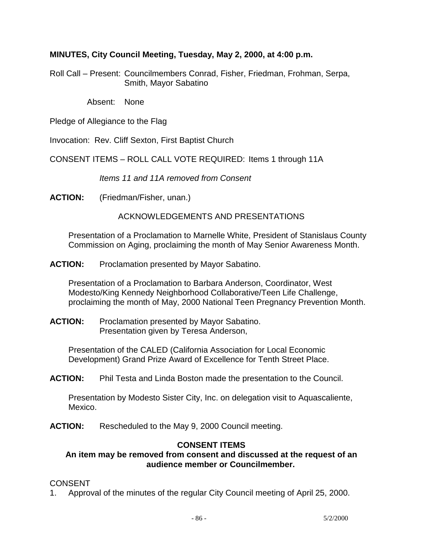### **MINUTES, City Council Meeting, Tuesday, May 2, 2000, at 4:00 p.m.**

Roll Call – Present: Councilmembers Conrad, Fisher, Friedman, Frohman, Serpa, Smith, Mayor Sabatino

Absent: None

Pledge of Allegiance to the Flag

Invocation: Rev. Cliff Sexton, First Baptist Church

CONSENT ITEMS – ROLL CALL VOTE REQUIRED: Items 1 through 11A

 *Items 11 and 11A removed from Consent* 

**ACTION:** (Friedman/Fisher, unan.)

### ACKNOWLEDGEMENTS AND PRESENTATIONS

 Presentation of a Proclamation to Marnelle White, President of Stanislaus County Commission on Aging, proclaiming the month of May Senior Awareness Month.

**ACTION:** Proclamation presented by Mayor Sabatino.

 Presentation of a Proclamation to Barbara Anderson, Coordinator, West Modesto/King Kennedy Neighborhood Collaborative/Teen Life Challenge, proclaiming the month of May, 2000 National Teen Pregnancy Prevention Month.

**ACTION:** Proclamation presented by Mayor Sabatino. Presentation given by Teresa Anderson,

 Presentation of the CALED (California Association for Local Economic Development) Grand Prize Award of Excellence for Tenth Street Place.

**ACTION:** Phil Testa and Linda Boston made the presentation to the Council.

 Presentation by Modesto Sister City, Inc. on delegation visit to Aquascaliente, Mexico.

**ACTION:** Rescheduled to the May 9, 2000 Council meeting.

### **CONSENT ITEMS**

### **An item may be removed from consent and discussed at the request of an audience member or Councilmember.**

#### CONSENT

1. Approval of the minutes of the regular City Council meeting of April 25, 2000.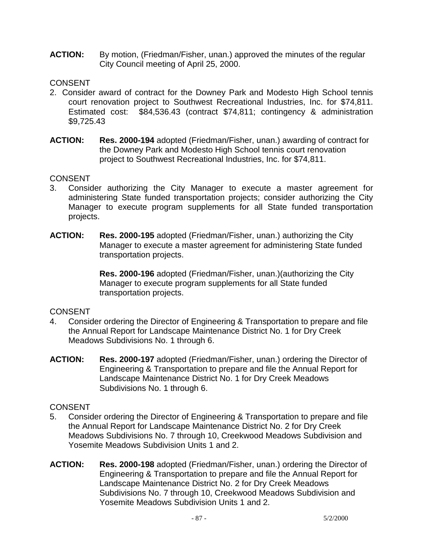**ACTION:** By motion, (Friedman/Fisher, unan.) approved the minutes of the regular City Council meeting of April 25, 2000.

### **CONSENT**

- 2. Consider award of contract for the Downey Park and Modesto High School tennis court renovation project to Southwest Recreational Industries, Inc. for \$74,811. Estimated cost: \$84,536.43 (contract \$74,811; contingency & administration \$9,725.43
- **ACTION: Res. 2000-194** adopted (Friedman/Fisher, unan.) awarding of contract for the Downey Park and Modesto High School tennis court renovation project to Southwest Recreational Industries, Inc. for \$74,811.

### CONSENT

- 3. Consider authorizing the City Manager to execute a master agreement for administering State funded transportation projects; consider authorizing the City Manager to execute program supplements for all State funded transportation projects.
- **ACTION: Res. 2000-195** adopted (Friedman/Fisher, unan.) authorizing the City Manager to execute a master agreement for administering State funded transportation projects.

 **Res. 2000-196** adopted (Friedman/Fisher, unan.)(authorizing the City Manager to execute program supplements for all State funded transportation projects.

### **CONSENT**

- 4. Consider ordering the Director of Engineering & Transportation to prepare and file the Annual Report for Landscape Maintenance District No. 1 for Dry Creek Meadows Subdivisions No. 1 through 6.
- **ACTION: Res. 2000-197** adopted (Friedman/Fisher, unan.) ordering the Director of Engineering & Transportation to prepare and file the Annual Report for Landscape Maintenance District No. 1 for Dry Creek Meadows Subdivisions No. 1 through 6.

- 5. Consider ordering the Director of Engineering & Transportation to prepare and file the Annual Report for Landscape Maintenance District No. 2 for Dry Creek Meadows Subdivisions No. 7 through 10, Creekwood Meadows Subdivision and Yosemite Meadows Subdivision Units 1 and 2.
- **ACTION: Res. 2000-198** adopted (Friedman/Fisher, unan.) ordering the Director of Engineering & Transportation to prepare and file the Annual Report for Landscape Maintenance District No. 2 for Dry Creek Meadows Subdivisions No. 7 through 10, Creekwood Meadows Subdivision and Yosemite Meadows Subdivision Units 1 and 2.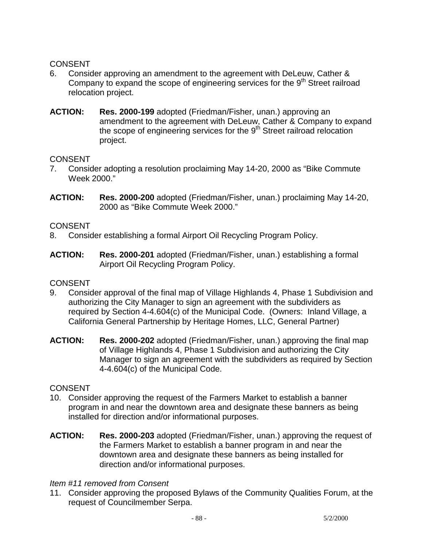- 6. Consider approving an amendment to the agreement with DeLeuw, Cather & Company to expand the scope of engineering services for the  $9<sup>th</sup>$  Street railroad relocation project.
- **ACTION: Res. 2000-199** adopted (Friedman/Fisher, unan.) approving an amendment to the agreement with DeLeuw, Cather & Company to expand the scope of engineering services for the  $9<sup>th</sup>$  Street railroad relocation project.

### CONSENT

- 7. Consider adopting a resolution proclaiming May 14-20, 2000 as "Bike Commute Week 2000."
- **ACTION: Res. 2000-200** adopted (Friedman/Fisher, unan.) proclaiming May 14-20, 2000 as "Bike Commute Week 2000."

### CONSENT

- 8. Consider establishing a formal Airport Oil Recycling Program Policy.
- **ACTION: Res. 2000-201** adopted (Friedman/Fisher, unan.) establishing a formal Airport Oil Recycling Program Policy.

#### **CONSENT**

- 9. Consider approval of the final map of Village Highlands 4, Phase 1 Subdivision and authorizing the City Manager to sign an agreement with the subdividers as required by Section 4-4.604(c) of the Municipal Code. (Owners: Inland Village, a California General Partnership by Heritage Homes, LLC, General Partner)
- **ACTION: Res. 2000-202** adopted (Friedman/Fisher, unan.) approving the final map of Village Highlands 4, Phase 1 Subdivision and authorizing the City Manager to sign an agreement with the subdividers as required by Section 4-4.604(c) of the Municipal Code.

#### **CONSENT**

- 10. Consider approving the request of the Farmers Market to establish a banner program in and near the downtown area and designate these banners as being installed for direction and/or informational purposes.
- **ACTION: Res. 2000-203** adopted (Friedman/Fisher, unan.) approving the request of the Farmers Market to establish a banner program in and near the downtown area and designate these banners as being installed for direction and/or informational purposes.

#### *Item #11 removed from Consent*

11. Consider approving the proposed Bylaws of the Community Qualities Forum, at the request of Councilmember Serpa.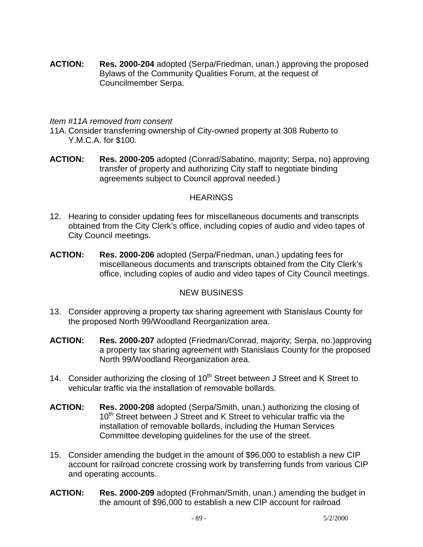**ACTION: Res. 2000-204** adopted (Serpa/Friedman, unan.) approving the proposed Bylaws of the Community Qualities Forum, at the request of Councilmember Serpa.

#### *Item #11A removed from consent*

- 11A. Consider transferring ownership of City-owned property at 308 Ruberto to Y.M.C.A. for \$100.
- **ACTION: Res. 2000-205** adopted (Conrad/Sabatino, majority; Serpa, no) approving transfer of property and authorizing City staff to negotiate binding agreements subject to Council approval needed.)

### **HEARINGS**

- 12. Hearing to consider updating fees for miscellaneous documents and transcripts obtained from the City Clerk's office, including copies of audio and video tapes of City Council meetings.
- **ACTION: Res. 2000-206** adopted (Serpa/Friedman, unan.) updating fees for miscellaneous documents and transcripts obtained from the City Clerk's office, including copies of audio and video tapes of City Council meetings.

### NEW BUSINESS

- 13. Consider approving a property tax sharing agreement with Stanislaus County for the proposed North 99/Woodland Reorganization area.
- **ACTION: Res. 2000-207** adopted (Friedman/Conrad, majority; Serpa, no.)approving a property tax sharing agreement with Stanislaus County for the proposed North 99/Woodland Reorganization area.
- 14. Consider authorizing the closing of  $10<sup>th</sup>$  Street between J Street and K Street to vehicular traffic via the installation of removable bollards.
- **ACTION: Res. 2000-208** adopted (Serpa/Smith, unan.) authorizing the closing of 10<sup>th</sup> Street between J Street and K Street to vehicular traffic via the installation of removable bollards, including the Human Services Committee developing guidelines for the use of the street.
- 15. Consider amending the budget in the amount of \$96,000 to establish a new CIP account for railroad concrete crossing work by transferring funds from various CIP and operating accounts.
- **ACTION: Res. 2000-209** adopted (Frohman/Smith, unan.) amending the budget in the amount of \$96,000 to establish a new CIP account for railroad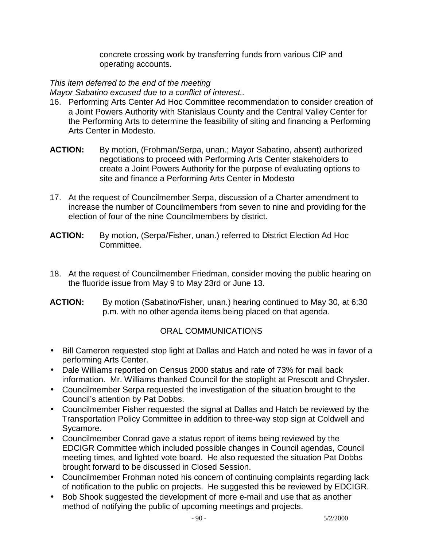concrete crossing work by transferring funds from various CIP and operating accounts.

### *This item deferred to the end of the meeting*

*Mayor Sabatino excused due to a conflict of interest..*

- 16. Performing Arts Center Ad Hoc Committee recommendation to consider creation of a Joint Powers Authority with Stanislaus County and the Central Valley Center for the Performing Arts to determine the feasibility of siting and financing a Performing Arts Center in Modesto.
- **ACTION:** By motion, (Frohman/Serpa, unan.; Mayor Sabatino, absent) authorized negotiations to proceed with Performing Arts Center stakeholders to create a Joint Powers Authority for the purpose of evaluating options to site and finance a Performing Arts Center in Modesto
- 17. At the request of Councilmember Serpa, discussion of a Charter amendment to increase the number of Councilmembers from seven to nine and providing for the election of four of the nine Councilmembers by district.
- **ACTION:** By motion, (Serpa/Fisher, unan.) referred to District Election Ad Hoc Committee.
- 18. At the request of Councilmember Friedman, consider moving the public hearing on the fluoride issue from May 9 to May 23rd or June 13.
- **ACTION:** By motion (Sabatino/Fisher, unan.) hearing continued to May 30, at 6:30 p.m. with no other agenda items being placed on that agenda.

### ORAL COMMUNICATIONS

- Bill Cameron requested stop light at Dallas and Hatch and noted he was in favor of a performing Arts Center.
- Dale Williams reported on Census 2000 status and rate of 73% for mail back information. Mr. Williams thanked Council for the stoplight at Prescott and Chrysler.
- Councilmember Serpa requested the investigation of the situation brought to the Council's attention by Pat Dobbs.
- Councilmember Fisher requested the signal at Dallas and Hatch be reviewed by the Transportation Policy Committee in addition to three-way stop sign at Coldwell and Sycamore.
- Councilmember Conrad gave a status report of items being reviewed by the EDCIGR Committee which included possible changes in Council agendas, Council meeting times, and lighted vote board. He also requested the situation Pat Dobbs brought forward to be discussed in Closed Session.
- Councilmember Frohman noted his concern of continuing complaints regarding lack of notification to the public on projects. He suggested this be reviewed by EDCIGR.
- Bob Shook suggested the development of more e-mail and use that as another method of notifying the public of upcoming meetings and projects.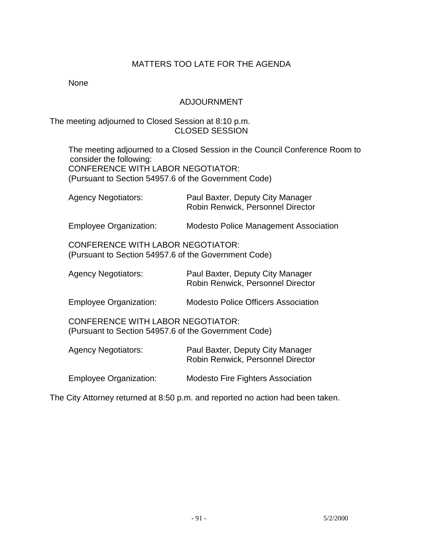### MATTERS TOO LATE FOR THE AGENDA

None

### ADJOURNMENT

#### The meeting adjourned to Closed Session at 8:10 p.m. CLOSED SESSION

 The meeting adjourned to a Closed Session in the Council Conference Room to consider the following: CONFERENCE WITH LABOR NEGOTIATOR: (Pursuant to Section 54957.6 of the Government Code)

| <b>Agency Negotiators:</b>                                                                       | Paul Baxter, Deputy City Manager<br>Robin Renwick, Personnel Director |
|--------------------------------------------------------------------------------------------------|-----------------------------------------------------------------------|
| <b>Employee Organization:</b>                                                                    | <b>Modesto Police Management Association</b>                          |
| <b>CONFERENCE WITH LABOR NEGOTIATOR:</b><br>(Pursuant to Section 54957.6 of the Government Code) |                                                                       |
| <b>Agency Negotiators:</b>                                                                       | Paul Baxter, Deputy City Manager<br>Robin Renwick, Personnel Director |
| Employee Organization:                                                                           | <b>Modesto Police Officers Association</b>                            |
| <b>CONFERENCE WITH LABOR NEGOTIATOR:</b><br>(Pursuant to Section 54957.6 of the Government Code) |                                                                       |
| <b>Agency Negotiators:</b>                                                                       | Paul Baxter, Deputy City Manager<br>Robin Renwick, Personnel Director |
| <b>Employee Organization:</b>                                                                    | <b>Modesto Fire Fighters Association</b>                              |

The City Attorney returned at 8:50 p.m. and reported no action had been taken.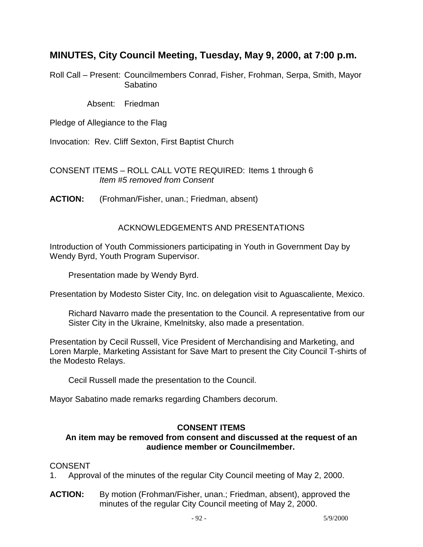# **MINUTES, City Council Meeting, Tuesday, May 9, 2000, at 7:00 p.m.**

Roll Call – Present: Councilmembers Conrad, Fisher, Frohman, Serpa, Smith, Mayor Sabatino

Absent: Friedman

Pledge of Allegiance to the Flag

Invocation: Rev. Cliff Sexton, First Baptist Church

CONSENT ITEMS – ROLL CALL VOTE REQUIRED: Items 1 through 6 *Item #5 removed from Consent* 

**ACTION:** (Frohman/Fisher, unan.; Friedman, absent)

### ACKNOWLEDGEMENTS AND PRESENTATIONS

Introduction of Youth Commissioners participating in Youth in Government Day by Wendy Byrd, Youth Program Supervisor.

Presentation made by Wendy Byrd.

Presentation by Modesto Sister City, Inc. on delegation visit to Aguascaliente, Mexico.

 Richard Navarro made the presentation to the Council. A representative from our Sister City in the Ukraine, Kmelnitsky, also made a presentation.

Presentation by Cecil Russell, Vice President of Merchandising and Marketing, and Loren Marple, Marketing Assistant for Save Mart to present the City Council T-shirts of the Modesto Relays.

Cecil Russell made the presentation to the Council.

Mayor Sabatino made remarks regarding Chambers decorum.

### **CONSENT ITEMS**

### **An item may be removed from consent and discussed at the request of an audience member or Councilmember.**

- 1. Approval of the minutes of the regular City Council meeting of May 2, 2000.
- **ACTION:** By motion (Frohman/Fisher, unan.; Friedman, absent), approved the minutes of the regular City Council meeting of May 2, 2000.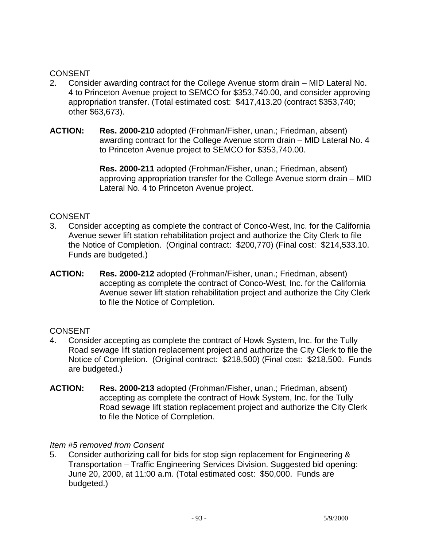- 2. Consider awarding contract for the College Avenue storm drain MID Lateral No. 4 to Princeton Avenue project to SEMCO for \$353,740.00, and consider approving appropriation transfer. (Total estimated cost: \$417,413.20 (contract \$353,740; other \$63,673).
- **ACTION: Res. 2000-210** adopted (Frohman/Fisher, unan.; Friedman, absent) awarding contract for the College Avenue storm drain – MID Lateral No. 4 to Princeton Avenue project to SEMCO for \$353,740.00.

 **Res. 2000-211** adopted (Frohman/Fisher, unan.; Friedman, absent) approving appropriation transfer for the College Avenue storm drain – MID Lateral No. 4 to Princeton Avenue project.

### CONSENT

- 3. Consider accepting as complete the contract of Conco-West, Inc. for the California Avenue sewer lift station rehabilitation project and authorize the City Clerk to file the Notice of Completion. (Original contract: \$200,770) (Final cost: \$214,533.10. Funds are budgeted.)
- **ACTION: Res. 2000-212** adopted (Frohman/Fisher, unan.; Friedman, absent) accepting as complete the contract of Conco-West, Inc. for the California Avenue sewer lift station rehabilitation project and authorize the City Clerk to file the Notice of Completion.

#### **CONSENT**

- 4. Consider accepting as complete the contract of Howk System, Inc. for the Tully Road sewage lift station replacement project and authorize the City Clerk to file the Notice of Completion. (Original contract: \$218,500) (Final cost: \$218,500. Funds are budgeted.)
- **ACTION: Res. 2000-213** adopted (Frohman/Fisher, unan.; Friedman, absent) accepting as complete the contract of Howk System, Inc. for the Tully Road sewage lift station replacement project and authorize the City Clerk to file the Notice of Completion.

#### *Item #5 removed from Consent*

5. Consider authorizing call for bids for stop sign replacement for Engineering & Transportation – Traffic Engineering Services Division. Suggested bid opening: June 20, 2000, at 11:00 a.m. (Total estimated cost: \$50,000. Funds are budgeted.)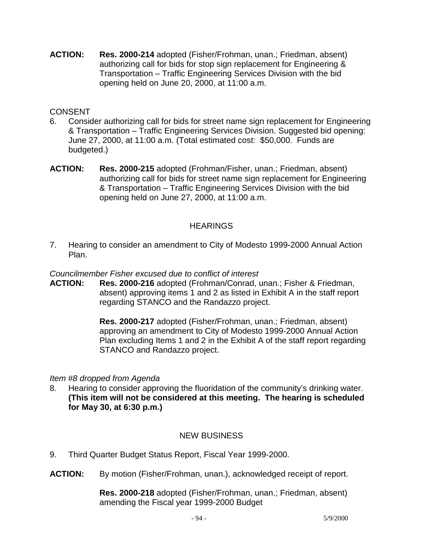**ACTION: Res. 2000-214** adopted (Fisher/Frohman, unan.; Friedman, absent) authorizing call for bids for stop sign replacement for Engineering & Transportation – Traffic Engineering Services Division with the bid opening held on June 20, 2000, at 11:00 a.m.

### **CONSENT**

- 6. Consider authorizing call for bids for street name sign replacement for Engineering & Transportation – Traffic Engineering Services Division. Suggested bid opening: June 27, 2000, at 11:00 a.m. (Total estimated cost: \$50,000. Funds are budgeted.)
- **ACTION: Res. 2000-215** adopted (Frohman/Fisher, unan.; Friedman, absent) authorizing call for bids for street name sign replacement for Engineering & Transportation – Traffic Engineering Services Division with the bid opening held on June 27, 2000, at 11:00 a.m.

### **HEARINGS**

7. Hearing to consider an amendment to City of Modesto 1999-2000 Annual Action Plan.

*Councilmember Fisher excused due to conflict of interest* 

**ACTION: Res. 2000-216** adopted (Frohman/Conrad, unan.; Fisher & Friedman, absent) approving items 1 and 2 as listed in Exhibit A in the staff report regarding STANCO and the Randazzo project.

> **Res. 2000-217** adopted (Fisher/Frohman, unan.; Friedman, absent) approving an amendment to City of Modesto 1999-2000 Annual Action Plan excluding Items 1 and 2 in the Exhibit A of the staff report regarding STANCO and Randazzo project.

#### *Item #8 dropped from Agenda*

8. Hearing to consider approving the fluoridation of the community's drinking water. **(This item will not be considered at this meeting. The hearing is scheduled for May 30, at 6:30 p.m.)**

### NEW BUSINESS

- 9. Third Quarter Budget Status Report, Fiscal Year 1999-2000.
- **ACTION:** By motion (Fisher/Frohman, unan.), acknowledged receipt of report.

 **Res. 2000-218** adopted (Fisher/Frohman, unan.; Friedman, absent) amending the Fiscal year 1999-2000 Budget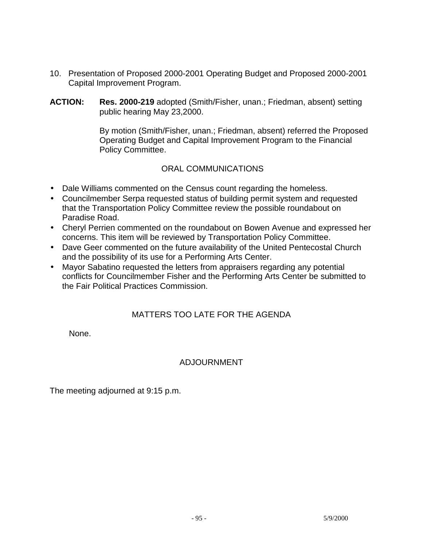- 10. Presentation of Proposed 2000-2001 Operating Budget and Proposed 2000-2001 Capital Improvement Program.
- **ACTION: Res. 2000-219** adopted (Smith/Fisher, unan.; Friedman, absent) setting public hearing May 23,2000.

 By motion (Smith/Fisher, unan.; Friedman, absent) referred the Proposed Operating Budget and Capital Improvement Program to the Financial Policy Committee.

### ORAL COMMUNICATIONS

- Dale Williams commented on the Census count regarding the homeless.
- Councilmember Serpa requested status of building permit system and requested that the Transportation Policy Committee review the possible roundabout on Paradise Road.
- Cheryl Perrien commented on the roundabout on Bowen Avenue and expressed her concerns. This item will be reviewed by Transportation Policy Committee.
- Dave Geer commented on the future availability of the United Pentecostal Church and the possibility of its use for a Performing Arts Center.
- Mayor Sabatino requested the letters from appraisers regarding any potential conflicts for Councilmember Fisher and the Performing Arts Center be submitted to the Fair Political Practices Commission.

### MATTERS TOO LATE FOR THE AGENDA

None.

### ADJOURNMENT

The meeting adjourned at 9:15 p.m.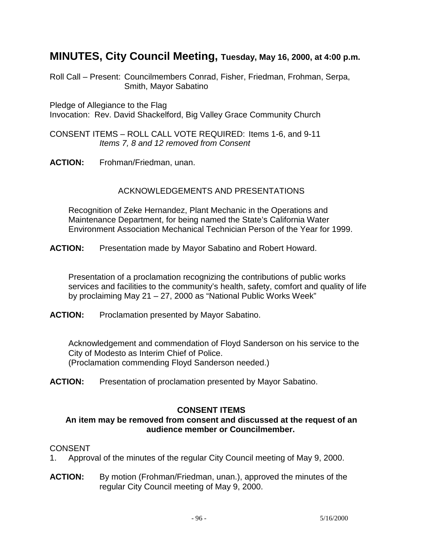# **MINUTES, City Council Meeting, Tuesday, May 16, 2000, at 4:00 p.m.**

Roll Call – Present: Councilmembers Conrad, Fisher, Friedman, Frohman, Serpa, Smith, Mayor Sabatino

Pledge of Allegiance to the Flag Invocation: Rev. David Shackelford, Big Valley Grace Community Church

CONSENT ITEMS – ROLL CALL VOTE REQUIRED: Items 1-6, and 9-11 *Items 7, 8 and 12 removed from Consent* 

**ACTION:** Frohman/Friedman, unan.

### ACKNOWLEDGEMENTS AND PRESENTATIONS

 Recognition of Zeke Hernandez, Plant Mechanic in the Operations and Maintenance Department, for being named the State's California Water Environment Association Mechanical Technician Person of the Year for 1999.

**ACTION:** Presentation made by Mayor Sabatino and Robert Howard.

 Presentation of a proclamation recognizing the contributions of public works services and facilities to the community's health, safety, comfort and quality of life by proclaiming May 21 – 27, 2000 as "National Public Works Week"

**ACTION:** Proclamation presented by Mayor Sabatino.

 Acknowledgement and commendation of Floyd Sanderson on his service to the City of Modesto as Interim Chief of Police. (Proclamation commending Floyd Sanderson needed.)

**ACTION:** Presentation of proclamation presented by Mayor Sabatino.

#### **CONSENT ITEMS**

#### **An item may be removed from consent and discussed at the request of an audience member or Councilmember.**

- 1. Approval of the minutes of the regular City Council meeting of May 9, 2000.
- **ACTION:** By motion (Frohman/Friedman, unan.), approved the minutes of the regular City Council meeting of May 9, 2000.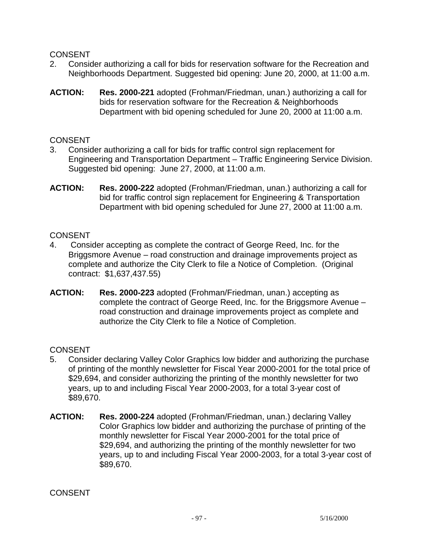- 2. Consider authorizing a call for bids for reservation software for the Recreation and Neighborhoods Department. Suggested bid opening: June 20, 2000, at 11:00 a.m.
- **ACTION: Res. 2000-221** adopted (Frohman/Friedman, unan.) authorizing a call for bids for reservation software for the Recreation & Neighborhoods Department with bid opening scheduled for June 20, 2000 at 11:00 a.m.

### **CONSENT**

- 3. Consider authorizing a call for bids for traffic control sign replacement for Engineering and Transportation Department – Traffic Engineering Service Division. Suggested bid opening: June 27, 2000, at 11:00 a.m.
- **ACTION: Res. 2000-222** adopted (Frohman/Friedman, unan.) authorizing a call for bid for traffic control sign replacement for Engineering & Transportation Department with bid opening scheduled for June 27, 2000 at 11:00 a.m.

### **CONSENT**

- 4. Consider accepting as complete the contract of George Reed, Inc. for the Briggsmore Avenue – road construction and drainage improvements project as complete and authorize the City Clerk to file a Notice of Completion. (Original contract: \$1,637,437.55)
- **ACTION: Res. 2000-223** adopted (Frohman/Friedman, unan.) accepting as complete the contract of George Reed, Inc. for the Briggsmore Avenue – road construction and drainage improvements project as complete and authorize the City Clerk to file a Notice of Completion.

### CONSENT

- 5. Consider declaring Valley Color Graphics low bidder and authorizing the purchase of printing of the monthly newsletter for Fiscal Year 2000-2001 for the total price of \$29,694, and consider authorizing the printing of the monthly newsletter for two years, up to and including Fiscal Year 2000-2003, for a total 3-year cost of \$89,670.
- **ACTION: Res. 2000-224** adopted (Frohman/Friedman, unan.) declaring Valley Color Graphics low bidder and authorizing the purchase of printing of the monthly newsletter for Fiscal Year 2000-2001 for the total price of \$29,694, and authorizing the printing of the monthly newsletter for two years, up to and including Fiscal Year 2000-2003, for a total 3-year cost of \$89,670.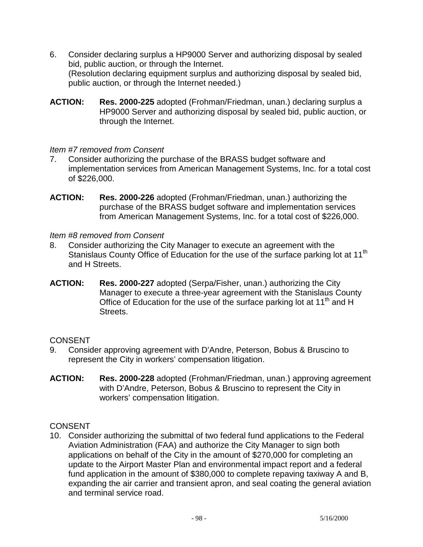- 6. Consider declaring surplus a HP9000 Server and authorizing disposal by sealed bid, public auction, or through the Internet. (Resolution declaring equipment surplus and authorizing disposal by sealed bid, public auction, or through the Internet needed.)
- **ACTION: Res. 2000-225** adopted (Frohman/Friedman, unan.) declaring surplus a HP9000 Server and authorizing disposal by sealed bid, public auction, or through the Internet.

### *Item #7 removed from Consent*

- 7. Consider authorizing the purchase of the BRASS budget software and implementation services from American Management Systems, Inc. for a total cost of \$226,000.
- **ACTION: Res. 2000-226** adopted (Frohman/Friedman, unan.) authorizing the purchase of the BRASS budget software and implementation services from American Management Systems, Inc. for a total cost of \$226,000.

*Item #8 removed from Consent* 

- 8. Consider authorizing the City Manager to execute an agreement with the Stanislaus County Office of Education for the use of the surface parking lot at 11<sup>th</sup> and H Streets.
- **ACTION: Res. 2000-227** adopted (Serpa/Fisher, unan.) authorizing the City Manager to execute a three-year agreement with the Stanislaus County Office of Education for the use of the surface parking lot at  $11<sup>th</sup>$  and H Streets.

### **CONSENT**

- 9. Consider approving agreement with D'Andre, Peterson, Bobus & Bruscino to represent the City in workers' compensation litigation.
- **ACTION: Res. 2000-228** adopted (Frohman/Friedman, unan.) approving agreement with D'Andre, Peterson, Bobus & Bruscino to represent the City in workers' compensation litigation.

### **CONSENT**

10. Consider authorizing the submittal of two federal fund applications to the Federal Aviation Administration (FAA) and authorize the City Manager to sign both applications on behalf of the City in the amount of \$270,000 for completing an update to the Airport Master Plan and environmental impact report and a federal fund application in the amount of \$380,000 to complete repaving taxiway A and B, expanding the air carrier and transient apron, and seal coating the general aviation and terminal service road.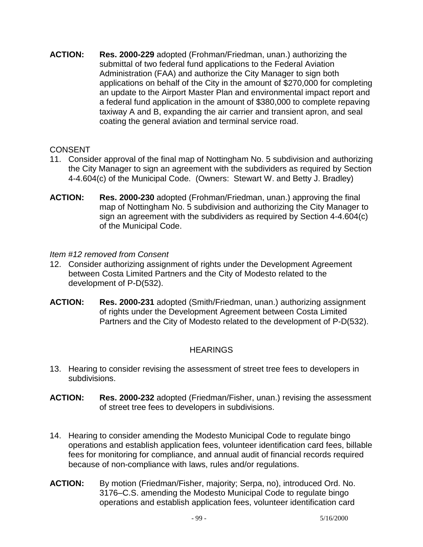**ACTION: Res. 2000-229** adopted (Frohman/Friedman, unan.) authorizing the submittal of two federal fund applications to the Federal Aviation Administration (FAA) and authorize the City Manager to sign both applications on behalf of the City in the amount of \$270,000 for completing an update to the Airport Master Plan and environmental impact report and a federal fund application in the amount of \$380,000 to complete repaving taxiway A and B, expanding the air carrier and transient apron, and seal coating the general aviation and terminal service road.

### **CONSENT**

- 11. Consider approval of the final map of Nottingham No. 5 subdivision and authorizing the City Manager to sign an agreement with the subdividers as required by Section 4-4.604(c) of the Municipal Code. (Owners: Stewart W. and Betty J. Bradley)
- **ACTION: Res. 2000-230** adopted (Frohman/Friedman, unan.) approving the final map of Nottingham No. 5 subdivision and authorizing the City Manager to sign an agreement with the subdividers as required by Section 4-4.604(c) of the Municipal Code.

### *Item #12 removed from Consent*

- 12. Consider authorizing assignment of rights under the Development Agreement between Costa Limited Partners and the City of Modesto related to the development of P-D(532).
- **ACTION: Res. 2000-231** adopted (Smith/Friedman, unan.) authorizing assignment of rights under the Development Agreement between Costa Limited Partners and the City of Modesto related to the development of P-D(532).

### **HEARINGS**

- 13. Hearing to consider revising the assessment of street tree fees to developers in subdivisions.
- **ACTION: Res. 2000-232** adopted (Friedman/Fisher, unan.) revising the assessment of street tree fees to developers in subdivisions.
- 14. Hearing to consider amending the Modesto Municipal Code to regulate bingo operations and establish application fees, volunteer identification card fees, billable fees for monitoring for compliance, and annual audit of financial records required because of non-compliance with laws, rules and/or regulations.
- **ACTION:** By motion (Friedman/Fisher, majority; Serpa, no), introduced Ord. No. 3176–C.S. amending the Modesto Municipal Code to regulate bingo operations and establish application fees, volunteer identification card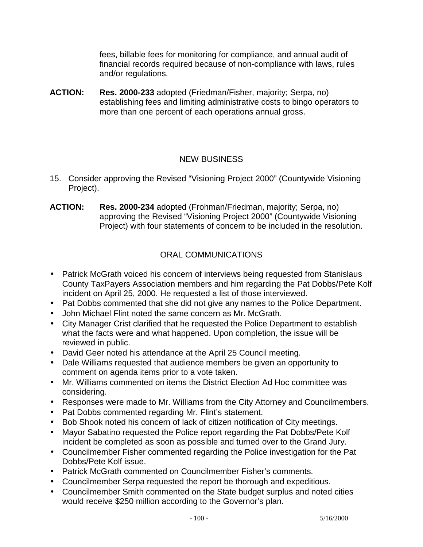fees, billable fees for monitoring for compliance, and annual audit of financial records required because of non-compliance with laws, rules and/or regulations.

**ACTION: Res. 2000-233** adopted (Friedman/Fisher, majority; Serpa, no) establishing fees and limiting administrative costs to bingo operators to more than one percent of each operations annual gross.

### NEW BUSINESS

- 15. Consider approving the Revised "Visioning Project 2000" (Countywide Visioning Project).
- **ACTION: Res. 2000-234** adopted (Frohman/Friedman, majority; Serpa, no) approving the Revised "Visioning Project 2000" (Countywide Visioning Project) with four statements of concern to be included in the resolution.

# ORAL COMMUNICATIONS

- Patrick McGrath voiced his concern of interviews being requested from Stanislaus County TaxPayers Association members and him regarding the Pat Dobbs/Pete Kolf incident on April 25, 2000. He requested a list of those interviewed.
- Pat Dobbs commented that she did not give any names to the Police Department.
- John Michael Flint noted the same concern as Mr. McGrath.
- City Manager Crist clarified that he requested the Police Department to establish what the facts were and what happened. Upon completion, the issue will be reviewed in public.
- David Geer noted his attendance at the April 25 Council meeting.
- Dale Williams requested that audience members be given an opportunity to comment on agenda items prior to a vote taken.
- Mr. Williams commented on items the District Election Ad Hoc committee was considering.
- Responses were made to Mr. Williams from the City Attorney and Councilmembers.
- Pat Dobbs commented regarding Mr. Flint's statement.
- Bob Shook noted his concern of lack of citizen notification of City meetings.
- Mayor Sabatino requested the Police report regarding the Pat Dobbs/Pete Kolf incident be completed as soon as possible and turned over to the Grand Jury.
- Councilmember Fisher commented regarding the Police investigation for the Pat Dobbs/Pete Kolf issue.
- Patrick McGrath commented on Councilmember Fisher's comments.
- Councilmember Serpa requested the report be thorough and expeditious.
- Councilmember Smith commented on the State budget surplus and noted cities would receive \$250 million according to the Governor's plan.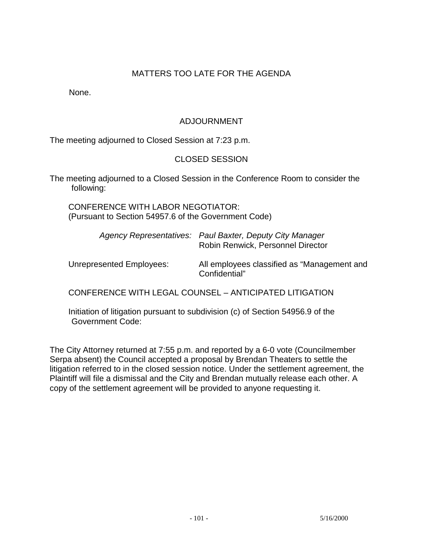### MATTERS TOO LATE FOR THE AGENDA

None.

### ADJOURNMENT

The meeting adjourned to Closed Session at 7:23 p.m.

### CLOSED SESSION

The meeting adjourned to a Closed Session in the Conference Room to consider the following:

 CONFERENCE WITH LABOR NEGOTIATOR: (Pursuant to Section 54957.6 of the Government Code)

| Agency Representatives: Paul Baxter, Deputy City Manager |
|----------------------------------------------------------|
| Robin Renwick, Personnel Director                        |

 Unrepresented Employees: All employees classified as "Management and Confidential"

CONFERENCE WITH LEGAL COUNSEL – ANTICIPATED LITIGATION

 Initiation of litigation pursuant to subdivision (c) of Section 54956.9 of the Government Code:

The City Attorney returned at 7:55 p.m. and reported by a 6-0 vote (Councilmember Serpa absent) the Council accepted a proposal by Brendan Theaters to settle the litigation referred to in the closed session notice. Under the settlement agreement, the Plaintiff will file a dismissal and the City and Brendan mutually release each other. A copy of the settlement agreement will be provided to anyone requesting it.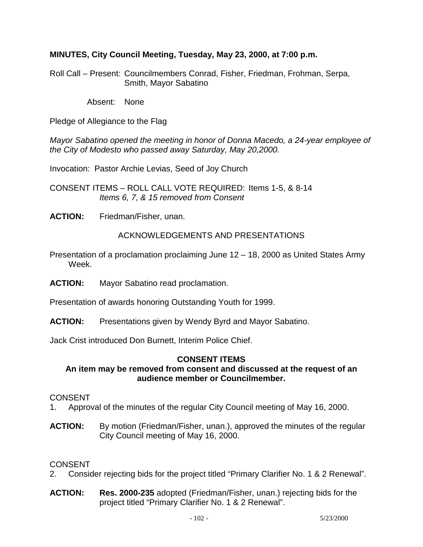### **MINUTES, City Council Meeting, Tuesday, May 23, 2000, at 7:00 p.m.**

Roll Call – Present: Councilmembers Conrad, Fisher, Friedman, Frohman, Serpa, Smith, Mayor Sabatino

Absent: None

Pledge of Allegiance to the Flag

*Mayor Sabatino opened the meeting in honor of Donna Macedo, a 24-year employee of the City of Modesto who passed away Saturday, May 20,2000.* 

Invocation: Pastor Archie Levias, Seed of Joy Church

CONSENT ITEMS – ROLL CALL VOTE REQUIRED: Items 1-5, & 8-14 *Items 6, 7, & 15 removed from Consent* 

**ACTION:** Friedman/Fisher, unan.

#### ACKNOWLEDGEMENTS AND PRESENTATIONS

- Presentation of a proclamation proclaiming June 12 18, 2000 as United States Army Week.
- **ACTION:** Mayor Sabatino read proclamation.

Presentation of awards honoring Outstanding Youth for 1999.

**ACTION:** Presentations given by Wendy Byrd and Mayor Sabatino.

Jack Crist introduced Don Burnett, Interim Police Chief.

#### **CONSENT ITEMS**

#### **An item may be removed from consent and discussed at the request of an audience member or Councilmember.**

#### CONSENT

- 1. Approval of the minutes of the regular City Council meeting of May 16, 2000.
- **ACTION:** By motion (Friedman/Fisher, unan.), approved the minutes of the regular City Council meeting of May 16, 2000.

- 2. Consider rejecting bids for the project titled "Primary Clarifier No. 1 & 2 Renewal".
- **ACTION: Res. 2000-235** adopted (Friedman/Fisher, unan.) rejecting bids for the project titled "Primary Clarifier No. 1 & 2 Renewal".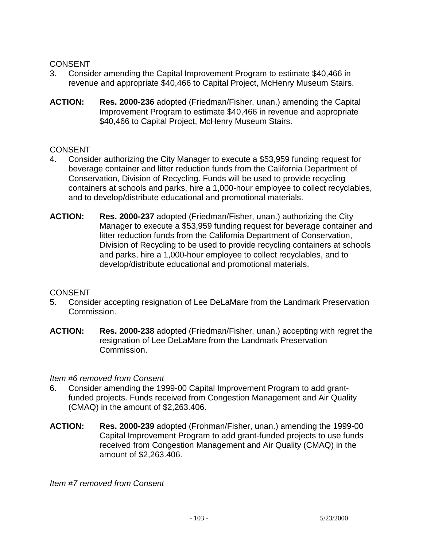- 3. Consider amending the Capital Improvement Program to estimate \$40,466 in revenue and appropriate \$40,466 to Capital Project, McHenry Museum Stairs.
- **ACTION: Res. 2000-236** adopted (Friedman/Fisher, unan.) amending the Capital Improvement Program to estimate \$40,466 in revenue and appropriate \$40,466 to Capital Project, McHenry Museum Stairs.

#### **CONSENT**

- 4. Consider authorizing the City Manager to execute a \$53,959 funding request for beverage container and litter reduction funds from the California Department of Conservation, Division of Recycling. Funds will be used to provide recycling containers at schools and parks, hire a 1,000-hour employee to collect recyclables, and to develop/distribute educational and promotional materials.
- **ACTION: Res. 2000-237** adopted (Friedman/Fisher, unan.) authorizing the City Manager to execute a \$53,959 funding request for beverage container and litter reduction funds from the California Department of Conservation, Division of Recycling to be used to provide recycling containers at schools and parks, hire a 1,000-hour employee to collect recyclables, and to develop/distribute educational and promotional materials.

#### **CONSENT**

- 5. Consider accepting resignation of Lee DeLaMare from the Landmark Preservation Commission.
- **ACTION: Res. 2000-238** adopted (Friedman/Fisher, unan.) accepting with regret the resignation of Lee DeLaMare from the Landmark Preservation Commission.

#### *Item #6 removed from Consent*

- 6. Consider amending the 1999-00 Capital Improvement Program to add grantfunded projects. Funds received from Congestion Management and Air Quality (CMAQ) in the amount of \$2,263.406.
- **ACTION: Res. 2000-239** adopted (Frohman/Fisher, unan.) amending the 1999-00 Capital Improvement Program to add grant-funded projects to use funds received from Congestion Management and Air Quality (CMAQ) in the amount of \$2,263.406.

*Item #7 removed from Consent*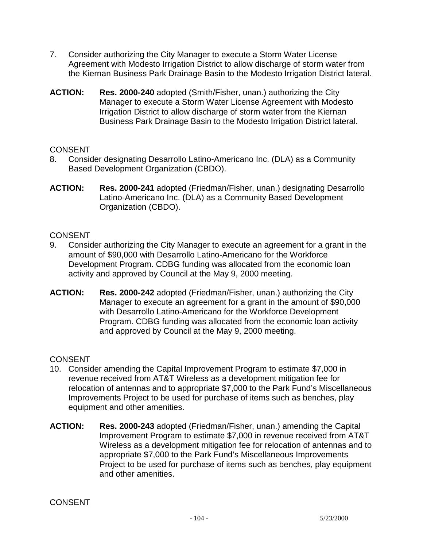- 7. Consider authorizing the City Manager to execute a Storm Water License Agreement with Modesto Irrigation District to allow discharge of storm water from the Kiernan Business Park Drainage Basin to the Modesto Irrigation District lateral.
- **ACTION: Res. 2000-240** adopted (Smith/Fisher, unan.) authorizing the City Manager to execute a Storm Water License Agreement with Modesto Irrigation District to allow discharge of storm water from the Kiernan Business Park Drainage Basin to the Modesto Irrigation District lateral.

- 8. Consider designating Desarrollo Latino-Americano Inc. (DLA) as a Community Based Development Organization (CBDO).
- **ACTION: Res. 2000-241** adopted (Friedman/Fisher, unan.) designating Desarrollo Latino-Americano Inc. (DLA) as a Community Based Development Organization (CBDO).

### **CONSENT**

- 9. Consider authorizing the City Manager to execute an agreement for a grant in the amount of \$90,000 with Desarrollo Latino-Americano for the Workforce Development Program. CDBG funding was allocated from the economic loan activity and approved by Council at the May 9, 2000 meeting.
- **ACTION: Res. 2000-242** adopted (Friedman/Fisher, unan.) authorizing the City Manager to execute an agreement for a grant in the amount of \$90,000 with Desarrollo Latino-Americano for the Workforce Development Program. CDBG funding was allocated from the economic loan activity and approved by Council at the May 9, 2000 meeting.

- 10. Consider amending the Capital Improvement Program to estimate \$7,000 in revenue received from AT&T Wireless as a development mitigation fee for relocation of antennas and to appropriate \$7,000 to the Park Fund's Miscellaneous Improvements Project to be used for purchase of items such as benches, play equipment and other amenities.
- **ACTION: Res. 2000-243** adopted (Friedman/Fisher, unan.) amending the Capital Improvement Program to estimate \$7,000 in revenue received from AT&T Wireless as a development mitigation fee for relocation of antennas and to appropriate \$7,000 to the Park Fund's Miscellaneous Improvements Project to be used for purchase of items such as benches, play equipment and other amenities.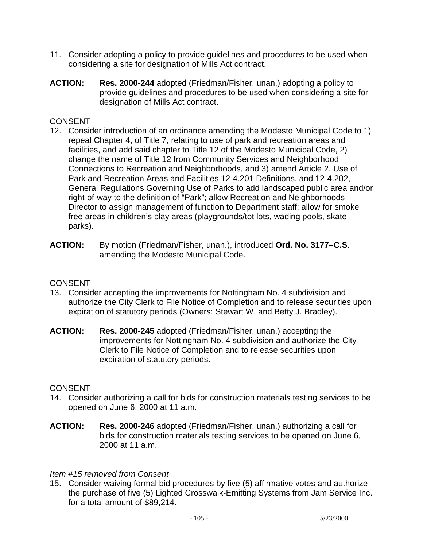- 11. Consider adopting a policy to provide guidelines and procedures to be used when considering a site for designation of Mills Act contract.
- **ACTION: Res. 2000-244** adopted (Friedman/Fisher, unan.) adopting a policy to provide guidelines and procedures to be used when considering a site for designation of Mills Act contract.

- 12. Consider introduction of an ordinance amending the Modesto Municipal Code to 1) repeal Chapter 4, of Title 7, relating to use of park and recreation areas and facilities, and add said chapter to Title 12 of the Modesto Municipal Code, 2) change the name of Title 12 from Community Services and Neighborhood Connections to Recreation and Neighborhoods, and 3) amend Article 2, Use of Park and Recreation Areas and Facilities 12-4.201 Definitions, and 12-4.202, General Regulations Governing Use of Parks to add landscaped public area and/or right-of-way to the definition of "Park"; allow Recreation and Neighborhoods Director to assign management of function to Department staff; allow for smoke free areas in children's play areas (playgrounds/tot lots, wading pools, skate parks).
- **ACTION:** By motion (Friedman/Fisher, unan.), introduced **Ord. No. 3177–C.S**. amending the Modesto Municipal Code.

### **CONSENT**

- 13. Consider accepting the improvements for Nottingham No. 4 subdivision and authorize the City Clerk to File Notice of Completion and to release securities upon expiration of statutory periods (Owners: Stewart W. and Betty J. Bradley).
- **ACTION: Res. 2000-245** adopted (Friedman/Fisher, unan.) accepting the improvements for Nottingham No. 4 subdivision and authorize the City Clerk to File Notice of Completion and to release securities upon expiration of statutory periods.

### **CONSENT**

- 14. Consider authorizing a call for bids for construction materials testing services to be opened on June 6, 2000 at 11 a.m.
- **ACTION: Res. 2000-246** adopted (Friedman/Fisher, unan.) authorizing a call for bids for construction materials testing services to be opened on June 6, 2000 at 11 a.m.

### *Item #15 removed from Consent*

15. Consider waiving formal bid procedures by five (5) affirmative votes and authorize the purchase of five (5) Lighted Crosswalk-Emitting Systems from Jam Service Inc. for a total amount of \$89,214.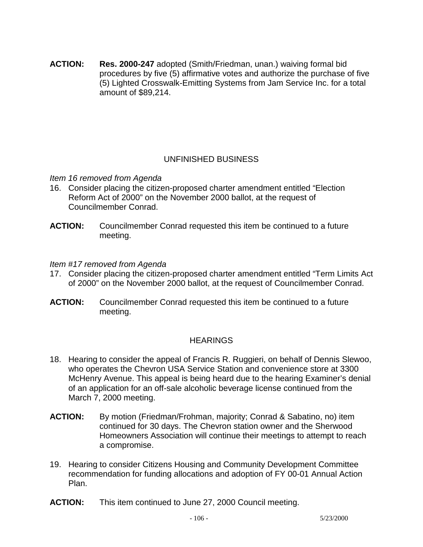**ACTION: Res. 2000-247** adopted (Smith/Friedman, unan.) waiving formal bid procedures by five (5) affirmative votes and authorize the purchase of five (5) Lighted Crosswalk-Emitting Systems from Jam Service Inc. for a total amount of \$89,214.

### UNFINISHED BUSINESS

*Item 16 removed from Agenda* 

- 16. Consider placing the citizen-proposed charter amendment entitled "Election Reform Act of 2000" on the November 2000 ballot, at the request of Councilmember Conrad.
- **ACTION:** Councilmember Conrad requested this item be continued to a future meeting.

### *Item #17 removed from Agenda*

- 17. Consider placing the citizen-proposed charter amendment entitled "Term Limits Act of 2000" on the November 2000 ballot, at the request of Councilmember Conrad.
- **ACTION:** Councilmember Conrad requested this item be continued to a future meeting.

### **HEARINGS**

- 18. Hearing to consider the appeal of Francis R. Ruggieri, on behalf of Dennis Slewoo, who operates the Chevron USA Service Station and convenience store at 3300 McHenry Avenue. This appeal is being heard due to the hearing Examiner's denial of an application for an off-sale alcoholic beverage license continued from the March 7, 2000 meeting.
- **ACTION:** By motion (Friedman/Frohman, majority; Conrad & Sabatino, no) item continued for 30 days. The Chevron station owner and the Sherwood Homeowners Association will continue their meetings to attempt to reach a compromise.
- 19. Hearing to consider Citizens Housing and Community Development Committee recommendation for funding allocations and adoption of FY 00-01 Annual Action Plan.
- **ACTION:** This item continued to June 27, 2000 Council meeting.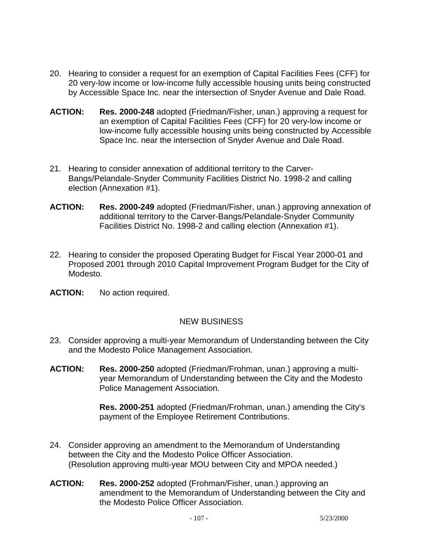- 20. Hearing to consider a request for an exemption of Capital Facilities Fees (CFF) for 20 very-low income or low-income fully accessible housing units being constructed by Accessible Space Inc. near the intersection of Snyder Avenue and Dale Road.
- **ACTION: Res. 2000-248** adopted (Friedman/Fisher, unan.) approving a request for an exemption of Capital Facilities Fees (CFF) for 20 very-low income or low-income fully accessible housing units being constructed by Accessible Space Inc. near the intersection of Snyder Avenue and Dale Road.
- 21. Hearing to consider annexation of additional territory to the Carver-Bangs/Pelandale-Snyder Community Facilities District No. 1998-2 and calling election (Annexation #1).
- **ACTION: Res. 2000-249** adopted (Friedman/Fisher, unan.) approving annexation of additional territory to the Carver-Bangs/Pelandale-Snyder Community Facilities District No. 1998-2 and calling election (Annexation #1).
- 22. Hearing to consider the proposed Operating Budget for Fiscal Year 2000-01 and Proposed 2001 through 2010 Capital Improvement Program Budget for the City of Modesto.
- **ACTION:** No action required.

### NEW BUSINESS

- 23. Consider approving a multi-year Memorandum of Understanding between the City and the Modesto Police Management Association.
- **ACTION: Res. 2000-250** adopted (Friedman/Frohman, unan.) approving a multiyear Memorandum of Understanding between the City and the Modesto Police Management Association.

**Res. 2000-251** adopted (Friedman/Frohman, unan.) amending the City's payment of the Employee Retirement Contributions.

- 24. Consider approving an amendment to the Memorandum of Understanding between the City and the Modesto Police Officer Association. (Resolution approving multi-year MOU between City and MPOA needed.)
- **ACTION: Res. 2000-252** adopted (Frohman/Fisher, unan.) approving an amendment to the Memorandum of Understanding between the City and the Modesto Police Officer Association.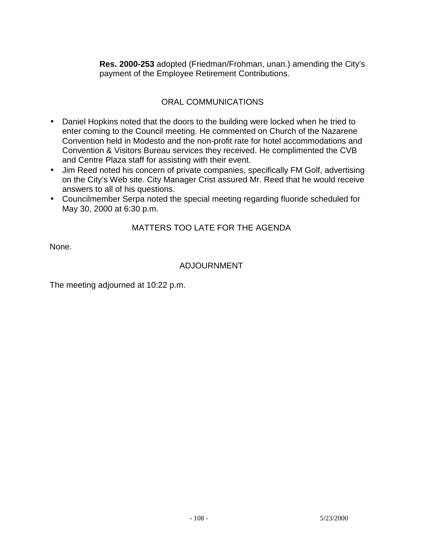**Res. 2000-253** adopted (Friedman/Frohman, unan.) amending the City's payment of the Employee Retirement Contributions.

## ORAL COMMUNICATIONS

- Daniel Hopkins noted that the doors to the building were locked when he tried to enter coming to the Council meeting. He commented on Church of the Nazarene Convention held in Modesto and the non-profit rate for hotel accommodations and Convention & Visitors Bureau services they received. He complimented the CVB and Centre Plaza staff for assisting with their event.
- Jim Reed noted his concern of private companies, specifically FM Golf, advertising on the City's Web site. City Manager Crist assured Mr. Reed that he would receive answers to all of his questions.
- Councilmember Serpa noted the special meeting regarding fluoride scheduled for May 30, 2000 at 6:30 p.m.

# MATTERS TOO LATE FOR THE AGENDA

None.

### ADJOURNMENT

The meeting adjourned at 10:22 p.m.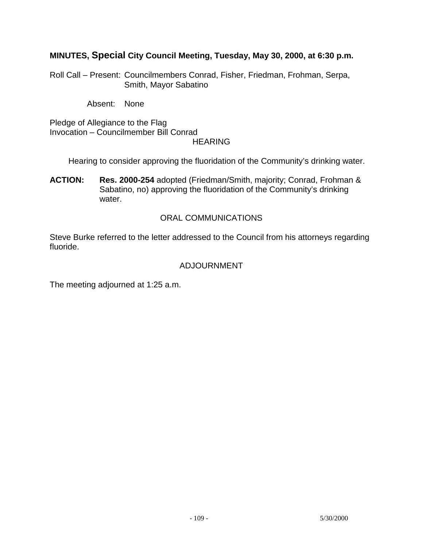# **MINUTES, Special City Council Meeting, Tuesday, May 30, 2000, at 6:30 p.m.**

Roll Call – Present: Councilmembers Conrad, Fisher, Friedman, Frohman, Serpa, Smith, Mayor Sabatino

Absent: None

Pledge of Allegiance to the Flag Invocation – Councilmember Bill Conrad **HEARING** 

Hearing to consider approving the fluoridation of the Community's drinking water.

**ACTION: Res. 2000-254** adopted (Friedman/Smith, majority; Conrad, Frohman & Sabatino, no) approving the fluoridation of the Community's drinking water.

## ORAL COMMUNICATIONS

Steve Burke referred to the letter addressed to the Council from his attorneys regarding fluoride.

# ADJOURNMENT

The meeting adjourned at 1:25 a.m.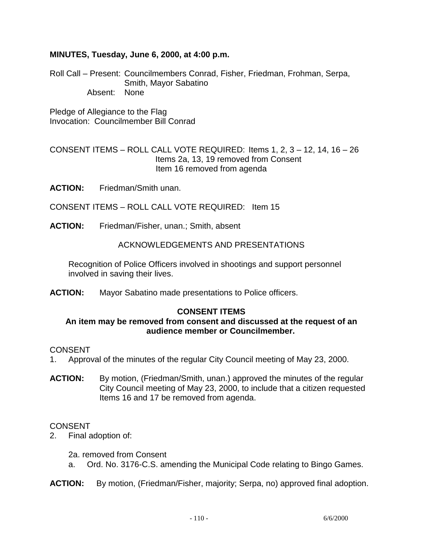## **MINUTES, Tuesday, June 6, 2000, at 4:00 p.m.**

Roll Call – Present: Councilmembers Conrad, Fisher, Friedman, Frohman, Serpa, Smith, Mayor Sabatino Absent: None

Pledge of Allegiance to the Flag Invocation: Councilmember Bill Conrad

CONSENT ITEMS – ROLL CALL VOTE REQUIRED: Items 1, 2, 3 – 12, 14, 16 – 26 Items 2a, 13, 19 removed from Consent Item 16 removed from agenda

**ACTION:** Friedman/Smith unan.

CONSENT ITEMS – ROLL CALL VOTE REQUIRED: Item 15

**ACTION:** Friedman/Fisher, unan.; Smith, absent

ACKNOWLEDGEMENTS AND PRESENTATIONS

 Recognition of Police Officers involved in shootings and support personnel involved in saving their lives.

**ACTION:** Mayor Sabatino made presentations to Police officers.

## **CONSENT ITEMS**

## **An item may be removed from consent and discussed at the request of an audience member or Councilmember.**

#### CONSENT

- 1. Approval of the minutes of the regular City Council meeting of May 23, 2000.
- **ACTION:** By motion, (Friedman/Smith, unan.) approved the minutes of the regular City Council meeting of May 23, 2000, to include that a citizen requested Items 16 and 17 be removed from agenda.

#### CONSENT

2. Final adoption of:

2a. removed from Consent

a. Ord. No. 3176-C.S. amending the Municipal Code relating to Bingo Games.

**ACTION:** By motion, (Friedman/Fisher, majority; Serpa, no) approved final adoption.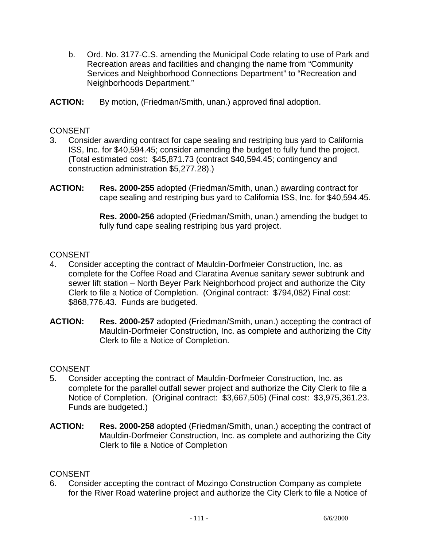- b. Ord. No. 3177-C.S. amending the Municipal Code relating to use of Park and Recreation areas and facilities and changing the name from "Community Services and Neighborhood Connections Department" to "Recreation and Neighborhoods Department."
- **ACTION:** By motion, (Friedman/Smith, unan.) approved final adoption.

## **CONSENT**

- 3. Consider awarding contract for cape sealing and restriping bus yard to California ISS, Inc. for \$40,594.45; consider amending the budget to fully fund the project. (Total estimated cost: \$45,871.73 (contract \$40,594.45; contingency and construction administration \$5,277.28).)
- **ACTION: Res. 2000-255** adopted (Friedman/Smith, unan.) awarding contract for cape sealing and restriping bus yard to California ISS, Inc. for \$40,594.45.

 **Res. 2000-256** adopted (Friedman/Smith, unan.) amending the budget to fully fund cape sealing restriping bus yard project.

## **CONSENT**

- 4. Consider accepting the contract of Mauldin-Dorfmeier Construction, Inc. as complete for the Coffee Road and Claratina Avenue sanitary sewer subtrunk and sewer lift station – North Beyer Park Neighborhood project and authorize the City Clerk to file a Notice of Completion. (Original contract: \$794,082) Final cost: \$868,776.43. Funds are budgeted.
- **ACTION: Res. 2000-257** adopted (Friedman/Smith, unan.) accepting the contract of Mauldin-Dorfmeier Construction, Inc. as complete and authorizing the City Clerk to file a Notice of Completion.

## **CONSENT**

- 5. Consider accepting the contract of Mauldin-Dorfmeier Construction, Inc. as complete for the parallel outfall sewer project and authorize the City Clerk to file a Notice of Completion. (Original contract: \$3,667,505) (Final cost: \$3,975,361.23. Funds are budgeted.)
- **ACTION: Res. 2000-258** adopted (Friedman/Smith, unan.) accepting the contract of Mauldin-Dorfmeier Construction, Inc. as complete and authorizing the City Clerk to file a Notice of Completion

## **CONSENT**

6. Consider accepting the contract of Mozingo Construction Company as complete for the River Road waterline project and authorize the City Clerk to file a Notice of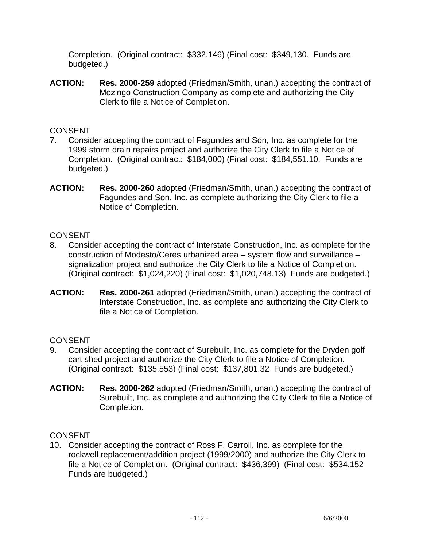Completion. (Original contract: \$332,146) (Final cost: \$349,130. Funds are budgeted.)

**ACTION: Res. 2000-259** adopted (Friedman/Smith, unan.) accepting the contract of Mozingo Construction Company as complete and authorizing the City Clerk to file a Notice of Completion.

# **CONSENT**

- 7. Consider accepting the contract of Fagundes and Son, Inc. as complete for the 1999 storm drain repairs project and authorize the City Clerk to file a Notice of Completion. (Original contract: \$184,000) (Final cost: \$184,551.10. Funds are budgeted.)
- **ACTION: Res. 2000-260** adopted (Friedman/Smith, unan.) accepting the contract of Fagundes and Son, Inc. as complete authorizing the City Clerk to file a Notice of Completion.

# **CONSENT**

- 8. Consider accepting the contract of Interstate Construction, Inc. as complete for the construction of Modesto/Ceres urbanized area – system flow and surveillance – signalization project and authorize the City Clerk to file a Notice of Completion. (Original contract: \$1,024,220) (Final cost: \$1,020,748.13) Funds are budgeted.)
- **ACTION: Res. 2000-261** adopted (Friedman/Smith, unan.) accepting the contract of Interstate Construction, Inc. as complete and authorizing the City Clerk to file a Notice of Completion.

# **CONSENT**

- 9. Consider accepting the contract of Surebuilt, Inc. as complete for the Dryden golf cart shed project and authorize the City Clerk to file a Notice of Completion. (Original contract: \$135,553) (Final cost: \$137,801.32 Funds are budgeted.)
- **ACTION: Res. 2000-262** adopted (Friedman/Smith, unan.) accepting the contract of Surebuilt, Inc. as complete and authorizing the City Clerk to file a Notice of Completion.

# **CONSENT**

10. Consider accepting the contract of Ross F. Carroll, Inc. as complete for the rockwell replacement/addition project (1999/2000) and authorize the City Clerk to file a Notice of Completion. (Original contract: \$436,399) (Final cost: \$534,152 Funds are budgeted.)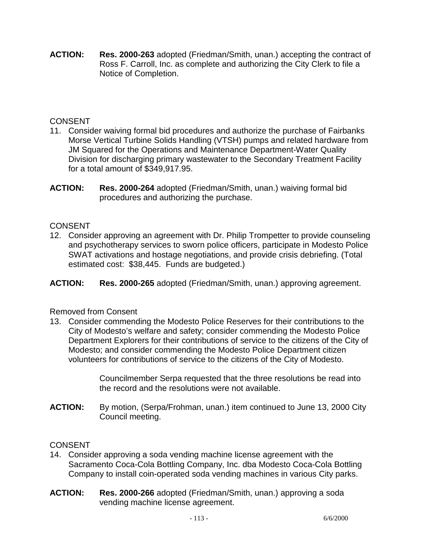**ACTION: Res. 2000-263** adopted (Friedman/Smith, unan.) accepting the contract of Ross F. Carroll, Inc. as complete and authorizing the City Clerk to file a Notice of Completion.

# **CONSENT**

- 11. Consider waiving formal bid procedures and authorize the purchase of Fairbanks Morse Vertical Turbine Solids Handling (VTSH) pumps and related hardware from JM Squared for the Operations and Maintenance Department-Water Quality Division for discharging primary wastewater to the Secondary Treatment Facility for a total amount of \$349,917.95.
- **ACTION: Res. 2000-264** adopted (Friedman/Smith, unan.) waiving formal bid procedures and authorizing the purchase.

# **CONSENT**

12. Consider approving an agreement with Dr. Philip Trompetter to provide counseling and psychotherapy services to sworn police officers, participate in Modesto Police SWAT activations and hostage negotiations, and provide crisis debriefing. (Total estimated cost: \$38,445. Funds are budgeted.)

**ACTION: Res. 2000-265** adopted (Friedman/Smith, unan.) approving agreement.

# Removed from Consent

13. Consider commending the Modesto Police Reserves for their contributions to the City of Modesto's welfare and safety; consider commending the Modesto Police Department Explorers for their contributions of service to the citizens of the City of Modesto; and consider commending the Modesto Police Department citizen volunteers for contributions of service to the citizens of the City of Modesto.

> Councilmember Serpa requested that the three resolutions be read into the record and the resolutions were not available.

**ACTION:** By motion, (Serpa/Frohman, unan.) item continued to June 13, 2000 City Council meeting.

# **CONSENT**

- 14. Consider approving a soda vending machine license agreement with the Sacramento Coca-Cola Bottling Company, Inc. dba Modesto Coca-Cola Bottling Company to install coin-operated soda vending machines in various City parks.
- **ACTION: Res. 2000-266** adopted (Friedman/Smith, unan.) approving a soda vending machine license agreement.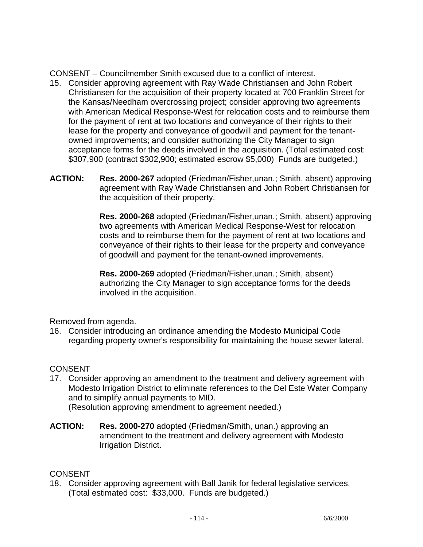CONSENT – Councilmember Smith excused due to a conflict of interest.

- 15. Consider approving agreement with Ray Wade Christiansen and John Robert Christiansen for the acquisition of their property located at 700 Franklin Street for the Kansas/Needham overcrossing project; consider approving two agreements with American Medical Response-West for relocation costs and to reimburse them for the payment of rent at two locations and conveyance of their rights to their lease for the property and conveyance of goodwill and payment for the tenantowned improvements; and consider authorizing the City Manager to sign acceptance forms for the deeds involved in the acquisition. (Total estimated cost: \$307,900 (contract \$302,900; estimated escrow \$5,000) Funds are budgeted.)
- **ACTION: Res. 2000-267** adopted (Friedman/Fisher,unan.; Smith, absent) approving agreement with Ray Wade Christiansen and John Robert Christiansen for the acquisition of their property.

 **Res. 2000-268** adopted (Friedman/Fisher,unan.; Smith, absent) approving two agreements with American Medical Response-West for relocation costs and to reimburse them for the payment of rent at two locations and conveyance of their rights to their lease for the property and conveyance of goodwill and payment for the tenant-owned improvements.

 **Res. 2000-269** adopted (Friedman/Fisher,unan.; Smith, absent) authorizing the City Manager to sign acceptance forms for the deeds involved in the acquisition.

Removed from agenda.

16. Consider introducing an ordinance amending the Modesto Municipal Code regarding property owner's responsibility for maintaining the house sewer lateral.

# **CONSENT**

17. Consider approving an amendment to the treatment and delivery agreement with Modesto Irrigation District to eliminate references to the Del Este Water Company and to simplify annual payments to MID.

(Resolution approving amendment to agreement needed.)

**ACTION: Res. 2000-270** adopted (Friedman/Smith, unan.) approving an amendment to the treatment and delivery agreement with Modesto Irrigation District.

## **CONSENT**

18. Consider approving agreement with Ball Janik for federal legislative services. (Total estimated cost: \$33,000. Funds are budgeted.)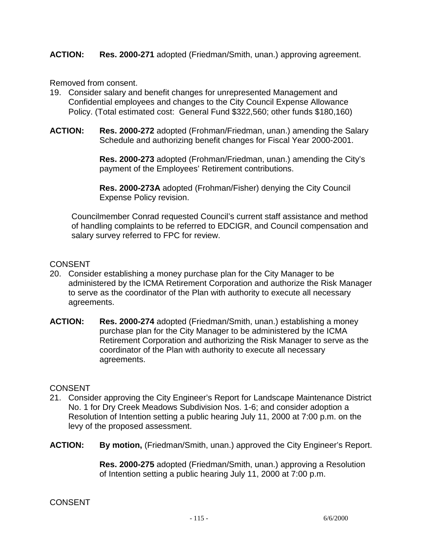## **ACTION: Res. 2000-271** adopted (Friedman/Smith, unan.) approving agreement.

Removed from consent.

- 19. Consider salary and benefit changes for unrepresented Management and Confidential employees and changes to the City Council Expense Allowance Policy. (Total estimated cost: General Fund \$322,560; other funds \$180,160)
- **ACTION: Res. 2000-272** adopted (Frohman/Friedman, unan.) amending the Salary Schedule and authorizing benefit changes for Fiscal Year 2000-2001.

 **Res. 2000-273** adopted (Frohman/Friedman, unan.) amending the City's payment of the Employees' Retirement contributions.

 **Res. 2000-273A** adopted (Frohman/Fisher) denying the City Council Expense Policy revision.

 Councilmember Conrad requested Council's current staff assistance and method of handling complaints to be referred to EDCIGR, and Council compensation and salary survey referred to FPC for review.

## **CONSENT**

- 20. Consider establishing a money purchase plan for the City Manager to be administered by the ICMA Retirement Corporation and authorize the Risk Manager to serve as the coordinator of the Plan with authority to execute all necessary agreements.
- **ACTION: Res. 2000-274** adopted (Friedman/Smith, unan.) establishing a money purchase plan for the City Manager to be administered by the ICMA Retirement Corporation and authorizing the Risk Manager to serve as the coordinator of the Plan with authority to execute all necessary agreements.

#### **CONSENT**

- 21. Consider approving the City Engineer's Report for Landscape Maintenance District No. 1 for Dry Creek Meadows Subdivision Nos. 1-6; and consider adoption a Resolution of Intention setting a public hearing July 11, 2000 at 7:00 p.m. on the levy of the proposed assessment.
- **ACTION: By motion,** (Friedman/Smith, unan.) approved the City Engineer's Report.

 **Res. 2000-275** adopted (Friedman/Smith, unan.) approving a Resolution of Intention setting a public hearing July 11, 2000 at 7:00 p.m.

#### CONSENT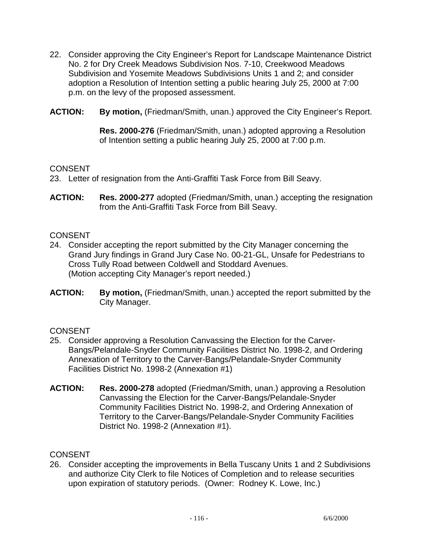- 22. Consider approving the City Engineer's Report for Landscape Maintenance District No. 2 for Dry Creek Meadows Subdivision Nos. 7-10, Creekwood Meadows Subdivision and Yosemite Meadows Subdivisions Units 1 and 2; and consider adoption a Resolution of Intention setting a public hearing July 25, 2000 at 7:00 p.m. on the levy of the proposed assessment.
- **ACTION: By motion,** (Friedman/Smith, unan.) approved the City Engineer's Report.

 **Res. 2000-276** (Friedman/Smith, unan.) adopted approving a Resolution of Intention setting a public hearing July 25, 2000 at 7:00 p.m.

## **CONSENT**

- 23. Letter of resignation from the Anti-Graffiti Task Force from Bill Seavy.
- **ACTION: Res. 2000-277** adopted (Friedman/Smith, unan.) accepting the resignation from the Anti-Graffiti Task Force from Bill Seavy.

## **CONSENT**

- 24. Consider accepting the report submitted by the City Manager concerning the Grand Jury findings in Grand Jury Case No. 00-21-GL, Unsafe for Pedestrians to Cross Tully Road between Coldwell and Stoddard Avenues. (Motion accepting City Manager's report needed.)
- **ACTION: By motion,** (Friedman/Smith, unan.) accepted the report submitted by the City Manager.

## **CONSENT**

- 25. Consider approving a Resolution Canvassing the Election for the Carver-Bangs/Pelandale-Snyder Community Facilities District No. 1998-2, and Ordering Annexation of Territory to the Carver-Bangs/Pelandale-Snyder Community Facilities District No. 1998-2 (Annexation #1)
- **ACTION: Res. 2000-278** adopted (Friedman/Smith, unan.) approving a Resolution Canvassing the Election for the Carver-Bangs/Pelandale-Snyder Community Facilities District No. 1998-2, and Ordering Annexation of Territory to the Carver-Bangs/Pelandale-Snyder Community Facilities District No. 1998-2 (Annexation #1).

# **CONSENT**

26. Consider accepting the improvements in Bella Tuscany Units 1 and 2 Subdivisions and authorize City Clerk to file Notices of Completion and to release securities upon expiration of statutory periods. (Owner: Rodney K. Lowe, Inc.)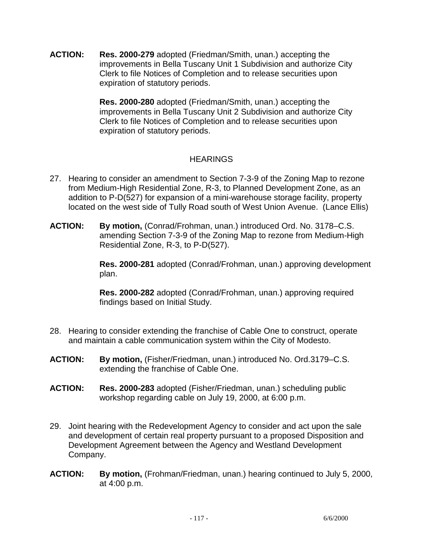**ACTION: Res. 2000-279** adopted (Friedman/Smith, unan.) accepting the improvements in Bella Tuscany Unit 1 Subdivision and authorize City Clerk to file Notices of Completion and to release securities upon expiration of statutory periods.

> **Res. 2000-280** adopted (Friedman/Smith, unan.) accepting the improvements in Bella Tuscany Unit 2 Subdivision and authorize City Clerk to file Notices of Completion and to release securities upon expiration of statutory periods.

# **HEARINGS**

- 27. Hearing to consider an amendment to Section 7-3-9 of the Zoning Map to rezone from Medium-High Residential Zone, R-3, to Planned Development Zone, as an addition to P-D(527) for expansion of a mini-warehouse storage facility, property located on the west side of Tully Road south of West Union Avenue. (Lance Ellis)
- **ACTION: By motion,** (Conrad/Frohman, unan.) introduced Ord. No. 3178–C.S. amending Section 7-3-9 of the Zoning Map to rezone from Medium-High Residential Zone, R-3, to P-D(527).

 **Res. 2000-281** adopted (Conrad/Frohman, unan.) approving development plan.

 **Res. 2000-282** adopted (Conrad/Frohman, unan.) approving required findings based on Initial Study.

- 28. Hearing to consider extending the franchise of Cable One to construct, operate and maintain a cable communication system within the City of Modesto.
- **ACTION: By motion,** (Fisher/Friedman, unan.) introduced No. Ord.3179–C.S. extending the franchise of Cable One.
- **ACTION: Res. 2000-283** adopted (Fisher/Friedman, unan.) scheduling public workshop regarding cable on July 19, 2000, at 6:00 p.m.
- 29. Joint hearing with the Redevelopment Agency to consider and act upon the sale and development of certain real property pursuant to a proposed Disposition and Development Agreement between the Agency and Westland Development Company.
- **ACTION: By motion,** (Frohman/Friedman, unan.) hearing continued to July 5, 2000, at 4:00 p.m.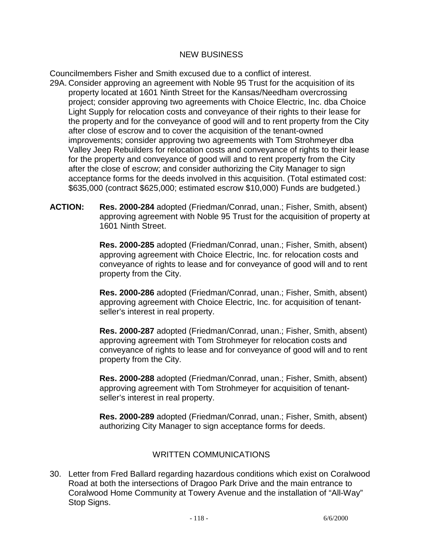## NEW BUSINESS

Councilmembers Fisher and Smith excused due to a conflict of interest.

- 29A. Consider approving an agreement with Noble 95 Trust for the acquisition of its property located at 1601 Ninth Street for the Kansas/Needham overcrossing project; consider approving two agreements with Choice Electric, Inc. dba Choice Light Supply for relocation costs and conveyance of their rights to their lease for the property and for the conveyance of good will and to rent property from the City after close of escrow and to cover the acquisition of the tenant-owned improvements; consider approving two agreements with Tom Strohmeyer dba Valley Jeep Rebuilders for relocation costs and conveyance of rights to their lease for the property and conveyance of good will and to rent property from the City after the close of escrow; and consider authorizing the City Manager to sign acceptance forms for the deeds involved in this acquisition. (Total estimated cost: \$635,000 (contract \$625,000; estimated escrow \$10,000) Funds are budgeted.)
- **ACTION: Res. 2000-284** adopted (Friedman/Conrad, unan.; Fisher, Smith, absent) approving agreement with Noble 95 Trust for the acquisition of property at 1601 Ninth Street.

 **Res. 2000-285** adopted (Friedman/Conrad, unan.; Fisher, Smith, absent) approving agreement with Choice Electric, Inc. for relocation costs and conveyance of rights to lease and for conveyance of good will and to rent property from the City.

**Res. 2000-286** adopted (Friedman/Conrad, unan.; Fisher, Smith, absent) approving agreement with Choice Electric, Inc. for acquisition of tenantseller's interest in real property.

**Res. 2000-287** adopted (Friedman/Conrad, unan.; Fisher, Smith, absent) approving agreement with Tom Strohmeyer for relocation costs and conveyance of rights to lease and for conveyance of good will and to rent property from the City.

 **Res. 2000-288** adopted (Friedman/Conrad, unan.; Fisher, Smith, absent) approving agreement with Tom Strohmeyer for acquisition of tenantseller's interest in real property.

**Res. 2000-289** adopted (Friedman/Conrad, unan.; Fisher, Smith, absent) authorizing City Manager to sign acceptance forms for deeds.

# WRITTEN COMMUNICATIONS

30. Letter from Fred Ballard regarding hazardous conditions which exist on Coralwood Road at both the intersections of Dragoo Park Drive and the main entrance to Coralwood Home Community at Towery Avenue and the installation of "All-Way" Stop Signs.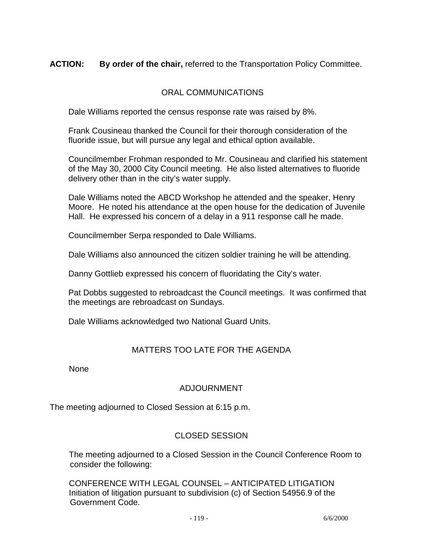# **ACTION: By order of the chair,** referred to the Transportation Policy Committee.

## ORAL COMMUNICATIONS

Dale Williams reported the census response rate was raised by 8%.

 Frank Cousineau thanked the Council for their thorough consideration of the fluoride issue, but will pursue any legal and ethical option available.

 Councilmember Frohman responded to Mr. Cousineau and clarified his statement of the May 30, 2000 City Council meeting. He also listed alternatives to fluoride delivery other than in the city's water supply.

 Dale Williams noted the ABCD Workshop he attended and the speaker, Henry Moore. He noted his attendance at the open house for the dedication of Juvenile Hall. He expressed his concern of a delay in a 911 response call he made.

Councilmember Serpa responded to Dale Williams.

Dale Williams also announced the citizen soldier training he will be attending.

Danny Gottlieb expressed his concern of fluoridating the City's water.

 Pat Dobbs suggested to rebroadcast the Council meetings. It was confirmed that the meetings are rebroadcast on Sundays.

Dale Williams acknowledged two National Guard Units.

# MATTERS TOO LATE FOR THE AGENDA

None

## ADJOURNMENT

The meeting adjourned to Closed Session at 6:15 p.m.

## CLOSED SESSION

 The meeting adjourned to a Closed Session in the Council Conference Room to consider the following:

 CONFERENCE WITH LEGAL COUNSEL – ANTICIPATED LITIGATION Initiation of litigation pursuant to subdivision (c) of Section 54956.9 of the Government Code.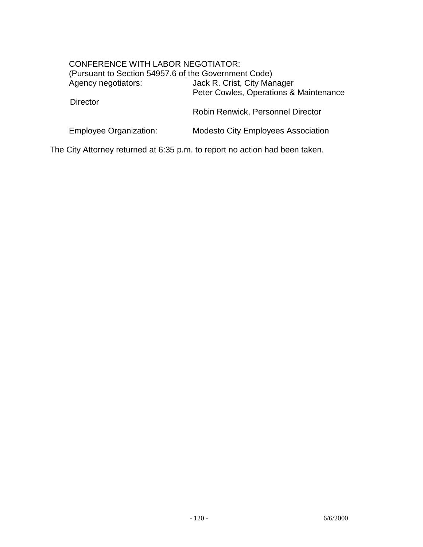# CONFERENCE WITH LABOR NEGOTIATOR: (Pursuant to Section 54957.6 of the Government Code) Agency negotiators: Jack R. Crist, City Manager Peter Cowles, Operations & Maintenance **Director**  Robin Renwick, Personnel Director Employee Organization: Modesto City Employees Association

The City Attorney returned at 6:35 p.m. to report no action had been taken.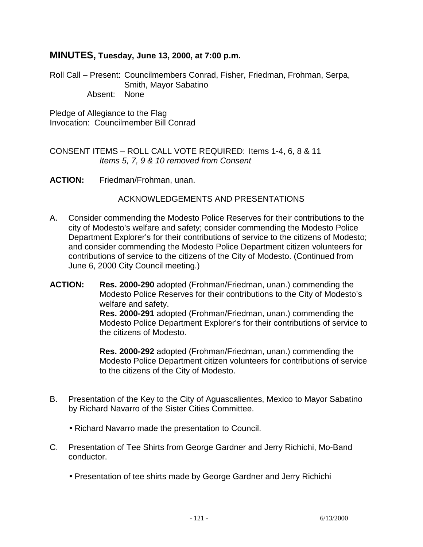# **MINUTES, Tuesday, June 13, 2000, at 7:00 p.m.**

Roll Call – Present: Councilmembers Conrad, Fisher, Friedman, Frohman, Serpa, Smith, Mayor Sabatino Absent: None

Pledge of Allegiance to the Flag Invocation: Councilmember Bill Conrad

CONSENT ITEMS – ROLL CALL VOTE REQUIRED: Items 1-4, 6, 8 & 11 *Items 5, 7, 9 & 10 removed from Consent* 

**ACTION:** Friedman/Frohman, unan.

## ACKNOWLEDGEMENTS AND PRESENTATIONS

- A. Consider commending the Modesto Police Reserves for their contributions to the city of Modesto's welfare and safety; consider commending the Modesto Police Department Explorer's for their contributions of service to the citizens of Modesto; and consider commending the Modesto Police Department citizen volunteers for contributions of service to the citizens of the City of Modesto. (Continued from June 6, 2000 City Council meeting.)
- **ACTION: Res. 2000-290** adopted (Frohman/Friedman, unan.) commending the Modesto Police Reserves for their contributions to the City of Modesto's welfare and safety.  **Res. 2000-291** adopted (Frohman/Friedman, unan.) commending the Modesto Police Department Explorer's for their contributions of service to the citizens of Modesto.

 **Res. 2000-292** adopted (Frohman/Friedman, unan.) commending the Modesto Police Department citizen volunteers for contributions of service to the citizens of the City of Modesto.

- B. Presentation of the Key to the City of Aguascalientes, Mexico to Mayor Sabatino by Richard Navarro of the Sister Cities Committee.
	- Richard Navarro made the presentation to Council.
- C. Presentation of Tee Shirts from George Gardner and Jerry Richichi, Mo-Band conductor.
	- Presentation of tee shirts made by George Gardner and Jerry Richichi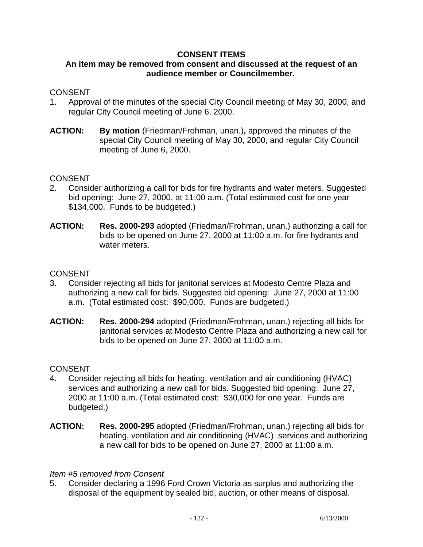## **CONSENT ITEMS**

# **An item may be removed from consent and discussed at the request of an audience member or Councilmember.**

## **CONSENT**

- 1. Approval of the minutes of the special City Council meeting of May 30, 2000, and regular City Council meeting of June 6, 2000.
- **ACTION: By motion** (Friedman/Frohman, unan.)**,** approved the minutes of the special City Council meeting of May 30, 2000, and regular City Council meeting of June 6, 2000.

## **CONSENT**

- 2. Consider authorizing a call for bids for fire hydrants and water meters. Suggested bid opening: June 27, 2000, at 11:00 a.m. (Total estimated cost for one year \$134,000. Funds to be budgeted.)
- **ACTION: Res. 2000-293** adopted (Friedman/Frohman, unan.) authorizing a call for bids to be opened on June 27, 2000 at 11:00 a.m. for fire hydrants and water meters.

## **CONSENT**

- 3. Consider rejecting all bids for janitorial services at Modesto Centre Plaza and authorizing a new call for bids. Suggested bid opening: June 27, 2000 at 11:00 a.m. (Total estimated cost: \$90,000. Funds are budgeted.)
- **ACTION: Res. 2000-294** adopted (Friedman/Frohman, unan.) rejecting all bids for janitorial services at Modesto Centre Plaza and authorizing a new call for bids to be opened on June 27, 2000 at 11:00 a.m.

## **CONSENT**

- 4. Consider rejecting all bids for heating, ventilation and air conditioning (HVAC) services and authorizing a new call for bids. Suggested bid opening: June 27, 2000 at 11:00 a.m. (Total estimated cost: \$30,000 for one year. Funds are budgeted.)
- **ACTION: Res. 2000-295** adopted (Friedman/Frohman, unan.) rejecting all bids for heating, ventilation and air conditioning (HVAC) services and authorizing a new call for bids to be opened on June 27, 2000 at 11:00 a.m.

## *Item #5 removed from Consent*

5. Consider declaring a 1996 Ford Crown Victoria as surplus and authorizing the disposal of the equipment by sealed bid, auction, or other means of disposal.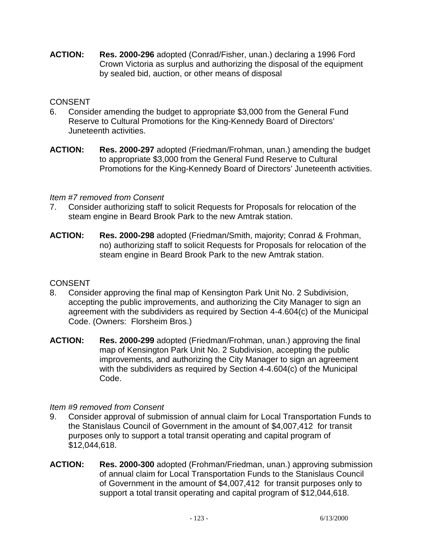**ACTION: Res. 2000-296** adopted (Conrad/Fisher, unan.) declaring a 1996 Ford Crown Victoria as surplus and authorizing the disposal of the equipment by sealed bid, auction, or other means of disposal

# **CONSENT**

- 6. Consider amending the budget to appropriate \$3,000 from the General Fund Reserve to Cultural Promotions for the King-Kennedy Board of Directors' Juneteenth activities.
- **ACTION: Res. 2000-297** adopted (Friedman/Frohman, unan.) amending the budget to appropriate \$3,000 from the General Fund Reserve to Cultural Promotions for the King-Kennedy Board of Directors' Juneteenth activities.

## *Item #7 removed from Consent*

- 7. Consider authorizing staff to solicit Requests for Proposals for relocation of the steam engine in Beard Brook Park to the new Amtrak station.
- **ACTION: Res. 2000-298** adopted (Friedman/Smith, majority; Conrad & Frohman, no) authorizing staff to solicit Requests for Proposals for relocation of the steam engine in Beard Brook Park to the new Amtrak station.

# **CONSENT**

- 8. Consider approving the final map of Kensington Park Unit No. 2 Subdivision, accepting the public improvements, and authorizing the City Manager to sign an agreement with the subdividers as required by Section 4-4.604(c) of the Municipal Code. (Owners: Florsheim Bros.)
- **ACTION: Res. 2000-299** adopted (Friedman/Frohman, unan.) approving the final map of Kensington Park Unit No. 2 Subdivision, accepting the public improvements, and authorizing the City Manager to sign an agreement with the subdividers as required by Section 4-4.604(c) of the Municipal Code.

# *Item #9 removed from Consent*

- 9. Consider approval of submission of annual claim for Local Transportation Funds to the Stanislaus Council of Government in the amount of \$4,007,412 for transit purposes only to support a total transit operating and capital program of \$12,044,618.
- **ACTION: Res. 2000-300** adopted (Frohman/Friedman, unan.) approving submission of annual claim for Local Transportation Funds to the Stanislaus Council of Government in the amount of \$4,007,412 for transit purposes only to support a total transit operating and capital program of \$12,044,618.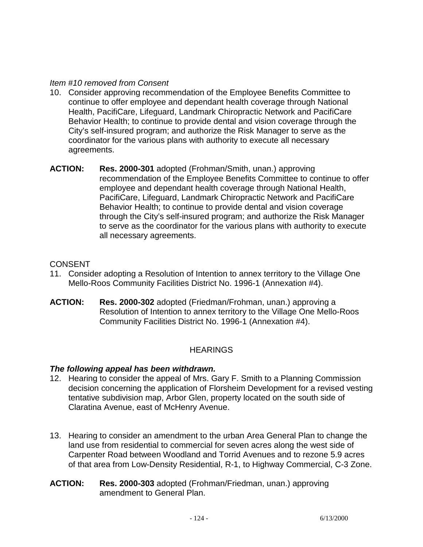## *Item #10 removed from Consent*

- 10. Consider approving recommendation of the Employee Benefits Committee to continue to offer employee and dependant health coverage through National Health, PacifiCare, Lifeguard, Landmark Chiropractic Network and PacifiCare Behavior Health; to continue to provide dental and vision coverage through the City's self-insured program; and authorize the Risk Manager to serve as the coordinator for the various plans with authority to execute all necessary agreements.
- **ACTION: Res. 2000-301** adopted (Frohman/Smith, unan.) approving recommendation of the Employee Benefits Committee to continue to offer employee and dependant health coverage through National Health, PacifiCare, Lifeguard, Landmark Chiropractic Network and PacifiCare Behavior Health; to continue to provide dental and vision coverage through the City's self-insured program; and authorize the Risk Manager to serve as the coordinator for the various plans with authority to execute all necessary agreements.

# **CONSENT**

- 11. Consider adopting a Resolution of Intention to annex territory to the Village One Mello-Roos Community Facilities District No. 1996-1 (Annexation #4).
- **ACTION: Res. 2000-302** adopted (Friedman/Frohman, unan.) approving a Resolution of Intention to annex territory to the Village One Mello-Roos Community Facilities District No. 1996-1 (Annexation #4).

# **HEARINGS**

## *The following appeal has been withdrawn.*

- 12. Hearing to consider the appeal of Mrs. Gary F. Smith to a Planning Commission decision concerning the application of Florsheim Development for a revised vesting tentative subdivision map, Arbor Glen, property located on the south side of Claratina Avenue, east of McHenry Avenue.
- 13. Hearing to consider an amendment to the urban Area General Plan to change the land use from residential to commercial for seven acres along the west side of Carpenter Road between Woodland and Torrid Avenues and to rezone 5.9 acres of that area from Low-Density Residential, R-1, to Highway Commercial, C-3 Zone.
- **ACTION: Res. 2000-303** adopted (Frohman/Friedman, unan.) approving amendment to General Plan.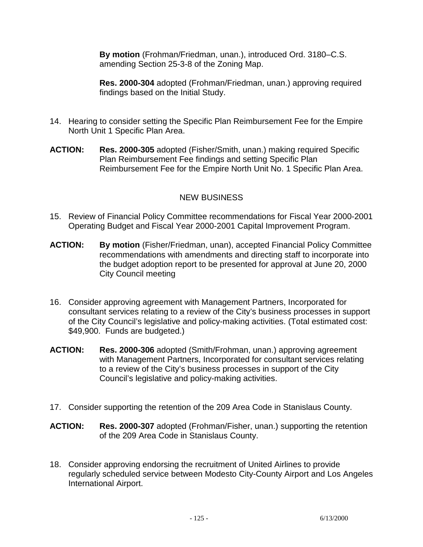**By motion** (Frohman/Friedman, unan.), introduced Ord. 3180–C.S. amending Section 25-3-8 of the Zoning Map.

 **Res. 2000-304** adopted (Frohman/Friedman, unan.) approving required findings based on the Initial Study.

- 14. Hearing to consider setting the Specific Plan Reimbursement Fee for the Empire North Unit 1 Specific Plan Area.
- **ACTION: Res. 2000-305** adopted (Fisher/Smith, unan.) making required Specific Plan Reimbursement Fee findings and setting Specific Plan Reimbursement Fee for the Empire North Unit No. 1 Specific Plan Area.

# NEW BUSINESS

- 15. Review of Financial Policy Committee recommendations for Fiscal Year 2000-2001 Operating Budget and Fiscal Year 2000-2001 Capital Improvement Program.
- **ACTION: By motion** (Fisher/Friedman, unan), accepted Financial Policy Committee recommendations with amendments and directing staff to incorporate into the budget adoption report to be presented for approval at June 20, 2000 City Council meeting
- 16. Consider approving agreement with Management Partners, Incorporated for consultant services relating to a review of the City's business processes in support of the City Council's legislative and policy-making activities. (Total estimated cost: \$49,900. Funds are budgeted.)
- **ACTION: Res. 2000-306** adopted (Smith/Frohman, unan.) approving agreement with Management Partners, Incorporated for consultant services relating to a review of the City's business processes in support of the City Council's legislative and policy-making activities.
- 17. Consider supporting the retention of the 209 Area Code in Stanislaus County.
- **ACTION: Res. 2000-307** adopted (Frohman/Fisher, unan.) supporting the retention of the 209 Area Code in Stanislaus County.
- 18. Consider approving endorsing the recruitment of United Airlines to provide regularly scheduled service between Modesto City-County Airport and Los Angeles International Airport.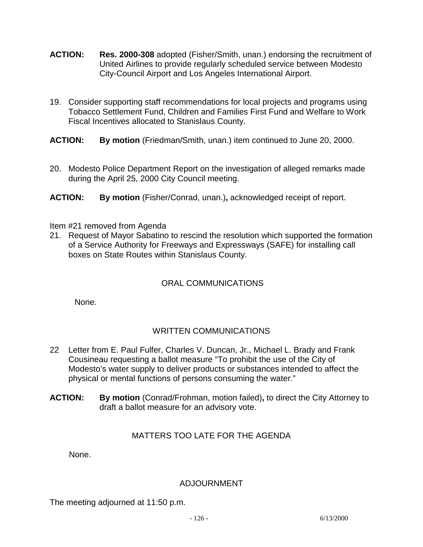- **ACTION: Res. 2000-308** adopted (Fisher/Smith, unan.) endorsing the recruitment of United Airlines to provide regularly scheduled service between Modesto City-Council Airport and Los Angeles International Airport.
- 19. Consider supporting staff recommendations for local projects and programs using Tobacco Settlement Fund, Children and Families First Fund and Welfare to Work Fiscal Incentives allocated to Stanislaus County.
- **ACTION: By motion** (Friedman/Smith, unan.) item continued to June 20, 2000.
- 20. Modesto Police Department Report on the investigation of alleged remarks made during the April 25, 2000 City Council meeting.
- **ACTION: By motion** (Fisher/Conrad, unan.)**,** acknowledged receipt of report.

## Item #21 removed from Agenda

21. Request of Mayor Sabatino to rescind the resolution which supported the formation of a Service Authority for Freeways and Expressways (SAFE) for installing call boxes on State Routes within Stanislaus County.

# ORAL COMMUNICATIONS

None.

# WRITTEN COMMUNICATIONS

- 22 Letter from E. Paul Fulfer, Charles V. Duncan, Jr., Michael L. Brady and Frank Cousineau requesting a ballot measure "To prohibit the use of the City of Modesto's water supply to deliver products or substances intended to affect the physical or mental functions of persons consuming the water."
- **ACTION: By motion** (Conrad/Frohman, motion failed)**,** to direct the City Attorney to draft a ballot measure for an advisory vote.

# MATTERS TOO LATE FOR THE AGENDA

None.

## ADJOURNMENT

The meeting adjourned at 11:50 p.m.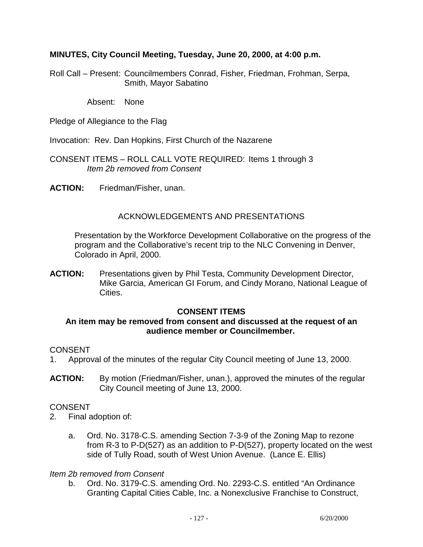## **MINUTES, City Council Meeting, Tuesday, June 20, 2000, at 4:00 p.m.**

Roll Call – Present: Councilmembers Conrad, Fisher, Friedman, Frohman, Serpa, Smith, Mayor Sabatino

Absent: None

Pledge of Allegiance to the Flag

Invocation: Rev. Dan Hopkins, First Church of the Nazarene

CONSENT ITEMS – ROLL CALL VOTE REQUIRED: Items 1 through 3  *Item 2b removed from Consent* 

**ACTION:** Friedman/Fisher, unan.

## ACKNOWLEDGEMENTS AND PRESENTATIONS

 Presentation by the Workforce Development Collaborative on the progress of the program and the Collaborative's recent trip to the NLC Convening in Denver, Colorado in April, 2000.

**ACTION:** Presentations given by Phil Testa, Community Development Director, Mike Garcia, American GI Forum, and Cindy Morano, National League of Cities.

## **CONSENT ITEMS**

## **An item may be removed from consent and discussed at the request of an audience member or Councilmember.**

## CONSENT

- 1. Approval of the minutes of the regular City Council meeting of June 13, 2000.
- **ACTION:** By motion (Friedman/Fisher, unan.), approved the minutes of the regular City Council meeting of June 13, 2000.

## CONSENT

- 2. Final adoption of:
	- a. Ord. No. 3178-C.S. amending Section 7-3-9 of the Zoning Map to rezone from R-3 to P-D(527) as an addition to P-D(527), property located on the west side of Tully Road, south of West Union Avenue. (Lance E. Ellis)

#### *Item 2b removed from Consent*

 b. Ord. No. 3179-C.S. amending Ord. No. 2293-C.S. entitled "An Ordinance Granting Capital Cities Cable, Inc. a Nonexclusive Franchise to Construct,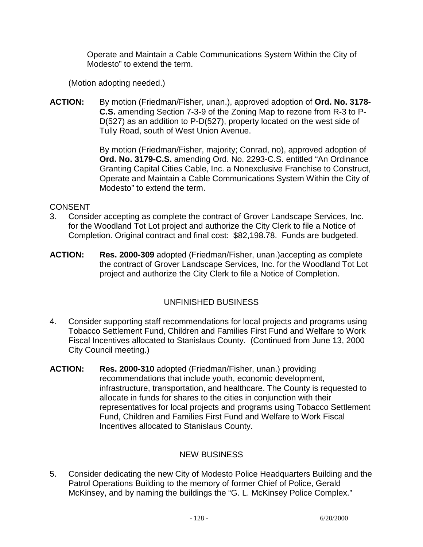Operate and Maintain a Cable Communications System Within the City of Modesto" to extend the term.

(Motion adopting needed.)

**ACTION:** By motion (Friedman/Fisher, unan.), approved adoption of **Ord. No. 3178- C.S.** amending Section 7-3-9 of the Zoning Map to rezone from R-3 to P-D(527) as an addition to P-D(527), property located on the west side of Tully Road, south of West Union Avenue.

> By motion (Friedman/Fisher, majority; Conrad, no), approved adoption of **Ord. No. 3179-C.S.** amending Ord. No. 2293-C.S. entitled "An Ordinance Granting Capital Cities Cable, Inc. a Nonexclusive Franchise to Construct, Operate and Maintain a Cable Communications System Within the City of Modesto" to extend the term.

# **CONSENT**

- 3. Consider accepting as complete the contract of Grover Landscape Services, Inc. for the Woodland Tot Lot project and authorize the City Clerk to file a Notice of Completion. Original contract and final cost: \$82,198.78. Funds are budgeted.
- **ACTION: Res. 2000-309** adopted (Friedman/Fisher, unan.)accepting as complete the contract of Grover Landscape Services, Inc. for the Woodland Tot Lot project and authorize the City Clerk to file a Notice of Completion.

# UNFINISHED BUSINESS

- 4. Consider supporting staff recommendations for local projects and programs using Tobacco Settlement Fund, Children and Families First Fund and Welfare to Work Fiscal Incentives allocated to Stanislaus County. (Continued from June 13, 2000 City Council meeting.)
- **ACTION: Res. 2000-310** adopted (Friedman/Fisher, unan.) providing recommendations that include youth, economic development, infrastructure, transportation, and healthcare. The County is requested to allocate in funds for shares to the cities in conjunction with their representatives for local projects and programs using Tobacco Settlement Fund, Children and Families First Fund and Welfare to Work Fiscal Incentives allocated to Stanislaus County.

# NEW BUSINESS

5. Consider dedicating the new City of Modesto Police Headquarters Building and the Patrol Operations Building to the memory of former Chief of Police, Gerald McKinsey, and by naming the buildings the "G. L. McKinsey Police Complex."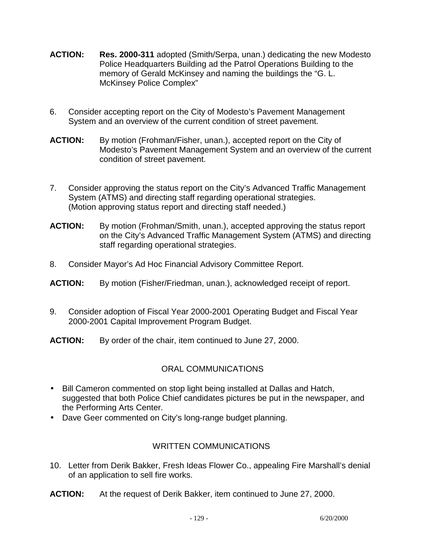- **ACTION: Res. 2000-311** adopted (Smith/Serpa, unan.) dedicating the new Modesto Police Headquarters Building ad the Patrol Operations Building to the memory of Gerald McKinsey and naming the buildings the "G. L. McKinsey Police Complex"
- 6. Consider accepting report on the City of Modesto's Pavement Management System and an overview of the current condition of street pavement.
- **ACTION:** By motion (Frohman/Fisher, unan.), accepted report on the City of Modesto's Pavement Management System and an overview of the current condition of street pavement.
- 7. Consider approving the status report on the City's Advanced Traffic Management System (ATMS) and directing staff regarding operational strategies. (Motion approving status report and directing staff needed.)
- **ACTION:** By motion (Frohman/Smith, unan.), accepted approving the status report on the City's Advanced Traffic Management System (ATMS) and directing staff regarding operational strategies.
- 8. Consider Mayor's Ad Hoc Financial Advisory Committee Report.
- **ACTION:** By motion (Fisher/Friedman, unan.), acknowledged receipt of report.
- 9. Consider adoption of Fiscal Year 2000-2001 Operating Budget and Fiscal Year 2000-2001 Capital Improvement Program Budget.
- **ACTION:** By order of the chair, item continued to June 27, 2000.

# ORAL COMMUNICATIONS

- Bill Cameron commented on stop light being installed at Dallas and Hatch, suggested that both Police Chief candidates pictures be put in the newspaper, and the Performing Arts Center.
- Dave Geer commented on City's long-range budget planning.

# WRITTEN COMMUNICATIONS

- 10. Letter from Derik Bakker, Fresh Ideas Flower Co., appealing Fire Marshall's denial of an application to sell fire works.
- **ACTION:** At the request of Derik Bakker, item continued to June 27, 2000.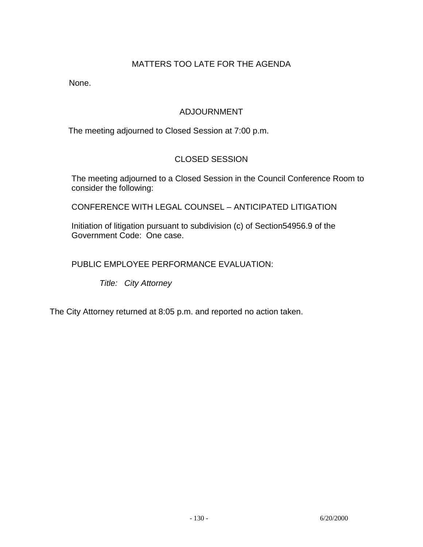# MATTERS TOO LATE FOR THE AGENDA

None.

# ADJOURNMENT

The meeting adjourned to Closed Session at 7:00 p.m.

# CLOSED SESSION

 The meeting adjourned to a Closed Session in the Council Conference Room to consider the following:

CONFERENCE WITH LEGAL COUNSEL – ANTICIPATED LITIGATION

 Initiation of litigation pursuant to subdivision (c) of Section54956.9 of the Government Code: One case.

PUBLIC EMPLOYEE PERFORMANCE EVALUATION:

 *Title: City Attorney* 

The City Attorney returned at 8:05 p.m. and reported no action taken.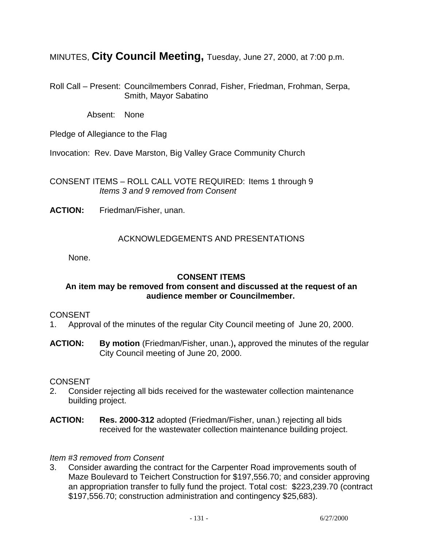MINUTES, **City Council Meeting,** Tuesday, June 27, 2000, at 7:00 p.m.

Roll Call – Present: Councilmembers Conrad, Fisher, Friedman, Frohman, Serpa, Smith, Mayor Sabatino

Absent: None

Pledge of Allegiance to the Flag

Invocation: Rev. Dave Marston, Big Valley Grace Community Church

CONSENT ITEMS – ROLL CALL VOTE REQUIRED: Items 1 through 9  *Items 3 and 9 removed from Consent* 

**ACTION:** Friedman/Fisher, unan.

## ACKNOWLEDGEMENTS AND PRESENTATIONS

None.

## **CONSENT ITEMS**

## **An item may be removed from consent and discussed at the request of an audience member or Councilmember.**

## CONSENT

- 1. Approval of the minutes of the regular City Council meeting of June 20, 2000.
- **ACTION: By motion** (Friedman/Fisher, unan.)**,** approved the minutes of the regular City Council meeting of June 20, 2000.

## **CONSENT**

- 2. Consider rejecting all bids received for the wastewater collection maintenance building project.
- **ACTION: Res. 2000-312** adopted (Friedman/Fisher, unan.) rejecting all bids received for the wastewater collection maintenance building project.

## *Item #3 removed from Consent*

3. Consider awarding the contract for the Carpenter Road improvements south of Maze Boulevard to Teichert Construction for \$197,556.70; and consider approving an appropriation transfer to fully fund the project. Total cost: \$223,239.70 (contract \$197,556.70; construction administration and contingency \$25,683).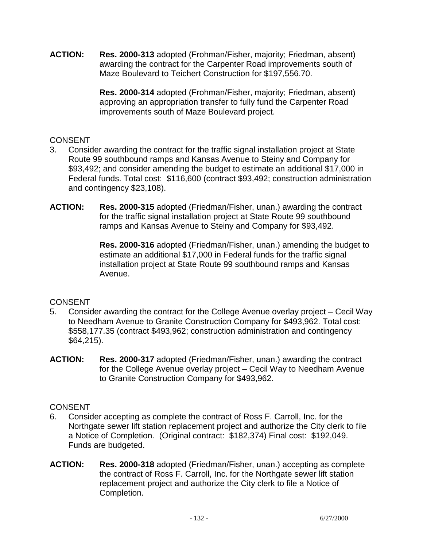**ACTION: Res. 2000-313** adopted (Frohman/Fisher, majority; Friedman, absent) awarding the contract for the Carpenter Road improvements south of Maze Boulevard to Teichert Construction for \$197,556.70.

> **Res. 2000-314** adopted (Frohman/Fisher, majority; Friedman, absent) approving an appropriation transfer to fully fund the Carpenter Road improvements south of Maze Boulevard project.

# **CONSENT**

- 3. Consider awarding the contract for the traffic signal installation project at State Route 99 southbound ramps and Kansas Avenue to Steiny and Company for \$93,492; and consider amending the budget to estimate an additional \$17,000 in Federal funds. Total cost: \$116,600 (contract \$93,492; construction administration and contingency \$23,108).
- **ACTION: Res. 2000-315** adopted (Friedman/Fisher, unan.) awarding the contract for the traffic signal installation project at State Route 99 southbound ramps and Kansas Avenue to Steiny and Company for \$93,492.

 **Res. 2000-316** adopted (Friedman/Fisher, unan.) amending the budget to estimate an additional \$17,000 in Federal funds for the traffic signal installation project at State Route 99 southbound ramps and Kansas Avenue.

# **CONSENT**

- 5. Consider awarding the contract for the College Avenue overlay project Cecil Way to Needham Avenue to Granite Construction Company for \$493,962. Total cost: \$558,177.35 (contract \$493,962; construction administration and contingency \$64,215).
- **ACTION: Res. 2000-317** adopted (Friedman/Fisher, unan.) awarding the contract for the College Avenue overlay project – Cecil Way to Needham Avenue to Granite Construction Company for \$493,962.

# **CONSENT**

- 6. Consider accepting as complete the contract of Ross F. Carroll, Inc. for the Northgate sewer lift station replacement project and authorize the City clerk to file a Notice of Completion. (Original contract: \$182,374) Final cost: \$192,049. Funds are budgeted.
- **ACTION: Res. 2000-318** adopted (Friedman/Fisher, unan.) accepting as complete the contract of Ross F. Carroll, Inc. for the Northgate sewer lift station replacement project and authorize the City clerk to file a Notice of Completion.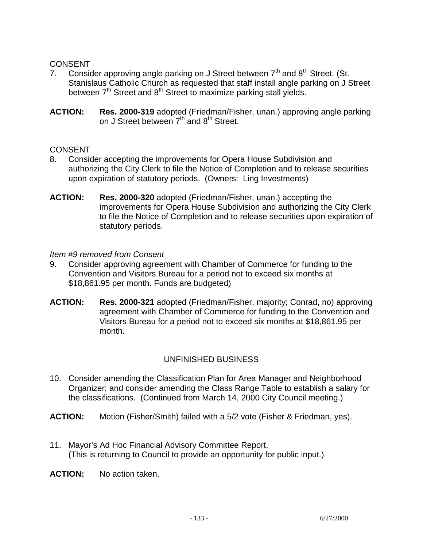## **CONSENT**

- 7. Consider approving angle parking on J Street between  $7<sup>th</sup>$  and  $8<sup>th</sup>$  Street. (St. Stanislaus Catholic Church as requested that staff install angle parking on J Street between  $7<sup>th</sup>$  Street and  $8<sup>th</sup>$  Street to maximize parking stall yields.
- **ACTION: Res. 2000-319** adopted (Friedman/Fisher, unan.) approving angle parking on J Street between  $7<sup>th</sup>$  and  $8<sup>th</sup>$  Street.

## **CONSENT**

- 8. Consider accepting the improvements for Opera House Subdivision and authorizing the City Clerk to file the Notice of Completion and to release securities upon expiration of statutory periods. (Owners: Ling Investments)
- **ACTION: Res. 2000-320** adopted (Friedman/Fisher, unan.) accepting the improvements for Opera House Subdivision and authorizing the City Clerk to file the Notice of Completion and to release securities upon expiration of statutory periods.

#### *Item #9 removed from Consent*

- 9. Consider approving agreement with Chamber of Commerce for funding to the Convention and Visitors Bureau for a period not to exceed six months at \$18,861.95 per month. Funds are budgeted)
- **ACTION: Res. 2000-321** adopted (Friedman/Fisher, majority; Conrad, no) approving agreement with Chamber of Commerce for funding to the Convention and Visitors Bureau for a period not to exceed six months at \$18,861.95 per month.

## UNFINISHED BUSINESS

- 10. Consider amending the Classification Plan for Area Manager and Neighborhood Organizer; and consider amending the Class Range Table to establish a salary for the classifications. (Continued from March 14, 2000 City Council meeting.)
- **ACTION:** Motion (Fisher/Smith) failed with a 5/2 vote (Fisher & Friedman, yes).
- 11. Mayor's Ad Hoc Financial Advisory Committee Report. (This is returning to Council to provide an opportunity for public input.)

**ACTION:** No action taken.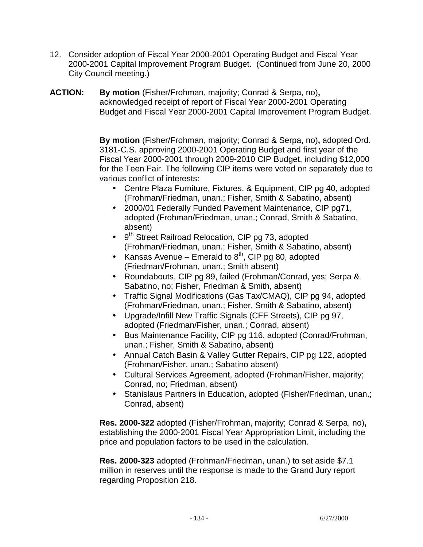- 12. Consider adoption of Fiscal Year 2000-2001 Operating Budget and Fiscal Year 2000-2001 Capital Improvement Program Budget. (Continued from June 20, 2000 City Council meeting.)
- **ACTION: By motion** (Fisher/Frohman, majority; Conrad & Serpa, no)**,**  acknowledged receipt of report of Fiscal Year 2000-2001 Operating Budget and Fiscal Year 2000-2001 Capital Improvement Program Budget.

 **By motion** (Fisher/Frohman, majority; Conrad & Serpa, no)**,** adopted Ord. 3181-C.S. approving 2000-2001 Operating Budget and first year of the Fiscal Year 2000-2001 through 2009-2010 CIP Budget, including \$12,000 for the Teen Fair. The following CIP items were voted on separately due to various conflict of interests:

- Centre Plaza Furniture, Fixtures, & Equipment, CIP pg 40, adopted (Frohman/Friedman, unan.; Fisher, Smith & Sabatino, absent)
- 2000/01 Federally Funded Pavement Maintenance, CIP pg71, adopted (Frohman/Friedman, unan.; Conrad, Smith & Sabatino, absent)
- 9<sup>th</sup> Street Railroad Relocation, CIP pg 73, adopted (Frohman/Friedman, unan.; Fisher, Smith & Sabatino, absent)
- Kansas Avenue Emerald to  $8<sup>th</sup>$ , CIP pg 80, adopted (Friedman/Frohman, unan.; Smith absent)
- Roundabouts, CIP pg 89, failed (Frohman/Conrad, yes; Serpa & Sabatino, no; Fisher, Friedman & Smith, absent)
- Traffic Signal Modifications (Gas Tax/CMAQ), CIP pg 94, adopted (Frohman/Friedman, unan.; Fisher, Smith & Sabatino, absent)
- Upgrade/Infill New Traffic Signals (CFF Streets), CIP pg 97, adopted (Friedman/Fisher, unan.; Conrad, absent)
- Bus Maintenance Facility, CIP pg 116, adopted (Conrad/Frohman, unan.; Fisher, Smith & Sabatino, absent)
- Annual Catch Basin & Valley Gutter Repairs, CIP pg 122, adopted (Frohman/Fisher, unan.; Sabatino absent)
- Cultural Services Agreement, adopted (Frohman/Fisher, majority; Conrad, no; Friedman, absent)
- Stanislaus Partners in Education, adopted (Fisher/Friedman, unan.; Conrad, absent)

 **Res. 2000-322** adopted (Fisher/Frohman, majority; Conrad & Serpa, no)**,**  establishing the 2000-2001 Fiscal Year Appropriation Limit, including the price and population factors to be used in the calculation.

 **Res. 2000-323** adopted (Frohman/Friedman, unan.) to set aside \$7.1 million in reserves until the response is made to the Grand Jury report regarding Proposition 218.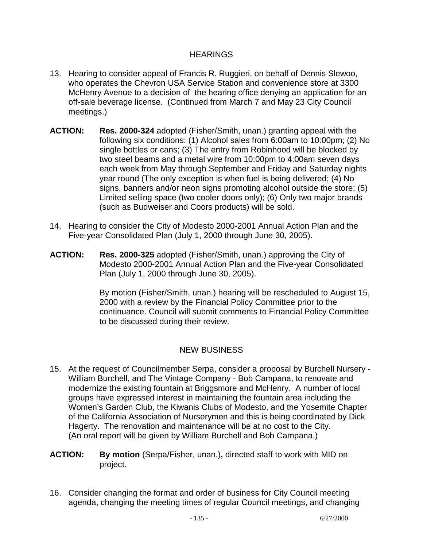## HEARINGS

- 13. Hearing to consider appeal of Francis R. Ruggieri, on behalf of Dennis Slewoo, who operates the Chevron USA Service Station and convenience store at 3300 McHenry Avenue to a decision of the hearing office denying an application for an off-sale beverage license. (Continued from March 7 and May 23 City Council meetings.)
- **ACTION: Res. 2000-324** adopted (Fisher/Smith, unan.) granting appeal with the following six conditions: (1) Alcohol sales from 6:00am to 10:00pm; (2) No single bottles or cans; (3) The entry from Robinhood will be blocked by two steel beams and a metal wire from 10:00pm to 4:00am seven days each week from May through September and Friday and Saturday nights year round (The only exception is when fuel is being delivered; (4) No signs, banners and/or neon signs promoting alcohol outside the store; (5) Limited selling space (two cooler doors only); (6) Only two major brands (such as Budweiser and Coors products) will be sold.
- 14. Hearing to consider the City of Modesto 2000-2001 Annual Action Plan and the Five-year Consolidated Plan (July 1, 2000 through June 30, 2005).
- **ACTION: Res. 2000-325** adopted (Fisher/Smith, unan.) approving the City of Modesto 2000-2001 Annual Action Plan and the Five-year Consolidated Plan (July 1, 2000 through June 30, 2005).

 By motion (Fisher/Smith, unan.) hearing will be rescheduled to August 15, 2000 with a review by the Financial Policy Committee prior to the continuance. Council will submit comments to Financial Policy Committee to be discussed during their review.

# NEW BUSINESS

- 15. At the request of Councilmember Serpa, consider a proposal by Burchell Nursery William Burchell, and The Vintage Company - Bob Campana, to renovate and modernize the existing fountain at Briggsmore and McHenry. A number of local groups have expressed interest in maintaining the fountain area including the Women's Garden Club, the Kiwanis Clubs of Modesto, and the Yosemite Chapter of the California Association of Nurserymen and this is being coordinated by Dick Hagerty. The renovation and maintenance will be at no cost to the City. (An oral report will be given by William Burchell and Bob Campana.)
- **ACTION: By motion** (Serpa/Fisher, unan.)**,** directed staff to work with MID on project.
- 16. Consider changing the format and order of business for City Council meeting agenda, changing the meeting times of regular Council meetings, and changing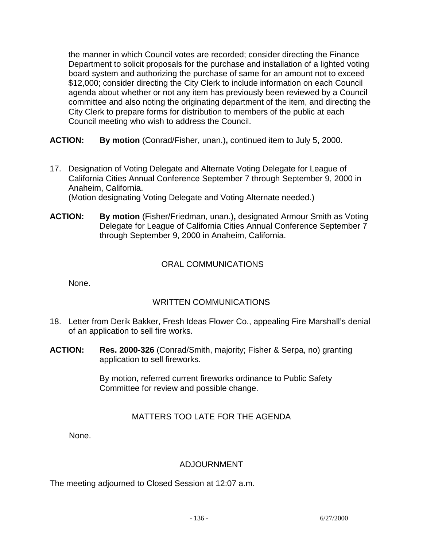the manner in which Council votes are recorded; consider directing the Finance Department to solicit proposals for the purchase and installation of a lighted voting board system and authorizing the purchase of same for an amount not to exceed \$12,000; consider directing the City Clerk to include information on each Council agenda about whether or not any item has previously been reviewed by a Council committee and also noting the originating department of the item, and directing the City Clerk to prepare forms for distribution to members of the public at each Council meeting who wish to address the Council.

**ACTION: By motion** (Conrad/Fisher, unan.)**,** continued item to July 5, 2000.

17. Designation of Voting Delegate and Alternate Voting Delegate for League of California Cities Annual Conference September 7 through September 9, 2000 in Anaheim, California.

(Motion designating Voting Delegate and Voting Alternate needed.)

**ACTION: By motion** (Fisher/Friedman, unan.)**,** designated Armour Smith as Voting Delegate for League of California Cities Annual Conference September 7 through September 9, 2000 in Anaheim, California.

# ORAL COMMUNICATIONS

None.

# WRITTEN COMMUNICATIONS

- 18. Letter from Derik Bakker, Fresh Ideas Flower Co., appealing Fire Marshall's denial of an application to sell fire works.
- **ACTION: Res. 2000-326** (Conrad/Smith, majority; Fisher & Serpa, no) granting application to sell fireworks.

 By motion, referred current fireworks ordinance to Public Safety Committee for review and possible change.

# MATTERS TOO LATE FOR THE AGENDA

None.

# ADJOURNMENT

The meeting adjourned to Closed Session at 12:07 a.m.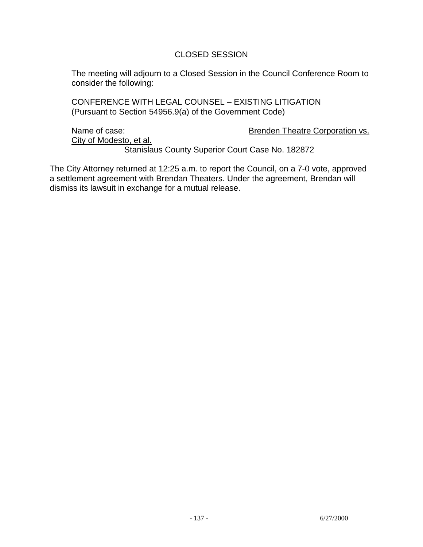## CLOSED SESSION

 The meeting will adjourn to a Closed Session in the Council Conference Room to consider the following:

 CONFERENCE WITH LEGAL COUNSEL – EXISTING LITIGATION (Pursuant to Section 54956.9(a) of the Government Code)

City of Modesto, et al.

Name of case:  $Brenden Theatre Corporation vs.$ 

Stanislaus County Superior Court Case No. 182872

The City Attorney returned at 12:25 a.m. to report the Council, on a 7-0 vote, approved a settlement agreement with Brendan Theaters. Under the agreement, Brendan will dismiss its lawsuit in exchange for a mutual release.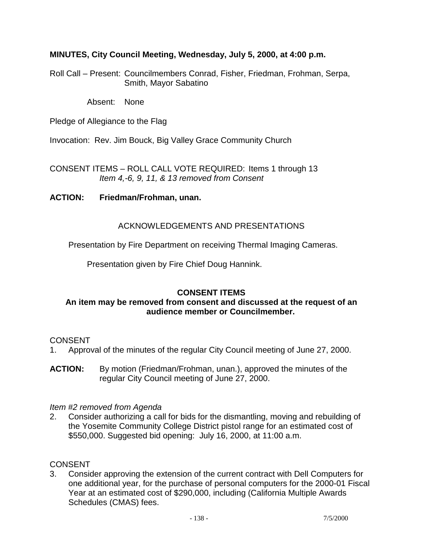## **MINUTES, City Council Meeting, Wednesday, July 5, 2000, at 4:00 p.m.**

Roll Call – Present: Councilmembers Conrad, Fisher, Friedman, Frohman, Serpa, Smith, Mayor Sabatino

Absent: None

Pledge of Allegiance to the Flag

Invocation: Rev. Jim Bouck, Big Valley Grace Community Church

CONSENT ITEMS – ROLL CALL VOTE REQUIRED: Items 1 through 13 *Item 4,-6, 9, 11, & 13 removed from Consent* 

## **ACTION: Friedman/Frohman, unan.**

## ACKNOWLEDGEMENTS AND PRESENTATIONS

Presentation by Fire Department on receiving Thermal Imaging Cameras.

Presentation given by Fire Chief Doug Hannink.

# **CONSENT ITEMS**

## **An item may be removed from consent and discussed at the request of an audience member or Councilmember.**

## CONSENT

- 1. Approval of the minutes of the regular City Council meeting of June 27, 2000.
- **ACTION:** By motion (Friedman/Frohman, unan.), approved the minutes of the regular City Council meeting of June 27, 2000.

## *Item #2 removed from Agenda*

2. Consider authorizing a call for bids for the dismantling, moving and rebuilding of the Yosemite Community College District pistol range for an estimated cost of \$550,000. Suggested bid opening: July 16, 2000, at 11:00 a.m.

# CONSENT

3. Consider approving the extension of the current contract with Dell Computers for one additional year, for the purchase of personal computers for the 2000-01 Fiscal Year at an estimated cost of \$290,000, including (California Multiple Awards Schedules (CMAS) fees.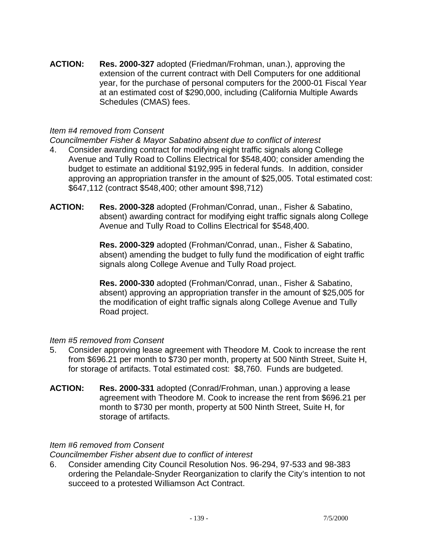**ACTION: Res. 2000-327** adopted (Friedman/Frohman, unan.), approving the extension of the current contract with Dell Computers for one additional year, for the purchase of personal computers for the 2000-01 Fiscal Year at an estimated cost of \$290,000, including (California Multiple Awards Schedules (CMAS) fees.

## *Item #4 removed from Consent*

*Councilmember Fisher & Mayor Sabatino absent due to conflict of interest* 

- 4. Consider awarding contract for modifying eight traffic signals along College Avenue and Tully Road to Collins Electrical for \$548,400; consider amending the budget to estimate an additional \$192,995 in federal funds. In addition, consider approving an appropriation transfer in the amount of \$25,005. Total estimated cost: \$647,112 (contract \$548,400; other amount \$98,712)
- **ACTION: Res. 2000-328** adopted (Frohman/Conrad, unan., Fisher & Sabatino, absent) awarding contract for modifying eight traffic signals along College Avenue and Tully Road to Collins Electrical for \$548,400.

 **Res. 2000-329** adopted (Frohman/Conrad, unan., Fisher & Sabatino, absent) amending the budget to fully fund the modification of eight traffic signals along College Avenue and Tully Road project.

 **Res. 2000-330** adopted (Frohman/Conrad, unan., Fisher & Sabatino, absent) approving an appropriation transfer in the amount of \$25,005 for the modification of eight traffic signals along College Avenue and Tully Road project.

## *Item #5 removed from Consent*

- 5. Consider approving lease agreement with Theodore M. Cook to increase the rent from \$696.21 per month to \$730 per month, property at 500 Ninth Street, Suite H, for storage of artifacts. Total estimated cost: \$8,760. Funds are budgeted.
- **ACTION: Res. 2000-331** adopted (Conrad/Frohman, unan.) approving a lease agreement with Theodore M. Cook to increase the rent from \$696.21 per month to \$730 per month, property at 500 Ninth Street, Suite H, for storage of artifacts.

## *Item #6 removed from Consent*

*Councilmember Fisher absent due to conflict of interest* 

6. Consider amending City Council Resolution Nos. 96-294, 97-533 and 98-383 ordering the Pelandale-Snyder Reorganization to clarify the City's intention to not succeed to a protested Williamson Act Contract.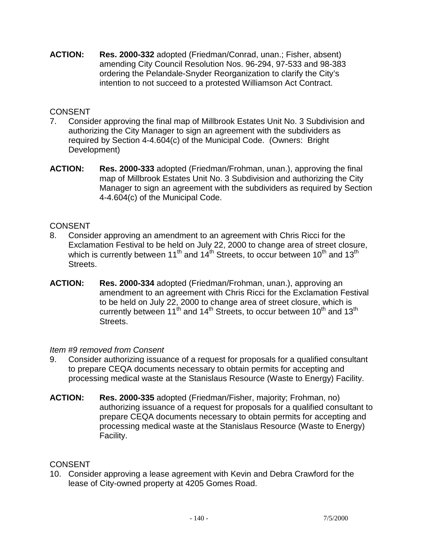**ACTION: Res. 2000-332** adopted (Friedman/Conrad, unan.; Fisher, absent) amending City Council Resolution Nos. 96-294, 97-533 and 98-383 ordering the Pelandale-Snyder Reorganization to clarify the City's intention to not succeed to a protested Williamson Act Contract.

# **CONSENT**

- 7. Consider approving the final map of Millbrook Estates Unit No. 3 Subdivision and authorizing the City Manager to sign an agreement with the subdividers as required by Section 4-4.604(c) of the Municipal Code. (Owners: Bright Development)
- **ACTION: Res. 2000-333** adopted (Friedman/Frohman, unan.), approving the final map of Millbrook Estates Unit No. 3 Subdivision and authorizing the City Manager to sign an agreement with the subdividers as required by Section 4-4.604(c) of the Municipal Code.

## **CONSENT**

- 8. Consider approving an amendment to an agreement with Chris Ricci for the Exclamation Festival to be held on July 22, 2000 to change area of street closure, which is currently between 11<sup>th</sup> and 14<sup>th</sup> Streets, to occur between 10<sup>th</sup> and 13<sup>th</sup> Streets.
- **ACTION: Res. 2000-334** adopted (Friedman/Frohman, unan.), approving an amendment to an agreement with Chris Ricci for the Exclamation Festival to be held on July 22, 2000 to change area of street closure, which is currently between 11<sup>th</sup> and 14<sup>th</sup> Streets, to occur between 10<sup>th</sup> and 13<sup>th</sup> Streets.

## *Item #9 removed from Consent*

- 9. Consider authorizing issuance of a request for proposals for a qualified consultant to prepare CEQA documents necessary to obtain permits for accepting and processing medical waste at the Stanislaus Resource (Waste to Energy) Facility.
- **ACTION: Res. 2000-335** adopted (Friedman/Fisher, majority; Frohman, no) authorizing issuance of a request for proposals for a qualified consultant to prepare CEQA documents necessary to obtain permits for accepting and processing medical waste at the Stanislaus Resource (Waste to Energy) Facility.

# **CONSENT**

10. Consider approving a lease agreement with Kevin and Debra Crawford for the lease of City-owned property at 4205 Gomes Road.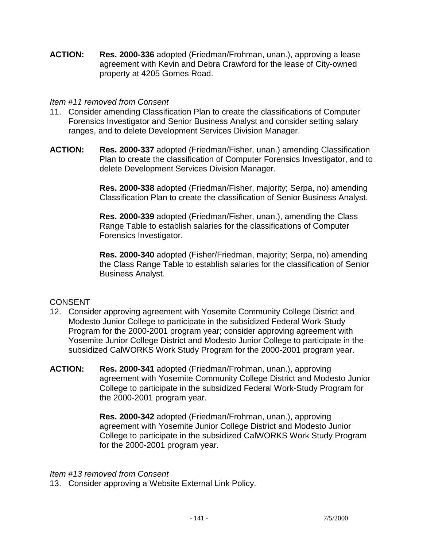**ACTION: Res. 2000-336** adopted (Friedman/Frohman, unan.), approving a lease agreement with Kevin and Debra Crawford for the lease of City-owned property at 4205 Gomes Road.

## *Item #11 removed from Consent*

- 11. Consider amending Classification Plan to create the classifications of Computer Forensics Investigator and Senior Business Analyst and consider setting salary ranges, and to delete Development Services Division Manager.
- **ACTION: Res. 2000-337** adopted (Friedman/Fisher, unan.) amending Classification Plan to create the classification of Computer Forensics Investigator, and to delete Development Services Division Manager.

 **Res. 2000-338** adopted (Friedman/Fisher, majority; Serpa, no) amending Classification Plan to create the classification of Senior Business Analyst.

 **Res. 2000-339** adopted (Friedman/Fisher, unan.), amending the Class Range Table to establish salaries for the classifications of Computer Forensics Investigator.

 **Res. 2000-340** adopted (Fisher/Friedman, majority; Serpa, no) amending the Class Range Table to establish salaries for the classification of Senior Business Analyst.

# **CONSENT**

- 12. Consider approving agreement with Yosemite Community College District and Modesto Junior College to participate in the subsidized Federal Work-Study Program for the 2000-2001 program year; consider approving agreement with Yosemite Junior College District and Modesto Junior College to participate in the subsidized CalWORKS Work Study Program for the 2000-2001 program year.
- **ACTION: Res. 2000-341** adopted (Friedman/Frohman, unan.), approving agreement with Yosemite Community College District and Modesto Junior College to participate in the subsidized Federal Work-Study Program for the 2000-2001 program year.

 **Res. 2000-342** adopted (Friedman/Frohman, unan.), approving agreement with Yosemite Junior College District and Modesto Junior College to participate in the subsidized CalWORKS Work Study Program for the 2000-2001 program year.

## *Item #13 removed from Consent*

13. Consider approving a Website External Link Policy.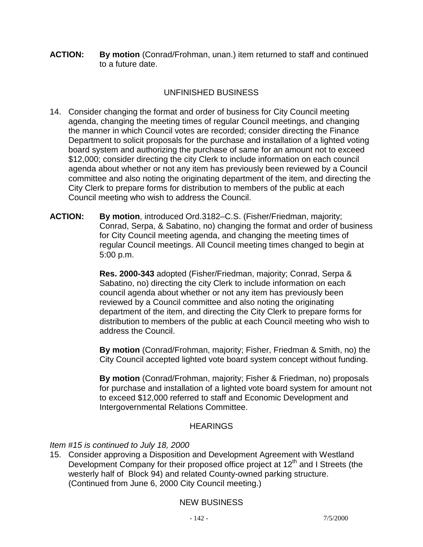**ACTION: By motion** (Conrad/Frohman, unan.) item returned to staff and continued to a future date.

# UNFINISHED BUSINESS

- 14. Consider changing the format and order of business for City Council meeting agenda, changing the meeting times of regular Council meetings, and changing the manner in which Council votes are recorded; consider directing the Finance Department to solicit proposals for the purchase and installation of a lighted voting board system and authorizing the purchase of same for an amount not to exceed \$12,000; consider directing the city Clerk to include information on each council agenda about whether or not any item has previously been reviewed by a Council committee and also noting the originating department of the item, and directing the City Clerk to prepare forms for distribution to members of the public at each Council meeting who wish to address the Council.
- **ACTION: By motion**, introduced Ord.3182–C.S. (Fisher/Friedman, majority; Conrad, Serpa, & Sabatino, no) changing the format and order of business for City Council meeting agenda, and changing the meeting times of regular Council meetings. All Council meeting times changed to begin at 5:00 p.m.

 **Res. 2000-343** adopted (Fisher/Friedman, majority; Conrad, Serpa & Sabatino, no) directing the city Clerk to include information on each council agenda about whether or not any item has previously been reviewed by a Council committee and also noting the originating department of the item, and directing the City Clerk to prepare forms for distribution to members of the public at each Council meeting who wish to address the Council.

 **By motion** (Conrad/Frohman, majority; Fisher, Friedman & Smith, no) the City Council accepted lighted vote board system concept without funding.

 **By motion** (Conrad/Frohman, majority; Fisher & Friedman, no) proposals for purchase and installation of a lighted vote board system for amount not to exceed \$12,000 referred to staff and Economic Development and Intergovernmental Relations Committee.

# **HEARINGS**

## *Item #15 is continued to July 18, 2000*

15. Consider approving a Disposition and Development Agreement with Westland Development Company for their proposed office project at  $12<sup>th</sup>$  and I Streets (the westerly half of Block 94) and related County-owned parking structure. (Continued from June 6, 2000 City Council meeting.)

# NEW BUSINESS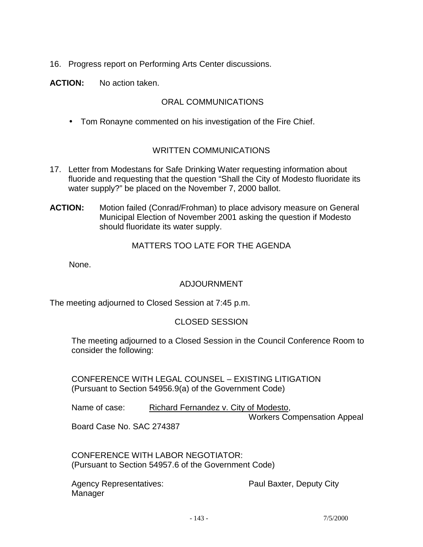16. Progress report on Performing Arts Center discussions.

**ACTION:** No action taken.

## ORAL COMMUNICATIONS

• Tom Ronayne commented on his investigation of the Fire Chief.

## WRITTEN COMMUNICATIONS

- 17. Letter from Modestans for Safe Drinking Water requesting information about fluoride and requesting that the question "Shall the City of Modesto fluoridate its water supply?" be placed on the November 7, 2000 ballot.
- **ACTION:** Motion failed (Conrad/Frohman) to place advisory measure on General Municipal Election of November 2001 asking the question if Modesto should fluoridate its water supply.

#### MATTERS TOO LATE FOR THE AGENDA

None.

## ADJOURNMENT

The meeting adjourned to Closed Session at 7:45 p.m.

## CLOSED SESSION

 The meeting adjourned to a Closed Session in the Council Conference Room to consider the following:

 CONFERENCE WITH LEGAL COUNSEL – EXISTING LITIGATION (Pursuant to Section 54956.9(a) of the Government Code)

| Name of case:                                                  |  | Richard Fernandez v. City of Modesto, |  |
|----------------------------------------------------------------|--|---------------------------------------|--|
|                                                                |  | <b>Workers Compensation Appeal</b>    |  |
| $D_{22}$ $D_{32}$ $D_{42}$ $D_{12}$ $D_{13}$ $D_{14}$ $D_{15}$ |  |                                       |  |

Board Case No. SAC 274387

 CONFERENCE WITH LABOR NEGOTIATOR: (Pursuant to Section 54957.6 of the Government Code)

Agency Representatives: example and Paul Baxter, Deputy City Manager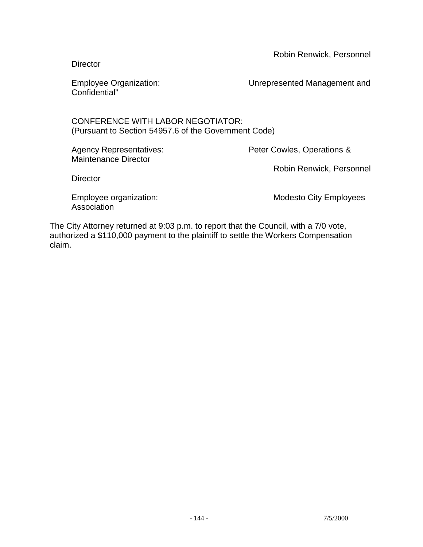Robin Renwick, Personnel

**Director** 

Confidential"

Employee Organization: Unrepresented Management and

### CONFERENCE WITH LABOR NEGOTIATOR: (Pursuant to Section 54957.6 of the Government Code)

Maintenance Director

Agency Representatives: Peter Cowles, Operations &

Robin Renwick, Personnel

**Director** 

**Association** 

Employee organization: The Modesto City Employees

The City Attorney returned at 9:03 p.m. to report that the Council, with a 7/0 vote, authorized a \$110,000 payment to the plaintiff to settle the Workers Compensation claim.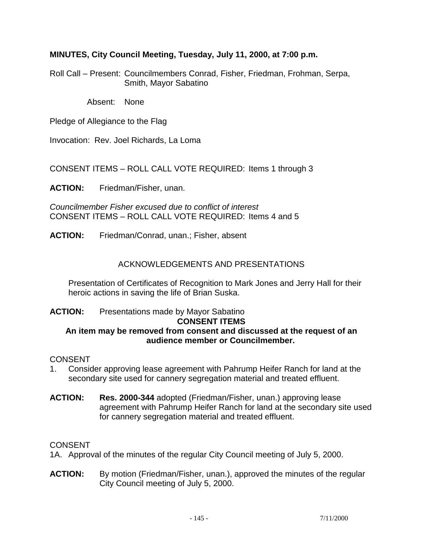### **MINUTES, City Council Meeting, Tuesday, July 11, 2000, at 7:00 p.m.**

Roll Call – Present: Councilmembers Conrad, Fisher, Friedman, Frohman, Serpa, Smith, Mayor Sabatino

Absent: None

Pledge of Allegiance to the Flag

Invocation: Rev. Joel Richards, La Loma

CONSENT ITEMS – ROLL CALL VOTE REQUIRED: Items 1 through 3

**ACTION:** Friedman/Fisher, unan.

*Councilmember Fisher excused due to conflict of interest*  CONSENT ITEMS – ROLL CALL VOTE REQUIRED: Items 4 and 5

**ACTION:** Friedman/Conrad, unan.; Fisher, absent

### ACKNOWLEDGEMENTS AND PRESENTATIONS

 Presentation of Certificates of Recognition to Mark Jones and Jerry Hall for their heroic actions in saving the life of Brian Suska.

#### **ACTION:** Presentations made by Mayor Sabatino **CONSENT ITEMS An item may be removed from consent and discussed at the request of an audience member or Councilmember.**

### CONSENT

- 1. Consider approving lease agreement with Pahrump Heifer Ranch for land at the secondary site used for cannery segregation material and treated effluent.
- **ACTION: Res. 2000-344** adopted (Friedman/Fisher, unan.) approving lease agreement with Pahrump Heifer Ranch for land at the secondary site used for cannery segregation material and treated effluent.

### CONSENT

1A. Approval of the minutes of the regular City Council meeting of July 5, 2000.

**ACTION:** By motion (Friedman/Fisher, unan.), approved the minutes of the regular City Council meeting of July 5, 2000.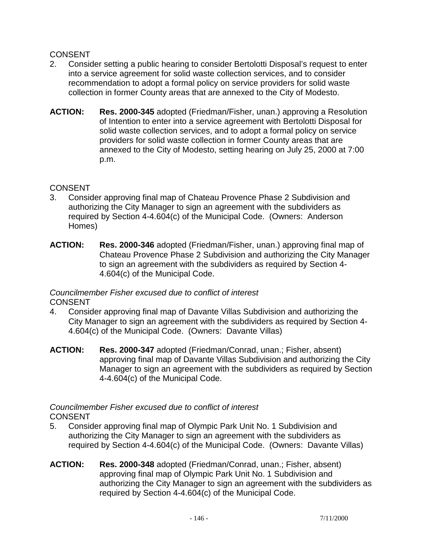# **CONSENT**

- 2. Consider setting a public hearing to consider Bertolotti Disposal's request to enter into a service agreement for solid waste collection services, and to consider recommendation to adopt a formal policy on service providers for solid waste collection in former County areas that are annexed to the City of Modesto.
- **ACTION: Res. 2000-345** adopted (Friedman/Fisher, unan.) approving a Resolution of Intention to enter into a service agreement with Bertolotti Disposal for solid waste collection services, and to adopt a formal policy on service providers for solid waste collection in former County areas that are annexed to the City of Modesto, setting hearing on July 25, 2000 at 7:00 p.m.

### **CONSENT**

- 3. Consider approving final map of Chateau Provence Phase 2 Subdivision and authorizing the City Manager to sign an agreement with the subdividers as required by Section 4-4.604(c) of the Municipal Code. (Owners: Anderson Homes)
- **ACTION: Res. 2000-346** adopted (Friedman/Fisher, unan.) approving final map of Chateau Provence Phase 2 Subdivision and authorizing the City Manager to sign an agreement with the subdividers as required by Section 4- 4.604(c) of the Municipal Code.

### *Councilmember Fisher excused due to conflict of interest*  CONSENT

- 4. Consider approving final map of Davante Villas Subdivision and authorizing the City Manager to sign an agreement with the subdividers as required by Section 4- 4.604(c) of the Municipal Code. (Owners: Davante Villas)
- **ACTION: Res. 2000-347** adopted (Friedman/Conrad, unan.; Fisher, absent) approving final map of Davante Villas Subdivision and authorizing the City Manager to sign an agreement with the subdividers as required by Section 4-4.604(c) of the Municipal Code.

### *Councilmember Fisher excused due to conflict of interest*  CONSENT

- 5. Consider approving final map of Olympic Park Unit No. 1 Subdivision and authorizing the City Manager to sign an agreement with the subdividers as required by Section 4-4.604(c) of the Municipal Code. (Owners: Davante Villas)
- **ACTION: Res. 2000-348** adopted (Friedman/Conrad, unan.; Fisher, absent) approving final map of Olympic Park Unit No. 1 Subdivision and authorizing the City Manager to sign an agreement with the subdividers as required by Section 4-4.604(c) of the Municipal Code.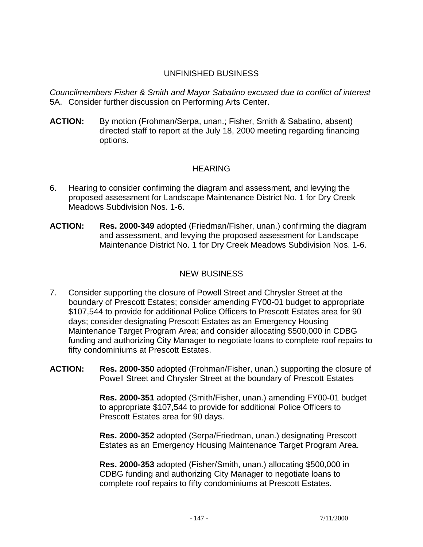# UNFINISHED BUSINESS

*Councilmembers Fisher & Smith and Mayor Sabatino excused due to conflict of interest*  5A. Consider further discussion on Performing Arts Center.

**ACTION:** By motion (Frohman/Serpa, unan.; Fisher, Smith & Sabatino, absent) directed staff to report at the July 18, 2000 meeting regarding financing options.

### HEARING

- 6. Hearing to consider confirming the diagram and assessment, and levying the proposed assessment for Landscape Maintenance District No. 1 for Dry Creek Meadows Subdivision Nos. 1-6.
- **ACTION: Res. 2000-349** adopted (Friedman/Fisher, unan.) confirming the diagram and assessment, and levying the proposed assessment for Landscape Maintenance District No. 1 for Dry Creek Meadows Subdivision Nos. 1-6.

# NEW BUSINESS

- 7. Consider supporting the closure of Powell Street and Chrysler Street at the boundary of Prescott Estates; consider amending FY00-01 budget to appropriate \$107,544 to provide for additional Police Officers to Prescott Estates area for 90 days; consider designating Prescott Estates as an Emergency Housing Maintenance Target Program Area; and consider allocating \$500,000 in CDBG funding and authorizing City Manager to negotiate loans to complete roof repairs to fifty condominiums at Prescott Estates.
- **ACTION: Res. 2000-350** adopted (Frohman/Fisher, unan.) supporting the closure of Powell Street and Chrysler Street at the boundary of Prescott Estates

 **Res. 2000-351** adopted (Smith/Fisher, unan.) amending FY00-01 budget to appropriate \$107,544 to provide for additional Police Officers to Prescott Estates area for 90 days.

 **Res. 2000-352** adopted (Serpa/Friedman, unan.) designating Prescott Estates as an Emergency Housing Maintenance Target Program Area.

 **Res. 2000-353** adopted (Fisher/Smith, unan.) allocating \$500,000 in CDBG funding and authorizing City Manager to negotiate loans to complete roof repairs to fifty condominiums at Prescott Estates.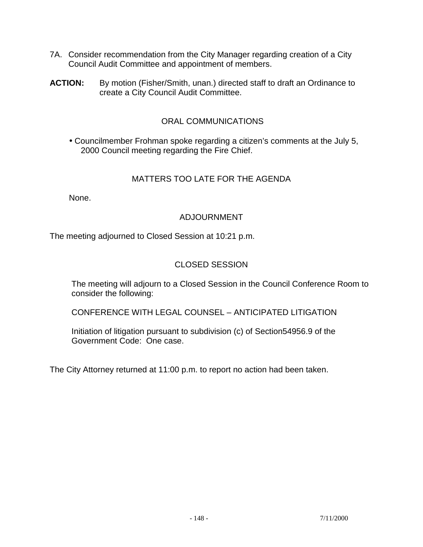- 7A. Consider recommendation from the City Manager regarding creation of a City Council Audit Committee and appointment of members.
- **ACTION:** By motion (Fisher/Smith, unan.) directed staff to draft an Ordinance to create a City Council Audit Committee.

### ORAL COMMUNICATIONS

• Councilmember Frohman spoke regarding a citizen's comments at the July 5, 2000 Council meeting regarding the Fire Chief.

### MATTERS TOO LATE FOR THE AGENDA

None.

### ADJOURNMENT

The meeting adjourned to Closed Session at 10:21 p.m.

# CLOSED SESSION

 The meeting will adjourn to a Closed Session in the Council Conference Room to consider the following:

CONFERENCE WITH LEGAL COUNSEL – ANTICIPATED LITIGATION

 Initiation of litigation pursuant to subdivision (c) of Section54956.9 of the Government Code: One case.

The City Attorney returned at 11:00 p.m. to report no action had been taken.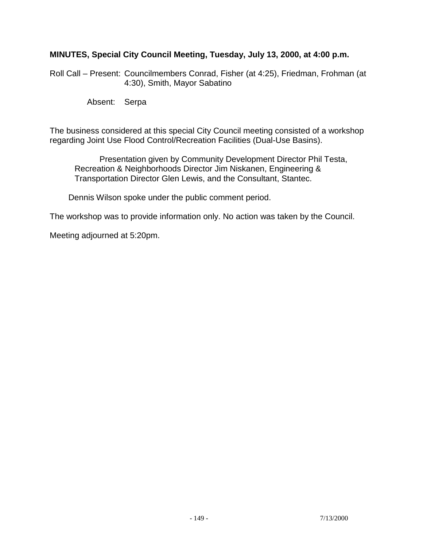### **MINUTES, Special City Council Meeting, Tuesday, July 13, 2000, at 4:00 p.m.**

Roll Call – Present: Councilmembers Conrad, Fisher (at 4:25), Friedman, Frohman (at 4:30), Smith, Mayor Sabatino

Absent: Serpa

The business considered at this special City Council meeting consisted of a workshop regarding Joint Use Flood Control/Recreation Facilities (Dual-Use Basins).

 Presentation given by Community Development Director Phil Testa, Recreation & Neighborhoods Director Jim Niskanen, Engineering & Transportation Director Glen Lewis, and the Consultant, Stantec.

Dennis Wilson spoke under the public comment period.

The workshop was to provide information only. No action was taken by the Council.

Meeting adjourned at 5:20pm.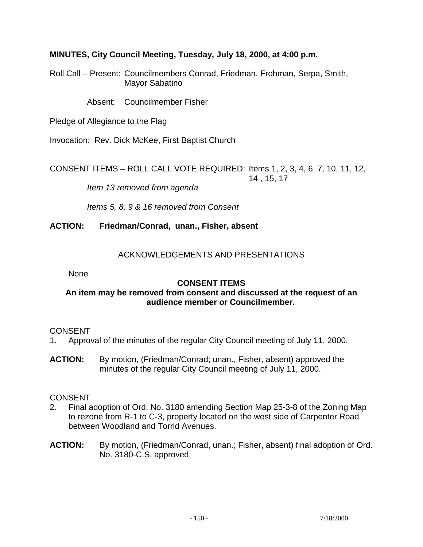### **MINUTES, City Council Meeting, Tuesday, July 18, 2000, at 4:00 p.m.**

Roll Call – Present: Councilmembers Conrad, Friedman, Frohman, Serpa, Smith, Mayor Sabatino

Absent: Councilmember Fisher

Pledge of Allegiance to the Flag

Invocation: Rev. Dick McKee, First Baptist Church

CONSENT ITEMS – ROLL CALL VOTE REQUIRED: Items 1, 2, 3, 4, 6, 7, 10, 11, 12, 14 , 15, 17

 *Item 13 removed from agenda* 

 *Items 5, 8, 9 & 16 removed from Consent* 

**ACTION: Friedman/Conrad, unan., Fisher, absent** 

### ACKNOWLEDGEMENTS AND PRESENTATIONS

None

### **CONSENT ITEMS**

### **An item may be removed from consent and discussed at the request of an audience member or Councilmember.**

### CONSENT

- 1. Approval of the minutes of the regular City Council meeting of July 11, 2000.
- **ACTION:** By motion, (Friedman/Conrad; unan., Fisher, absent) approved the minutes of the regular City Council meeting of July 11, 2000.

### CONSENT

- 2. Final adoption of Ord. No. 3180 amending Section Map 25-3-8 of the Zoning Map to rezone from R-1 to C-3, property located on the west side of Carpenter Road between Woodland and Torrid Avenues.
- **ACTION:** By motion, (Friedman/Conrad, unan.; Fisher, absent) final adoption of Ord. No. 3180-C.S. approved.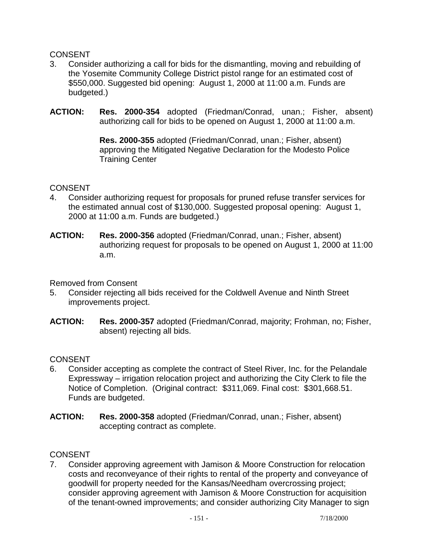# **CONSENT**

- 3. Consider authorizing a call for bids for the dismantling, moving and rebuilding of the Yosemite Community College District pistol range for an estimated cost of \$550,000. Suggested bid opening: August 1, 2000 at 11:00 a.m. Funds are budgeted.)
- **ACTION: Res. 2000-354** adopted (Friedman/Conrad, unan.; Fisher, absent) authorizing call for bids to be opened on August 1, 2000 at 11:00 a.m.

 **Res. 2000-355** adopted (Friedman/Conrad, unan.; Fisher, absent) approving the Mitigated Negative Declaration for the Modesto Police Training Center

### **CONSENT**

- 4. Consider authorizing request for proposals for pruned refuse transfer services for the estimated annual cost of \$130,000. Suggested proposal opening: August 1, 2000 at 11:00 a.m. Funds are budgeted.)
- **ACTION: Res. 2000-356** adopted (Friedman/Conrad, unan.; Fisher, absent) authorizing request for proposals to be opened on August 1, 2000 at 11:00 a.m.

Removed from Consent

- 5. Consider rejecting all bids received for the Coldwell Avenue and Ninth Street improvements project.
- **ACTION: Res. 2000-357** adopted (Friedman/Conrad, majority; Frohman, no; Fisher, absent) rejecting all bids.

### **CONSENT**

- 6. Consider accepting as complete the contract of Steel River, Inc. for the Pelandale Expressway – irrigation relocation project and authorizing the City Clerk to file the Notice of Completion. (Original contract: \$311,069. Final cost: \$301,668.51. Funds are budgeted.
- **ACTION: Res. 2000-358** adopted (Friedman/Conrad, unan.; Fisher, absent) accepting contract as complete.

### **CONSENT**

7. Consider approving agreement with Jamison & Moore Construction for relocation costs and reconveyance of their rights to rental of the property and conveyance of goodwill for property needed for the Kansas/Needham overcrossing project; consider approving agreement with Jamison & Moore Construction for acquisition of the tenant-owned improvements; and consider authorizing City Manager to sign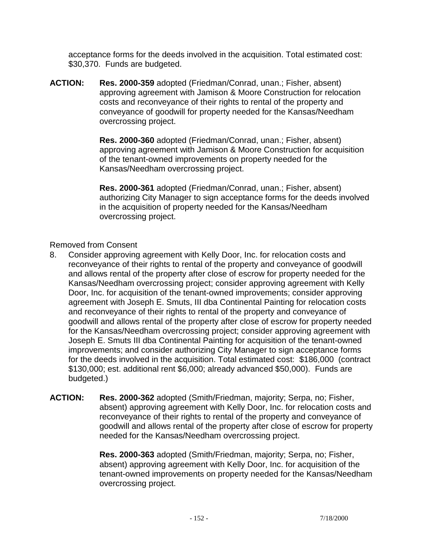acceptance forms for the deeds involved in the acquisition. Total estimated cost: \$30,370. Funds are budgeted.

**ACTION: Res. 2000-359** adopted (Friedman/Conrad, unan.; Fisher, absent) approving agreement with Jamison & Moore Construction for relocation costs and reconveyance of their rights to rental of the property and conveyance of goodwill for property needed for the Kansas/Needham overcrossing project.

> **Res. 2000-360** adopted (Friedman/Conrad, unan.; Fisher, absent) approving agreement with Jamison & Moore Construction for acquisition of the tenant-owned improvements on property needed for the Kansas/Needham overcrossing project.

 **Res. 2000-361** adopted (Friedman/Conrad, unan.; Fisher, absent) authorizing City Manager to sign acceptance forms for the deeds involved in the acquisition of property needed for the Kansas/Needham overcrossing project.

### Removed from Consent

- 8. Consider approving agreement with Kelly Door, Inc. for relocation costs and reconveyance of their rights to rental of the property and conveyance of goodwill and allows rental of the property after close of escrow for property needed for the Kansas/Needham overcrossing project; consider approving agreement with Kelly Door, Inc. for acquisition of the tenant-owned improvements; consider approving agreement with Joseph E. Smuts, III dba Continental Painting for relocation costs and reconveyance of their rights to rental of the property and conveyance of goodwill and allows rental of the property after close of escrow for property needed for the Kansas/Needham overcrossing project; consider approving agreement with Joseph E. Smuts III dba Continental Painting for acquisition of the tenant-owned improvements; and consider authorizing City Manager to sign acceptance forms for the deeds involved in the acquisition. Total estimated cost: \$186,000 (contract \$130,000; est. additional rent \$6,000; already advanced \$50,000). Funds are budgeted.)
- **ACTION: Res. 2000-362** adopted (Smith/Friedman, majority; Serpa, no; Fisher, absent) approving agreement with Kelly Door, Inc. for relocation costs and reconveyance of their rights to rental of the property and conveyance of goodwill and allows rental of the property after close of escrow for property needed for the Kansas/Needham overcrossing project.

 **Res. 2000-363** adopted (Smith/Friedman, majority; Serpa, no; Fisher, absent) approving agreement with Kelly Door, Inc. for acquisition of the tenant-owned improvements on property needed for the Kansas/Needham overcrossing project.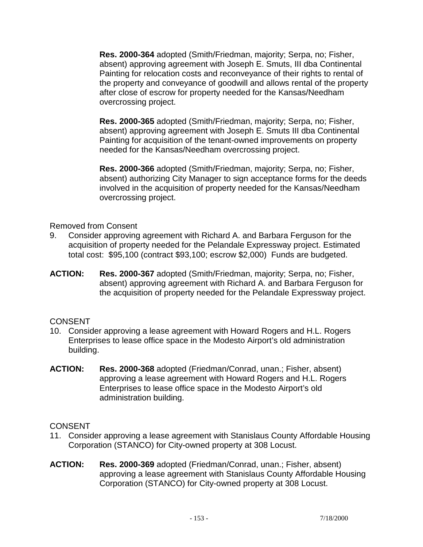**Res. 2000-364** adopted (Smith/Friedman, majority; Serpa, no; Fisher, absent) approving agreement with Joseph E. Smuts, III dba Continental Painting for relocation costs and reconveyance of their rights to rental of the property and conveyance of goodwill and allows rental of the property after close of escrow for property needed for the Kansas/Needham overcrossing project.

 **Res. 2000-365** adopted (Smith/Friedman, majority; Serpa, no; Fisher, absent) approving agreement with Joseph E. Smuts III dba Continental Painting for acquisition of the tenant-owned improvements on property needed for the Kansas/Needham overcrossing project.

 **Res. 2000-366** adopted (Smith/Friedman, majority; Serpa, no; Fisher, absent) authorizing City Manager to sign acceptance forms for the deeds involved in the acquisition of property needed for the Kansas/Needham overcrossing project.

Removed from Consent

- 9. Consider approving agreement with Richard A. and Barbara Ferguson for the acquisition of property needed for the Pelandale Expressway project. Estimated total cost: \$95,100 (contract \$93,100; escrow \$2,000) Funds are budgeted.
- **ACTION: Res. 2000-367** adopted (Smith/Friedman, majority; Serpa, no; Fisher, absent) approving agreement with Richard A. and Barbara Ferguson for the acquisition of property needed for the Pelandale Expressway project.

# **CONSENT**

- 10. Consider approving a lease agreement with Howard Rogers and H.L. Rogers Enterprises to lease office space in the Modesto Airport's old administration building.
- **ACTION: Res. 2000-368** adopted (Friedman/Conrad, unan.; Fisher, absent) approving a lease agreement with Howard Rogers and H.L. Rogers Enterprises to lease office space in the Modesto Airport's old administration building.

# **CONSENT**

- 11. Consider approving a lease agreement with Stanislaus County Affordable Housing Corporation (STANCO) for City-owned property at 308 Locust.
- **ACTION: Res. 2000-369** adopted (Friedman/Conrad, unan.; Fisher, absent) approving a lease agreement with Stanislaus County Affordable Housing Corporation (STANCO) for City-owned property at 308 Locust.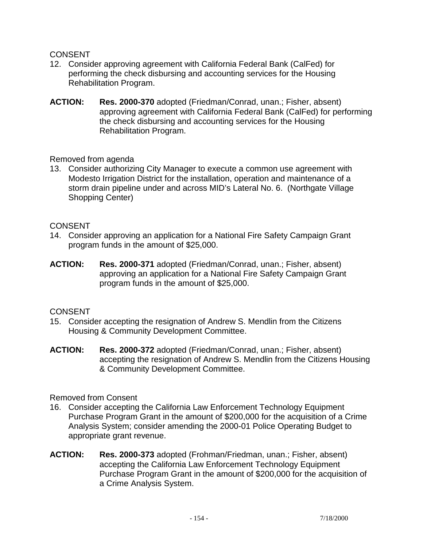### CONSENT

- 12. Consider approving agreement with California Federal Bank (CalFed) for performing the check disbursing and accounting services for the Housing Rehabilitation Program.
- **ACTION: Res. 2000-370** adopted (Friedman/Conrad, unan.; Fisher, absent) approving agreement with California Federal Bank (CalFed) for performing the check disbursing and accounting services for the Housing Rehabilitation Program.

Removed from agenda

13. Consider authorizing City Manager to execute a common use agreement with Modesto Irrigation District for the installation, operation and maintenance of a storm drain pipeline under and across MID's Lateral No. 6. (Northgate Village Shopping Center)

### **CONSENT**

- 14. Consider approving an application for a National Fire Safety Campaign Grant program funds in the amount of \$25,000.
- **ACTION: Res. 2000-371** adopted (Friedman/Conrad, unan.; Fisher, absent) approving an application for a National Fire Safety Campaign Grant program funds in the amount of \$25,000.

# **CONSENT**

- 15. Consider accepting the resignation of Andrew S. Mendlin from the Citizens Housing & Community Development Committee.
- **ACTION: Res. 2000-372** adopted (Friedman/Conrad, unan.; Fisher, absent) accepting the resignation of Andrew S. Mendlin from the Citizens Housing & Community Development Committee.

# Removed from Consent

- 16. Consider accepting the California Law Enforcement Technology Equipment Purchase Program Grant in the amount of \$200,000 for the acquisition of a Crime Analysis System; consider amending the 2000-01 Police Operating Budget to appropriate grant revenue.
- **ACTION: Res. 2000-373** adopted (Frohman/Friedman, unan.; Fisher, absent) accepting the California Law Enforcement Technology Equipment Purchase Program Grant in the amount of \$200,000 for the acquisition of a Crime Analysis System.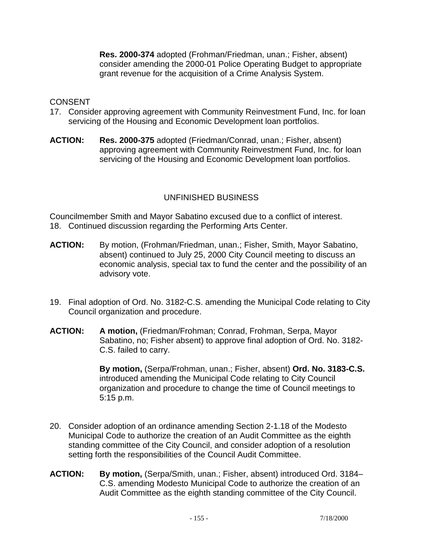**Res. 2000-374** adopted (Frohman/Friedman, unan.; Fisher, absent) consider amending the 2000-01 Police Operating Budget to appropriate grant revenue for the acquisition of a Crime Analysis System.

### **CONSENT**

- 17. Consider approving agreement with Community Reinvestment Fund, Inc. for loan servicing of the Housing and Economic Development loan portfolios.
- **ACTION: Res. 2000-375** adopted (Friedman/Conrad, unan.; Fisher, absent) approving agreement with Community Reinvestment Fund, Inc. for loan servicing of the Housing and Economic Development loan portfolios.

# UNFINISHED BUSINESS

Councilmember Smith and Mayor Sabatino excused due to a conflict of interest. 18. Continued discussion regarding the Performing Arts Center.

- **ACTION:** By motion, (Frohman/Friedman, unan.; Fisher, Smith, Mayor Sabatino, absent) continued to July 25, 2000 City Council meeting to discuss an economic analysis, special tax to fund the center and the possibility of an advisory vote.
- 19. Final adoption of Ord. No. 3182-C.S. amending the Municipal Code relating to City Council organization and procedure.
- **ACTION: A motion,** (Friedman/Frohman; Conrad, Frohman, Serpa, Mayor Sabatino, no; Fisher absent) to approve final adoption of Ord. No. 3182- C.S. failed to carry.

**By motion,** (Serpa/Frohman, unan.; Fisher, absent) **Ord. No. 3183-C.S.** introduced amending the Municipal Code relating to City Council organization and procedure to change the time of Council meetings to 5:15 p.m.

- 20. Consider adoption of an ordinance amending Section 2-1.18 of the Modesto Municipal Code to authorize the creation of an Audit Committee as the eighth standing committee of the City Council, and consider adoption of a resolution setting forth the responsibilities of the Council Audit Committee.
- **ACTION: By motion,** (Serpa/Smith, unan.; Fisher, absent) introduced Ord. 3184– C.S. amending Modesto Municipal Code to authorize the creation of an Audit Committee as the eighth standing committee of the City Council.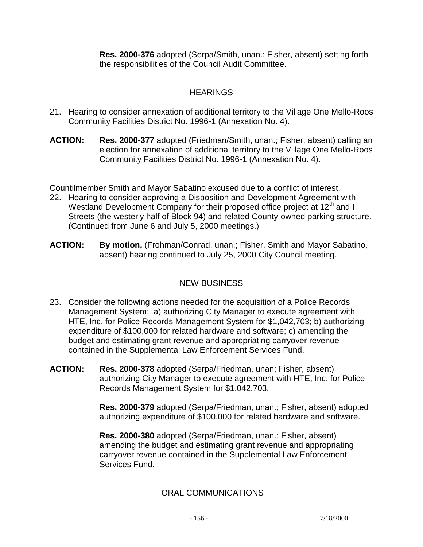**Res. 2000-376** adopted (Serpa/Smith, unan.; Fisher, absent) setting forth the responsibilities of the Council Audit Committee.

# **HEARINGS**

- 21. Hearing to consider annexation of additional territory to the Village One Mello-Roos Community Facilities District No. 1996-1 (Annexation No. 4).
- **ACTION: Res. 2000-377** adopted (Friedman/Smith, unan.; Fisher, absent) calling an election for annexation of additional territory to the Village One Mello-Roos Community Facilities District No. 1996-1 (Annexation No. 4).

Countilmember Smith and Mayor Sabatino excused due to a conflict of interest.

- 22. Hearing to consider approving a Disposition and Development Agreement with Westland Development Company for their proposed office project at 12<sup>th</sup> and I Streets (the westerly half of Block 94) and related County-owned parking structure. (Continued from June 6 and July 5, 2000 meetings.)
- **ACTION: By motion,** (Frohman/Conrad, unan.; Fisher, Smith and Mayor Sabatino, absent) hearing continued to July 25, 2000 City Council meeting.

# NEW BUSINESS

- 23. Consider the following actions needed for the acquisition of a Police Records Management System: a) authorizing City Manager to execute agreement with HTE, Inc. for Police Records Management System for \$1,042,703; b) authorizing expenditure of \$100,000 for related hardware and software; c) amending the budget and estimating grant revenue and appropriating carryover revenue contained in the Supplemental Law Enforcement Services Fund.
- **ACTION: Res. 2000-378** adopted (Serpa/Friedman, unan; Fisher, absent) authorizing City Manager to execute agreement with HTE, Inc. for Police Records Management System for \$1,042,703.

 **Res. 2000-379** adopted (Serpa/Friedman, unan.; Fisher, absent) adopted authorizing expenditure of \$100,000 for related hardware and software.

 **Res. 2000-380** adopted (Serpa/Friedman, unan.; Fisher, absent) amending the budget and estimating grant revenue and appropriating carryover revenue contained in the Supplemental Law Enforcement Services Fund.

# ORAL COMMUNICATIONS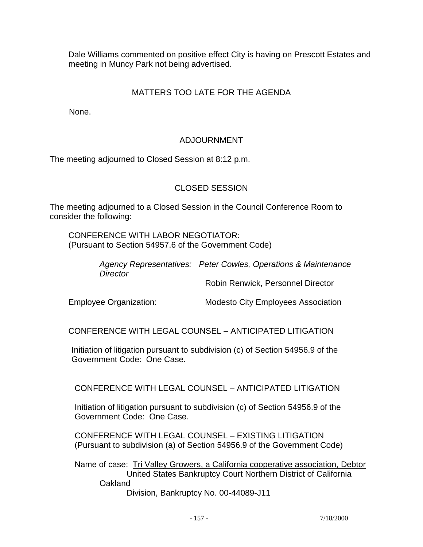Dale Williams commented on positive effect City is having on Prescott Estates and meeting in Muncy Park not being advertised.

# MATTERS TOO LATE FOR THE AGENDA

None.

# ADJOURNMENT

The meeting adjourned to Closed Session at 8:12 p.m.

# CLOSED SESSION

The meeting adjourned to a Closed Session in the Council Conference Room to consider the following:

 CONFERENCE WITH LABOR NEGOTIATOR: (Pursuant to Section 54957.6 of the Government Code)

> *Agency Representatives: Peter Cowles, Operations & Maintenance Director*

Robin Renwick, Personnel Director

Employee Organization: Modesto City Employees Association

CONFERENCE WITH LEGAL COUNSEL – ANTICIPATED LITIGATION

 Initiation of litigation pursuant to subdivision (c) of Section 54956.9 of the Government Code: One Case.

CONFERENCE WITH LEGAL COUNSEL – ANTICIPATED LITIGATION

 Initiation of litigation pursuant to subdivision (c) of Section 54956.9 of the Government Code: One Case.

 CONFERENCE WITH LEGAL COUNSEL – EXISTING LITIGATION (Pursuant to subdivision (a) of Section 54956.9 of the Government Code)

 Name of case: Tri Valley Growers, a California cooperative association, Debtor United States Bankruptcy Court Northern District of California **Oakland** Division, Bankruptcy No. 00-44089-J11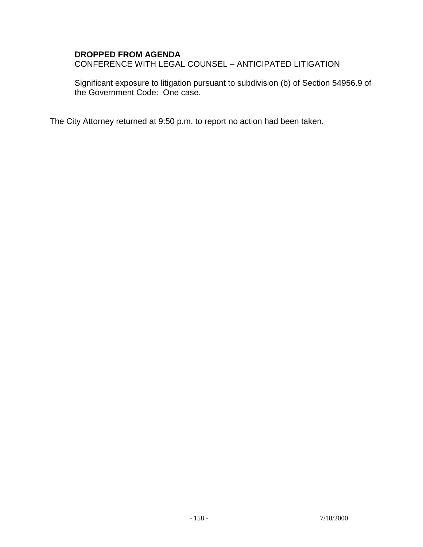### **DROPPED FROM AGENDA**

CONFERENCE WITH LEGAL COUNSEL – ANTICIPATED LITIGATION

Significant exposure to litigation pursuant to subdivision (b) of Section 54956.9 of the Government Code: One case.

The City Attorney returned at 9:50 p.m. to report no action had been taken.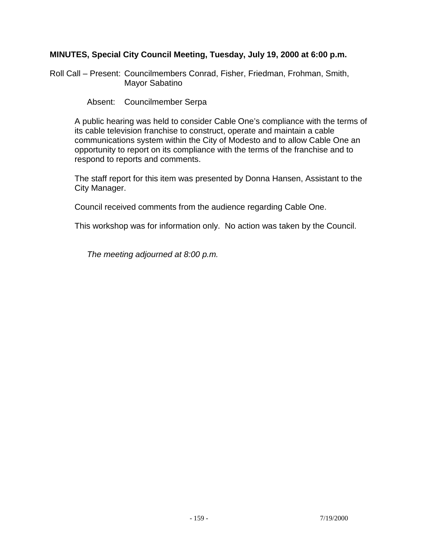### **MINUTES, Special City Council Meeting, Tuesday, July 19, 2000 at 6:00 p.m.**

Roll Call – Present: Councilmembers Conrad, Fisher, Friedman, Frohman, Smith, Mayor Sabatino

Absent: Councilmember Serpa

 A public hearing was held to consider Cable One's compliance with the terms of its cable television franchise to construct, operate and maintain a cable communications system within the City of Modesto and to allow Cable One an opportunity to report on its compliance with the terms of the franchise and to respond to reports and comments.

 The staff report for this item was presented by Donna Hansen, Assistant to the City Manager.

Council received comments from the audience regarding Cable One.

This workshop was for information only. No action was taken by the Council.

 *The meeting adjourned at 8:00 p.m.*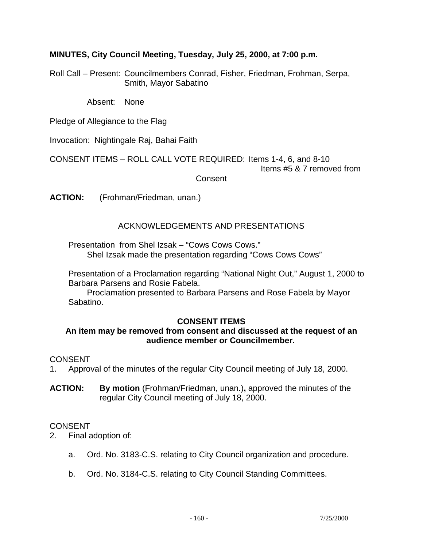### **MINUTES, City Council Meeting, Tuesday, July 25, 2000, at 7:00 p.m.**

Roll Call – Present: Councilmembers Conrad, Fisher, Friedman, Frohman, Serpa, Smith, Mayor Sabatino

Absent: None

Pledge of Allegiance to the Flag

Invocation: Nightingale Raj, Bahai Faith

CONSENT ITEMS – ROLL CALL VOTE REQUIRED: Items 1-4, 6, and 8-10

Items #5 & 7 removed from

**Consent** 

**ACTION:** (Frohman/Friedman, unan.)

### ACKNOWLEDGEMENTS AND PRESENTATIONS

 Presentation from Shel Izsak – "Cows Cows Cows." Shel Izsak made the presentation regarding "Cows Cows Cows"

 Presentation of a Proclamation regarding "National Night Out," August 1, 2000 to Barbara Parsens and Rosie Fabela.

 Proclamation presented to Barbara Parsens and Rose Fabela by Mayor Sabatino.

### **CONSENT ITEMS**

### **An item may be removed from consent and discussed at the request of an audience member or Councilmember.**

### **CONSENT**

- 1. Approval of the minutes of the regular City Council meeting of July 18, 2000.
- **ACTION: By motion** (Frohman/Friedman, unan.)**,** approved the minutes of the regular City Council meeting of July 18, 2000.

### CONSENT

- 2. Final adoption of:
	- a. Ord. No. 3183-C.S. relating to City Council organization and procedure.
	- b. Ord. No. 3184-C.S. relating to City Council Standing Committees.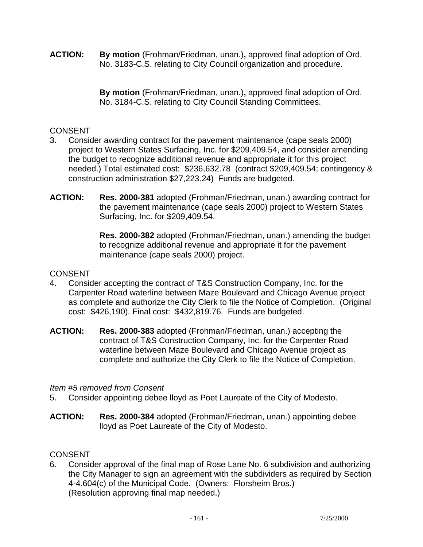**ACTION: By motion** (Frohman/Friedman, unan.)**,** approved final adoption of Ord. No. 3183-C.S. relating to City Council organization and procedure.

> **By motion** (Frohman/Friedman, unan.)**,** approved final adoption of Ord. No. 3184-C.S. relating to City Council Standing Committees.

# **CONSENT**

- 3. Consider awarding contract for the pavement maintenance (cape seals 2000) project to Western States Surfacing, Inc. for \$209,409.54, and consider amending the budget to recognize additional revenue and appropriate it for this project needed.) Total estimated cost: \$236,632.78 (contract \$209,409.54; contingency & construction administration \$27,223.24) Funds are budgeted.
- **ACTION: Res. 2000-381** adopted (Frohman/Friedman, unan.) awarding contract for the pavement maintenance (cape seals 2000) project to Western States Surfacing, Inc. for \$209,409.54.

 **Res. 2000-382** adopted (Frohman/Friedman, unan.) amending the budget to recognize additional revenue and appropriate it for the pavement maintenance (cape seals 2000) project.

# **CONSENT**

- 4. Consider accepting the contract of T&S Construction Company, Inc. for the Carpenter Road waterline between Maze Boulevard and Chicago Avenue project as complete and authorize the City Clerk to file the Notice of Completion. (Original cost: \$426,190). Final cost: \$432,819.76. Funds are budgeted.
- **ACTION: Res. 2000-383** adopted (Frohman/Friedman, unan.) accepting the contract of T&S Construction Company, Inc. for the Carpenter Road waterline between Maze Boulevard and Chicago Avenue project as complete and authorize the City Clerk to file the Notice of Completion.

# *Item #5 removed from Consent*

- 5. Consider appointing debee lloyd as Poet Laureate of the City of Modesto.
- **ACTION: Res. 2000-384** adopted (Frohman/Friedman, unan.) appointing debee lloyd as Poet Laureate of the City of Modesto.

# **CONSENT**

6. Consider approval of the final map of Rose Lane No. 6 subdivision and authorizing the City Manager to sign an agreement with the subdividers as required by Section 4-4.604(c) of the Municipal Code. (Owners: Florsheim Bros.) (Resolution approving final map needed.)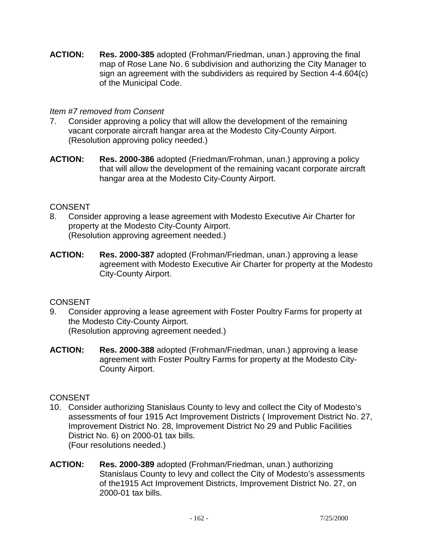**ACTION: Res. 2000-385** adopted (Frohman/Friedman, unan.) approving the final map of Rose Lane No. 6 subdivision and authorizing the City Manager to sign an agreement with the subdividers as required by Section 4-4.604(c) of the Municipal Code.

### *Item #7 removed from Consent*

- 7. Consider approving a policy that will allow the development of the remaining vacant corporate aircraft hangar area at the Modesto City-County Airport. (Resolution approving policy needed.)
- **ACTION: Res. 2000-386** adopted (Friedman/Frohman, unan.) approving a policy that will allow the development of the remaining vacant corporate aircraft hangar area at the Modesto City-County Airport.

# **CONSENT**

- 8. Consider approving a lease agreement with Modesto Executive Air Charter for property at the Modesto City-County Airport. (Resolution approving agreement needed.)
- **ACTION: Res. 2000-387** adopted (Frohman/Friedman, unan.) approving a lease agreement with Modesto Executive Air Charter for property at the Modesto City-County Airport.

# **CONSENT**

- 9. Consider approving a lease agreement with Foster Poultry Farms for property at the Modesto City-County Airport. (Resolution approving agreement needed.)
- **ACTION: Res. 2000-388** adopted (Frohman/Friedman, unan.) approving a lease agreement with Foster Poultry Farms for property at the Modesto City-County Airport.

# CONSENT

- 10. Consider authorizing Stanislaus County to levy and collect the City of Modesto's assessments of four 1915 Act Improvement Districts ( Improvement District No. 27, Improvement District No. 28, Improvement District No 29 and Public Facilities District No. 6) on 2000-01 tax bills. (Four resolutions needed.)
- **ACTION: Res. 2000-389** adopted (Frohman/Friedman, unan.) authorizing Stanislaus County to levy and collect the City of Modesto's assessments of the1915 Act Improvement Districts, Improvement District No. 27, on 2000-01 tax bills.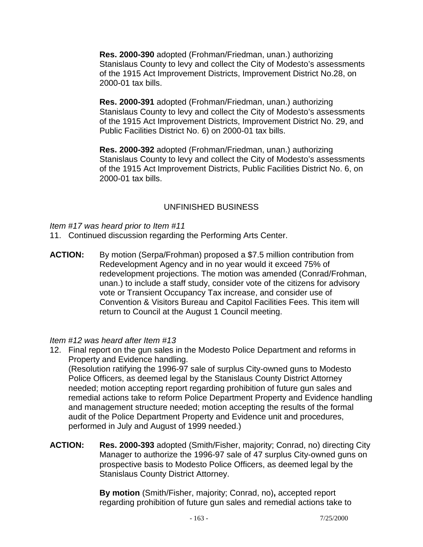**Res. 2000-390** adopted (Frohman/Friedman, unan.) authorizing Stanislaus County to levy and collect the City of Modesto's assessments of the 1915 Act Improvement Districts, Improvement District No.28, on 2000-01 tax bills.

 **Res. 2000-391** adopted (Frohman/Friedman, unan.) authorizing Stanislaus County to levy and collect the City of Modesto's assessments of the 1915 Act Improvement Districts, Improvement District No. 29, and Public Facilities District No. 6) on 2000-01 tax bills.

 **Res. 2000-392** adopted (Frohman/Friedman, unan.) authorizing Stanislaus County to levy and collect the City of Modesto's assessments of the 1915 Act Improvement Districts, Public Facilities District No. 6, on 2000-01 tax bills.

# UNFINISHED BUSINESS

*Item #17 was heard prior to Item #11* 

- 11. Continued discussion regarding the Performing Arts Center.
- **ACTION:** By motion (Serpa/Frohman) proposed a \$7.5 million contribution from Redevelopment Agency and in no year would it exceed 75% of redevelopment projections. The motion was amended (Conrad/Frohman, unan.) to include a staff study, consider vote of the citizens for advisory vote or Transient Occupancy Tax increase, and consider use of Convention & Visitors Bureau and Capitol Facilities Fees. This item will return to Council at the August 1 Council meeting.

### *Item #12 was heard after Item #13*

12. Final report on the gun sales in the Modesto Police Department and reforms in Property and Evidence handling.

 (Resolution ratifying the 1996-97 sale of surplus City-owned guns to Modesto Police Officers, as deemed legal by the Stanislaus County District Attorney needed; motion accepting report regarding prohibition of future gun sales and remedial actions take to reform Police Department Property and Evidence handling and management structure needed; motion accepting the results of the formal audit of the Police Department Property and Evidence unit and procedures, performed in July and August of 1999 needed.)

**ACTION: Res. 2000-393** adopted (Smith/Fisher, majority; Conrad, no) directing City Manager to authorize the 1996-97 sale of 47 surplus City-owned guns on prospective basis to Modesto Police Officers, as deemed legal by the Stanislaus County District Attorney.

> **By motion** (Smith/Fisher, majority; Conrad, no)**,** accepted report regarding prohibition of future gun sales and remedial actions take to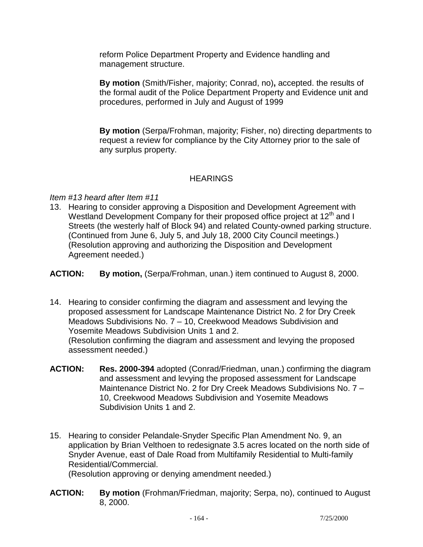reform Police Department Property and Evidence handling and management structure.

 **By motion** (Smith/Fisher, majority; Conrad, no)**,** accepted. the results of the formal audit of the Police Department Property and Evidence unit and procedures, performed in July and August of 1999

**By motion** (Serpa/Frohman, majority; Fisher, no) directing departments to request a review for compliance by the City Attorney prior to the sale of any surplus property.

# **HEARINGS**

### *Item #13 heard after Item #11*

13. Hearing to consider approving a Disposition and Development Agreement with Westland Development Company for their proposed office project at 12<sup>th</sup> and I Streets (the westerly half of Block 94) and related County-owned parking structure. (Continued from June 6, July 5, and July 18, 2000 City Council meetings.) (Resolution approving and authorizing the Disposition and Development Agreement needed.)

**ACTION: By motion,** (Serpa/Frohman, unan.) item continued to August 8, 2000.

14. Hearing to consider confirming the diagram and assessment and levying the proposed assessment for Landscape Maintenance District No. 2 for Dry Creek Meadows Subdivisions No. 7 – 10, Creekwood Meadows Subdivision and Yosemite Meadows Subdivision Units 1 and 2. (Resolution confirming the diagram and assessment and levying the proposed

assessment needed.)

- **ACTION: Res. 2000-394** adopted (Conrad/Friedman, unan.) confirming the diagram and assessment and levying the proposed assessment for Landscape Maintenance District No. 2 for Dry Creek Meadows Subdivisions No. 7 – 10, Creekwood Meadows Subdivision and Yosemite Meadows Subdivision Units 1 and 2.
- 15. Hearing to consider Pelandale-Snyder Specific Plan Amendment No. 9, an application by Brian Velthoen to redesignate 3.5 acres located on the north side of Snyder Avenue, east of Dale Road from Multifamily Residential to Multi-family Residential/Commercial. (Resolution approving or denying amendment needed.)
- **ACTION: By motion** (Frohman/Friedman, majority; Serpa, no), continued to August 8, 2000.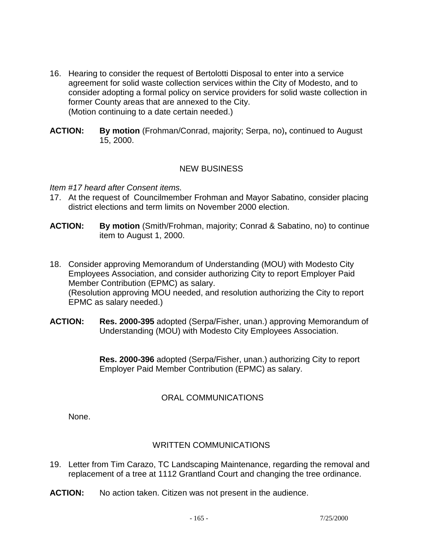- 16. Hearing to consider the request of Bertolotti Disposal to enter into a service agreement for solid waste collection services within the City of Modesto, and to consider adopting a formal policy on service providers for solid waste collection in former County areas that are annexed to the City. (Motion continuing to a date certain needed.)
- **ACTION: By motion** (Frohman/Conrad, majority; Serpa, no)**,** continued to August 15, 2000.

### NEW BUSINESS

#### *Item #17 heard after Consent items.*

- 17. At the request of Councilmember Frohman and Mayor Sabatino, consider placing district elections and term limits on November 2000 election.
- **ACTION: By motion** (Smith/Frohman, majority; Conrad & Sabatino, no) to continue item to August 1, 2000.
- 18. Consider approving Memorandum of Understanding (MOU) with Modesto City Employees Association, and consider authorizing City to report Employer Paid Member Contribution (EPMC) as salary. (Resolution approving MOU needed, and resolution authorizing the City to report EPMC as salary needed.)
- **ACTION: Res. 2000-395** adopted (Serpa/Fisher, unan.) approving Memorandum of Understanding (MOU) with Modesto City Employees Association.

 **Res. 2000-396** adopted (Serpa/Fisher, unan.) authorizing City to report Employer Paid Member Contribution (EPMC) as salary.

# ORAL COMMUNICATIONS

None.

# WRITTEN COMMUNICATIONS

- 19. Letter from Tim Carazo, TC Landscaping Maintenance, regarding the removal and replacement of a tree at 1112 Grantland Court and changing the tree ordinance.
- **ACTION:** No action taken. Citizen was not present in the audience.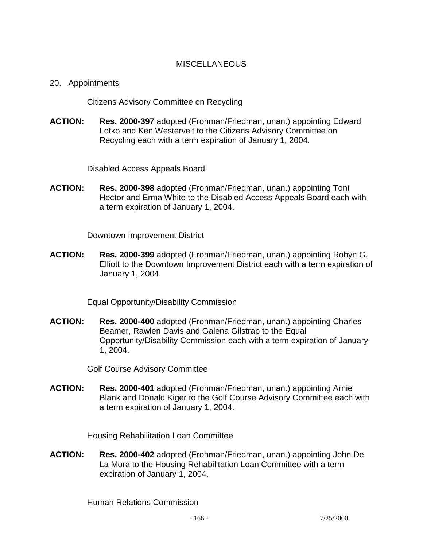### **MISCELLANEOUS**

#### 20. Appointments

Citizens Advisory Committee on Recycling

**ACTION: Res. 2000-397** adopted (Frohman/Friedman, unan.) appointing Edward Lotko and Ken Westervelt to the Citizens Advisory Committee on Recycling each with a term expiration of January 1, 2004.

Disabled Access Appeals Board

**ACTION: Res. 2000-398** adopted (Frohman/Friedman, unan.) appointing Toni Hector and Erma White to the Disabled Access Appeals Board each with a term expiration of January 1, 2004.

Downtown Improvement District

**ACTION: Res. 2000-399** adopted (Frohman/Friedman, unan.) appointing Robyn G. Elliott to the Downtown Improvement District each with a term expiration of January 1, 2004.

Equal Opportunity/Disability Commission

**ACTION: Res. 2000-400** adopted (Frohman/Friedman, unan.) appointing Charles Beamer, Rawlen Davis and Galena Gilstrap to the Equal Opportunity/Disability Commission each with a term expiration of January 1, 2004.

Golf Course Advisory Committee

**ACTION: Res. 2000-401** adopted (Frohman/Friedman, unan.) appointing Arnie Blank and Donald Kiger to the Golf Course Advisory Committee each with a term expiration of January 1, 2004.

Housing Rehabilitation Loan Committee

**ACTION: Res. 2000-402** adopted (Frohman/Friedman, unan.) appointing John De La Mora to the Housing Rehabilitation Loan Committee with a term expiration of January 1, 2004.

Human Relations Commission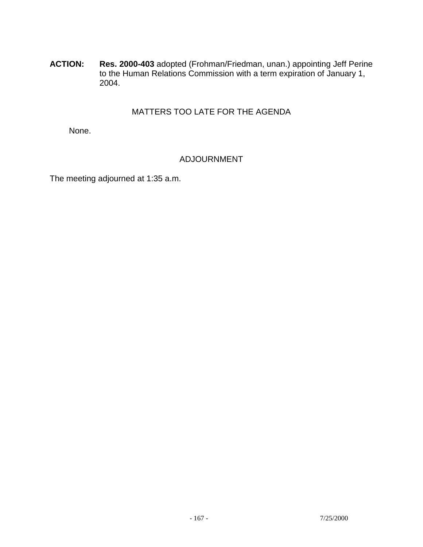**ACTION: Res. 2000-403** adopted (Frohman/Friedman, unan.) appointing Jeff Perine to the Human Relations Commission with a term expiration of January 1, 2004.

# MATTERS TOO LATE FOR THE AGENDA

None.

# ADJOURNMENT

The meeting adjourned at 1:35 a.m.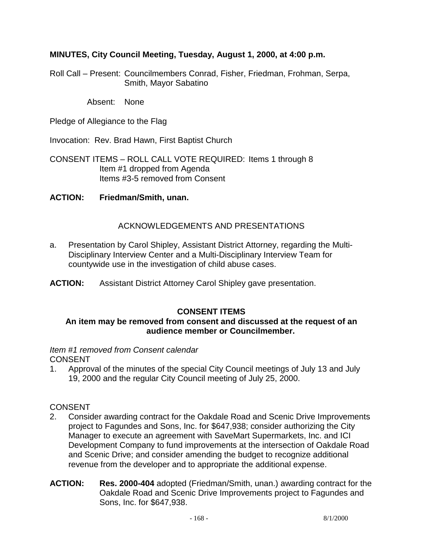### **MINUTES, City Council Meeting, Tuesday, August 1, 2000, at 4:00 p.m.**

Roll Call – Present: Councilmembers Conrad, Fisher, Friedman, Frohman, Serpa, Smith, Mayor Sabatino

Absent: None

Pledge of Allegiance to the Flag

Invocation: Rev. Brad Hawn, First Baptist Church

CONSENT ITEMS – ROLL CALL VOTE REQUIRED: Items 1 through 8 Item #1 dropped from Agenda Items #3-5 removed from Consent

#### **ACTION: Friedman/Smith, unan.**

### ACKNOWLEDGEMENTS AND PRESENTATIONS

- a. Presentation by Carol Shipley, Assistant District Attorney, regarding the Multi-Disciplinary Interview Center and a Multi-Disciplinary Interview Team for countywide use in the investigation of child abuse cases.
- **ACTION:** Assistant District Attorney Carol Shipley gave presentation.

### **CONSENT ITEMS**

#### **An item may be removed from consent and discussed at the request of an audience member or Councilmember.**

#### *Item #1 removed from Consent calendar*  CONSENT

1. Approval of the minutes of the special City Council meetings of July 13 and July 19, 2000 and the regular City Council meeting of July 25, 2000.

### **CONSENT**

- 2. Consider awarding contract for the Oakdale Road and Scenic Drive Improvements project to Fagundes and Sons, Inc. for \$647,938; consider authorizing the City Manager to execute an agreement with SaveMart Supermarkets, Inc. and ICI Development Company to fund improvements at the intersection of Oakdale Road and Scenic Drive; and consider amending the budget to recognize additional revenue from the developer and to appropriate the additional expense.
- **ACTION: Res. 2000-404** adopted (Friedman/Smith, unan.) awarding contract for the Oakdale Road and Scenic Drive Improvements project to Fagundes and Sons, Inc. for \$647,938.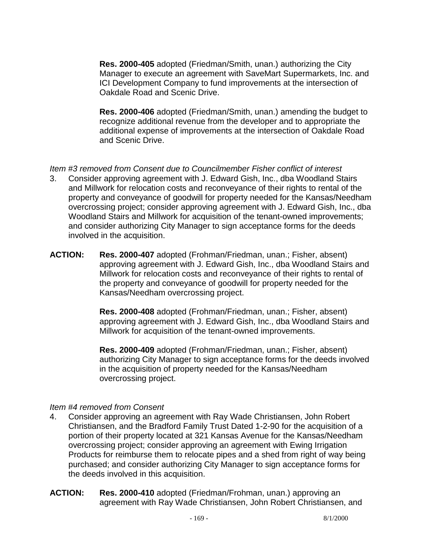**Res. 2000-405** adopted (Friedman/Smith, unan.) authorizing the City Manager to execute an agreement with SaveMart Supermarkets, Inc. and ICI Development Company to fund improvements at the intersection of Oakdale Road and Scenic Drive.

 **Res. 2000-406** adopted (Friedman/Smith, unan.) amending the budget to recognize additional revenue from the developer and to appropriate the additional expense of improvements at the intersection of Oakdale Road and Scenic Drive.

*Item #3 removed from Consent due to Councilmember Fisher conflict of interest* 

- 3. Consider approving agreement with J. Edward Gish, Inc., dba Woodland Stairs and Millwork for relocation costs and reconveyance of their rights to rental of the property and conveyance of goodwill for property needed for the Kansas/Needham overcrossing project; consider approving agreement with J. Edward Gish, Inc., dba Woodland Stairs and Millwork for acquisition of the tenant-owned improvements; and consider authorizing City Manager to sign acceptance forms for the deeds involved in the acquisition.
- **ACTION: Res. 2000-407** adopted (Frohman/Friedman, unan.; Fisher, absent) approving agreement with J. Edward Gish, Inc., dba Woodland Stairs and Millwork for relocation costs and reconveyance of their rights to rental of the property and conveyance of goodwill for property needed for the Kansas/Needham overcrossing project.

 **Res. 2000-408** adopted (Frohman/Friedman, unan.; Fisher, absent) approving agreement with J. Edward Gish, Inc., dba Woodland Stairs and Millwork for acquisition of the tenant-owned improvements.

 **Res. 2000-409** adopted (Frohman/Friedman, unan.; Fisher, absent) authorizing City Manager to sign acceptance forms for the deeds involved in the acquisition of property needed for the Kansas/Needham overcrossing project.

# *Item #4 removed from Consent*

- 4. Consider approving an agreement with Ray Wade Christiansen, John Robert Christiansen, and the Bradford Family Trust Dated 1-2-90 for the acquisition of a portion of their property located at 321 Kansas Avenue for the Kansas/Needham overcrossing project; consider approving an agreement with Ewing Irrigation Products for reimburse them to relocate pipes and a shed from right of way being purchased; and consider authorizing City Manager to sign acceptance forms for the deeds involved in this acquisition.
- **ACTION: Res. 2000-410** adopted (Friedman/Frohman, unan.) approving an agreement with Ray Wade Christiansen, John Robert Christiansen, and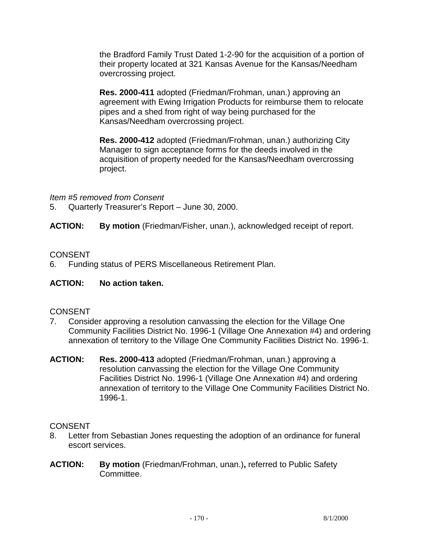the Bradford Family Trust Dated 1-2-90 for the acquisition of a portion of their property located at 321 Kansas Avenue for the Kansas/Needham overcrossing project.

 **Res. 2000-411** adopted (Friedman/Frohman, unan.) approving an agreement with Ewing Irrigation Products for reimburse them to relocate pipes and a shed from right of way being purchased for the Kansas/Needham overcrossing project.

 **Res. 2000-412** adopted (Friedman/Frohman, unan.) authorizing City Manager to sign acceptance forms for the deeds involved in the acquisition of property needed for the Kansas/Needham overcrossing project.

*Item #5 removed from Consent* 

5. Quarterly Treasurer's Report – June 30, 2000.

**ACTION: By motion** (Friedman/Fisher, unan.), acknowledged receipt of report.

### **CONSENT**

6. Funding status of PERS Miscellaneous Retirement Plan.

# **ACTION: No action taken.**

# **CONSENT**

- 7. Consider approving a resolution canvassing the election for the Village One Community Facilities District No. 1996-1 (Village One Annexation #4) and ordering annexation of territory to the Village One Community Facilities District No. 1996-1.
- **ACTION: Res. 2000-413** adopted (Friedman/Frohman, unan.) approving a resolution canvassing the election for the Village One Community Facilities District No. 1996-1 (Village One Annexation #4) and ordering annexation of territory to the Village One Community Facilities District No. 1996-1.

# **CONSENT**

- 8. Letter from Sebastian Jones requesting the adoption of an ordinance for funeral escort services.
- **ACTION: By motion** (Friedman/Frohman, unan.)**,** referred to Public Safety Committee.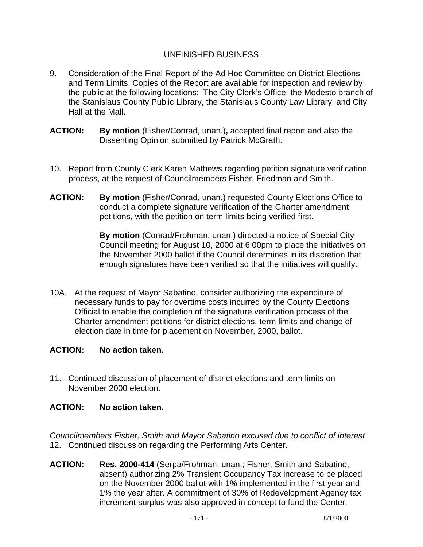### UNFINISHED BUSINESS

- 9. Consideration of the Final Report of the Ad Hoc Committee on District Elections and Term Limits. Copies of the Report are available for inspection and review by the public at the following locations: The City Clerk's Office, the Modesto branch of the Stanislaus County Public Library, the Stanislaus County Law Library, and City Hall at the Mall.
- **ACTION: By motion** (Fisher/Conrad, unan.)**,** accepted final report and also the Dissenting Opinion submitted by Patrick McGrath.
- 10. Report from County Clerk Karen Mathews regarding petition signature verification process, at the request of Councilmembers Fisher, Friedman and Smith.
- **ACTION: By motion** (Fisher/Conrad, unan.) requested County Elections Office to conduct a complete signature verification of the Charter amendment petitions, with the petition on term limits being verified first.

**By motion** (Conrad/Frohman, unan.) directed a notice of Special City Council meeting for August 10, 2000 at 6:00pm to place the initiatives on the November 2000 ballot if the Council determines in its discretion that enough signatures have been verified so that the initiatives will qualify.

10A. At the request of Mayor Sabatino, consider authorizing the expenditure of necessary funds to pay for overtime costs incurred by the County Elections Official to enable the completion of the signature verification process of the Charter amendment petitions for district elections, term limits and change of election date in time for placement on November, 2000, ballot.

### **ACTION: No action taken.**

11. Continued discussion of placement of district elections and term limits on November 2000 election.

# **ACTION: No action taken.**

*Councilmembers Fisher, Smith and Mayor Sabatino excused due to conflict of interest*  12. Continued discussion regarding the Performing Arts Center.

**ACTION: Res. 2000-414** (Serpa/Frohman, unan.; Fisher, Smith and Sabatino, absent) authorizing 2% Transient Occupancy Tax increase to be placed on the November 2000 ballot with 1% implemented in the first year and 1% the year after. A commitment of 30% of Redevelopment Agency tax increment surplus was also approved in concept to fund the Center.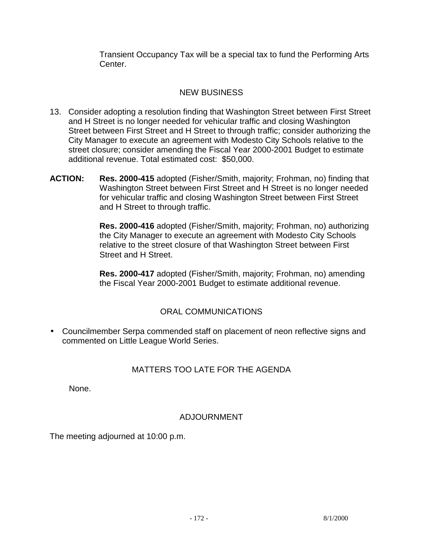Transient Occupancy Tax will be a special tax to fund the Performing Arts Center.

# NEW BUSINESS

- 13. Consider adopting a resolution finding that Washington Street between First Street and H Street is no longer needed for vehicular traffic and closing Washington Street between First Street and H Street to through traffic; consider authorizing the City Manager to execute an agreement with Modesto City Schools relative to the street closure; consider amending the Fiscal Year 2000-2001 Budget to estimate additional revenue. Total estimated cost: \$50,000.
- **ACTION: Res. 2000-415** adopted (Fisher/Smith, majority; Frohman, no) finding that Washington Street between First Street and H Street is no longer needed for vehicular traffic and closing Washington Street between First Street and H Street to through traffic.

 **Res. 2000-416** adopted (Fisher/Smith, majority; Frohman, no) authorizing the City Manager to execute an agreement with Modesto City Schools relative to the street closure of that Washington Street between First Street and H Street.

 **Res. 2000-417** adopted (Fisher/Smith, majority; Frohman, no) amending the Fiscal Year 2000-2001 Budget to estimate additional revenue.

# ORAL COMMUNICATIONS

• Councilmember Serpa commended staff on placement of neon reflective signs and commented on Little League World Series.

# MATTERS TOO LATE FOR THE AGENDA

None.

# ADJOURNMENT

The meeting adjourned at 10:00 p.m.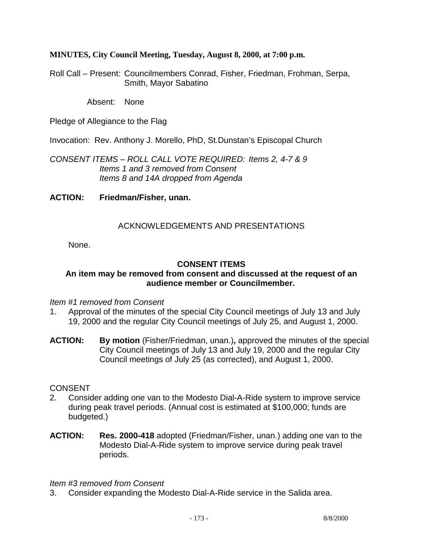### **MINUTES, City Council Meeting, Tuesday, August 8, 2000, at 7:00 p.m.**

Roll Call – Present: Councilmembers Conrad, Fisher, Friedman, Frohman, Serpa, Smith, Mayor Sabatino

Absent: None

Pledge of Allegiance to the Flag

Invocation: Rev. Anthony J. Morello, PhD, St.Dunstan's Episcopal Church

*CONSENT ITEMS – ROLL CALL VOTE REQUIRED: Items 2, 4-7 & 9 Items 1 and 3 removed from Consent Items 8 and 14A dropped from Agenda* 

**ACTION: Friedman/Fisher, unan.** 

### ACKNOWLEDGEMENTS AND PRESENTATIONS

None.

### **CONSENT ITEMS**

### **An item may be removed from consent and discussed at the request of an audience member or Councilmember.**

*Item #1 removed from Consent* 

- 1. Approval of the minutes of the special City Council meetings of July 13 and July 19, 2000 and the regular City Council meetings of July 25, and August 1, 2000.
- **ACTION: By motion** (Fisher/Friedman, unan.)**,** approved the minutes of the special City Council meetings of July 13 and July 19, 2000 and the regular City Council meetings of July 25 (as corrected), and August 1, 2000.

### CONSENT

- 2. Consider adding one van to the Modesto Dial-A-Ride system to improve service during peak travel periods. (Annual cost is estimated at \$100,000; funds are budgeted.)
- **ACTION: Res. 2000-418** adopted (Friedman/Fisher, unan.) adding one van to the Modesto Dial-A-Ride system to improve service during peak travel periods.

#### *Item #3 removed from Consent*

3. Consider expanding the Modesto Dial-A-Ride service in the Salida area.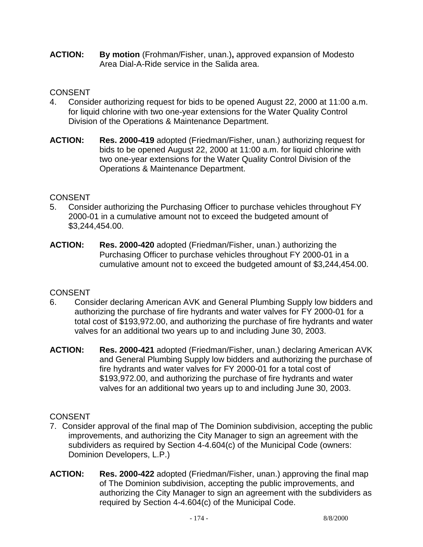**ACTION:** By motion (Frohman/Fisher, unan.), approved expansion of Modesto Area Dial-A-Ride service in the Salida area.

# **CONSENT**

- 4. Consider authorizing request for bids to be opened August 22, 2000 at 11:00 a.m. for liquid chlorine with two one-year extensions for the Water Quality Control Division of the Operations & Maintenance Department.
- **ACTION: Res. 2000-419** adopted (Friedman/Fisher, unan.) authorizing request for bids to be opened August 22, 2000 at 11:00 a.m. for liquid chlorine with two one-year extensions for the Water Quality Control Division of the Operations & Maintenance Department.

# **CONSENT**

- 5. Consider authorizing the Purchasing Officer to purchase vehicles throughout FY 2000-01 in a cumulative amount not to exceed the budgeted amount of \$3,244,454.00.
- **ACTION: Res. 2000-420** adopted (Friedman/Fisher, unan.) authorizing the Purchasing Officer to purchase vehicles throughout FY 2000-01 in a cumulative amount not to exceed the budgeted amount of \$3,244,454.00.

# **CONSENT**

- 6. Consider declaring American AVK and General Plumbing Supply low bidders and authorizing the purchase of fire hydrants and water valves for FY 2000-01 for a total cost of \$193,972.00, and authorizing the purchase of fire hydrants and water valves for an additional two years up to and including June 30, 2003.
- **ACTION: Res. 2000-421** adopted (Friedman/Fisher, unan.) declaring American AVK and General Plumbing Supply low bidders and authorizing the purchase of fire hydrants and water valves for FY 2000-01 for a total cost of \$193,972.00, and authorizing the purchase of fire hydrants and water valves for an additional two years up to and including June 30, 2003.

# **CONSENT**

- 7. Consider approval of the final map of The Dominion subdivision, accepting the public improvements, and authorizing the City Manager to sign an agreement with the subdividers as required by Section 4-4.604(c) of the Municipal Code (owners: Dominion Developers, L.P.)
- **ACTION: Res. 2000-422** adopted (Friedman/Fisher, unan.) approving the final map of The Dominion subdivision, accepting the public improvements, and authorizing the City Manager to sign an agreement with the subdividers as required by Section 4-4.604(c) of the Municipal Code.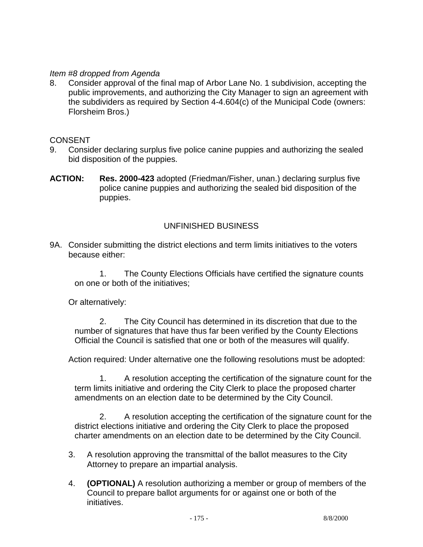### *Item #8 dropped from Agenda*

8. Consider approval of the final map of Arbor Lane No. 1 subdivision, accepting the public improvements, and authorizing the City Manager to sign an agreement with the subdividers as required by Section 4-4.604(c) of the Municipal Code (owners: Florsheim Bros.)

### **CONSENT**

- 9. Consider declaring surplus five police canine puppies and authorizing the sealed bid disposition of the puppies.
- **ACTION: Res. 2000-423** adopted (Friedman/Fisher, unan.) declaring surplus five police canine puppies and authorizing the sealed bid disposition of the puppies.

### UNFINISHED BUSINESS

9A. Consider submitting the district elections and term limits initiatives to the voters because either:

 1. The County Elections Officials have certified the signature counts on one or both of the initiatives;

Or alternatively:

 2. The City Council has determined in its discretion that due to the number of signatures that have thus far been verified by the County Elections Official the Council is satisfied that one or both of the measures will qualify.

Action required: Under alternative one the following resolutions must be adopted:

 1. A resolution accepting the certification of the signature count for the term limits initiative and ordering the City Clerk to place the proposed charter amendments on an election date to be determined by the City Council.

 2. A resolution accepting the certification of the signature count for the district elections initiative and ordering the City Clerk to place the proposed charter amendments on an election date to be determined by the City Council.

- 3. A resolution approving the transmittal of the ballot measures to the City Attorney to prepare an impartial analysis.
- 4. **(OPTIONAL)** A resolution authorizing a member or group of members of the Council to prepare ballot arguments for or against one or both of the initiatives.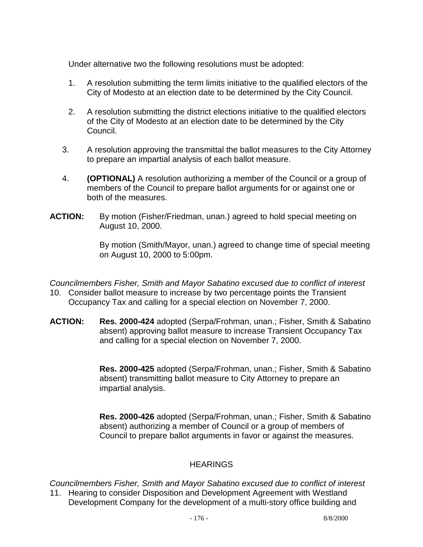Under alternative two the following resolutions must be adopted:

- 1. A resolution submitting the term limits initiative to the qualified electors of the City of Modesto at an election date to be determined by the City Council.
- 2. A resolution submitting the district elections initiative to the qualified electors of the City of Modesto at an election date to be determined by the City Council.
- 3. A resolution approving the transmittal the ballot measures to the City Attorney to prepare an impartial analysis of each ballot measure.
- 4. **(OPTIONAL)** A resolution authorizing a member of the Council or a group of members of the Council to prepare ballot arguments for or against one or both of the measures.
- **ACTION:** By motion (Fisher/Friedman, unan.) agreed to hold special meeting on August 10, 2000.

 By motion (Smith/Mayor, unan.) agreed to change time of special meeting on August 10, 2000 to 5:00pm.

*Councilmembers Fisher, Smith and Mayor Sabatino excused due to conflict of interest* 

- 10. Consider ballot measure to increase by two percentage points the Transient Occupancy Tax and calling for a special election on November 7, 2000.
- **ACTION: Res. 2000-424** adopted (Serpa/Frohman, unan.; Fisher, Smith & Sabatino absent) approving ballot measure to increase Transient Occupancy Tax and calling for a special election on November 7, 2000.

 **Res. 2000-425** adopted (Serpa/Frohman, unan.; Fisher, Smith & Sabatino absent) transmitting ballot measure to City Attorney to prepare an impartial analysis.

 **Res. 2000-426** adopted (Serpa/Frohman, unan.; Fisher, Smith & Sabatino absent) authorizing a member of Council or a group of members of Council to prepare ballot arguments in favor or against the measures.

# **HEARINGS**

*Councilmembers Fisher, Smith and Mayor Sabatino excused due to conflict of interest*  11. Hearing to consider Disposition and Development Agreement with Westland Development Company for the development of a multi-story office building and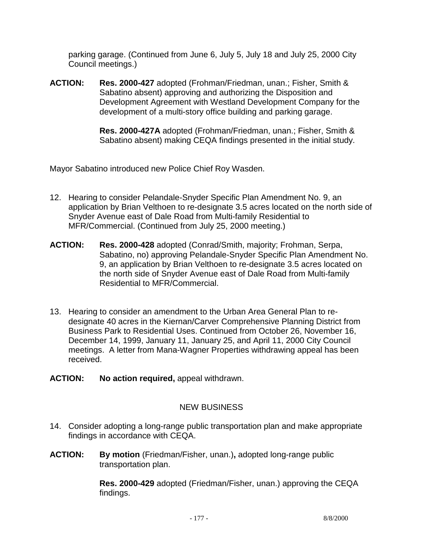parking garage. (Continued from June 6, July 5, July 18 and July 25, 2000 City Council meetings.)

**ACTION: Res. 2000-427** adopted (Frohman/Friedman, unan.; Fisher, Smith & Sabatino absent) approving and authorizing the Disposition and Development Agreement with Westland Development Company for the development of a multi-story office building and parking garage.

> **Res. 2000-427A** adopted (Frohman/Friedman, unan.; Fisher, Smith & Sabatino absent) making CEQA findings presented in the initial study.

Mayor Sabatino introduced new Police Chief Roy Wasden.

- 12. Hearing to consider Pelandale-Snyder Specific Plan Amendment No. 9, an application by Brian Velthoen to re-designate 3.5 acres located on the north side of Snyder Avenue east of Dale Road from Multi-family Residential to MFR/Commercial. (Continued from July 25, 2000 meeting.)
- **ACTION: Res. 2000-428** adopted (Conrad/Smith, majority; Frohman, Serpa, Sabatino, no) approving Pelandale-Snyder Specific Plan Amendment No. 9, an application by Brian Velthoen to re-designate 3.5 acres located on the north side of Snyder Avenue east of Dale Road from Multi-family Residential to MFR/Commercial.
- 13. Hearing to consider an amendment to the Urban Area General Plan to redesignate 40 acres in the Kiernan/Carver Comprehensive Planning District from Business Park to Residential Uses. Continued from October 26, November 16, December 14, 1999, January 11, January 25, and April 11, 2000 City Council meetings. A letter from Mana-Wagner Properties withdrawing appeal has been received.
- **ACTION: No action required,** appeal withdrawn.

# NEW BUSINESS

- 14. Consider adopting a long-range public transportation plan and make appropriate findings in accordance with CEQA.
- **ACTION: By motion** (Friedman/Fisher, unan.)**,** adopted long-range public transportation plan.

 **Res. 2000-429** adopted (Friedman/Fisher, unan.) approving the CEQA findings.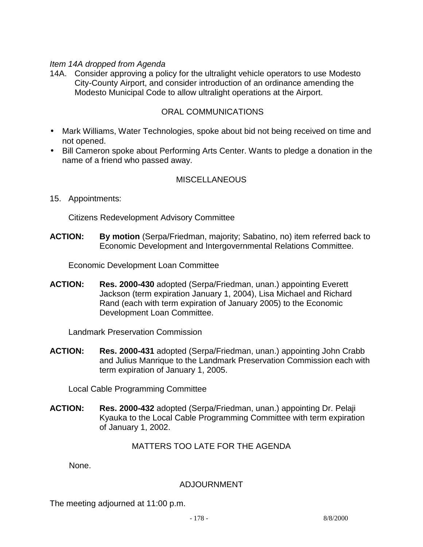### *Item 14A dropped from Agenda*

14A. Consider approving a policy for the ultralight vehicle operators to use Modesto City-County Airport, and consider introduction of an ordinance amending the Modesto Municipal Code to allow ultralight operations at the Airport.

### ORAL COMMUNICATIONS

- Mark Williams, Water Technologies, spoke about bid not being received on time and not opened.
- Bill Cameron spoke about Performing Arts Center. Wants to pledge a donation in the name of a friend who passed away.

### **MISCELLANEOUS**

15. Appointments:

Citizens Redevelopment Advisory Committee

**ACTION: By motion** (Serpa/Friedman, majority; Sabatino, no) item referred back to Economic Development and Intergovernmental Relations Committee.

Economic Development Loan Committee

**ACTION: Res. 2000-430** adopted (Serpa/Friedman, unan.) appointing Everett Jackson (term expiration January 1, 2004), Lisa Michael and Richard Rand (each with term expiration of January 2005) to the Economic Development Loan Committee.

Landmark Preservation Commission

**ACTION: Res. 2000-431** adopted (Serpa/Friedman, unan.) appointing John Crabb and Julius Manrique to the Landmark Preservation Commission each with term expiration of January 1, 2005.

Local Cable Programming Committee

**ACTION: Res. 2000-432** adopted (Serpa/Friedman, unan.) appointing Dr. Pelaji Kyauka to the Local Cable Programming Committee with term expiration of January 1, 2002.

### MATTERS TOO LATE FOR THE AGENDA

None.

### ADJOURNMENT

The meeting adjourned at 11:00 p.m.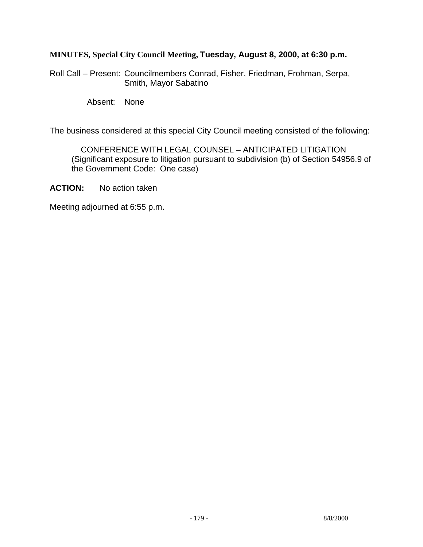### **MINUTES, Special City Council Meeting, Tuesday, August 8, 2000, at 6:30 p.m.**

Roll Call – Present: Councilmembers Conrad, Fisher, Friedman, Frohman, Serpa, Smith, Mayor Sabatino

Absent: None

The business considered at this special City Council meeting consisted of the following:

 CONFERENCE WITH LEGAL COUNSEL – ANTICIPATED LITIGATION (Significant exposure to litigation pursuant to subdivision (b) of Section 54956.9 of the Government Code: One case)

**ACTION:** No action taken

Meeting adjourned at 6:55 p.m.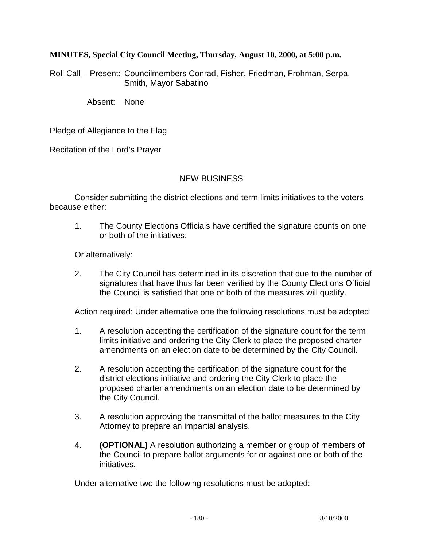#### **MINUTES, Special City Council Meeting, Thursday, August 10, 2000, at 5:00 p.m.**

Roll Call – Present: Councilmembers Conrad, Fisher, Friedman, Frohman, Serpa, Smith, Mayor Sabatino

Absent: None

Pledge of Allegiance to the Flag

Recitation of the Lord's Prayer

### NEW BUSINESS

Consider submitting the district elections and term limits initiatives to the voters because either:

1. The County Elections Officials have certified the signature counts on one or both of the initiatives;

Or alternatively:

2. The City Council has determined in its discretion that due to the number of signatures that have thus far been verified by the County Elections Official the Council is satisfied that one or both of the measures will qualify.

Action required: Under alternative one the following resolutions must be adopted:

- 1. A resolution accepting the certification of the signature count for the term limits initiative and ordering the City Clerk to place the proposed charter amendments on an election date to be determined by the City Council.
- 2. A resolution accepting the certification of the signature count for the district elections initiative and ordering the City Clerk to place the proposed charter amendments on an election date to be determined by the City Council.
- 3. A resolution approving the transmittal of the ballot measures to the City Attorney to prepare an impartial analysis.
- 4. **(OPTIONAL)** A resolution authorizing a member or group of members of the Council to prepare ballot arguments for or against one or both of the initiatives.

Under alternative two the following resolutions must be adopted: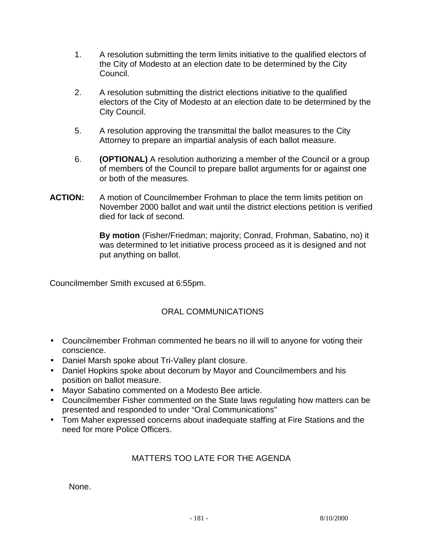- 1. A resolution submitting the term limits initiative to the qualified electors of the City of Modesto at an election date to be determined by the City Council.
- 2. A resolution submitting the district elections initiative to the qualified electors of the City of Modesto at an election date to be determined by the City Council.
- 5. A resolution approving the transmittal the ballot measures to the City Attorney to prepare an impartial analysis of each ballot measure.
- 6. **(OPTIONAL)** A resolution authorizing a member of the Council or a group of members of the Council to prepare ballot arguments for or against one or both of the measures.
- **ACTION:** A motion of Councilmember Frohman to place the term limits petition on November 2000 ballot and wait until the district elections petition is verified died for lack of second.

**By motion** (Fisher/Friedman; majority; Conrad, Frohman, Sabatino, no) it was determined to let initiative process proceed as it is designed and not put anything on ballot.

Councilmember Smith excused at 6:55pm.

# ORAL COMMUNICATIONS

- Councilmember Frohman commented he bears no ill will to anyone for voting their conscience.
- Daniel Marsh spoke about Tri-Valley plant closure.
- Daniel Hopkins spoke about decorum by Mayor and Councilmembers and his position on ballot measure.
- Mayor Sabatino commented on a Modesto Bee article.
- Councilmember Fisher commented on the State laws regulating how matters can be presented and responded to under "Oral Communications"
- Tom Maher expressed concerns about inadequate staffing at Fire Stations and the need for more Police Officers.

# MATTERS TOO LATE FOR THE AGENDA

None.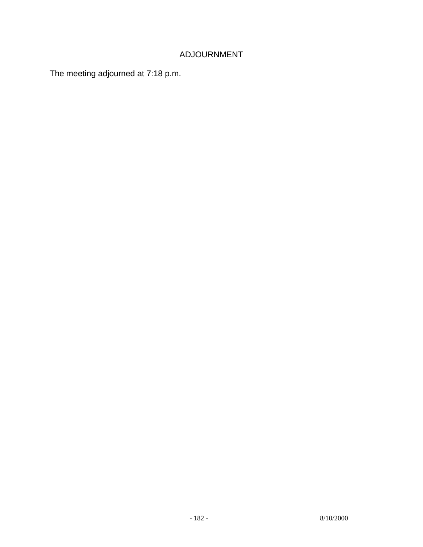# ADJOURNMENT

The meeting adjourned at 7:18 p.m.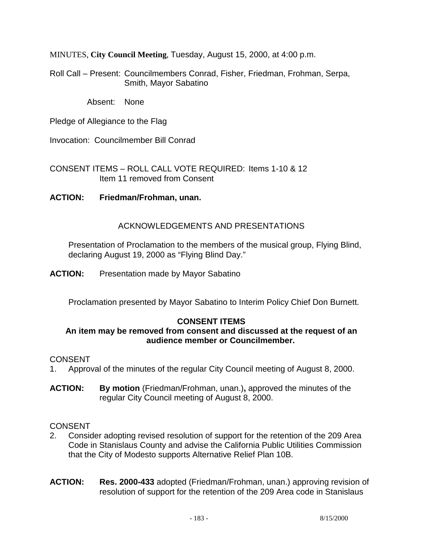MINUTES, **City Council Meeting**, Tuesday, August 15, 2000, at 4:00 p.m.

Roll Call – Present: Councilmembers Conrad, Fisher, Friedman, Frohman, Serpa, Smith, Mayor Sabatino

Absent: None

Pledge of Allegiance to the Flag

Invocation: Councilmember Bill Conrad

CONSENT ITEMS – ROLL CALL VOTE REQUIRED: Items 1-10 & 12 Item 11 removed from Consent

### **ACTION: Friedman/Frohman, unan.**

### ACKNOWLEDGEMENTS AND PRESENTATIONS

 Presentation of Proclamation to the members of the musical group, Flying Blind, declaring August 19, 2000 as "Flying Blind Day."

**ACTION:** Presentation made by Mayor Sabatino

Proclamation presented by Mayor Sabatino to Interim Policy Chief Don Burnett.

### **CONSENT ITEMS**

#### **An item may be removed from consent and discussed at the request of an audience member or Councilmember.**

#### CONSENT

- 1. Approval of the minutes of the regular City Council meeting of August 8, 2000.
- **ACTION: By motion** (Friedman/Frohman, unan.)**,** approved the minutes of the regular City Council meeting of August 8, 2000.

- 2. Consider adopting revised resolution of support for the retention of the 209 Area Code in Stanislaus County and advise the California Public Utilities Commission that the City of Modesto supports Alternative Relief Plan 10B.
- **ACTION: Res. 2000-433** adopted (Friedman/Frohman, unan.) approving revision of resolution of support for the retention of the 209 Area code in Stanislaus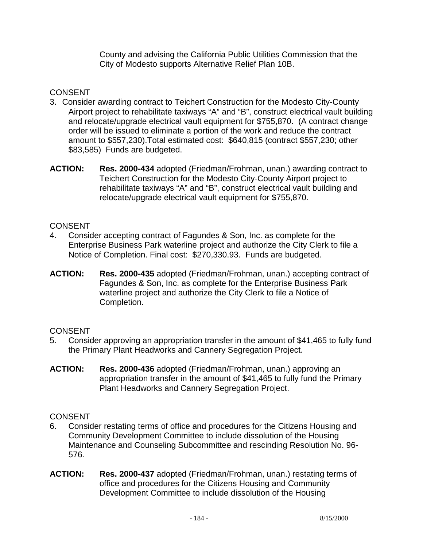County and advising the California Public Utilities Commission that the City of Modesto supports Alternative Relief Plan 10B.

# **CONSENT**

- 3. Consider awarding contract to Teichert Construction for the Modesto City-County Airport project to rehabilitate taxiways "A" and "B", construct electrical vault building and relocate/upgrade electrical vault equipment for \$755,870. (A contract change order will be issued to eliminate a portion of the work and reduce the contract amount to \$557,230).Total estimated cost: \$640,815 (contract \$557,230; other \$83,585) Funds are budgeted.
- **ACTION: Res. 2000-434** adopted (Friedman/Frohman, unan.) awarding contract to Teichert Construction for the Modesto City-County Airport project to rehabilitate taxiways "A" and "B", construct electrical vault building and relocate/upgrade electrical vault equipment for \$755,870.

### **CONSENT**

- 4. Consider accepting contract of Fagundes & Son, Inc. as complete for the Enterprise Business Park waterline project and authorize the City Clerk to file a Notice of Completion. Final cost: \$270,330.93. Funds are budgeted.
- **ACTION: Res. 2000-435** adopted (Friedman/Frohman, unan.) accepting contract of Fagundes & Son, Inc. as complete for the Enterprise Business Park waterline project and authorize the City Clerk to file a Notice of Completion.

### **CONSENT**

- 5. Consider approving an appropriation transfer in the amount of \$41,465 to fully fund the Primary Plant Headworks and Cannery Segregation Project.
- **ACTION: Res. 2000-436** adopted (Friedman/Frohman, unan.) approving an appropriation transfer in the amount of \$41,465 to fully fund the Primary Plant Headworks and Cannery Segregation Project.

- 6. Consider restating terms of office and procedures for the Citizens Housing and Community Development Committee to include dissolution of the Housing Maintenance and Counseling Subcommittee and rescinding Resolution No. 96- 576.
- **ACTION: Res. 2000-437** adopted (Friedman/Frohman, unan.) restating terms of office and procedures for the Citizens Housing and Community Development Committee to include dissolution of the Housing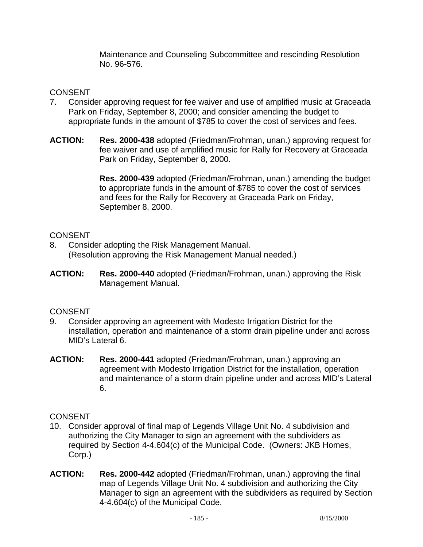Maintenance and Counseling Subcommittee and rescinding Resolution No. 96-576.

### **CONSENT**

- 7. Consider approving request for fee waiver and use of amplified music at Graceada Park on Friday, September 8, 2000; and consider amending the budget to appropriate funds in the amount of \$785 to cover the cost of services and fees.
- **ACTION: Res. 2000-438** adopted (Friedman/Frohman, unan.) approving request for fee waiver and use of amplified music for Rally for Recovery at Graceada Park on Friday, September 8, 2000.

 **Res. 2000-439** adopted (Friedman/Frohman, unan.) amending the budget to appropriate funds in the amount of \$785 to cover the cost of services and fees for the Rally for Recovery at Graceada Park on Friday, September 8, 2000.

# **CONSENT**

- 8. Consider adopting the Risk Management Manual. (Resolution approving the Risk Management Manual needed.)
- **ACTION: Res. 2000-440** adopted (Friedman/Frohman, unan.) approving the Risk Management Manual.

# **CONSENT**

- 9. Consider approving an agreement with Modesto Irrigation District for the installation, operation and maintenance of a storm drain pipeline under and across MID's Lateral 6.
- **ACTION: Res. 2000-441** adopted (Friedman/Frohman, unan.) approving an agreement with Modesto Irrigation District for the installation, operation and maintenance of a storm drain pipeline under and across MID's Lateral 6.

- 10. Consider approval of final map of Legends Village Unit No. 4 subdivision and authorizing the City Manager to sign an agreement with the subdividers as required by Section 4-4.604(c) of the Municipal Code. (Owners: JKB Homes, Corp.)
- **ACTION: Res. 2000-442** adopted (Friedman/Frohman, unan.) approving the final map of Legends Village Unit No. 4 subdivision and authorizing the City Manager to sign an agreement with the subdividers as required by Section 4-4.604(c) of the Municipal Code.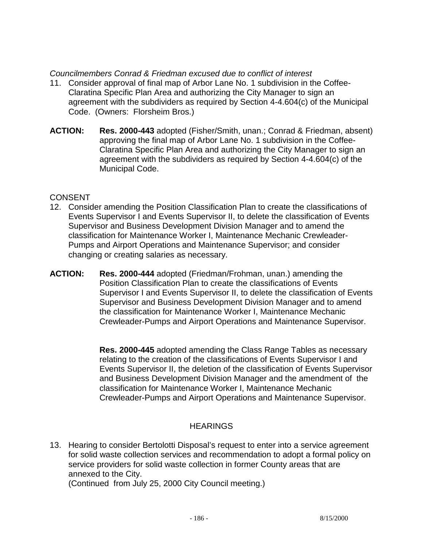#### *Councilmembers Conrad & Friedman excused due to conflict of interest*

- 11. Consider approval of final map of Arbor Lane No. 1 subdivision in the Coffee-Claratina Specific Plan Area and authorizing the City Manager to sign an agreement with the subdividers as required by Section 4-4.604(c) of the Municipal Code. (Owners: Florsheim Bros.)
- **ACTION: Res. 2000-443** adopted (Fisher/Smith, unan.; Conrad & Friedman, absent) approving the final map of Arbor Lane No. 1 subdivision in the Coffee-Claratina Specific Plan Area and authorizing the City Manager to sign an agreement with the subdividers as required by Section 4-4.604(c) of the Municipal Code.

### CONSENT

- 12. Consider amending the Position Classification Plan to create the classifications of Events Supervisor I and Events Supervisor II, to delete the classification of Events Supervisor and Business Development Division Manager and to amend the classification for Maintenance Worker I, Maintenance Mechanic Crewleader-Pumps and Airport Operations and Maintenance Supervisor; and consider changing or creating salaries as necessary.
- **ACTION: Res. 2000-444** adopted (Friedman/Frohman, unan.) amending the Position Classification Plan to create the classifications of Events Supervisor I and Events Supervisor II, to delete the classification of Events Supervisor and Business Development Division Manager and to amend the classification for Maintenance Worker I, Maintenance Mechanic Crewleader-Pumps and Airport Operations and Maintenance Supervisor.

 **Res. 2000-445** adopted amending the Class Range Tables as necessary relating to the creation of the classifications of Events Supervisor I and Events Supervisor II, the deletion of the classification of Events Supervisor and Business Development Division Manager and the amendment of the classification for Maintenance Worker I, Maintenance Mechanic Crewleader-Pumps and Airport Operations and Maintenance Supervisor.

### **HEARINGS**

13. Hearing to consider Bertolotti Disposal's request to enter into a service agreement for solid waste collection services and recommendation to adopt a formal policy on service providers for solid waste collection in former County areas that are annexed to the City.

(Continued from July 25, 2000 City Council meeting.)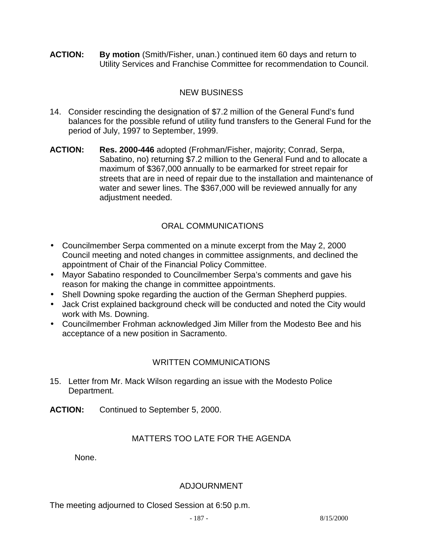**ACTION: By motion** (Smith/Fisher, unan.) continued item 60 days and return to Utility Services and Franchise Committee for recommendation to Council.

# NEW BUSINESS

- 14. Consider rescinding the designation of \$7.2 million of the General Fund's fund balances for the possible refund of utility fund transfers to the General Fund for the period of July, 1997 to September, 1999.
- **ACTION: Res. 2000-446** adopted (Frohman/Fisher, majority; Conrad, Serpa, Sabatino, no) returning \$7.2 million to the General Fund and to allocate a maximum of \$367,000 annually to be earmarked for street repair for streets that are in need of repair due to the installation and maintenance of water and sewer lines. The \$367,000 will be reviewed annually for any adjustment needed.

# ORAL COMMUNICATIONS

- Councilmember Serpa commented on a minute excerpt from the May 2, 2000 Council meeting and noted changes in committee assignments, and declined the appointment of Chair of the Financial Policy Committee.
- Mayor Sabatino responded to Councilmember Serpa's comments and gave his reason for making the change in committee appointments.
- Shell Downing spoke regarding the auction of the German Shepherd puppies.
- Jack Crist explained background check will be conducted and noted the City would work with Ms. Downing.
- Councilmember Frohman acknowledged Jim Miller from the Modesto Bee and his acceptance of a new position in Sacramento.

# WRITTEN COMMUNICATIONS

- 15. Letter from Mr. Mack Wilson regarding an issue with the Modesto Police Department.
- **ACTION:** Continued to September 5, 2000.

# MATTERS TOO LATE FOR THE AGENDA

None.

### ADJOURNMENT

The meeting adjourned to Closed Session at 6:50 p.m.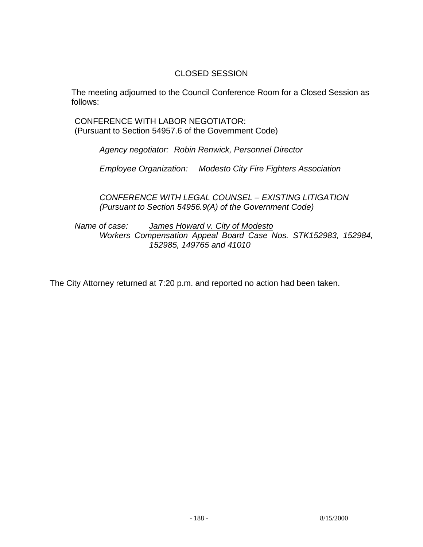### CLOSED SESSION

 The meeting adjourned to the Council Conference Room for a Closed Session as follows:

 CONFERENCE WITH LABOR NEGOTIATOR: (Pursuant to Section 54957.6 of the Government Code)

 *Agency negotiator: Robin Renwick, Personnel Director* 

 *Employee Organization: Modesto City Fire Fighters Association* 

 *CONFERENCE WITH LEGAL COUNSEL – EXISTING LITIGATION (Pursuant to Section 54956.9(A) of the Government Code)* 

 *Name of case: James Howard v. City of Modesto Workers Compensation Appeal Board Case Nos. STK152983, 152984, 152985, 149765 and 41010* 

The City Attorney returned at 7:20 p.m. and reported no action had been taken.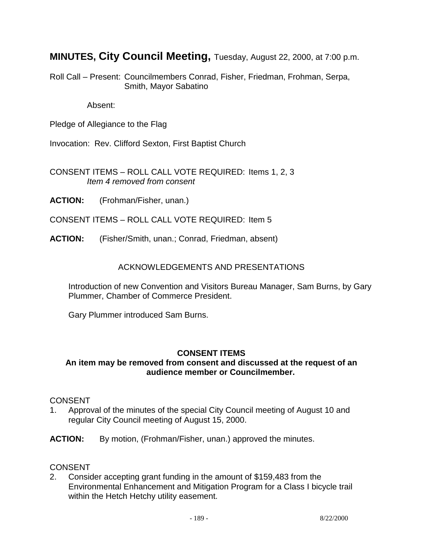**MINUTES, City Council Meeting,** Tuesday, August 22, 2000, at 7:00 p.m.

Roll Call – Present: Councilmembers Conrad, Fisher, Friedman, Frohman, Serpa, Smith, Mayor Sabatino

Absent:

Pledge of Allegiance to the Flag

Invocation: Rev. Clifford Sexton, First Baptist Church

CONSENT ITEMS – ROLL CALL VOTE REQUIRED: Items 1, 2, 3 *Item 4 removed from consent* 

**ACTION:** (Frohman/Fisher, unan.)

CONSENT ITEMS – ROLL CALL VOTE REQUIRED: Item 5

**ACTION:** (Fisher/Smith, unan.; Conrad, Friedman, absent)

#### ACKNOWLEDGEMENTS AND PRESENTATIONS

 Introduction of new Convention and Visitors Bureau Manager, Sam Burns, by Gary Plummer, Chamber of Commerce President.

Gary Plummer introduced Sam Burns.

#### **CONSENT ITEMS**

#### **An item may be removed from consent and discussed at the request of an audience member or Councilmember.**

#### CONSENT

- 1. Approval of the minutes of the special City Council meeting of August 10 and regular City Council meeting of August 15, 2000.
- **ACTION:** By motion, (Frohman/Fisher, unan.) approved the minutes.

#### **CONSENT**

2. Consider accepting grant funding in the amount of \$159,483 from the Environmental Enhancement and Mitigation Program for a Class I bicycle trail within the Hetch Hetchy utility easement.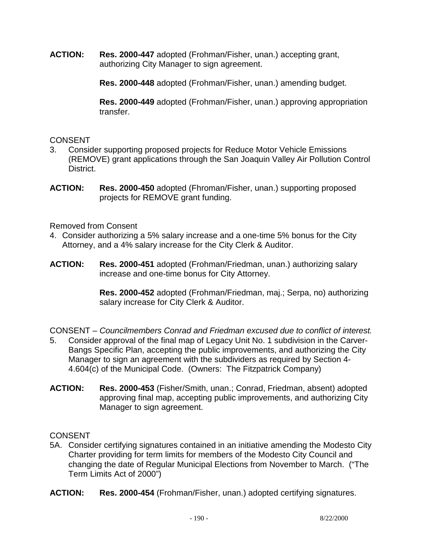**ACTION: Res. 2000-447** adopted (Frohman/Fisher, unan.) accepting grant, authorizing City Manager to sign agreement.

**Res. 2000-448** adopted (Frohman/Fisher, unan.) amending budget.

**Res. 2000-449** adopted (Frohman/Fisher, unan.) approving appropriation transfer.

### **CONSENT**

- 3. Consider supporting proposed projects for Reduce Motor Vehicle Emissions (REMOVE) grant applications through the San Joaquin Valley Air Pollution Control District.
- **ACTION: Res. 2000-450** adopted (Fhroman/Fisher, unan.) supporting proposed projects for REMOVE grant funding.

Removed from Consent

- 4. Consider authorizing a 5% salary increase and a one-time 5% bonus for the City Attorney, and a 4% salary increase for the City Clerk & Auditor.
- **ACTION: Res. 2000-451** adopted (Frohman/Friedman, unan.) authorizing salary increase and one-time bonus for City Attorney.

**Res. 2000-452** adopted (Frohman/Friedman, maj.; Serpa, no) authorizing salary increase for City Clerk & Auditor.

CONSENT – *Councilmembers Conrad and Friedman excused due to conflict of interest.*

- 5. Consider approval of the final map of Legacy Unit No. 1 subdivision in the Carver-Bangs Specific Plan, accepting the public improvements, and authorizing the City Manager to sign an agreement with the subdividers as required by Section 4- 4.604(c) of the Municipal Code. (Owners: The Fitzpatrick Company)
- **ACTION: Res. 2000-453** (Fisher/Smith, unan.; Conrad, Friedman, absent) adopted approving final map, accepting public improvements, and authorizing City Manager to sign agreement.

# **CONSENT**

5A. Consider certifying signatures contained in an initiative amending the Modesto City Charter providing for term limits for members of the Modesto City Council and changing the date of Regular Municipal Elections from November to March. ("The Term Limits Act of 2000")

**ACTION: Res. 2000-454** (Frohman/Fisher, unan.) adopted certifying signatures.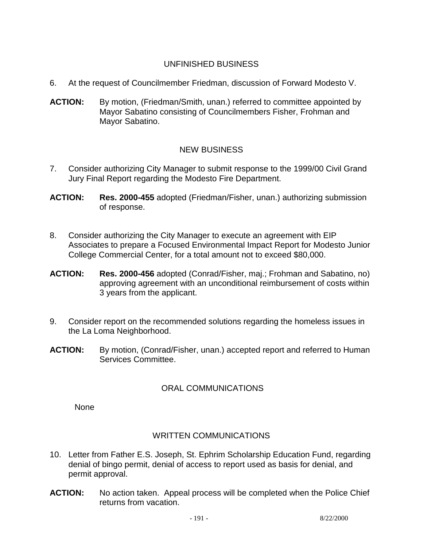# UNFINISHED BUSINESS

- 6. At the request of Councilmember Friedman, discussion of Forward Modesto V.
- ACTION: By motion, (Friedman/Smith, unan.) referred to committee appointed by Mayor Sabatino consisting of Councilmembers Fisher, Frohman and Mayor Sabatino.

# NEW BUSINESS

- 7. Consider authorizing City Manager to submit response to the 1999/00 Civil Grand Jury Final Report regarding the Modesto Fire Department.
- **ACTION: Res. 2000-455** adopted (Friedman/Fisher, unan.) authorizing submission of response.
- 8. Consider authorizing the City Manager to execute an agreement with EIP Associates to prepare a Focused Environmental Impact Report for Modesto Junior College Commercial Center, for a total amount not to exceed \$80,000.
- **ACTION: Res. 2000-456** adopted (Conrad/Fisher, maj.; Frohman and Sabatino, no) approving agreement with an unconditional reimbursement of costs within 3 years from the applicant.
- 9. Consider report on the recommended solutions regarding the homeless issues in the La Loma Neighborhood.
- **ACTION:** By motion, (Conrad/Fisher, unan.) accepted report and referred to Human Services Committee.

### ORAL COMMUNICATIONS

None

### WRITTEN COMMUNICATIONS

- 10. Letter from Father E.S. Joseph, St. Ephrim Scholarship Education Fund, regarding denial of bingo permit, denial of access to report used as basis for denial, and permit approval.
- **ACTION:** No action taken. Appeal process will be completed when the Police Chief returns from vacation.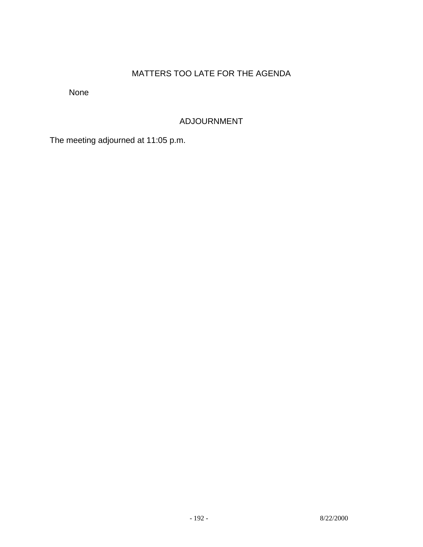# MATTERS TOO LATE FOR THE AGENDA

None

# ADJOURNMENT

The meeting adjourned at 11:05 p.m.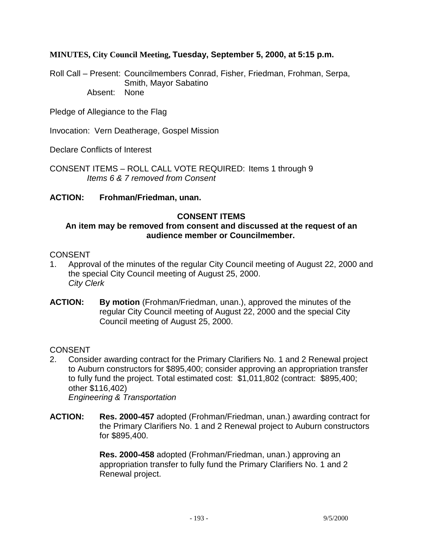### **MINUTES, City Council Meeting, Tuesday, September 5, 2000, at 5:15 p.m.**

Roll Call – Present: Councilmembers Conrad, Fisher, Friedman, Frohman, Serpa, Smith, Mayor Sabatino Absent: None

Pledge of Allegiance to the Flag

Invocation: Vern Deatherage, Gospel Mission

Declare Conflicts of Interest

CONSENT ITEMS – ROLL CALL VOTE REQUIRED: Items 1 through 9  *Items 6 & 7 removed from Consent* 

#### **ACTION: Frohman/Friedman, unan.**

#### **CONSENT ITEMS**

#### **An item may be removed from consent and discussed at the request of an audience member or Councilmember.**

#### CONSENT

- 1. Approval of the minutes of the regular City Council meeting of August 22, 2000 and the special City Council meeting of August 25, 2000. *City Clerk*
- **ACTION: By motion** (Frohman/Friedman, unan.), approved the minutes of the regular City Council meeting of August 22, 2000 and the special City Council meeting of August 25, 2000.

#### CONSENT

- 2. Consider awarding contract for the Primary Clarifiers No. 1 and 2 Renewal project to Auburn constructors for \$895,400; consider approving an appropriation transfer to fully fund the project. Total estimated cost: \$1,011,802 (contract: \$895,400; other \$116,402) *Engineering & Transportation*
- **ACTION: Res. 2000-457** adopted (Frohman/Friedman, unan.) awarding contract for the Primary Clarifiers No. 1 and 2 Renewal project to Auburn constructors for \$895,400.

 **Res. 2000-458** adopted (Frohman/Friedman, unan.) approving an appropriation transfer to fully fund the Primary Clarifiers No. 1 and 2 Renewal project.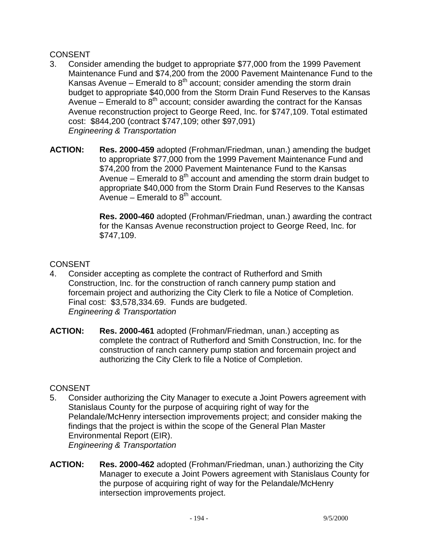### CONSENT

- 3. Consider amending the budget to appropriate \$77,000 from the 1999 Pavement Maintenance Fund and \$74,200 from the 2000 Pavement Maintenance Fund to the Kansas Avenue – Emerald to  $8<sup>th</sup>$  account; consider amending the storm drain budget to appropriate \$40,000 from the Storm Drain Fund Reserves to the Kansas Avenue – Emerald to  $8<sup>th</sup>$  account; consider awarding the contract for the Kansas Avenue reconstruction project to George Reed, Inc. for \$747,109. Total estimated cost: \$844,200 (contract \$747,109; other \$97,091) *Engineering & Transportation*
- **ACTION: Res. 2000-459** adopted (Frohman/Friedman, unan.) amending the budget to appropriate \$77,000 from the 1999 Pavement Maintenance Fund and \$74,200 from the 2000 Pavement Maintenance Fund to the Kansas Avenue – Emerald to  $8<sup>th</sup>$  account and amending the storm drain budget to appropriate \$40,000 from the Storm Drain Fund Reserves to the Kansas Avenue – Emerald to  $8<sup>th</sup>$  account.

 **Res. 2000-460** adopted (Frohman/Friedman, unan.) awarding the contract for the Kansas Avenue reconstruction project to George Reed, Inc. for \$747,109.

### **CONSENT**

- 4. Consider accepting as complete the contract of Rutherford and Smith Construction, Inc. for the construction of ranch cannery pump station and forcemain project and authorizing the City Clerk to file a Notice of Completion. Final cost: \$3,578,334.69. Funds are budgeted. *Engineering & Transportation*
- **ACTION: Res. 2000-461** adopted (Frohman/Friedman, unan.) accepting as complete the contract of Rutherford and Smith Construction, Inc. for the construction of ranch cannery pump station and forcemain project and authorizing the City Clerk to file a Notice of Completion.

- 5. Consider authorizing the City Manager to execute a Joint Powers agreement with Stanislaus County for the purpose of acquiring right of way for the Pelandale/McHenry intersection improvements project; and consider making the findings that the project is within the scope of the General Plan Master Environmental Report (EIR). *Engineering & Transportation*
- **ACTION: Res. 2000-462** adopted (Frohman/Friedman, unan.) authorizing the City Manager to execute a Joint Powers agreement with Stanislaus County for the purpose of acquiring right of way for the Pelandale/McHenry intersection improvements project.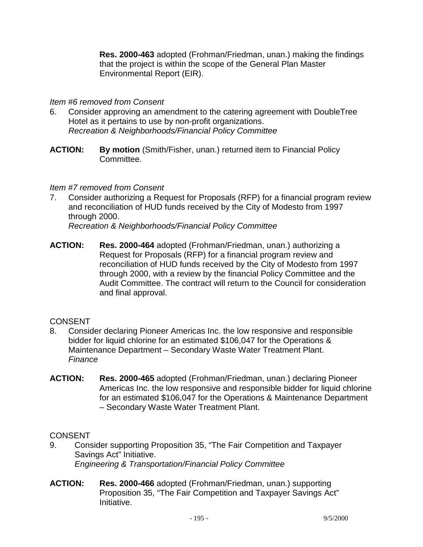**Res. 2000-463** adopted (Frohman/Friedman, unan.) making the findings that the project is within the scope of the General Plan Master Environmental Report (EIR).

### *Item #6 removed from Consent*

- 6. Consider approving an amendment to the catering agreement with DoubleTree Hotel as it pertains to use by non-profit organizations. *Recreation & Neighborhoods/Financial Policy Committee*
- **ACTION: By motion** (Smith/Fisher, unan.) returned item to Financial Policy Committee.

### *Item #7 removed from Consent*

7. Consider authorizing a Request for Proposals (RFP) for a financial program review and reconciliation of HUD funds received by the City of Modesto from 1997 through 2000.

*Recreation & Neighborhoods/Financial Policy Committee* 

**ACTION: Res. 2000-464** adopted (Frohman/Friedman, unan.) authorizing a Request for Proposals (RFP) for a financial program review and reconciliation of HUD funds received by the City of Modesto from 1997 through 2000, with a review by the financial Policy Committee and the Audit Committee. The contract will return to the Council for consideration and final approval.

### **CONSENT**

- 8. Consider declaring Pioneer Americas Inc. the low responsive and responsible bidder for liquid chlorine for an estimated \$106,047 for the Operations & Maintenance Department – Secondary Waste Water Treatment Plant. *Finance*
- **ACTION: Res. 2000-465** adopted (Frohman/Friedman, unan.) declaring Pioneer Americas Inc. the low responsive and responsible bidder for liquid chlorine for an estimated \$106,047 for the Operations & Maintenance Department – Secondary Waste Water Treatment Plant.

- 9. Consider supporting Proposition 35, "The Fair Competition and Taxpayer Savings Act" Initiative. *Engineering & Transportation/Financial Policy Committee*
- **ACTION: Res. 2000-466** adopted (Frohman/Friedman, unan.) supporting Proposition 35, "The Fair Competition and Taxpayer Savings Act" Initiative.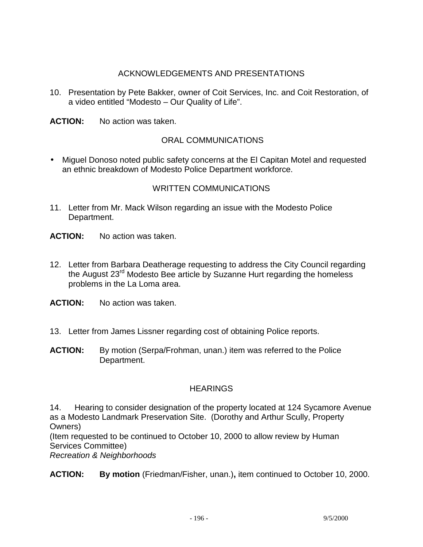### ACKNOWLEDGEMENTS AND PRESENTATIONS

- 10. Presentation by Pete Bakker, owner of Coit Services, Inc. and Coit Restoration, of a video entitled "Modesto – Our Quality of Life".
- **ACTION:** No action was taken.

### ORAL COMMUNICATIONS

• Miguel Donoso noted public safety concerns at the El Capitan Motel and requested an ethnic breakdown of Modesto Police Department workforce.

### WRITTEN COMMUNICATIONS

- 11. Letter from Mr. Mack Wilson regarding an issue with the Modesto Police Department.
- **ACTION:** No action was taken.
- 12. Letter from Barbara Deatherage requesting to address the City Council regarding the August 23<sup>rd</sup> Modesto Bee article by Suzanne Hurt regarding the homeless problems in the La Loma area.
- **ACTION:** No action was taken.
- 13. Letter from James Lissner regarding cost of obtaining Police reports.
- **ACTION:** By motion (Serpa/Frohman, unan.) item was referred to the Police Department.

### **HEARINGS**

14. Hearing to consider designation of the property located at 124 Sycamore Avenue as a Modesto Landmark Preservation Site. (Dorothy and Arthur Scully, Property Owners)

(Item requested to be continued to October 10, 2000 to allow review by Human Services Committee)

*Recreation & Neighborhoods* 

#### **ACTION: By motion** (Friedman/Fisher, unan.)**,** item continued to October 10, 2000.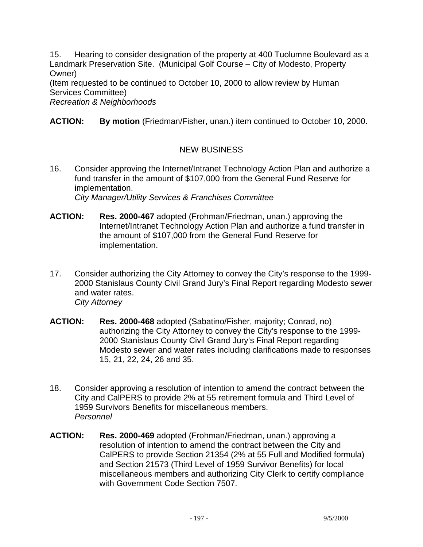15. Hearing to consider designation of the property at 400 Tuolumne Boulevard as a Landmark Preservation Site. (Municipal Golf Course – City of Modesto, Property Owner)

(Item requested to be continued to October 10, 2000 to allow review by Human Services Committee)

*Recreation & Neighborhoods* 

**ACTION: By motion** (Friedman/Fisher, unan.) item continued to October 10, 2000.

# NEW BUSINESS

- 16. Consider approving the Internet/Intranet Technology Action Plan and authorize a fund transfer in the amount of \$107,000 from the General Fund Reserve for implementation. *City Manager/Utility Services & Franchises Committee*
- **ACTION: Res. 2000-467** adopted (Frohman/Friedman, unan.) approving the Internet/Intranet Technology Action Plan and authorize a fund transfer in the amount of \$107,000 from the General Fund Reserve for implementation.
- 17. Consider authorizing the City Attorney to convey the City's response to the 1999- 2000 Stanislaus County Civil Grand Jury's Final Report regarding Modesto sewer and water rates. *City Attorney*
- **ACTION: Res. 2000-468** adopted (Sabatino/Fisher, majority; Conrad, no) authorizing the City Attorney to convey the City's response to the 1999- 2000 Stanislaus County Civil Grand Jury's Final Report regarding Modesto sewer and water rates including clarifications made to responses 15, 21, 22, 24, 26 and 35.
- 18. Consider approving a resolution of intention to amend the contract between the City and CalPERS to provide 2% at 55 retirement formula and Third Level of 1959 Survivors Benefits for miscellaneous members.  *Personnel*
- **ACTION: Res. 2000-469** adopted (Frohman/Friedman, unan.) approving a resolution of intention to amend the contract between the City and CalPERS to provide Section 21354 (2% at 55 Full and Modified formula) and Section 21573 (Third Level of 1959 Survivor Benefits) for local miscellaneous members and authorizing City Clerk to certify compliance with Government Code Section 7507.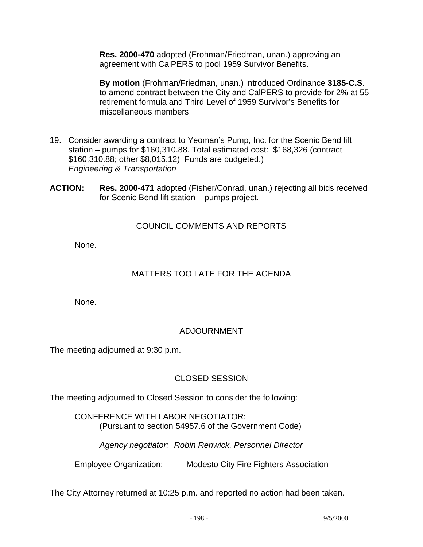**Res. 2000-470** adopted (Frohman/Friedman, unan.) approving an agreement with CalPERS to pool 1959 Survivor Benefits.

 **By motion** (Frohman/Friedman, unan.) introduced Ordinance **3185-C.S**. to amend contract between the City and CalPERS to provide for 2% at 55 retirement formula and Third Level of 1959 Survivor's Benefits for miscellaneous members

- 19. Consider awarding a contract to Yeoman's Pump, Inc. for the Scenic Bend lift station – pumps for \$160,310.88. Total estimated cost: \$168,326 (contract \$160,310.88; other \$8,015.12) Funds are budgeted.) *Engineering & Transportation*
- **ACTION: Res. 2000-471** adopted (Fisher/Conrad, unan.) rejecting all bids received for Scenic Bend lift station – pumps project.

### COUNCIL COMMENTS AND REPORTS

None.

# MATTERS TOO LATE FOR THE AGENDA

None.

### ADJOURNMENT

The meeting adjourned at 9:30 p.m.

### CLOSED SESSION

The meeting adjourned to Closed Session to consider the following:

 CONFERENCE WITH LABOR NEGOTIATOR: (Pursuant to section 54957.6 of the Government Code)

 *Agency negotiator: Robin Renwick, Personnel Director* 

Employee Organization: Modesto City Fire Fighters Association

The City Attorney returned at 10:25 p.m. and reported no action had been taken.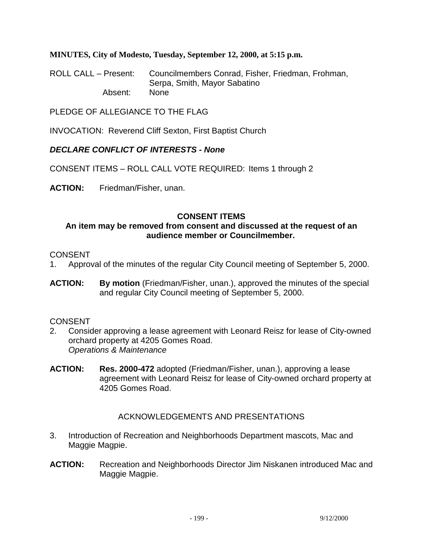**MINUTES, City of Modesto, Tuesday, September 12, 2000, at 5:15 p.m.** 

ROLL CALL – Present: Councilmembers Conrad, Fisher, Friedman, Frohman, Serpa, Smith, Mayor Sabatino Absent: None

PLEDGE OF ALLEGIANCE TO THE FLAG

INVOCATION: Reverend Cliff Sexton, First Baptist Church

### *DECLARE CONFLICT OF INTERESTS - None*

CONSENT ITEMS – ROLL CALL VOTE REQUIRED: Items 1 through 2

**ACTION:** Friedman/Fisher, unan.

### **CONSENT ITEMS**

#### **An item may be removed from consent and discussed at the request of an audience member or Councilmember.**

#### CONSENT

- 1. Approval of the minutes of the regular City Council meeting of September 5, 2000.
- **ACTION: By motion** (Friedman/Fisher, unan.), approved the minutes of the special and regular City Council meeting of September 5, 2000.

#### CONSENT

- 2. Consider approving a lease agreement with Leonard Reisz for lease of City-owned orchard property at 4205 Gomes Road. *Operations & Maintenance*
- **ACTION: Res. 2000-472** adopted (Friedman/Fisher, unan.), approving a lease agreement with Leonard Reisz for lease of City-owned orchard property at 4205 Gomes Road.

### ACKNOWLEDGEMENTS AND PRESENTATIONS

- 3. Introduction of Recreation and Neighborhoods Department mascots, Mac and Maggie Magpie.
- **ACTION:** Recreation and Neighborhoods Director Jim Niskanen introduced Mac and Maggie Magpie.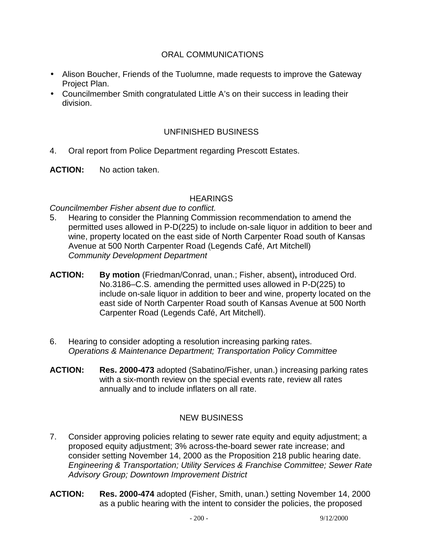### ORAL COMMUNICATIONS

- Alison Boucher, Friends of the Tuolumne, made requests to improve the Gateway Project Plan.
- Councilmember Smith congratulated Little A's on their success in leading their division.

### UNFINISHED BUSINESS

- 4. Oral report from Police Department regarding Prescott Estates.
- **ACTION:** No action taken.

#### **HEARINGS**

#### *Councilmember Fisher absent due to conflict.*

- 5. Hearing to consider the Planning Commission recommendation to amend the permitted uses allowed in P-D(225) to include on-sale liquor in addition to beer and wine, property located on the east side of North Carpenter Road south of Kansas Avenue at 500 North Carpenter Road (Legends Café, Art Mitchell) *Community Development Department*
- **ACTION: By motion** (Friedman/Conrad, unan.; Fisher, absent)**,** introduced Ord. No.3186–C.S. amending the permitted uses allowed in P-D(225) to include on-sale liquor in addition to beer and wine, property located on the east side of North Carpenter Road south of Kansas Avenue at 500 North Carpenter Road (Legends Café, Art Mitchell).
- 6. Hearing to consider adopting a resolution increasing parking rates.  *Operations & Maintenance Department; Transportation Policy Committee*
- **ACTION: Res. 2000-473** adopted (Sabatino/Fisher, unan.) increasing parking rates with a six-month review on the special events rate, review all rates annually and to include inflaters on all rate.

### NEW BUSINESS

- 7. Consider approving policies relating to sewer rate equity and equity adjustment; a proposed equity adjustment; 3% across-the-board sewer rate increase; and consider setting November 14, 2000 as the Proposition 218 public hearing date. *Engineering & Transportation; Utility Services & Franchise Committee; Sewer Rate Advisory Group; Downtown Improvement District*
- **ACTION: Res. 2000-474** adopted (Fisher, Smith, unan.) setting November 14, 2000 as a public hearing with the intent to consider the policies, the proposed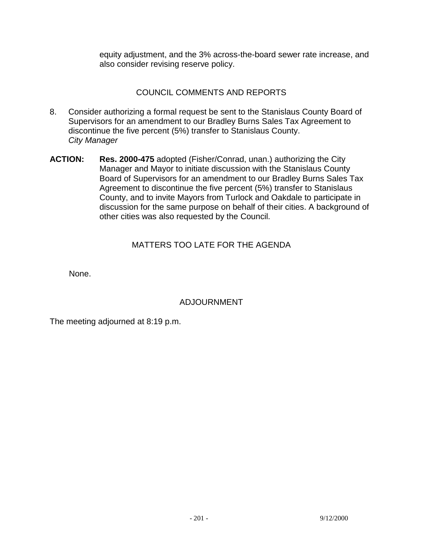equity adjustment, and the 3% across-the-board sewer rate increase, and also consider revising reserve policy.

# COUNCIL COMMENTS AND REPORTS

- 8. Consider authorizing a formal request be sent to the Stanislaus County Board of Supervisors for an amendment to our Bradley Burns Sales Tax Agreement to discontinue the five percent (5%) transfer to Stanislaus County. *City Manager*
- **ACTION: Res. 2000-475** adopted (Fisher/Conrad, unan.) authorizing the City Manager and Mayor to initiate discussion with the Stanislaus County Board of Supervisors for an amendment to our Bradley Burns Sales Tax Agreement to discontinue the five percent (5%) transfer to Stanislaus County, and to invite Mayors from Turlock and Oakdale to participate in discussion for the same purpose on behalf of their cities. A background of other cities was also requested by the Council.

# MATTERS TOO LATE FOR THE AGENDA

None.

### ADJOURNMENT

The meeting adjourned at 8:19 p.m.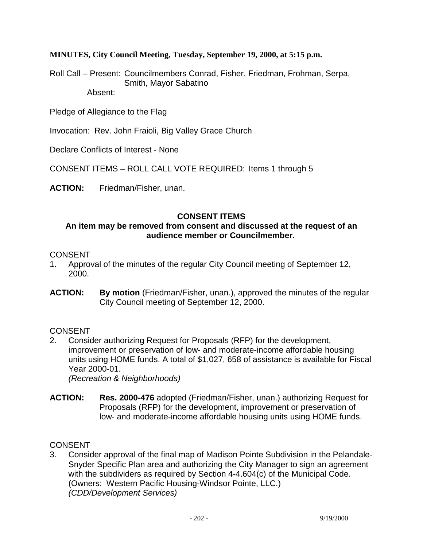**MINUTES, City Council Meeting, Tuesday, September 19, 2000, at 5:15 p.m.** 

Roll Call – Present: Councilmembers Conrad, Fisher, Friedman, Frohman, Serpa, Smith, Mayor Sabatino Absent:

Pledge of Allegiance to the Flag

Invocation: Rev. John Fraioli, Big Valley Grace Church

Declare Conflicts of Interest - None

CONSENT ITEMS – ROLL CALL VOTE REQUIRED: Items 1 through 5

**ACTION:** Friedman/Fisher, unan.

### **CONSENT ITEMS**

#### **An item may be removed from consent and discussed at the request of an audience member or Councilmember.**

#### CONSENT

- 1. Approval of the minutes of the regular City Council meeting of September 12, 2000.
- **ACTION: By motion** (Friedman/Fisher, unan.), approved the minutes of the regular City Council meeting of September 12, 2000.

#### **CONSENT**

2. Consider authorizing Request for Proposals (RFP) for the development, improvement or preservation of low- and moderate-income affordable housing units using HOME funds. A total of \$1,027, 658 of assistance is available for Fiscal Year 2000-01.

 *(Recreation & Neighborhoods)* 

**ACTION: Res. 2000-476** adopted (Friedman/Fisher, unan.) authorizing Request for Proposals (RFP) for the development, improvement or preservation of low- and moderate-income affordable housing units using HOME funds.

#### **CONSENT**

3. Consider approval of the final map of Madison Pointe Subdivision in the Pelandale-Snyder Specific Plan area and authorizing the City Manager to sign an agreement with the subdividers as required by Section 4-4.604(c) of the Municipal Code. (Owners: Western Pacific Housing-Windsor Pointe, LLC.)  *(CDD/Development Services)*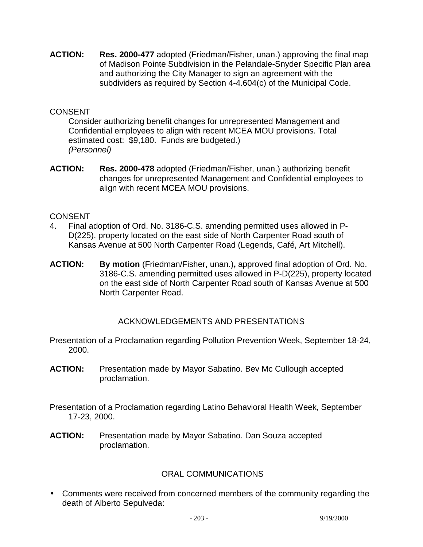**ACTION: Res. 2000-477** adopted (Friedman/Fisher, unan.) approving the final map of Madison Pointe Subdivision in the Pelandale-Snyder Specific Plan area and authorizing the City Manager to sign an agreement with the subdividers as required by Section 4-4.604(c) of the Municipal Code.

### **CONSENT**

Consider authorizing benefit changes for unrepresented Management and Confidential employees to align with recent MCEA MOU provisions. Total estimated cost: \$9,180. Funds are budgeted.) *(Personnel)* 

**ACTION: Res. 2000-478** adopted (Friedman/Fisher, unan.) authorizing benefit changes for unrepresented Management and Confidential employees to align with recent MCEA MOU provisions.

### CONSENT

- 4. Final adoption of Ord. No. 3186-C.S. amending permitted uses allowed in P-D(225), property located on the east side of North Carpenter Road south of Kansas Avenue at 500 North Carpenter Road (Legends, Café, Art Mitchell).
- **ACTION: By motion** (Friedman/Fisher, unan.)**,** approved final adoption of Ord. No. 3186-C.S. amending permitted uses allowed in P-D(225), property located on the east side of North Carpenter Road south of Kansas Avenue at 500 North Carpenter Road.

### ACKNOWLEDGEMENTS AND PRESENTATIONS

Presentation of a Proclamation regarding Pollution Prevention Week, September 18-24, 2000.

- **ACTION:** Presentation made by Mayor Sabatino. Bev Mc Cullough accepted proclamation.
- Presentation of a Proclamation regarding Latino Behavioral Health Week, September 17-23, 2000.
- **ACTION:** Presentation made by Mayor Sabatino. Dan Souza accepted proclamation.

### ORAL COMMUNICATIONS

• Comments were received from concerned members of the community regarding the death of Alberto Sepulveda: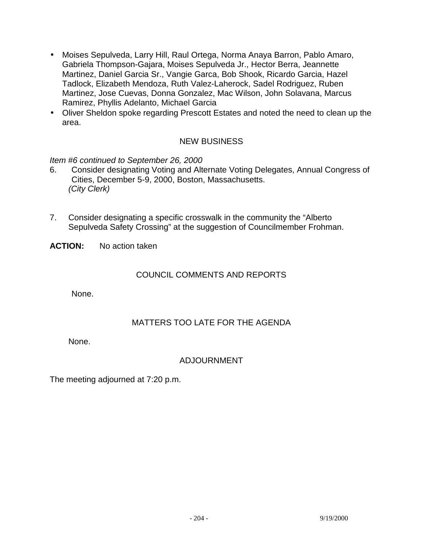- Moises Sepulveda, Larry Hill, Raul Ortega, Norma Anaya Barron, Pablo Amaro, Gabriela Thompson-Gajara, Moises Sepulveda Jr., Hector Berra, Jeannette Martinez, Daniel Garcia Sr., Vangie Garca, Bob Shook, Ricardo Garcia, Hazel Tadlock, Elizabeth Mendoza, Ruth Valez-Laherock, Sadel Rodriguez, Ruben Martinez, Jose Cuevas, Donna Gonzalez, Mac Wilson, John Solavana, Marcus Ramirez, Phyllis Adelanto, Michael Garcia
- Oliver Sheldon spoke regarding Prescott Estates and noted the need to clean up the area.

# NEW BUSINESS

*Item #6 continued to September 26, 2000* 

- 6. Consider designating Voting and Alternate Voting Delegates, Annual Congress of Cities, December 5-9, 2000, Boston, Massachusetts.  *(City Clerk)*
- 7. Consider designating a specific crosswalk in the community the "Alberto Sepulveda Safety Crossing" at the suggestion of Councilmember Frohman.
- **ACTION:** No action taken

#### COUNCIL COMMENTS AND REPORTS

None.

### MATTERS TOO LATE FOR THE AGENDA

None.

### ADJOURNMENT

The meeting adjourned at 7:20 p.m.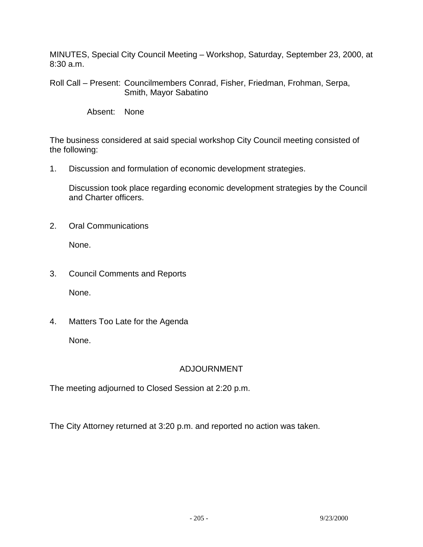MINUTES, Special City Council Meeting – Workshop, Saturday, September 23, 2000, at 8:30 a.m.

Roll Call – Present: Councilmembers Conrad, Fisher, Friedman, Frohman, Serpa, Smith, Mayor Sabatino

Absent: None

The business considered at said special workshop City Council meeting consisted of the following:

1. Discussion and formulation of economic development strategies.

Discussion took place regarding economic development strategies by the Council and Charter officers.

2. Oral Communications

None.

- 3. Council Comments and Reports None.
- 4. Matters Too Late for the Agenda None.

# ADJOURNMENT

The meeting adjourned to Closed Session at 2:20 p.m.

The City Attorney returned at 3:20 p.m. and reported no action was taken.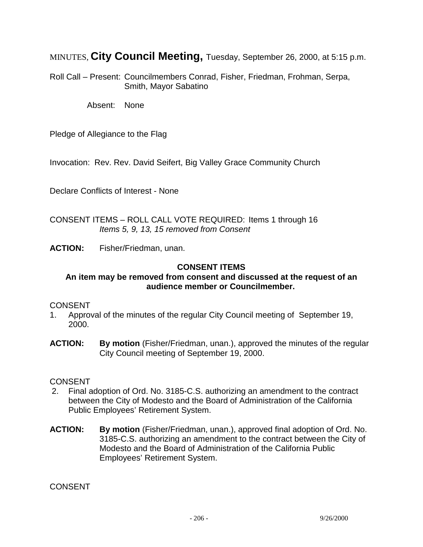MINUTES, **City Council Meeting,** Tuesday, September 26, 2000, at 5:15 p.m.

Roll Call – Present: Councilmembers Conrad, Fisher, Friedman, Frohman, Serpa, Smith, Mayor Sabatino

Absent: None

Pledge of Allegiance to the Flag

Invocation: Rev. Rev. David Seifert, Big Valley Grace Community Church

Declare Conflicts of Interest - None

CONSENT ITEMS – ROLL CALL VOTE REQUIRED: Items 1 through 16 *Items 5, 9, 13, 15 removed from Consent* 

**ACTION:** Fisher/Friedman, unan.

#### **CONSENT ITEMS**

#### **An item may be removed from consent and discussed at the request of an audience member or Councilmember.**

#### **CONSENT**

- 1. Approval of the minutes of the regular City Council meeting of September 19, 2000.
- **ACTION:** By motion (Fisher/Friedman, unan.), approved the minutes of the regular City Council meeting of September 19, 2000.

#### **CONSENT**

- 2. Final adoption of Ord. No. 3185-C.S. authorizing an amendment to the contract between the City of Modesto and the Board of Administration of the California Public Employees' Retirement System.
- **ACTION: By motion** (Fisher/Friedman, unan.), approved final adoption of Ord. No. 3185-C.S. authorizing an amendment to the contract between the City of Modesto and the Board of Administration of the California Public Employees' Retirement System.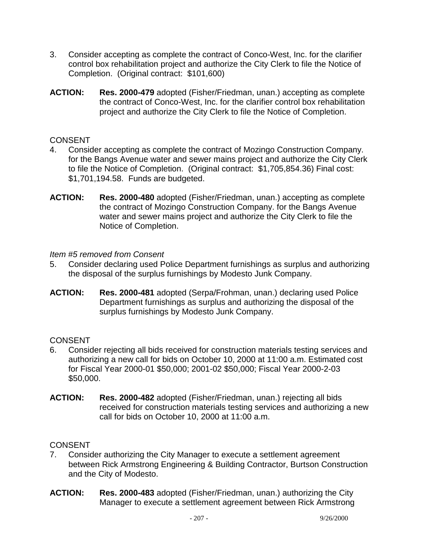- 3. Consider accepting as complete the contract of Conco-West, Inc. for the clarifier control box rehabilitation project and authorize the City Clerk to file the Notice of Completion. (Original contract: \$101,600)
- **ACTION: Res. 2000-479** adopted (Fisher/Friedman, unan.) accepting as complete the contract of Conco-West, Inc. for the clarifier control box rehabilitation project and authorize the City Clerk to file the Notice of Completion.

### **CONSENT**

- 4. Consider accepting as complete the contract of Mozingo Construction Company. for the Bangs Avenue water and sewer mains project and authorize the City Clerk to file the Notice of Completion. (Original contract: \$1,705,854.36) Final cost: \$1,701,194.58. Funds are budgeted.
- **ACTION: Res. 2000-480** adopted (Fisher/Friedman, unan.) accepting as complete the contract of Mozingo Construction Company. for the Bangs Avenue water and sewer mains project and authorize the City Clerk to file the Notice of Completion.

### *Item #5 removed from Consent*

- 5. Consider declaring used Police Department furnishings as surplus and authorizing the disposal of the surplus furnishings by Modesto Junk Company.
- **ACTION: Res. 2000-481** adopted (Serpa/Frohman, unan.) declaring used Police Department furnishings as surplus and authorizing the disposal of the surplus furnishings by Modesto Junk Company.

# **CONSENT**

- 6. Consider rejecting all bids received for construction materials testing services and authorizing a new call for bids on October 10, 2000 at 11:00 a.m. Estimated cost for Fiscal Year 2000-01 \$50,000; 2001-02 \$50,000; Fiscal Year 2000-2-03 \$50,000.
- **ACTION: Res. 2000-482** adopted (Fisher/Friedman, unan.) rejecting all bids received for construction materials testing services and authorizing a new call for bids on October 10, 2000 at 11:00 a.m.

- 7. Consider authorizing the City Manager to execute a settlement agreement between Rick Armstrong Engineering & Building Contractor, Burtson Construction and the City of Modesto.
- **ACTION: Res. 2000-483** adopted (Fisher/Friedman, unan.) authorizing the City Manager to execute a settlement agreement between Rick Armstrong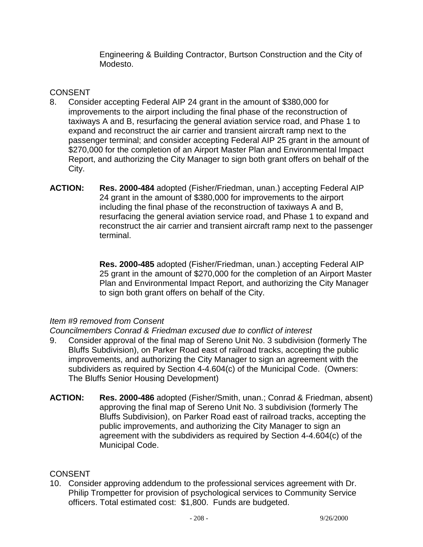Engineering & Building Contractor, Burtson Construction and the City of Modesto.

### **CONSENT**

- 8. Consider accepting Federal AIP 24 grant in the amount of \$380,000 for improvements to the airport including the final phase of the reconstruction of taxiways A and B, resurfacing the general aviation service road, and Phase 1 to expand and reconstruct the air carrier and transient aircraft ramp next to the passenger terminal; and consider accepting Federal AIP 25 grant in the amount of \$270,000 for the completion of an Airport Master Plan and Environmental Impact Report, and authorizing the City Manager to sign both grant offers on behalf of the City.
- **ACTION: Res. 2000-484** adopted (Fisher/Friedman, unan.) accepting Federal AIP 24 grant in the amount of \$380,000 for improvements to the airport including the final phase of the reconstruction of taxiways A and B, resurfacing the general aviation service road, and Phase 1 to expand and reconstruct the air carrier and transient aircraft ramp next to the passenger terminal.

 **Res. 2000-485** adopted (Fisher/Friedman, unan.) accepting Federal AIP 25 grant in the amount of \$270,000 for the completion of an Airport Master Plan and Environmental Impact Report, and authorizing the City Manager to sign both grant offers on behalf of the City.

### *Item #9 removed from Consent*

*Councilmembers Conrad & Friedman excused due to conflict of interest* 

- 9. Consider approval of the final map of Sereno Unit No. 3 subdivision (formerly The Bluffs Subdivision), on Parker Road east of railroad tracks, accepting the public improvements, and authorizing the City Manager to sign an agreement with the subdividers as required by Section 4-4.604(c) of the Municipal Code. (Owners: The Bluffs Senior Housing Development)
- **ACTION: Res. 2000-486** adopted (Fisher/Smith, unan.; Conrad & Friedman, absent) approving the final map of Sereno Unit No. 3 subdivision (formerly The Bluffs Subdivision), on Parker Road east of railroad tracks, accepting the public improvements, and authorizing the City Manager to sign an agreement with the subdividers as required by Section 4-4.604(c) of the Municipal Code.

### **CONSENT**

10. Consider approving addendum to the professional services agreement with Dr. Philip Trompetter for provision of psychological services to Community Service officers. Total estimated cost: \$1,800. Funds are budgeted.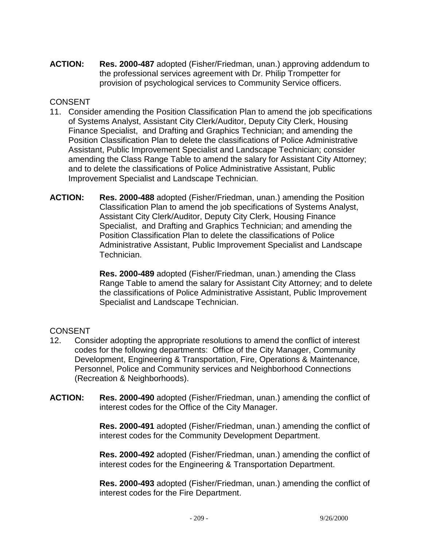**ACTION: Res. 2000-487** adopted (Fisher/Friedman, unan.) approving addendum to the professional services agreement with Dr. Philip Trompetter for provision of psychological services to Community Service officers.

### CONSENT

- 11. Consider amending the Position Classification Plan to amend the job specifications of Systems Analyst, Assistant City Clerk/Auditor, Deputy City Clerk, Housing Finance Specialist, and Drafting and Graphics Technician; and amending the Position Classification Plan to delete the classifications of Police Administrative Assistant, Public Improvement Specialist and Landscape Technician; consider amending the Class Range Table to amend the salary for Assistant City Attorney; and to delete the classifications of Police Administrative Assistant, Public Improvement Specialist and Landscape Technician.
- **ACTION: Res. 2000-488** adopted (Fisher/Friedman, unan.) amending the Position Classification Plan to amend the job specifications of Systems Analyst, Assistant City Clerk/Auditor, Deputy City Clerk, Housing Finance Specialist, and Drafting and Graphics Technician; and amending the Position Classification Plan to delete the classifications of Police Administrative Assistant, Public Improvement Specialist and Landscape Technician.

 **Res. 2000-489** adopted (Fisher/Friedman, unan.) amending the Class Range Table to amend the salary for Assistant City Attorney; and to delete the classifications of Police Administrative Assistant, Public Improvement Specialist and Landscape Technician.

#### **CONSENT**

- 12. Consider adopting the appropriate resolutions to amend the conflict of interest codes for the following departments: Office of the City Manager, Community Development, Engineering & Transportation, Fire, Operations & Maintenance, Personnel, Police and Community services and Neighborhood Connections (Recreation & Neighborhoods).
- **ACTION: Res. 2000-490** adopted (Fisher/Friedman, unan.) amending the conflict of interest codes for the Office of the City Manager.

 **Res. 2000-491** adopted (Fisher/Friedman, unan.) amending the conflict of interest codes for the Community Development Department.

 **Res. 2000-492** adopted (Fisher/Friedman, unan.) amending the conflict of interest codes for the Engineering & Transportation Department.

 **Res. 2000-493** adopted (Fisher/Friedman, unan.) amending the conflict of interest codes for the Fire Department.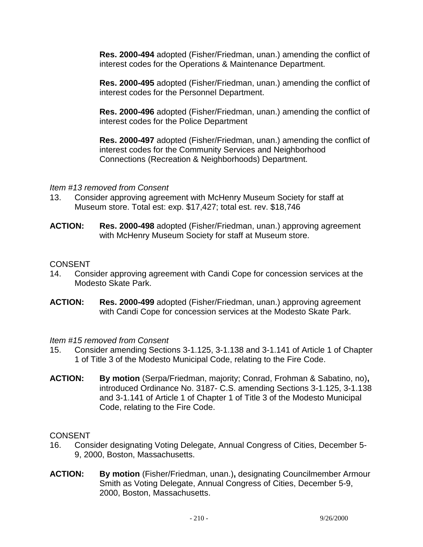**Res. 2000-494** adopted (Fisher/Friedman, unan.) amending the conflict of interest codes for the Operations & Maintenance Department.

 **Res. 2000-495** adopted (Fisher/Friedman, unan.) amending the conflict of interest codes for the Personnel Department.

 **Res. 2000-496** adopted (Fisher/Friedman, unan.) amending the conflict of interest codes for the Police Department

 **Res. 2000-497** adopted (Fisher/Friedman, unan.) amending the conflict of interest codes for the Community Services and Neighborhood Connections (Recreation & Neighborhoods) Department.

### *Item #13 removed from Consent*

- 13. Consider approving agreement with McHenry Museum Society for staff at Museum store. Total est: exp. \$17,427; total est. rev. \$18,746
- **ACTION: Res. 2000-498** adopted (Fisher/Friedman, unan.) approving agreement with McHenry Museum Society for staff at Museum store.

### **CONSENT**

- 14. Consider approving agreement with Candi Cope for concession services at the Modesto Skate Park.
- **ACTION: Res. 2000-499** adopted (Fisher/Friedman, unan.) approving agreement with Candi Cope for concession services at the Modesto Skate Park.

### *Item #15 removed from Consent*

- 15. Consider amending Sections 3-1.125, 3-1.138 and 3-1.141 of Article 1 of Chapter 1 of Title 3 of the Modesto Municipal Code, relating to the Fire Code.
- **ACTION: By motion** (Serpa/Friedman, majority; Conrad, Frohman & Sabatino, no)**,** introduced Ordinance No. 3187- C.S. amending Sections 3-1.125, 3-1.138 and 3-1.141 of Article 1 of Chapter 1 of Title 3 of the Modesto Municipal Code, relating to the Fire Code.

- 16. Consider designating Voting Delegate, Annual Congress of Cities, December 5- 9, 2000, Boston, Massachusetts.
- **ACTION: By motion** (Fisher/Friedman, unan.)**,** designating Councilmember Armour Smith as Voting Delegate, Annual Congress of Cities, December 5-9, 2000, Boston, Massachusetts.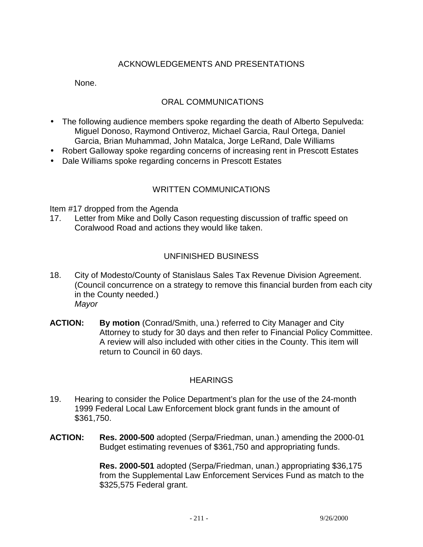# ACKNOWLEDGEMENTS AND PRESENTATIONS

None.

### ORAL COMMUNICATIONS

- The following audience members spoke regarding the death of Alberto Sepulveda: Miguel Donoso, Raymond Ontiveroz, Michael Garcia, Raul Ortega, Daniel Garcia, Brian Muhammad, John Matalca, Jorge LeRand, Dale Williams
- Robert Galloway spoke regarding concerns of increasing rent in Prescott Estates
- Dale Williams spoke regarding concerns in Prescott Estates

### WRITTEN COMMUNICATIONS

Item #17 dropped from the Agenda

17. Letter from Mike and Dolly Cason requesting discussion of traffic speed on Coralwood Road and actions they would like taken.

### UNFINISHED BUSINESS

- 18. City of Modesto/County of Stanislaus Sales Tax Revenue Division Agreement. (Council concurrence on a strategy to remove this financial burden from each city in the County needed.) *Mayor*
- **ACTION: By motion** (Conrad/Smith, una.) referred to City Manager and City Attorney to study for 30 days and then refer to Financial Policy Committee. A review will also included with other cities in the County. This item will return to Council in 60 days.

### **HEARINGS**

- 19. Hearing to consider the Police Department's plan for the use of the 24-month 1999 Federal Local Law Enforcement block grant funds in the amount of \$361,750.
- **ACTION: Res. 2000-500** adopted (Serpa/Friedman, unan.) amending the 2000-01 Budget estimating revenues of \$361,750 and appropriating funds.

 **Res. 2000-501** adopted (Serpa/Friedman, unan.) appropriating \$36,175 from the Supplemental Law Enforcement Services Fund as match to the \$325,575 Federal grant.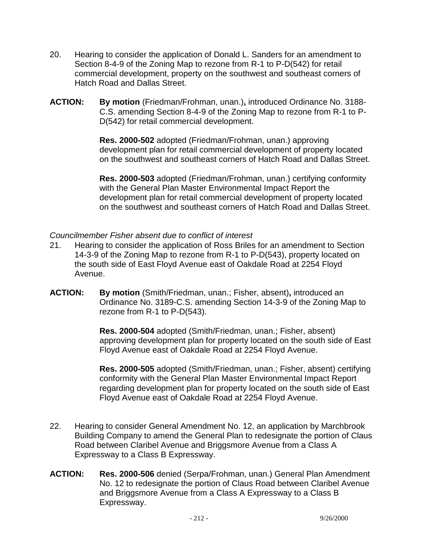- 20. Hearing to consider the application of Donald L. Sanders for an amendment to Section 8-4-9 of the Zoning Map to rezone from R-1 to P-D(542) for retail commercial development, property on the southwest and southeast corners of Hatch Road and Dallas Street.
- **ACTION: By motion** (Friedman/Frohman, unan.)**,** introduced Ordinance No. 3188- C.S. amending Section 8-4-9 of the Zoning Map to rezone from R-1 to P-D(542) for retail commercial development.

**Res. 2000-502** adopted (Friedman/Frohman, unan.) approving development plan for retail commercial development of property located on the southwest and southeast corners of Hatch Road and Dallas Street.

**Res. 2000-503** adopted (Friedman/Frohman, unan.) certifying conformity with the General Plan Master Environmental Impact Report the development plan for retail commercial development of property located on the southwest and southeast corners of Hatch Road and Dallas Street.

### *Councilmember Fisher absent due to conflict of interest*

- 21. Hearing to consider the application of Ross Briles for an amendment to Section 14-3-9 of the Zoning Map to rezone from R-1 to P-D(543), property located on the south side of East Floyd Avenue east of Oakdale Road at 2254 Floyd Avenue.
- **ACTION: By motion** (Smith/Friedman, unan.; Fisher, absent)**,** introduced an Ordinance No. 3189-C.S. amending Section 14-3-9 of the Zoning Map to rezone from R-1 to P-D(543).

**Res. 2000-504** adopted (Smith/Friedman, unan.; Fisher, absent) approving development plan for property located on the south side of East Floyd Avenue east of Oakdale Road at 2254 Floyd Avenue.

**Res. 2000-505** adopted (Smith/Friedman, unan.; Fisher, absent) certifying conformity with the General Plan Master Environmental Impact Report regarding development plan for property located on the south side of East Floyd Avenue east of Oakdale Road at 2254 Floyd Avenue.

- 22. Hearing to consider General Amendment No. 12, an application by Marchbrook Building Company to amend the General Plan to redesignate the portion of Claus Road between Claribel Avenue and Briggsmore Avenue from a Class A Expressway to a Class B Expressway.
- **ACTION: Res. 2000-506** denied (Serpa/Frohman, unan.) General Plan Amendment No. 12 to redesignate the portion of Claus Road between Claribel Avenue and Briggsmore Avenue from a Class A Expressway to a Class B Expressway.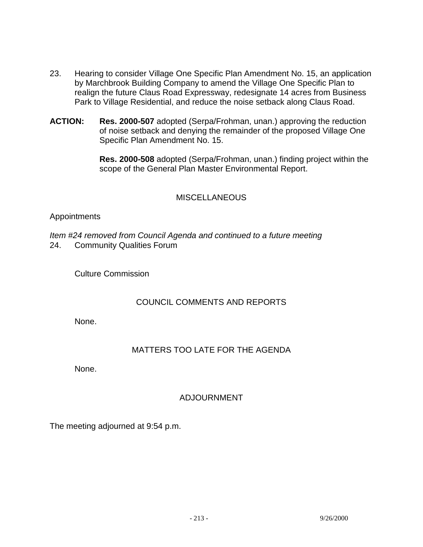- 23. Hearing to consider Village One Specific Plan Amendment No. 15, an application by Marchbrook Building Company to amend the Village One Specific Plan to realign the future Claus Road Expressway, redesignate 14 acres from Business Park to Village Residential, and reduce the noise setback along Claus Road.
- **ACTION: Res. 2000-507** adopted (Serpa/Frohman, unan.) approving the reduction of noise setback and denying the remainder of the proposed Village One Specific Plan Amendment No. 15.

 **Res. 2000-508** adopted (Serpa/Frohman, unan.) finding project within the scope of the General Plan Master Environmental Report.

### **MISCELLANEOUS**

#### Appointments

*Item #24 removed from Council Agenda and continued to a future meeting*  24. Community Qualities Forum

Culture Commission

#### COUNCIL COMMENTS AND REPORTS

None.

### MATTERS TOO LATE FOR THE AGENDA

None.

# ADJOURNMENT

The meeting adjourned at 9:54 p.m.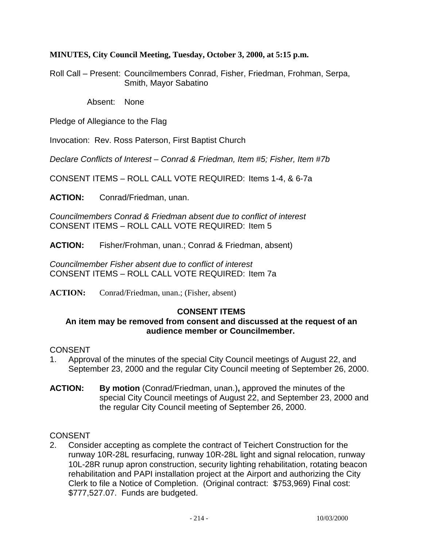#### **MINUTES, City Council Meeting, Tuesday, October 3, 2000, at 5:15 p.m.**

Roll Call – Present: Councilmembers Conrad, Fisher, Friedman, Frohman, Serpa, Smith, Mayor Sabatino

Absent: None

Pledge of Allegiance to the Flag

Invocation: Rev. Ross Paterson, First Baptist Church

*Declare Conflicts of Interest – Conrad & Friedman, Item #5; Fisher, Item #7b* 

CONSENT ITEMS – ROLL CALL VOTE REQUIRED: Items 1-4, & 6-7a

**ACTION:** Conrad/Friedman, unan.

*Councilmembers Conrad & Friedman absent due to conflict of interest*  CONSENT ITEMS – ROLL CALL VOTE REQUIRED: Item 5

**ACTION:** Fisher/Frohman, unan.; Conrad & Friedman, absent)

*Councilmember Fisher absent due to conflict of interest*  CONSENT ITEMS – ROLL CALL VOTE REQUIRED: Item 7a

**ACTION:** Conrad/Friedman, unan.; (Fisher, absent)

### **CONSENT ITEMS**

### **An item may be removed from consent and discussed at the request of an audience member or Councilmember.**

#### **CONSENT**

- 1. Approval of the minutes of the special City Council meetings of August 22, and September 23, 2000 and the regular City Council meeting of September 26, 2000.
- **ACTION: By motion** (Conrad/Friedman, unan.)**,** approved the minutes of the special City Council meetings of August 22, and September 23, 2000 and the regular City Council meeting of September 26, 2000.

### CONSENT

2. Consider accepting as complete the contract of Teichert Construction for the runway 10R-28L resurfacing, runway 10R-28L light and signal relocation, runway 10L-28R runup apron construction, security lighting rehabilitation, rotating beacon rehabilitation and PAPI installation project at the Airport and authorizing the City Clerk to file a Notice of Completion. (Original contract: \$753,969) Final cost: \$777,527.07. Funds are budgeted.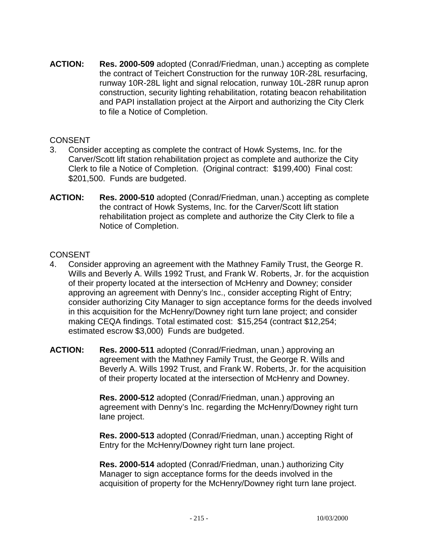**ACTION: Res. 2000-509** adopted (Conrad/Friedman, unan.) accepting as complete the contract of Teichert Construction for the runway 10R-28L resurfacing, runway 10R-28L light and signal relocation, runway 10L-28R runup apron construction, security lighting rehabilitation, rotating beacon rehabilitation and PAPI installation project at the Airport and authorizing the City Clerk to file a Notice of Completion.

### **CONSENT**

- 3. Consider accepting as complete the contract of Howk Systems, Inc. for the Carver/Scott lift station rehabilitation project as complete and authorize the City Clerk to file a Notice of Completion. (Original contract: \$199,400) Final cost: \$201,500. Funds are budgeted.
- **ACTION: Res. 2000-510** adopted (Conrad/Friedman, unan.) accepting as complete the contract of Howk Systems, Inc. for the Carver/Scott lift station rehabilitation project as complete and authorize the City Clerk to file a Notice of Completion.

### CONSENT

- 4. Consider approving an agreement with the Mathney Family Trust, the George R. Wills and Beverly A. Wills 1992 Trust, and Frank W. Roberts, Jr. for the acquistion of their property located at the intersection of McHenry and Downey; consider approving an agreement with Denny's Inc., consider accepting Right of Entry; consider authorizing City Manager to sign acceptance forms for the deeds involved in this acquisition for the McHenry/Downey right turn lane project; and consider making CEQA findings. Total estimated cost: \$15,254 (contract \$12,254; estimated escrow \$3,000) Funds are budgeted.
- **ACTION: Res. 2000-511** adopted (Conrad/Friedman, unan.) approving an agreement with the Mathney Family Trust, the George R. Wills and Beverly A. Wills 1992 Trust, and Frank W. Roberts, Jr. for the acquisition of their property located at the intersection of McHenry and Downey.

 **Res. 2000-512** adopted (Conrad/Friedman, unan.) approving an agreement with Denny's Inc. regarding the McHenry/Downey right turn lane project.

 **Res. 2000-513** adopted (Conrad/Friedman, unan.) accepting Right of Entry for the McHenry/Downey right turn lane project.

 **Res. 2000-514** adopted (Conrad/Friedman, unan.) authorizing City Manager to sign acceptance forms for the deeds involved in the acquisition of property for the McHenry/Downey right turn lane project.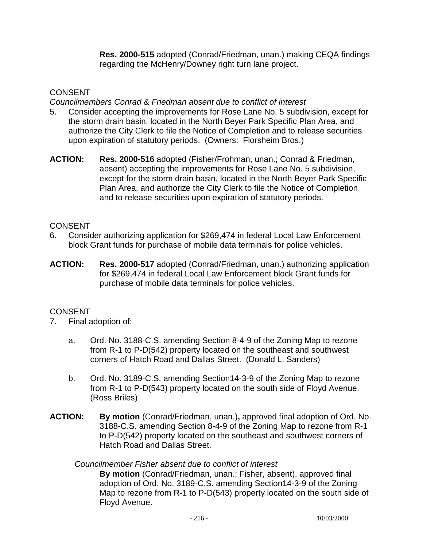**Res. 2000-515** adopted (Conrad/Friedman, unan.) making CEQA findings regarding the McHenry/Downey right turn lane project.

## **CONSENT**

*Councilmembers Conrad & Friedman absent due to conflict of interest* 

- 5. Consider accepting the improvements for Rose Lane No. 5 subdivision, except for the storm drain basin, located in the North Beyer Park Specific Plan Area, and authorize the City Clerk to file the Notice of Completion and to release securities upon expiration of statutory periods. (Owners: Florsheim Bros.)
- **ACTION: Res. 2000-516** adopted (Fisher/Frohman, unan.; Conrad & Friedman, absent) accepting the improvements for Rose Lane No. 5 subdivision, except for the storm drain basin, located in the North Beyer Park Specific Plan Area, and authorize the City Clerk to file the Notice of Completion and to release securities upon expiration of statutory periods.

# **CONSENT**

- 6. Consider authorizing application for \$269,474 in federal Local Law Enforcement block Grant funds for purchase of mobile data terminals for police vehicles.
- **ACTION: Res. 2000-517** adopted (Conrad/Friedman, unan.) authorizing application for \$269,474 in federal Local Law Enforcement block Grant funds for purchase of mobile data terminals for police vehicles.

# **CONSENT**

- 7. Final adoption of:
	- a. Ord. No. 3188-C.S. amending Section 8-4-9 of the Zoning Map to rezone from R-1 to P-D(542) property located on the southeast and southwest corners of Hatch Road and Dallas Street. (Donald L. Sanders)
	- b. Ord. No. 3189-C.S. amending Section14-3-9 of the Zoning Map to rezone from R-1 to P-D(543) property located on the south side of Floyd Avenue. (Ross Briles)
- **ACTION: By motion** (Conrad/Friedman, unan.)**,** approved final adoption of Ord. No. 3188-C.S. amending Section 8-4-9 of the Zoning Map to rezone from R-1 to P-D(542) property located on the southeast and southwest corners of Hatch Road and Dallas Street.

### *Councilmember Fisher absent due to conflict of interest*

**By motion** (Conrad/Friedman, unan.; Fisher, absent), approved final adoption of Ord. No. 3189-C.S. amending Section14-3-9 of the Zoning Map to rezone from R-1 to P-D(543) property located on the south side of Floyd Avenue.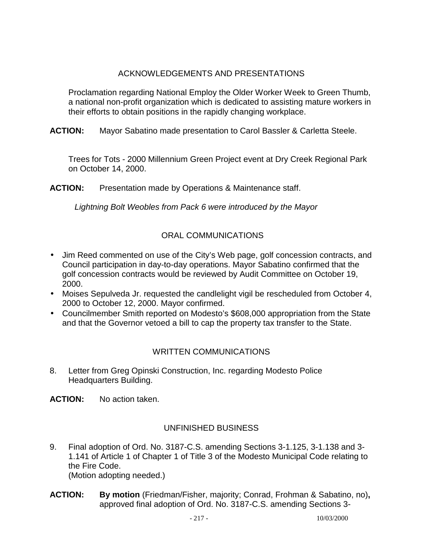# ACKNOWLEDGEMENTS AND PRESENTATIONS

 Proclamation regarding National Employ the Older Worker Week to Green Thumb, a national non-profit organization which is dedicated to assisting mature workers in their efforts to obtain positions in the rapidly changing workplace.

**ACTION:** Mayor Sabatino made presentation to Carol Bassler & Carletta Steele.

 Trees for Tots - 2000 Millennium Green Project event at Dry Creek Regional Park on October 14, 2000.

**ACTION:** Presentation made by Operations & Maintenance staff.

 *Lightning Bolt Weobles from Pack 6 were introduced by the Mayor* 

# ORAL COMMUNICATIONS

- Jim Reed commented on use of the City's Web page, golf concession contracts, and Council participation in day-to-day operations. Mayor Sabatino confirmed that the golf concession contracts would be reviewed by Audit Committee on October 19, 2000.
- Moises Sepulveda Jr. requested the candlelight vigil be rescheduled from October 4, 2000 to October 12, 2000. Mayor confirmed.
- Councilmember Smith reported on Modesto's \$608,000 appropriation from the State and that the Governor vetoed a bill to cap the property tax transfer to the State.

# WRITTEN COMMUNICATIONS

8. Letter from Greg Opinski Construction, Inc. regarding Modesto Police Headquarters Building.

**ACTION:** No action taken.

# UNFINISHED BUSINESS

- 9. Final adoption of Ord. No. 3187-C.S. amending Sections 3-1.125, 3-1.138 and 3- 1.141 of Article 1 of Chapter 1 of Title 3 of the Modesto Municipal Code relating to the Fire Code. (Motion adopting needed.)
- **ACTION: By motion** (Friedman/Fisher, majority; Conrad, Frohman & Sabatino, no)**,**  approved final adoption of Ord. No. 3187-C.S. amending Sections 3-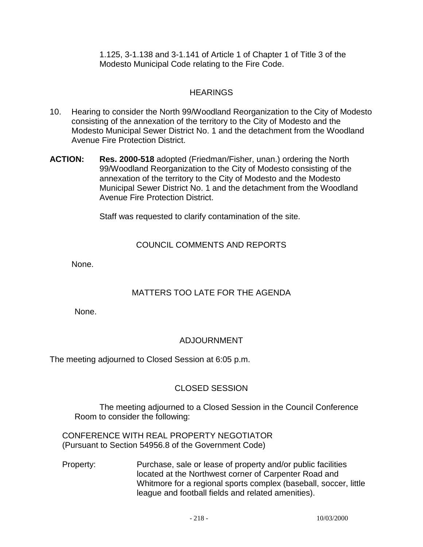1.125, 3-1.138 and 3-1.141 of Article 1 of Chapter 1 of Title 3 of the Modesto Municipal Code relating to the Fire Code.

# **HEARINGS**

- 10. Hearing to consider the North 99/Woodland Reorganization to the City of Modesto consisting of the annexation of the territory to the City of Modesto and the Modesto Municipal Sewer District No. 1 and the detachment from the Woodland Avenue Fire Protection District.
- **ACTION: Res. 2000-518** adopted (Friedman/Fisher, unan.) ordering the North 99/Woodland Reorganization to the City of Modesto consisting of the annexation of the territory to the City of Modesto and the Modesto Municipal Sewer District No. 1 and the detachment from the Woodland Avenue Fire Protection District.

Staff was requested to clarify contamination of the site.

## COUNCIL COMMENTS AND REPORTS

None.

# MATTERS TOO LATE FOR THE AGENDA

None.

# ADJOURNMENT

The meeting adjourned to Closed Session at 6:05 p.m.

## CLOSED SESSION

 The meeting adjourned to a Closed Session in the Council Conference Room to consider the following:

 CONFERENCE WITH REAL PROPERTY NEGOTIATOR (Pursuant to Section 54956.8 of the Government Code)

 Property: Purchase, sale or lease of property and/or public facilities located at the Northwest corner of Carpenter Road and Whitmore for a regional sports complex (baseball, soccer, little league and football fields and related amenities).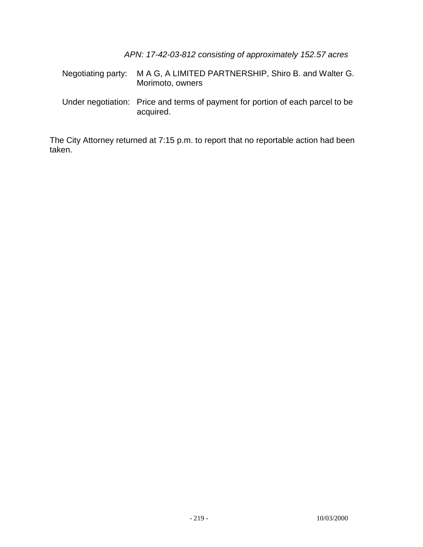*APN: 17-42-03-812 consisting of approximately 152.57 acres* 

|  | Negotiating party: M A G, A LIMITED PARTNERSHIP, Shiro B, and Walter G.<br>Morimoto, owners |
|--|---------------------------------------------------------------------------------------------|
|  | Under negotiation: Price and terms of payment for portion of each parcel to be<br>acquired. |

The City Attorney returned at 7:15 p.m. to report that no reportable action had been taken.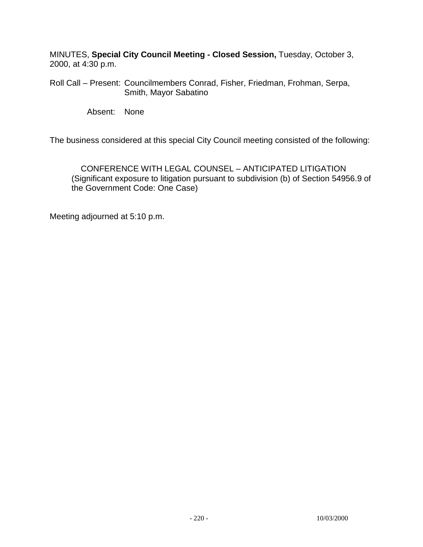MINUTES, **Special City Council Meeting - Closed Session,** Tuesday, October 3, 2000, at 4:30 p.m.

Roll Call – Present: Councilmembers Conrad, Fisher, Friedman, Frohman, Serpa, Smith, Mayor Sabatino

Absent: None

The business considered at this special City Council meeting consisted of the following:

 CONFERENCE WITH LEGAL COUNSEL – ANTICIPATED LITIGATION (Significant exposure to litigation pursuant to subdivision (b) of Section 54956.9 of the Government Code: One Case)

Meeting adjourned at 5:10 p.m.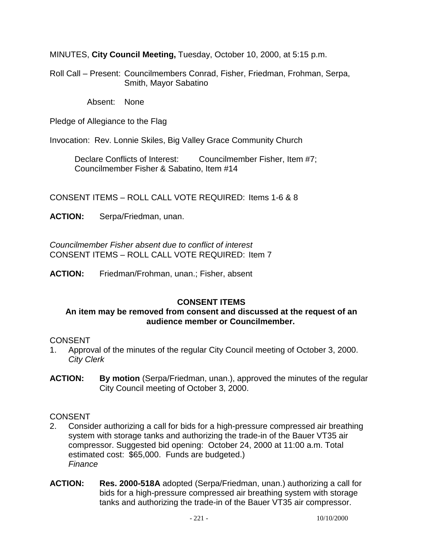MINUTES, **City Council Meeting,** Tuesday, October 10, 2000, at 5:15 p.m.

Roll Call – Present: Councilmembers Conrad, Fisher, Friedman, Frohman, Serpa, Smith, Mayor Sabatino

Absent: None

Pledge of Allegiance to the Flag

Invocation: Rev. Lonnie Skiles, Big Valley Grace Community Church

Declare Conflicts of Interest: Councilmember Fisher, Item #7; Councilmember Fisher & Sabatino, Item #14

CONSENT ITEMS – ROLL CALL VOTE REQUIRED: Items 1-6 & 8

**ACTION:** Serpa/Friedman, unan.

*Councilmember Fisher absent due to conflict of interest*  CONSENT ITEMS – ROLL CALL VOTE REQUIRED: Item 7

**ACTION:** Friedman/Frohman, unan.; Fisher, absent

## **CONSENT ITEMS**

#### **An item may be removed from consent and discussed at the request of an audience member or Councilmember.**

#### **CONSENT**

- 1. Approval of the minutes of the regular City Council meeting of October 3, 2000. *City Clerk*
- **ACTION: By motion** (Serpa/Friedman, unan.), approved the minutes of the regular City Council meeting of October 3, 2000.

## **CONSENT**

- 2. Consider authorizing a call for bids for a high-pressure compressed air breathing system with storage tanks and authorizing the trade-in of the Bauer VT35 air compressor. Suggested bid opening: October 24, 2000 at 11:00 a.m. Total estimated cost: \$65,000. Funds are budgeted.) *Finance*
- **ACTION: Res. 2000-518A** adopted (Serpa/Friedman, unan.) authorizing a call for bids for a high-pressure compressed air breathing system with storage tanks and authorizing the trade-in of the Bauer VT35 air compressor.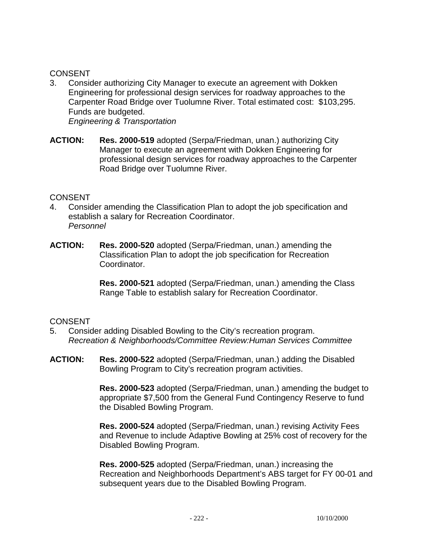## **CONSENT**

- 3. Consider authorizing City Manager to execute an agreement with Dokken Engineering for professional design services for roadway approaches to the Carpenter Road Bridge over Tuolumne River. Total estimated cost: \$103,295. Funds are budgeted. *Engineering & Transportation*
- **ACTION: Res. 2000-519** adopted (Serpa/Friedman, unan.) authorizing City Manager to execute an agreement with Dokken Engineering for professional design services for roadway approaches to the Carpenter Road Bridge over Tuolumne River.

#### CONSENT

- 4. Consider amending the Classification Plan to adopt the job specification and establish a salary for Recreation Coordinator. *Personnel*
- **ACTION: Res. 2000-520** adopted (Serpa/Friedman, unan.) amending the Classification Plan to adopt the job specification for Recreation Coordinator.

 **Res. 2000-521** adopted (Serpa/Friedman, unan.) amending the Class Range Table to establish salary for Recreation Coordinator.

#### CONSENT

- 5. Consider adding Disabled Bowling to the City's recreation program. *Recreation & Neighborhoods/Committee Review:Human Services Committee*
- **ACTION: Res. 2000-522** adopted (Serpa/Friedman, unan.) adding the Disabled Bowling Program to City's recreation program activities.

 **Res. 2000-523** adopted (Serpa/Friedman, unan.) amending the budget to appropriate \$7,500 from the General Fund Contingency Reserve to fund the Disabled Bowling Program.

 **Res. 2000-524** adopted (Serpa/Friedman, unan.) revising Activity Fees and Revenue to include Adaptive Bowling at 25% cost of recovery for the Disabled Bowling Program.

 **Res. 2000-525** adopted (Serpa/Friedman, unan.) increasing the Recreation and Neighborhoods Department's ABS target for FY 00-01 and subsequent years due to the Disabled Bowling Program.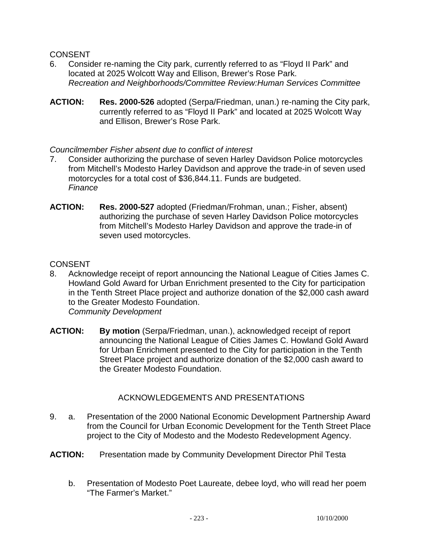### **CONSENT**

- 6. Consider re-naming the City park, currently referred to as "Floyd II Park" and located at 2025 Wolcott Way and Ellison, Brewer's Rose Park. *Recreation and Neighborhoods/Committee Review:Human Services Committee*
- **ACTION: Res. 2000-526** adopted (Serpa/Friedman, unan.) re-naming the City park, currently referred to as "Floyd II Park" and located at 2025 Wolcott Way and Ellison, Brewer's Rose Park.

## *Councilmember Fisher absent due to conflict of interest*

- 7. Consider authorizing the purchase of seven Harley Davidson Police motorcycles from Mitchell's Modesto Harley Davidson and approve the trade-in of seven used motorcycles for a total cost of \$36,844.11. Funds are budgeted. *Finance*
- **ACTION: Res. 2000-527** adopted (Friedman/Frohman, unan.; Fisher, absent) authorizing the purchase of seven Harley Davidson Police motorcycles from Mitchell's Modesto Harley Davidson and approve the trade-in of seven used motorcycles.

#### **CONSENT**

- 8. Acknowledge receipt of report announcing the National League of Cities James C. Howland Gold Award for Urban Enrichment presented to the City for participation in the Tenth Street Place project and authorize donation of the \$2,000 cash award to the Greater Modesto Foundation. *Community Development*
- **ACTION: By motion** (Serpa/Friedman, unan.), acknowledged receipt of report announcing the National League of Cities James C. Howland Gold Award for Urban Enrichment presented to the City for participation in the Tenth Street Place project and authorize donation of the \$2,000 cash award to the Greater Modesto Foundation.

## ACKNOWLEDGEMENTS AND PRESENTATIONS

- 9. a. Presentation of the 2000 National Economic Development Partnership Award from the Council for Urban Economic Development for the Tenth Street Place project to the City of Modesto and the Modesto Redevelopment Agency.
- **ACTION:** Presentation made by Community Development Director Phil Testa
	- b. Presentation of Modesto Poet Laureate, debee loyd, who will read her poem "The Farmer's Market."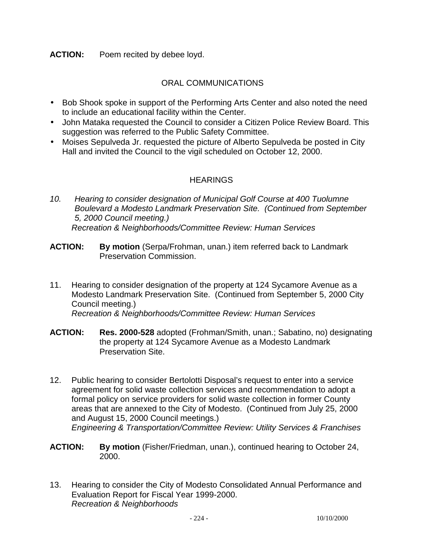**ACTION:** Poem recited by debee loyd.

## ORAL COMMUNICATIONS

- Bob Shook spoke in support of the Performing Arts Center and also noted the need to include an educational facility within the Center.
- John Mataka requested the Council to consider a Citizen Police Review Board. This suggestion was referred to the Public Safety Committee.
- Moises Sepulveda Jr. requested the picture of Alberto Sepulveda be posted in City Hall and invited the Council to the vigil scheduled on October 12, 2000.

## **HEARINGS**

- *10. Hearing to consider designation of Municipal Golf Course at 400 Tuolumne Boulevard a Modesto Landmark Preservation Site. (Continued from September 5, 2000 Council meeting.) Recreation & Neighborhoods/Committee Review: Human Services*
- **ACTION: By motion** (Serpa/Frohman, unan.) item referred back to Landmark Preservation Commission.
- 11. Hearing to consider designation of the property at 124 Sycamore Avenue as a Modesto Landmark Preservation Site. (Continued from September 5, 2000 City Council meeting.)  *Recreation & Neighborhoods/Committee Review: Human Services*
- **ACTION: Res. 2000-528** adopted (Frohman/Smith, unan.; Sabatino, no) designating the property at 124 Sycamore Avenue as a Modesto Landmark Preservation Site.
- 12. Public hearing to consider Bertolotti Disposal's request to enter into a service agreement for solid waste collection services and recommendation to adopt a formal policy on service providers for solid waste collection in former County areas that are annexed to the City of Modesto. (Continued from July 25, 2000 and August 15, 2000 Council meetings.)  *Engineering & Transportation/Committee Review: Utility Services & Franchises*
- **ACTION: By motion** (Fisher/Friedman, unan.), continued hearing to October 24, 2000.
- 13. Hearing to consider the City of Modesto Consolidated Annual Performance and Evaluation Report for Fiscal Year 1999-2000. *Recreation & Neighborhoods*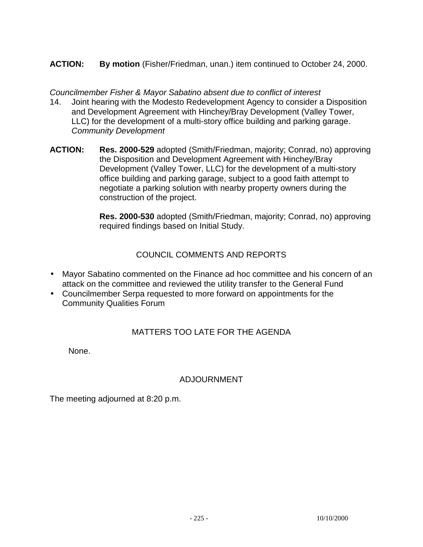# **ACTION: By motion** (Fisher/Friedman, unan.) item continued to October 24, 2000.

*Councilmember Fisher & Mayor Sabatino absent due to conflict of interest* 

- 14. Joint hearing with the Modesto Redevelopment Agency to consider a Disposition and Development Agreement with Hinchey/Bray Development (Valley Tower, LLC) for the development of a multi-story office building and parking garage. *Community Development*
- **ACTION: Res. 2000-529** adopted (Smith/Friedman, majority; Conrad, no) approving the Disposition and Development Agreement with Hinchey/Bray Development (Valley Tower, LLC) for the development of a multi-story office building and parking garage, subject to a good faith attempt to negotiate a parking solution with nearby property owners during the construction of the project.

 **Res. 2000-530** adopted (Smith/Friedman, majority; Conrad, no) approving required findings based on Initial Study.

## COUNCIL COMMENTS AND REPORTS

- Mayor Sabatino commented on the Finance ad hoc committee and his concern of an attack on the committee and reviewed the utility transfer to the General Fund
- Councilmember Serpa requested to more forward on appointments for the Community Qualities Forum

# MATTERS TOO LATE FOR THE AGENDA

None.

# ADJOURNMENT

The meeting adjourned at 8:20 p.m.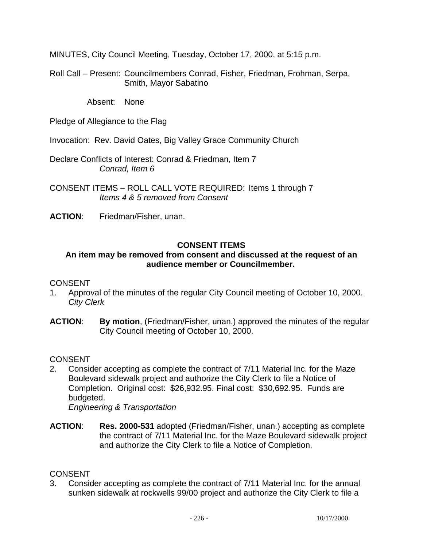MINUTES, City Council Meeting, Tuesday, October 17, 2000, at 5:15 p.m.

Roll Call – Present: Councilmembers Conrad, Fisher, Friedman, Frohman, Serpa, Smith, Mayor Sabatino

Absent: None

Pledge of Allegiance to the Flag

Invocation: Rev. David Oates, Big Valley Grace Community Church

Declare Conflicts of Interest: Conrad & Friedman, Item 7  *Conrad, Item 6* 

CONSENT ITEMS – ROLL CALL VOTE REQUIRED: Items 1 through 7 *Items 4 & 5 removed from Consent* 

**ACTION**: Friedman/Fisher, unan.

## **CONSENT ITEMS**

## **An item may be removed from consent and discussed at the request of an audience member or Councilmember.**

#### **CONSENT**

- 1. Approval of the minutes of the regular City Council meeting of October 10, 2000. *City Clerk*
- **ACTION**: **By motion**, (Friedman/Fisher, unan.) approved the minutes of the regular City Council meeting of October 10, 2000.

## CONSENT

2. Consider accepting as complete the contract of 7/11 Material Inc. for the Maze Boulevard sidewalk project and authorize the City Clerk to file a Notice of Completion. Original cost: \$26,932.95. Final cost: \$30,692.95. Funds are budgeted.

*Engineering & Transportation* 

**ACTION**: **Res. 2000-531** adopted (Friedman/Fisher, unan.) accepting as complete the contract of 7/11 Material Inc. for the Maze Boulevard sidewalk project and authorize the City Clerk to file a Notice of Completion.

#### **CONSENT**

3. Consider accepting as complete the contract of 7/11 Material Inc. for the annual sunken sidewalk at rockwells 99/00 project and authorize the City Clerk to file a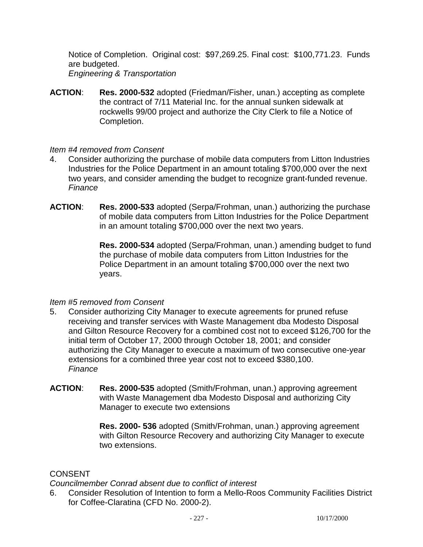Notice of Completion. Original cost: \$97,269.25. Final cost: \$100,771.23. Funds are budgeted. *Engineering & Transportation* 

**ACTION**: **Res. 2000-532** adopted (Friedman/Fisher, unan.) accepting as complete the contract of 7/11 Material Inc. for the annual sunken sidewalk at rockwells 99/00 project and authorize the City Clerk to file a Notice of Completion.

## *Item #4 removed from Consent*

- 4. Consider authorizing the purchase of mobile data computers from Litton Industries Industries for the Police Department in an amount totaling \$700,000 over the next two years, and consider amending the budget to recognize grant-funded revenue. *Finance*
- **ACTION**: **Res. 2000-533** adopted (Serpa/Frohman, unan.) authorizing the purchase of mobile data computers from Litton Industries for the Police Department in an amount totaling \$700,000 over the next two years.

**Res. 2000-534** adopted (Serpa/Frohman, unan.) amending budget to fund the purchase of mobile data computers from Litton Industries for the Police Department in an amount totaling \$700,000 over the next two years.

#### *Item #5 removed from Consent*

- 5. Consider authorizing City Manager to execute agreements for pruned refuse receiving and transfer services with Waste Management dba Modesto Disposal and Gilton Resource Recovery for a combined cost not to exceed \$126,700 for the initial term of October 17, 2000 through October 18, 2001; and consider authorizing the City Manager to execute a maximum of two consecutive one-year extensions for a combined three year cost not to exceed \$380,100. *Finance*
- **ACTION**: **Res. 2000-535** adopted (Smith/Frohman, unan.) approving agreement with Waste Management dba Modesto Disposal and authorizing City Manager to execute two extensions

**Res. 2000- 536** adopted (Smith/Frohman, unan.) approving agreement with Gilton Resource Recovery and authorizing City Manager to execute two extensions.

#### **CONSENT**

*Councilmember Conrad absent due to conflict of interest* 

6. Consider Resolution of Intention to form a Mello-Roos Community Facilities District for Coffee-Claratina (CFD No. 2000-2).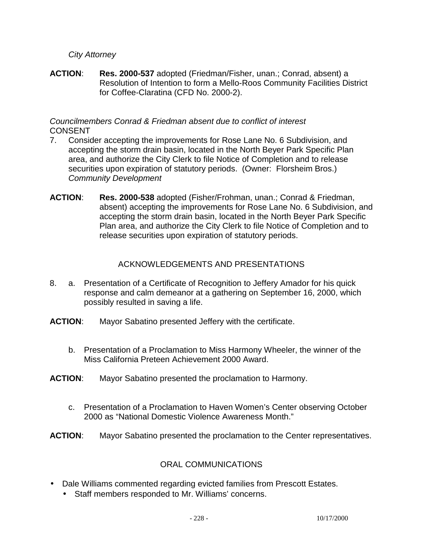## *City Attorney*

**ACTION**: **Res. 2000-537** adopted (Friedman/Fisher, unan.; Conrad, absent) a Resolution of Intention to form a Mello-Roos Community Facilities District for Coffee-Claratina (CFD No. 2000-2).

## *Councilmembers Conrad & Friedman absent due to conflict of interest*  CONSENT

- 7. Consider accepting the improvements for Rose Lane No. 6 Subdivision, and accepting the storm drain basin, located in the North Beyer Park Specific Plan area, and authorize the City Clerk to file Notice of Completion and to release securities upon expiration of statutory periods. (Owner: Florsheim Bros.) *Community Development*
- **ACTION**: **Res. 2000-538** adopted (Fisher/Frohman, unan.; Conrad & Friedman, absent) accepting the improvements for Rose Lane No. 6 Subdivision, and accepting the storm drain basin, located in the North Beyer Park Specific Plan area, and authorize the City Clerk to file Notice of Completion and to release securities upon expiration of statutory periods.

## ACKNOWLEDGEMENTS AND PRESENTATIONS

- 8. a. Presentation of a Certificate of Recognition to Jeffery Amador for his quick response and calm demeanor at a gathering on September 16, 2000, which possibly resulted in saving a life.
- **ACTION**: Mayor Sabatino presented Jeffery with the certificate.
	- b. Presentation of a Proclamation to Miss Harmony Wheeler, the winner of the Miss California Preteen Achievement 2000 Award.
- **ACTION**: Mayor Sabatino presented the proclamation to Harmony.
	- c. Presentation of a Proclamation to Haven Women's Center observing October 2000 as "National Domestic Violence Awareness Month."
- **ACTION**: Mayor Sabatino presented the proclamation to the Center representatives.

## ORAL COMMUNICATIONS

- Dale Williams commented regarding evicted families from Prescott Estates.
	- Staff members responded to Mr. Williams' concerns.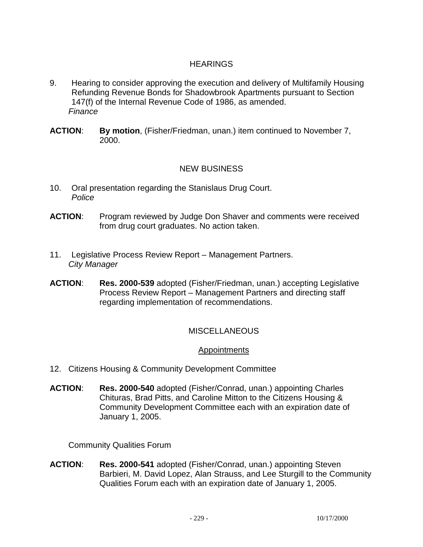# **HEARINGS**

- 9. Hearing to consider approving the execution and delivery of Multifamily Housing Refunding Revenue Bonds for Shadowbrook Apartments pursuant to Section 147(f) of the Internal Revenue Code of 1986, as amended. *Finance*
- **ACTION**: **By motion**, (Fisher/Friedman, unan.) item continued to November 7, 2000.

## NEW BUSINESS

- 10. Oral presentation regarding the Stanislaus Drug Court. *Police*
- **ACTION**: Program reviewed by Judge Don Shaver and comments were received from drug court graduates. No action taken.
- 11. Legislative Process Review Report Management Partners. *City Manager*
- **ACTION**: **Res. 2000-539** adopted (Fisher/Friedman, unan.) accepting Legislative Process Review Report – Management Partners and directing staff regarding implementation of recommendations.

## **MISCELLANEOUS**

#### Appointments

- 12. Citizens Housing & Community Development Committee
- **ACTION**: **Res. 2000-540** adopted (Fisher/Conrad, unan.) appointing Charles Chituras, Brad Pitts, and Caroline Mitton to the Citizens Housing & Community Development Committee each with an expiration date of January 1, 2005.

Community Qualities Forum

**ACTION**: **Res. 2000-541** adopted (Fisher/Conrad, unan.) appointing Steven Barbieri, M. David Lopez, Alan Strauss, and Lee Sturgill to the Community Qualities Forum each with an expiration date of January 1, 2005.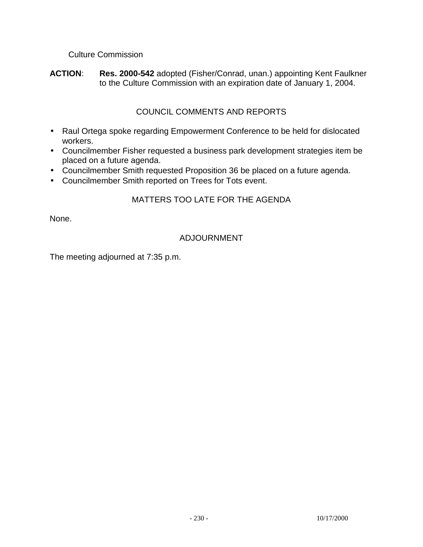## Culture Commission

**ACTION**: **Res. 2000-542** adopted (Fisher/Conrad, unan.) appointing Kent Faulkner to the Culture Commission with an expiration date of January 1, 2004.

## COUNCIL COMMENTS AND REPORTS

- Raul Ortega spoke regarding Empowerment Conference to be held for dislocated workers.
- Councilmember Fisher requested a business park development strategies item be placed on a future agenda.
- Councilmember Smith requested Proposition 36 be placed on a future agenda.
- Councilmember Smith reported on Trees for Tots event.

## MATTERS TOO LATE FOR THE AGENDA

None.

# ADJOURNMENT

The meeting adjourned at 7:35 p.m.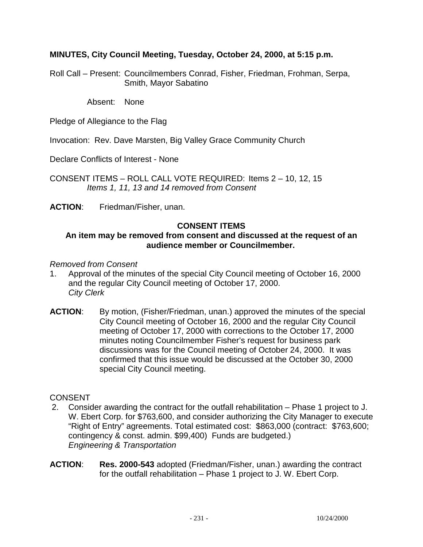## **MINUTES, City Council Meeting, Tuesday, October 24, 2000, at 5:15 p.m.**

Roll Call – Present: Councilmembers Conrad, Fisher, Friedman, Frohman, Serpa, Smith, Mayor Sabatino

Absent: None

Pledge of Allegiance to the Flag

Invocation: Rev. Dave Marsten, Big Valley Grace Community Church

Declare Conflicts of Interest - None

CONSENT ITEMS – ROLL CALL VOTE REQUIRED: Items 2 – 10, 12, 15 *Items 1, 11, 13 and 14 removed from Consent* 

**ACTION**: Friedman/Fisher, unan.

#### **CONSENT ITEMS**

#### **An item may be removed from consent and discussed at the request of an audience member or Councilmember.**

#### *Removed from Consent*

- 1. Approval of the minutes of the special City Council meeting of October 16, 2000 and the regular City Council meeting of October 17, 2000. *City Clerk*
- **ACTION**: By motion, (Fisher/Friedman, unan.) approved the minutes of the special City Council meeting of October 16, 2000 and the regular City Council meeting of October 17, 2000 with corrections to the October 17, 2000 minutes noting Councilmember Fisher's request for business park discussions was for the Council meeting of October 24, 2000. It was confirmed that this issue would be discussed at the October 30, 2000 special City Council meeting.

#### **CONSENT**

- 2. Consider awarding the contract for the outfall rehabilitation Phase 1 project to J. W. Ebert Corp. for \$763,600, and consider authorizing the City Manager to execute "Right of Entry" agreements. Total estimated cost: \$863,000 (contract: \$763,600; contingency & const. admin. \$99,400) Funds are budgeted.) *Engineering & Transportation*
- **ACTION**: **Res. 2000-543** adopted (Friedman/Fisher, unan.) awarding the contract for the outfall rehabilitation – Phase 1 project to J. W. Ebert Corp.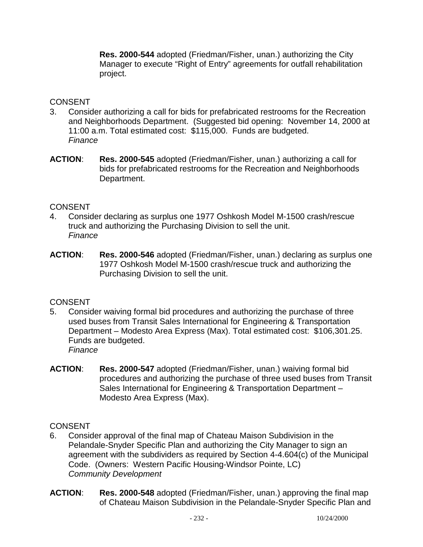**Res. 2000-544** adopted (Friedman/Fisher, unan.) authorizing the City Manager to execute "Right of Entry" agreements for outfall rehabilitation project.

## CONSENT

- 3. Consider authorizing a call for bids for prefabricated restrooms for the Recreation and Neighborhoods Department. (Suggested bid opening: November 14, 2000 at 11:00 a.m. Total estimated cost: \$115,000. Funds are budgeted.  *Finance*
- **ACTION**: **Res. 2000-545** adopted (Friedman/Fisher, unan.) authorizing a call for bids for prefabricated restrooms for the Recreation and Neighborhoods Department.

## **CONSENT**

- 4. Consider declaring as surplus one 1977 Oshkosh Model M-1500 crash/rescue truck and authorizing the Purchasing Division to sell the unit. *Finance*
- **ACTION**: **Res. 2000-546** adopted (Friedman/Fisher, unan.) declaring as surplus one 1977 Oshkosh Model M-1500 crash/rescue truck and authorizing the Purchasing Division to sell the unit.

## **CONSENT**

- 5. Consider waiving formal bid procedures and authorizing the purchase of three used buses from Transit Sales International for Engineering & Transportation Department – Modesto Area Express (Max). Total estimated cost: \$106,301.25. Funds are budgeted. *Finance*
- **ACTION**: **Res. 2000-547** adopted (Friedman/Fisher, unan.) waiving formal bid procedures and authorizing the purchase of three used buses from Transit Sales International for Engineering & Transportation Department – Modesto Area Express (Max).

## **CONSENT**

- 6. Consider approval of the final map of Chateau Maison Subdivision in the Pelandale-Snyder Specific Plan and authorizing the City Manager to sign an agreement with the subdividers as required by Section 4-4.604(c) of the Municipal Code. (Owners: Western Pacific Housing-Windsor Pointe, LC) *Community Development*
- **ACTION**: **Res. 2000-548** adopted (Friedman/Fisher, unan.) approving the final map of Chateau Maison Subdivision in the Pelandale-Snyder Specific Plan and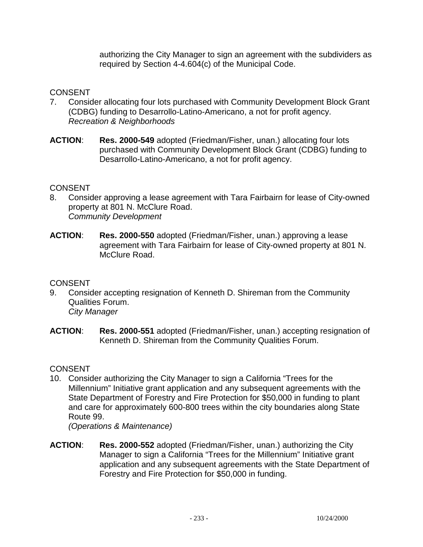authorizing the City Manager to sign an agreement with the subdividers as required by Section 4-4.604(c) of the Municipal Code.

## **CONSENT**

- 7. Consider allocating four lots purchased with Community Development Block Grant (CDBG) funding to Desarrollo-Latino-Americano, a not for profit agency. *Recreation & Neighborhoods*
- **ACTION**: **Res. 2000-549** adopted (Friedman/Fisher, unan.) allocating four lots purchased with Community Development Block Grant (CDBG) funding to Desarrollo-Latino-Americano, a not for profit agency.

#### **CONSENT**

- 8. Consider approving a lease agreement with Tara Fairbairn for lease of City-owned property at 801 N. McClure Road. *Community Development*
- **ACTION**: **Res. 2000-550** adopted (Friedman/Fisher, unan.) approving a lease agreement with Tara Fairbairn for lease of City-owned property at 801 N. McClure Road.

#### **CONSENT**

- 9. Consider accepting resignation of Kenneth D. Shireman from the Community Qualities Forum. *City Manager*
- **ACTION**: **Res. 2000-551** adopted (Friedman/Fisher, unan.) accepting resignation of Kenneth D. Shireman from the Community Qualities Forum.

#### **CONSENT**

10. Consider authorizing the City Manager to sign a California "Trees for the Millennium" Initiative grant application and any subsequent agreements with the State Department of Forestry and Fire Protection for \$50,000 in funding to plant and care for approximately 600-800 trees within the city boundaries along State Route 99.

*(Operations & Maintenance)* 

**ACTION**: **Res. 2000-552** adopted (Friedman/Fisher, unan.) authorizing the City Manager to sign a California "Trees for the Millennium" Initiative grant application and any subsequent agreements with the State Department of Forestry and Fire Protection for \$50,000 in funding.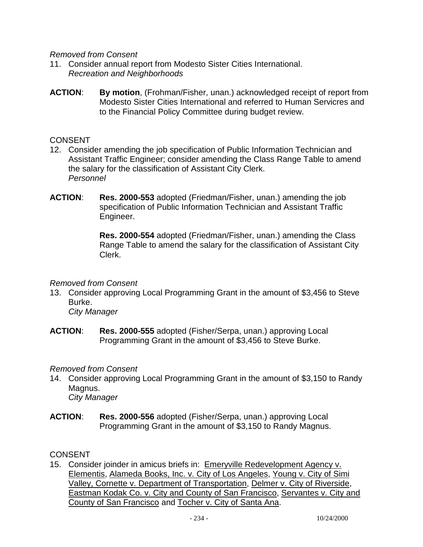*Removed from Consent* 

- 11. Consider annual report from Modesto Sister Cities International. *Recreation and Neighborhoods*
- **ACTION**: **By motion**, (Frohman/Fisher, unan.) acknowledged receipt of report from Modesto Sister Cities International and referred to Human Servicres and to the Financial Policy Committee during budget review.

#### **CONSENT**

- 12. Consider amending the job specification of Public Information Technician and Assistant Traffic Engineer; consider amending the Class Range Table to amend the salary for the classification of Assistant City Clerk. *Personnel*
- **ACTION**: **Res. 2000-553** adopted (Friedman/Fisher, unan.) amending the job specification of Public Information Technician and Assistant Traffic Engineer.

 **Res. 2000-554** adopted (Friedman/Fisher, unan.) amending the Class Range Table to amend the salary for the classification of Assistant City Clerk.

#### *Removed from Consent*

13. Consider approving Local Programming Grant in the amount of \$3,456 to Steve Burke.

*City Manager*

**ACTION**: **Res. 2000-555** adopted (Fisher/Serpa, unan.) approving Local Programming Grant in the amount of \$3,456 to Steve Burke.

*Removed from Consent* 

14. Consider approving Local Programming Grant in the amount of \$3,150 to Randy Magnus.

*City Manager*

**ACTION**: **Res. 2000-556** adopted (Fisher/Serpa, unan.) approving Local Programming Grant in the amount of \$3,150 to Randy Magnus.

## CONSENT

15. Consider joinder in amicus briefs in: Emeryville Redevelopment Agency v. Elementis, Alameda Books, Inc. v. City of Los Angeles, Young v. City of Simi Valley, Cornette v. Department of Transportation, Delmer v. City of Riverside, Eastman Kodak Co. v. City and County of San Francisco, Servantes v. City and County of San Francisco and Tocher v. City of Santa Ana.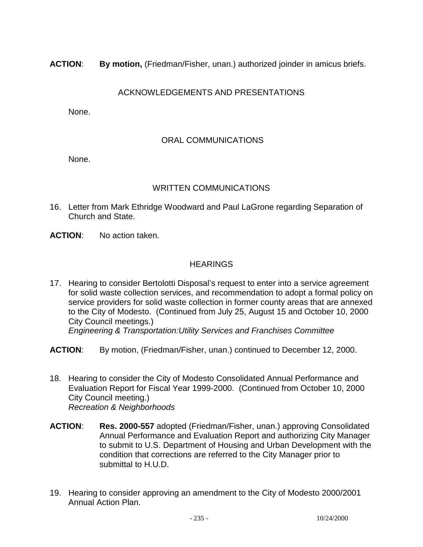**ACTION**: **By motion,** (Friedman/Fisher, unan.) authorized joinder in amicus briefs.

# ACKNOWLEDGEMENTS AND PRESENTATIONS

None.

## ORAL COMMUNICATIONS

None.

## WRITTEN COMMUNICATIONS

- 16. Letter from Mark Ethridge Woodward and Paul LaGrone regarding Separation of Church and State.
- **ACTION**: No action taken.

## HEARINGS

- 17. Hearing to consider Bertolotti Disposal's request to enter into a service agreement for solid waste collection services, and recommendation to adopt a formal policy on service providers for solid waste collection in former county areas that are annexed to the City of Modesto. (Continued from July 25, August 15 and October 10, 2000 City Council meetings.) *Engineering & Transportation:Utility Services and Franchises Committee*
- **ACTION**: By motion, (Friedman/Fisher, unan.) continued to December 12, 2000.
- 18. Hearing to consider the City of Modesto Consolidated Annual Performance and Evaluation Report for Fiscal Year 1999-2000. (Continued from October 10, 2000 City Council meeting.) *Recreation & Neighborhoods*
- **ACTION**: **Res. 2000-557** adopted (Friedman/Fisher, unan.) approving Consolidated Annual Performance and Evaluation Report and authorizing City Manager to submit to U.S. Department of Housing and Urban Development with the condition that corrections are referred to the City Manager prior to submittal to H.U.D.
- 19. Hearing to consider approving an amendment to the City of Modesto 2000/2001 Annual Action Plan.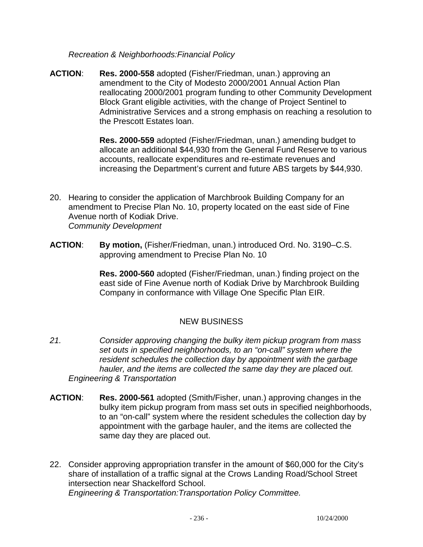*Recreation & Neighborhoods:Financial Policy* 

**ACTION**: **Res. 2000-558** adopted (Fisher/Friedman, unan.) approving an amendment to the City of Modesto 2000/2001 Annual Action Plan reallocating 2000/2001 program funding to other Community Development Block Grant eligible activities, with the change of Project Sentinel to Administrative Services and a strong emphasis on reaching a resolution to the Prescott Estates loan.

> **Res. 2000-559** adopted (Fisher/Friedman, unan.) amending budget to allocate an additional \$44,930 from the General Fund Reserve to various accounts, reallocate expenditures and re-estimate revenues and increasing the Department's current and future ABS targets by \$44,930.

- 20. Hearing to consider the application of Marchbrook Building Company for an amendment to Precise Plan No. 10, property located on the east side of Fine Avenue north of Kodiak Drive. *Community Development*
- **ACTION**: **By motion,** (Fisher/Friedman, unan.) introduced Ord. No. 3190–C.S. approving amendment to Precise Plan No. 10

**Res. 2000-560** adopted (Fisher/Friedman, unan.) finding project on the east side of Fine Avenue north of Kodiak Drive by Marchbrook Building Company in conformance with Village One Specific Plan EIR.

# NEW BUSINESS

- *21. Consider approving changing the bulky item pickup program from mass set outs in specified neighborhoods, to an "on-call" system where the resident schedules the collection day by appointment with the garbage hauler, and the items are collected the same day they are placed out. Engineering & Transportation*
- **ACTION**: **Res. 2000-561** adopted (Smith/Fisher, unan.) approving changes in the bulky item pickup program from mass set outs in specified neighborhoods, to an "on-call" system where the resident schedules the collection day by appointment with the garbage hauler, and the items are collected the same day they are placed out.
- 22. Consider approving appropriation transfer in the amount of \$60,000 for the City's share of installation of a traffic signal at the Crows Landing Road/School Street intersection near Shackelford School. *Engineering & Transportation:Transportation Policy Committee.*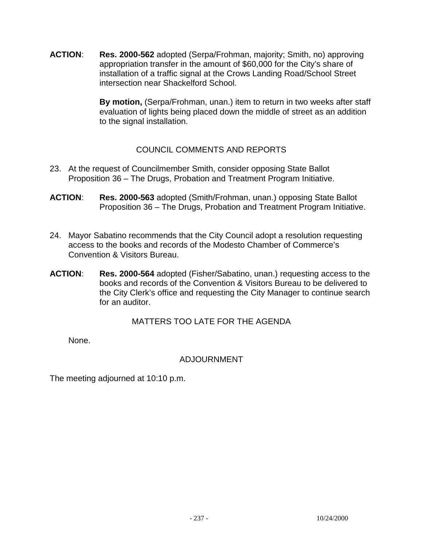**ACTION**: **Res. 2000-562** adopted (Serpa/Frohman, majority; Smith, no) approving appropriation transfer in the amount of \$60,000 for the City's share of installation of a traffic signal at the Crows Landing Road/School Street intersection near Shackelford School.

> **By motion,** (Serpa/Frohman, unan.) item to return in two weeks after staff evaluation of lights being placed down the middle of street as an addition to the signal installation.

# COUNCIL COMMENTS AND REPORTS

- 23. At the request of Councilmember Smith, consider opposing State Ballot Proposition 36 – The Drugs, Probation and Treatment Program Initiative.
- **ACTION**: **Res. 2000-563** adopted (Smith/Frohman, unan.) opposing State Ballot Proposition 36 – The Drugs, Probation and Treatment Program Initiative.
- 24. Mayor Sabatino recommends that the City Council adopt a resolution requesting access to the books and records of the Modesto Chamber of Commerce's Convention & Visitors Bureau.
- **ACTION**: **Res. 2000-564** adopted (Fisher/Sabatino, unan.) requesting access to the books and records of the Convention & Visitors Bureau to be delivered to the City Clerk's office and requesting the City Manager to continue search for an auditor.

MATTERS TOO LATE FOR THE AGENDA

None.

## ADJOURNMENT

The meeting adjourned at 10:10 p.m.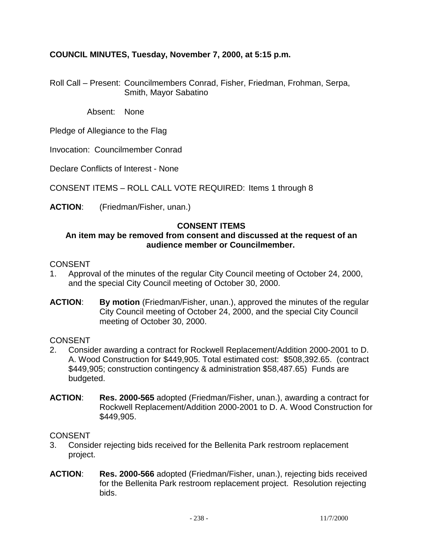## **COUNCIL MINUTES, Tuesday, November 7, 2000, at 5:15 p.m.**

Roll Call – Present: Councilmembers Conrad, Fisher, Friedman, Frohman, Serpa, Smith, Mayor Sabatino

Absent: None

Pledge of Allegiance to the Flag

Invocation: Councilmember Conrad

Declare Conflicts of Interest - None

CONSENT ITEMS – ROLL CALL VOTE REQUIRED: Items 1 through 8

**ACTION**: (Friedman/Fisher, unan.)

#### **CONSENT ITEMS**

#### **An item may be removed from consent and discussed at the request of an audience member or Councilmember.**

#### CONSENT

- 1. Approval of the minutes of the regular City Council meeting of October 24, 2000, and the special City Council meeting of October 30, 2000.
- **ACTION**: **By motion** (Friedman/Fisher, unan.), approved the minutes of the regular City Council meeting of October 24, 2000, and the special City Council meeting of October 30, 2000.

#### **CONSENT**

- 2. Consider awarding a contract for Rockwell Replacement/Addition 2000-2001 to D. A. Wood Construction for \$449,905. Total estimated cost: \$508,392.65. (contract \$449,905; construction contingency & administration \$58,487.65) Funds are budgeted.
- **ACTION**: **Res. 2000-565** adopted (Friedman/Fisher, unan.), awarding a contract for Rockwell Replacement/Addition 2000-2001 to D. A. Wood Construction for \$449,905.

#### CONSENT

- 3. Consider rejecting bids received for the Bellenita Park restroom replacement project.
- **ACTION**: **Res. 2000-566** adopted (Friedman/Fisher, unan.), rejecting bids received for the Bellenita Park restroom replacement project. Resolution rejecting bids.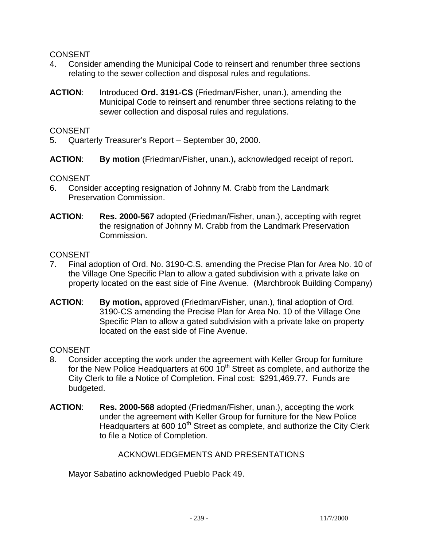### CONSENT

- 4. Consider amending the Municipal Code to reinsert and renumber three sections relating to the sewer collection and disposal rules and regulations.
- **ACTION**: Introduced **Ord. 3191-CS** (Friedman/Fisher, unan.), amending the Municipal Code to reinsert and renumber three sections relating to the sewer collection and disposal rules and regulations.

#### CONSENT

- 5. Quarterly Treasurer's Report September 30, 2000.
- **ACTION**: **By motion** (Friedman/Fisher, unan.)**,** acknowledged receipt of report.

## **CONSENT**

- 6. Consider accepting resignation of Johnny M. Crabb from the Landmark Preservation Commission.
- **ACTION**: **Res. 2000-567** adopted (Friedman/Fisher, unan.), accepting with regret the resignation of Johnny M. Crabb from the Landmark Preservation Commission.

## CONSENT

- 7. Final adoption of Ord. No. 3190-C.S. amending the Precise Plan for Area No. 10 of the Village One Specific Plan to allow a gated subdivision with a private lake on property located on the east side of Fine Avenue. (Marchbrook Building Company)
- **ACTION**: **By motion,** approved (Friedman/Fisher, unan.), final adoption of Ord. 3190-CS amending the Precise Plan for Area No. 10 of the Village One Specific Plan to allow a gated subdivision with a private lake on property located on the east side of Fine Avenue.

## CONSENT

- 8. Consider accepting the work under the agreement with Keller Group for furniture for the New Police Headquarters at 600  $10<sup>th</sup>$  Street as complete, and authorize the City Clerk to file a Notice of Completion. Final cost: \$291,469.77. Funds are budgeted.
- **ACTION**: **Res. 2000-568** adopted (Friedman/Fisher, unan.), accepting the work under the agreement with Keller Group for furniture for the New Police Headquarters at 600 10<sup>th</sup> Street as complete, and authorize the City Clerk to file a Notice of Completion.

## ACKNOWLEDGEMENTS AND PRESENTATIONS

Mayor Sabatino acknowledged Pueblo Pack 49.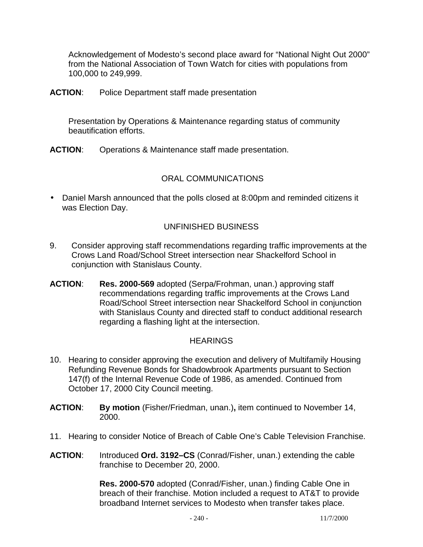Acknowledgement of Modesto's second place award for "National Night Out 2000" from the National Association of Town Watch for cities with populations from 100,000 to 249,999.

**ACTION**: Police Department staff made presentation

 Presentation by Operations & Maintenance regarding status of community beautification efforts.

**ACTION**: Operations & Maintenance staff made presentation.

## ORAL COMMUNICATIONS

• Daniel Marsh announced that the polls closed at 8:00pm and reminded citizens it was Election Day.

## UNFINISHED BUSINESS

- 9. Consider approving staff recommendations regarding traffic improvements at the Crows Land Road/School Street intersection near Shackelford School in conjunction with Stanislaus County.
- **ACTION**: **Res. 2000-569** adopted (Serpa/Frohman, unan.) approving staff recommendations regarding traffic improvements at the Crows Land Road/School Street intersection near Shackelford School in conjunction with Stanislaus County and directed staff to conduct additional research regarding a flashing light at the intersection.

#### **HEARINGS**

- 10. Hearing to consider approving the execution and delivery of Multifamily Housing Refunding Revenue Bonds for Shadowbrook Apartments pursuant to Section 147(f) of the Internal Revenue Code of 1986, as amended. Continued from October 17, 2000 City Council meeting.
- **ACTION**: **By motion** (Fisher/Friedman, unan.)**,** item continued to November 14, 2000.
- 11. Hearing to consider Notice of Breach of Cable One's Cable Television Franchise.
- **ACTION**: Introduced **Ord. 3192–CS** (Conrad/Fisher, unan.) extending the cable franchise to December 20, 2000.

 **Res. 2000-570** adopted (Conrad/Fisher, unan.) finding Cable One in breach of their franchise. Motion included a request to AT&T to provide broadband Internet services to Modesto when transfer takes place.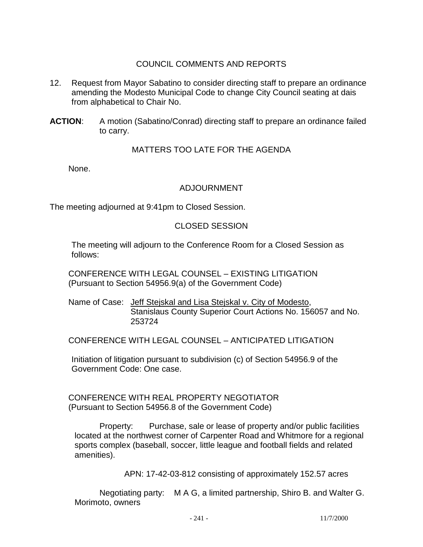## COUNCIL COMMENTS AND REPORTS

- 12. Request from Mayor Sabatino to consider directing staff to prepare an ordinance amending the Modesto Municipal Code to change City Council seating at dais from alphabetical to Chair No.
- **ACTION**: A motion (Sabatino/Conrad) directing staff to prepare an ordinance failed to carry.

## MATTERS TOO LATE FOR THE AGENDA

None.

# ADJOURNMENT

The meeting adjourned at 9:41pm to Closed Session.

## CLOSED SESSION

 The meeting will adjourn to the Conference Room for a Closed Session as follows:

 CONFERENCE WITH LEGAL COUNSEL – EXISTING LITIGATION (Pursuant to Section 54956.9(a) of the Government Code)

Name of Case: Jeff Stejskal and Lisa Stejskal v. City of Modesto, Stanislaus County Superior Court Actions No. 156057 and No. 253724

CONFERENCE WITH LEGAL COUNSEL – ANTICIPATED LITIGATION

 Initiation of litigation pursuant to subdivision (c) of Section 54956.9 of the Government Code: One case.

 CONFERENCE WITH REAL PROPERTY NEGOTIATOR (Pursuant to Section 54956.8 of the Government Code)

 Property: Purchase, sale or lease of property and/or public facilities located at the northwest corner of Carpenter Road and Whitmore for a regional sports complex (baseball, soccer, little league and football fields and related amenities).

APN: 17-42-03-812 consisting of approximately 152.57 acres

 Negotiating party: M A G, a limited partnership, Shiro B. and Walter G. Morimoto, owners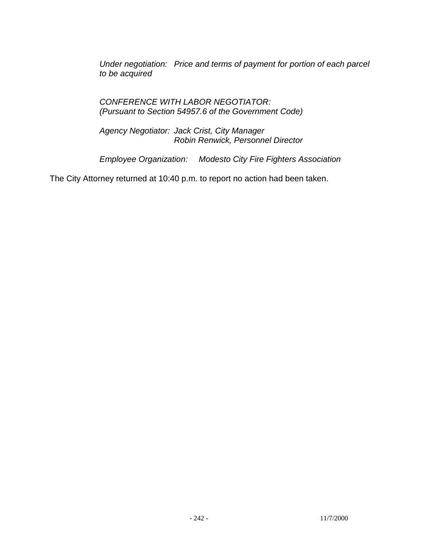*Under negotiation: Price and terms of payment for portion of each parcel to be acquired* 

 *CONFERENCE WITH LABOR NEGOTIATOR: (Pursuant to Section 54957.6 of the Government Code)* 

 *Agency Negotiator: Jack Crist, City Manager Robin Renwick, Personnel Director* 

 *Employee Organization: Modesto City Fire Fighters Association* 

The City Attorney returned at 10:40 p.m. to report no action had been taken.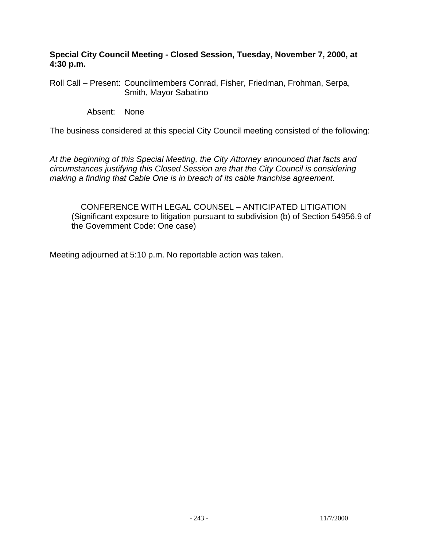**Special City Council Meeting - Closed Session, Tuesday, November 7, 2000, at 4:30 p.m.** 

Roll Call – Present: Councilmembers Conrad, Fisher, Friedman, Frohman, Serpa, Smith, Mayor Sabatino

Absent: None

The business considered at this special City Council meeting consisted of the following:

*At the beginning of this Special Meeting, the City Attorney announced that facts and circumstances justifying this Closed Session are that the City Council is considering making a finding that Cable One is in breach of its cable franchise agreement.* 

 CONFERENCE WITH LEGAL COUNSEL – ANTICIPATED LITIGATION (Significant exposure to litigation pursuant to subdivision (b) of Section 54956.9 of the Government Code: One case)

Meeting adjourned at 5:10 p.m. No reportable action was taken.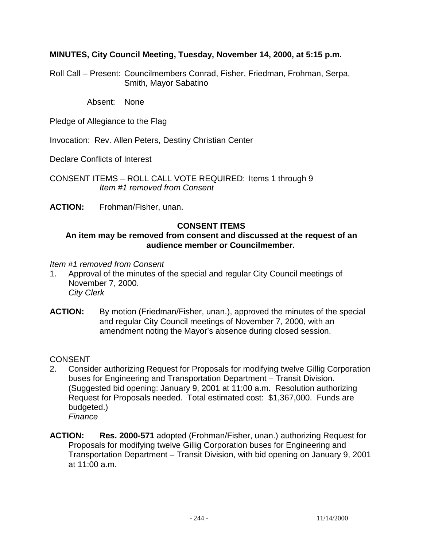## **MINUTES, City Council Meeting, Tuesday, November 14, 2000, at 5:15 p.m.**

Roll Call – Present: Councilmembers Conrad, Fisher, Friedman, Frohman, Serpa, Smith, Mayor Sabatino

Absent: None

Pledge of Allegiance to the Flag

Invocation: Rev. Allen Peters, Destiny Christian Center

Declare Conflicts of Interest

CONSENT ITEMS – ROLL CALL VOTE REQUIRED: Items 1 through 9 *Item #1 removed from Consent* 

**ACTION:** Frohman/Fisher, unan.

#### **CONSENT ITEMS**

#### **An item may be removed from consent and discussed at the request of an audience member or Councilmember.**

*Item #1 removed from Consent* 

- 1. Approval of the minutes of the special and regular City Council meetings of November 7, 2000. *City Clerk*
- **ACTION:** By motion (Friedman/Fisher, unan.), approved the minutes of the special and regular City Council meetings of November 7, 2000, with an amendment noting the Mayor's absence during closed session.

**CONSENT** 

- 2. Consider authorizing Request for Proposals for modifying twelve Gillig Corporation buses for Engineering and Transportation Department – Transit Division. (Suggested bid opening: January 9, 2001 at 11:00 a.m. Resolution authorizing Request for Proposals needed. Total estimated cost: \$1,367,000. Funds are budgeted.) *Finance*
- **ACTION: Res. 2000-571** adopted (Frohman/Fisher, unan.) authorizing Request for Proposals for modifying twelve Gillig Corporation buses for Engineering and Transportation Department – Transit Division, with bid opening on January 9, 2001 at 11:00 a.m.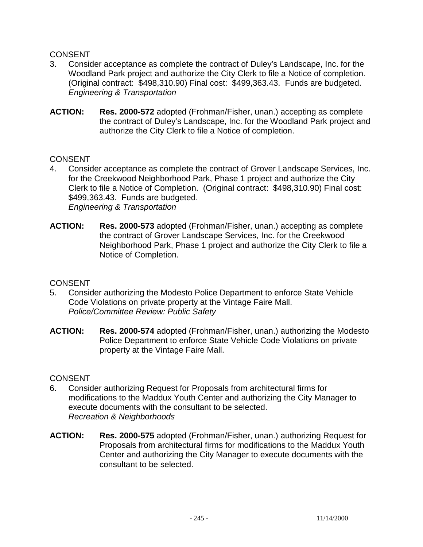## **CONSENT**

- 3. Consider acceptance as complete the contract of Duley's Landscape, Inc. for the Woodland Park project and authorize the City Clerk to file a Notice of completion. (Original contract: \$498,310.90) Final cost: \$499,363.43. Funds are budgeted. *Engineering & Transportation*
- **ACTION: Res. 2000-572** adopted (Frohman/Fisher, unan.) accepting as complete the contract of Duley's Landscape, Inc. for the Woodland Park project and authorize the City Clerk to file a Notice of completion.

## CONSENT

- 4. Consider acceptance as complete the contract of Grover Landscape Services, Inc. for the Creekwood Neighborhood Park, Phase 1 project and authorize the City Clerk to file a Notice of Completion. (Original contract: \$498,310.90) Final cost: \$499,363.43. Funds are budgeted. *Engineering & Transportation*
- **ACTION: Res. 2000-573** adopted (Frohman/Fisher, unan.) accepting as complete the contract of Grover Landscape Services, Inc. for the Creekwood Neighborhood Park, Phase 1 project and authorize the City Clerk to file a Notice of Completion.

#### **CONSENT**

- 5. Consider authorizing the Modesto Police Department to enforce State Vehicle Code Violations on private property at the Vintage Faire Mall. *Police/Committee Review: Public Safety*
- **ACTION: Res. 2000-574** adopted (Frohman/Fisher, unan.) authorizing the Modesto Police Department to enforce State Vehicle Code Violations on private property at the Vintage Faire Mall.

#### **CONSENT**

- 6. Consider authorizing Request for Proposals from architectural firms for modifications to the Maddux Youth Center and authorizing the City Manager to execute documents with the consultant to be selected. *Recreation & Neighborhoods*
- **ACTION: Res. 2000-575** adopted (Frohman/Fisher, unan.) authorizing Request for Proposals from architectural firms for modifications to the Maddux Youth Center and authorizing the City Manager to execute documents with the consultant to be selected.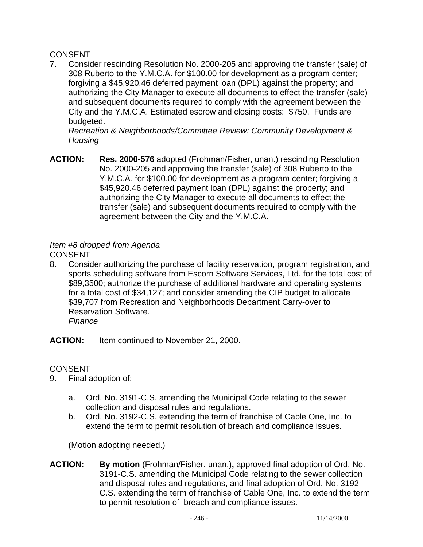# CONSENT

7. Consider rescinding Resolution No. 2000-205 and approving the transfer (sale) of 308 Ruberto to the Y.M.C.A. for \$100.00 for development as a program center; forgiving a \$45,920.46 deferred payment loan (DPL) against the property; and authorizing the City Manager to execute all documents to effect the transfer (sale) and subsequent documents required to comply with the agreement between the City and the Y.M.C.A. Estimated escrow and closing costs: \$750. Funds are budgeted.

*Recreation & Neighborhoods/Committee Review: Community Development & Housing* 

**ACTION: Res. 2000-576** adopted (Frohman/Fisher, unan.) rescinding Resolution No. 2000-205 and approving the transfer (sale) of 308 Ruberto to the Y.M.C.A. for \$100.00 for development as a program center; forgiving a \$45,920.46 deferred payment loan (DPL) against the property; and authorizing the City Manager to execute all documents to effect the transfer (sale) and subsequent documents required to comply with the agreement between the City and the Y.M.C.A.

# *Item #8 dropped from Agenda*

CONSENT

8. Consider authorizing the purchase of facility reservation, program registration, and sports scheduling software from Escorn Software Services, Ltd. for the total cost of \$89,3500; authorize the purchase of additional hardware and operating systems for a total cost of \$34,127; and consider amending the CIP budget to allocate \$39,707 from Recreation and Neighborhoods Department Carry-over to Reservation Software. *Finance* 

**ACTION:** Item continued to November 21, 2000.

## **CONSENT**

- 9. Final adoption of:
	- a. Ord. No. 3191-C.S. amending the Municipal Code relating to the sewer collection and disposal rules and regulations.
	- b. Ord. No. 3192-C.S. extending the term of franchise of Cable One, Inc. to extend the term to permit resolution of breach and compliance issues.

(Motion adopting needed.)

**ACTION: By motion** (Frohman/Fisher, unan.)**,** approved final adoption of Ord. No. 3191-C.S. amending the Municipal Code relating to the sewer collection and disposal rules and regulations, and final adoption of Ord. No. 3192- C.S. extending the term of franchise of Cable One, Inc. to extend the term to permit resolution of breach and compliance issues.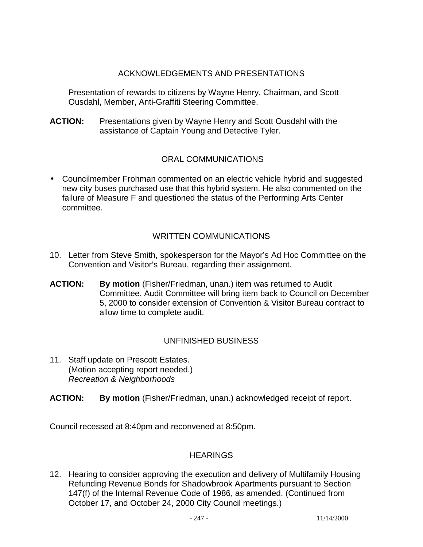## ACKNOWLEDGEMENTS AND PRESENTATIONS

 Presentation of rewards to citizens by Wayne Henry, Chairman, and Scott Ousdahl, Member, Anti-Graffiti Steering Committee.

**ACTION:** Presentations given by Wayne Henry and Scott Ousdahl with the assistance of Captain Young and Detective Tyler.

# ORAL COMMUNICATIONS

• Councilmember Frohman commented on an electric vehicle hybrid and suggested new city buses purchased use that this hybrid system. He also commented on the failure of Measure F and questioned the status of the Performing Arts Center committee.

## WRITTEN COMMUNICATIONS

- 10. Letter from Steve Smith, spokesperson for the Mayor's Ad Hoc Committee on the Convention and Visitor's Bureau, regarding their assignment.
- **ACTION: By motion** (Fisher/Friedman, unan.) item was returned to Audit Committee. Audit Committee will bring item back to Council on December 5, 2000 to consider extension of Convention & Visitor Bureau contract to allow time to complete audit.

## UNFINISHED BUSINESS

- 11. Staff update on Prescott Estates. (Motion accepting report needed.) *Recreation & Neighborhoods*
- **ACTION: By motion** (Fisher/Friedman, unan.) acknowledged receipt of report.

Council recessed at 8:40pm and reconvened at 8:50pm.

#### **HEARINGS**

12. Hearing to consider approving the execution and delivery of Multifamily Housing Refunding Revenue Bonds for Shadowbrook Apartments pursuant to Section 147(f) of the Internal Revenue Code of 1986, as amended. (Continued from October 17, and October 24, 2000 City Council meetings.)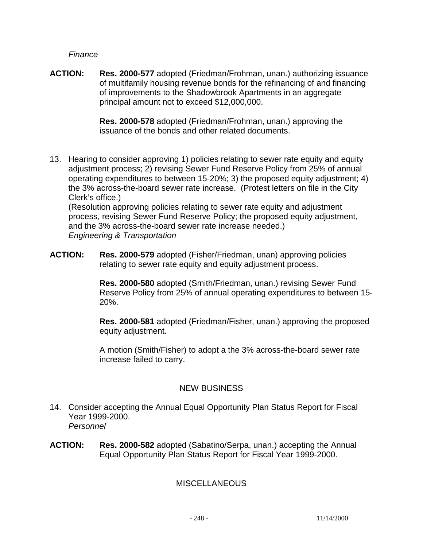*Finance*

**ACTION: Res. 2000-577** adopted (Friedman/Frohman, unan.) authorizing issuance of multifamily housing revenue bonds for the refinancing of and financing of improvements to the Shadowbrook Apartments in an aggregate principal amount not to exceed \$12,000,000.

> **Res. 2000-578** adopted (Friedman/Frohman, unan.) approving the issuance of the bonds and other related documents.

13. Hearing to consider approving 1) policies relating to sewer rate equity and equity adjustment process; 2) revising Sewer Fund Reserve Policy from 25% of annual operating expenditures to between 15-20%; 3) the proposed equity adjustment; 4) the 3% across-the-board sewer rate increase. (Protest letters on file in the City Clerk's office.)

 (Resolution approving policies relating to sewer rate equity and adjustment process, revising Sewer Fund Reserve Policy; the proposed equity adjustment, and the 3% across-the-board sewer rate increase needed.) *Engineering & Transportation* 

**ACTION: Res. 2000-579** adopted (Fisher/Friedman, unan) approving policies relating to sewer rate equity and equity adjustment process.

> **Res. 2000-580** adopted (Smith/Friedman, unan.) revising Sewer Fund Reserve Policy from 25% of annual operating expenditures to between 15- 20%.

 **Res. 2000-581** adopted (Friedman/Fisher, unan.) approving the proposed equity adjustment.

A motion (Smith/Fisher) to adopt a the 3% across-the-board sewer rate increase failed to carry.

# NEW BUSINESS

- 14. Consider accepting the Annual Equal Opportunity Plan Status Report for Fiscal Year 1999-2000. *Personnel*
- **ACTION: Res. 2000-582** adopted (Sabatino/Serpa, unan.) accepting the Annual Equal Opportunity Plan Status Report for Fiscal Year 1999-2000.

# MISCELLANEOUS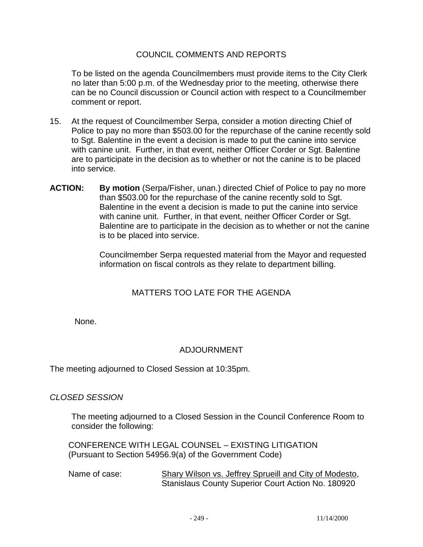#### COUNCIL COMMENTS AND REPORTS

To be listed on the agenda Councilmembers must provide items to the City Clerk no later than 5:00 p.m. of the Wednesday prior to the meeting, otherwise there can be no Council discussion or Council action with respect to a Councilmember comment or report.

- 15. At the request of Councilmember Serpa, consider a motion directing Chief of Police to pay no more than \$503.00 for the repurchase of the canine recently sold to Sgt. Balentine in the event a decision is made to put the canine into service with canine unit. Further, in that event, neither Officer Corder or Sgt. Balentine are to participate in the decision as to whether or not the canine is to be placed into service.
- **ACTION: By motion** (Serpa/Fisher, unan.) directed Chief of Police to pay no more than \$503.00 for the repurchase of the canine recently sold to Sgt. Balentine in the event a decision is made to put the canine into service with canine unit. Further, in that event, neither Officer Corder or Sgt. Balentine are to participate in the decision as to whether or not the canine is to be placed into service.

 Councilmember Serpa requested material from the Mayor and requested information on fiscal controls as they relate to department billing.

## MATTERS TOO LATE FOR THE AGENDA

None.

## ADJOURNMENT

The meeting adjourned to Closed Session at 10:35pm.

#### *CLOSED SESSION*

 The meeting adjourned to a Closed Session in the Council Conference Room to consider the following:

 CONFERENCE WITH LEGAL COUNSEL – EXISTING LITIGATION (Pursuant to Section 54956.9(a) of the Government Code)

 Name of case: Shary Wilson vs. Jeffrey Sprueill and City of Modesto, Stanislaus County Superior Court Action No. 180920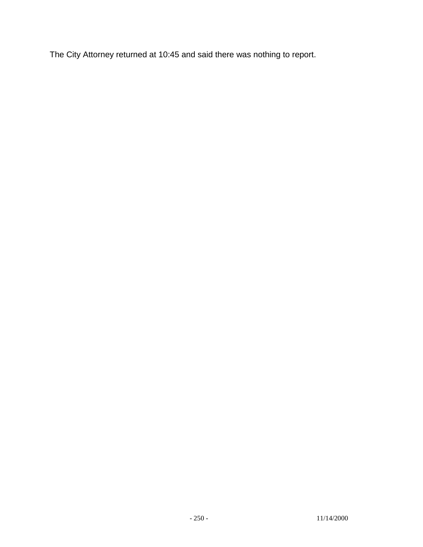The City Attorney returned at 10:45 and said there was nothing to report.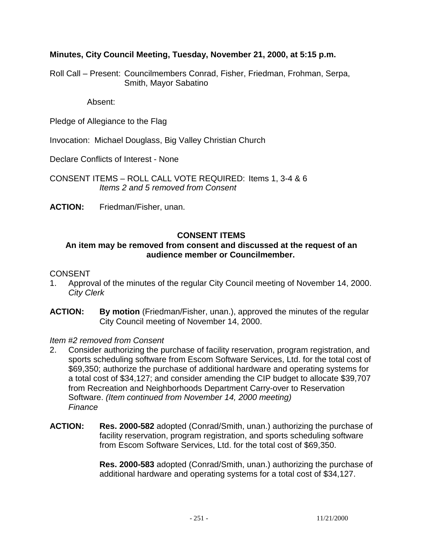## **Minutes, City Council Meeting, Tuesday, November 21, 2000, at 5:15 p.m.**

Roll Call – Present: Councilmembers Conrad, Fisher, Friedman, Frohman, Serpa, Smith, Mayor Sabatino

Absent:

Pledge of Allegiance to the Flag

Invocation: Michael Douglass, Big Valley Christian Church

Declare Conflicts of Interest - None

CONSENT ITEMS – ROLL CALL VOTE REQUIRED: Items 1, 3-4 & 6  *Items 2 and 5 removed from Consent* 

**ACTION:** Friedman/Fisher, unan.

#### **CONSENT ITEMS**

#### **An item may be removed from consent and discussed at the request of an audience member or Councilmember.**

#### CONSENT

- 1. Approval of the minutes of the regular City Council meeting of November 14, 2000. *City Clerk*
- **ACTION: By motion** (Friedman/Fisher, unan.), approved the minutes of the regular City Council meeting of November 14, 2000.

*Item #2 removed from Consent*

- 2. Consider authorizing the purchase of facility reservation, program registration, and sports scheduling software from Escom Software Services, Ltd. for the total cost of \$69,350; authorize the purchase of additional hardware and operating systems for a total cost of \$34,127; and consider amending the CIP budget to allocate \$39,707 from Recreation and Neighborhoods Department Carry-over to Reservation Software. *(Item continued from November 14, 2000 meeting) Finance*
- **ACTION: Res. 2000-582** adopted (Conrad/Smith, unan.) authorizing the purchase of facility reservation, program registration, and sports scheduling software from Escom Software Services, Ltd. for the total cost of \$69,350.

**Res. 2000-583** adopted (Conrad/Smith, unan.) authorizing the purchase of additional hardware and operating systems for a total cost of \$34,127.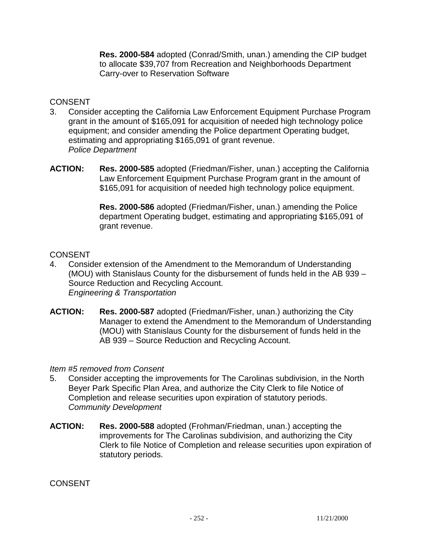**Res. 2000-584** adopted (Conrad/Smith, unan.) amending the CIP budget to allocate \$39,707 from Recreation and Neighborhoods Department Carry-over to Reservation Software

#### **CONSENT**

- 3. Consider accepting the California Law Enforcement Equipment Purchase Program grant in the amount of \$165,091 for acquisition of needed high technology police equipment; and consider amending the Police department Operating budget, estimating and appropriating \$165,091 of grant revenue. *Police Department*
- **ACTION: Res. 2000-585** adopted (Friedman/Fisher, unan.) accepting the California Law Enforcement Equipment Purchase Program grant in the amount of \$165,091 for acquisition of needed high technology police equipment.

**Res. 2000-586** adopted (Friedman/Fisher, unan.) amending the Police department Operating budget, estimating and appropriating \$165,091 of grant revenue.

## **CONSENT**

- 4. Consider extension of the Amendment to the Memorandum of Understanding (MOU) with Stanislaus County for the disbursement of funds held in the AB 939 – Source Reduction and Recycling Account. *Engineering & Transportation*
- **ACTION: Res. 2000-587** adopted (Friedman/Fisher, unan.) authorizing the City Manager to extend the Amendment to the Memorandum of Understanding (MOU) with Stanislaus County for the disbursement of funds held in the AB 939 – Source Reduction and Recycling Account.

#### *Item #5 removed from Consent*

- 5. Consider accepting the improvements for The Carolinas subdivision, in the North Beyer Park Specific Plan Area, and authorize the City Clerk to file Notice of Completion and release securities upon expiration of statutory periods. *Community Development*
- **ACTION: Res. 2000-588** adopted (Frohman/Friedman, unan.) accepting the improvements for The Carolinas subdivision, and authorizing the City Clerk to file Notice of Completion and release securities upon expiration of statutory periods.

**CONSENT**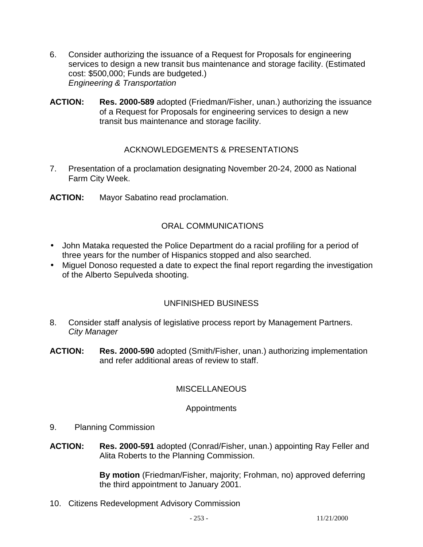- 6. Consider authorizing the issuance of a Request for Proposals for engineering services to design a new transit bus maintenance and storage facility. (Estimated cost: \$500,000; Funds are budgeted.) *Engineering & Transportation*
- **ACTION: Res. 2000-589** adopted (Friedman/Fisher, unan.) authorizing the issuance of a Request for Proposals for engineering services to design a new transit bus maintenance and storage facility.

## ACKNOWLEDGEMENTS & PRESENTATIONS

- 7. Presentation of a proclamation designating November 20-24, 2000 as National Farm City Week.
- **ACTION:** Mayor Sabatino read proclamation.

### ORAL COMMUNICATIONS

- John Mataka requested the Police Department do a racial profiling for a period of three years for the number of Hispanics stopped and also searched.
- Miguel Donoso requested a date to expect the final report regarding the investigation of the Alberto Sepulveda shooting.

### UNFINISHED BUSINESS

- 8. Consider staff analysis of legislative process report by Management Partners. *City Manager*
- **ACTION: Res. 2000-590** adopted (Smith/Fisher, unan.) authorizing implementation and refer additional areas of review to staff.

#### **MISCELLANEOUS**

#### **Appointments**

- 9. Planning Commission
- **ACTION: Res. 2000-591** adopted (Conrad/Fisher, unan.) appointing Ray Feller and Alita Roberts to the Planning Commission.

**By motion** (Friedman/Fisher, majority; Frohman, no) approved deferring the third appointment to January 2001.

10. Citizens Redevelopment Advisory Commission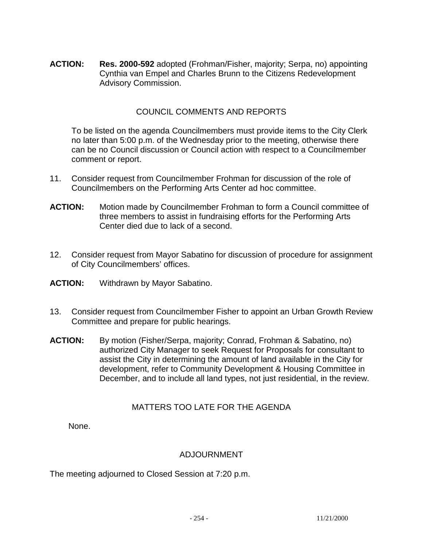**ACTION: Res. 2000-592** adopted (Frohman/Fisher, majority; Serpa, no) appointing Cynthia van Empel and Charles Brunn to the Citizens Redevelopment Advisory Commission.

### COUNCIL COMMENTS AND REPORTS

To be listed on the agenda Councilmembers must provide items to the City Clerk no later than 5:00 p.m. of the Wednesday prior to the meeting, otherwise there can be no Council discussion or Council action with respect to a Councilmember comment or report.

- 11. Consider request from Councilmember Frohman for discussion of the role of Councilmembers on the Performing Arts Center ad hoc committee.
- **ACTION:** Motion made by Councilmember Frohman to form a Council committee of three members to assist in fundraising efforts for the Performing Arts Center died due to lack of a second.
- 12. Consider request from Mayor Sabatino for discussion of procedure for assignment of City Councilmembers' offices.
- **ACTION:** Withdrawn by Mayor Sabatino.
- 13. Consider request from Councilmember Fisher to appoint an Urban Growth Review Committee and prepare for public hearings.
- **ACTION:** By motion (Fisher/Serpa, majority; Conrad, Frohman & Sabatino, no) authorized City Manager to seek Request for Proposals for consultant to assist the City in determining the amount of land available in the City for development, refer to Community Development & Housing Committee in December, and to include all land types, not just residential, in the review.

### MATTERS TOO LATE FOR THE AGENDA

None.

### ADJOURNMENT

The meeting adjourned to Closed Session at 7:20 p.m.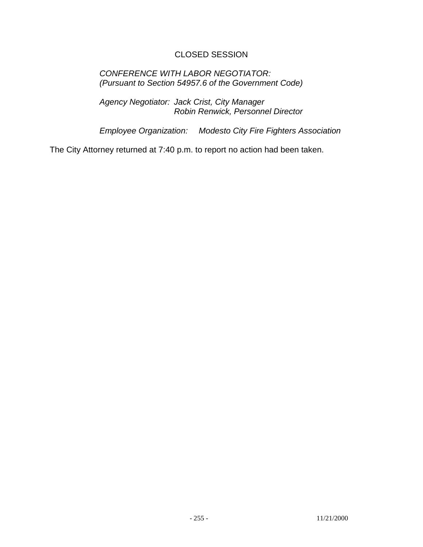### CLOSED SESSION

### *CONFERENCE WITH LABOR NEGOTIATOR: (Pursuant to Section 54957.6 of the Government Code)*

 *Agency Negotiator: Jack Crist, City Manager Robin Renwick, Personnel Director* 

 *Employee Organization: Modesto City Fire Fighters Association* 

The City Attorney returned at 7:40 p.m. to report no action had been taken.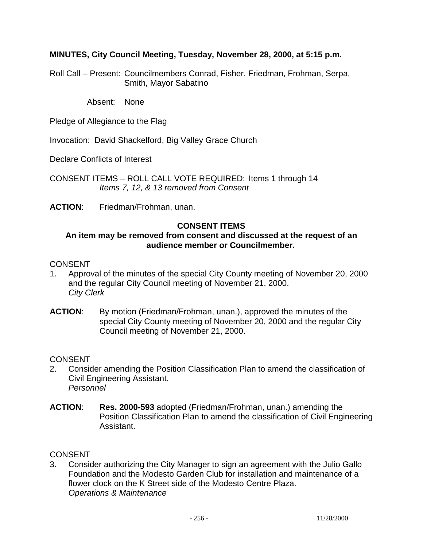### **MINUTES, City Council Meeting, Tuesday, November 28, 2000, at 5:15 p.m.**

Roll Call – Present: Councilmembers Conrad, Fisher, Friedman, Frohman, Serpa, Smith, Mayor Sabatino

Absent: None

Pledge of Allegiance to the Flag

Invocation: David Shackelford, Big Valley Grace Church

Declare Conflicts of Interest

CONSENT ITEMS – ROLL CALL VOTE REQUIRED: Items 1 through 14 *Items 7, 12, & 13 removed from Consent* 

**ACTION**: Friedman/Frohman, unan.

#### **CONSENT ITEMS**

#### **An item may be removed from consent and discussed at the request of an audience member or Councilmember.**

#### **CONSENT**

- 1. Approval of the minutes of the special City County meeting of November 20, 2000 and the regular City Council meeting of November 21, 2000. *City Clerk*
- **ACTION**: By motion (Friedman/Frohman, unan.), approved the minutes of the special City County meeting of November 20, 2000 and the regular City Council meeting of November 21, 2000.

#### CONSENT

- 2. Consider amending the Position Classification Plan to amend the classification of Civil Engineering Assistant. *Personnel*
- **ACTION**: **Res. 2000-593** adopted (Friedman/Frohman, unan.) amending the Position Classification Plan to amend the classification of Civil Engineering Assistant.

#### **CONSENT**

3. Consider authorizing the City Manager to sign an agreement with the Julio Gallo Foundation and the Modesto Garden Club for installation and maintenance of a flower clock on the K Street side of the Modesto Centre Plaza. *Operations & Maintenance*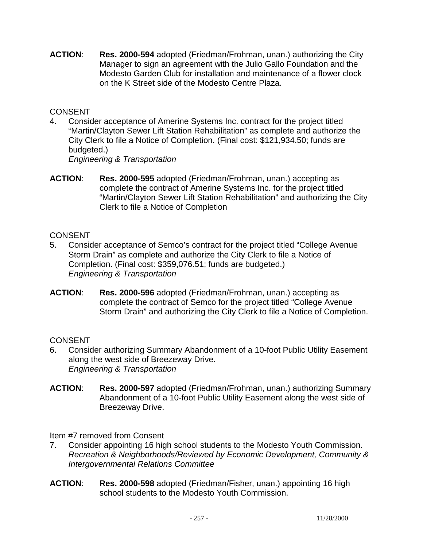**ACTION**: **Res. 2000-594** adopted (Friedman/Frohman, unan.) authorizing the City Manager to sign an agreement with the Julio Gallo Foundation and the Modesto Garden Club for installation and maintenance of a flower clock on the K Street side of the Modesto Centre Plaza.

### CONSENT

4. Consider acceptance of Amerine Systems Inc. contract for the project titled "Martin/Clayton Sewer Lift Station Rehabilitation" as complete and authorize the City Clerk to file a Notice of Completion. (Final cost: \$121,934.50; funds are budgeted.)

*Engineering & Transportation*

**ACTION**: **Res. 2000-595** adopted (Friedman/Frohman, unan.) accepting as complete the contract of Amerine Systems Inc. for the project titled "Martin/Clayton Sewer Lift Station Rehabilitation" and authorizing the City Clerk to file a Notice of Completion

# **CONSENT**

- 5. Consider acceptance of Semco's contract for the project titled "College Avenue Storm Drain" as complete and authorize the City Clerk to file a Notice of Completion. (Final cost: \$359,076.51; funds are budgeted.) *Engineering & Transportation*
- **ACTION**: **Res. 2000-596** adopted (Friedman/Frohman, unan.) accepting as complete the contract of Semco for the project titled "College Avenue Storm Drain" and authorizing the City Clerk to file a Notice of Completion.

# **CONSENT**

- 6. Consider authorizing Summary Abandonment of a 10-foot Public Utility Easement along the west side of Breezeway Drive. *Engineering & Transportation*
- **ACTION**: **Res. 2000-597** adopted (Friedman/Frohman, unan.) authorizing Summary Abandonment of a 10-foot Public Utility Easement along the west side of Breezeway Drive.

Item #7 removed from Consent

- 7. Consider appointing 16 high school students to the Modesto Youth Commission. *Recreation & Neighborhoods/Reviewed by Economic Development, Community & Intergovernmental Relations Committee*
- **ACTION**: **Res. 2000-598** adopted (Friedman/Fisher, unan.) appointing 16 high school students to the Modesto Youth Commission.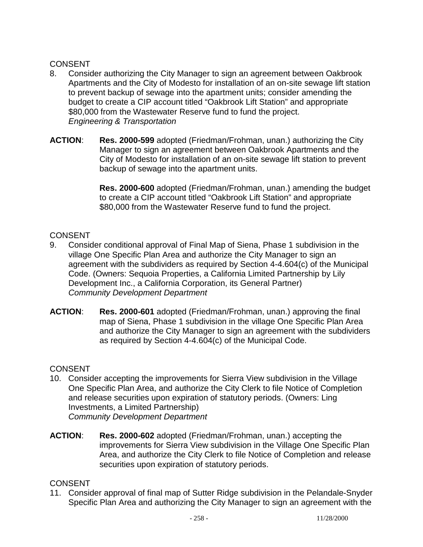## **CONSENT**

- 8. Consider authorizing the City Manager to sign an agreement between Oakbrook Apartments and the City of Modesto for installation of an on-site sewage lift station to prevent backup of sewage into the apartment units; consider amending the budget to create a CIP account titled "Oakbrook Lift Station" and appropriate \$80,000 from the Wastewater Reserve fund to fund the project. *Engineering & Transportation*
- **ACTION**: **Res. 2000-599** adopted (Friedman/Frohman, unan.) authorizing the City Manager to sign an agreement between Oakbrook Apartments and the City of Modesto for installation of an on-site sewage lift station to prevent backup of sewage into the apartment units.

**Res. 2000-600** adopted (Friedman/Frohman, unan.) amending the budget to create a CIP account titled "Oakbrook Lift Station" and appropriate \$80,000 from the Wastewater Reserve fund to fund the project.

## **CONSENT**

- 9. Consider conditional approval of Final Map of Siena, Phase 1 subdivision in the village One Specific Plan Area and authorize the City Manager to sign an agreement with the subdividers as required by Section 4-4.604(c) of the Municipal Code. (Owners: Sequoia Properties, a California Limited Partnership by Lily Development Inc., a California Corporation, its General Partner) *Community Development Department*
- **ACTION**: **Res. 2000-601** adopted (Friedman/Frohman, unan.) approving the final map of Siena, Phase 1 subdivision in the village One Specific Plan Area and authorize the City Manager to sign an agreement with the subdividers as required by Section 4-4.604(c) of the Municipal Code.

### **CONSENT**

- 10. Consider accepting the improvements for Sierra View subdivision in the Village One Specific Plan Area, and authorize the City Clerk to file Notice of Completion and release securities upon expiration of statutory periods. (Owners: Ling Investments, a Limited Partnership) *Community Development Department*
- **ACTION**: **Res. 2000-602** adopted (Friedman/Frohman, unan.) accepting the improvements for Sierra View subdivision in the Village One Specific Plan Area, and authorize the City Clerk to file Notice of Completion and release securities upon expiration of statutory periods.

# **CONSENT**

11. Consider approval of final map of Sutter Ridge subdivision in the Pelandale-Snyder Specific Plan Area and authorizing the City Manager to sign an agreement with the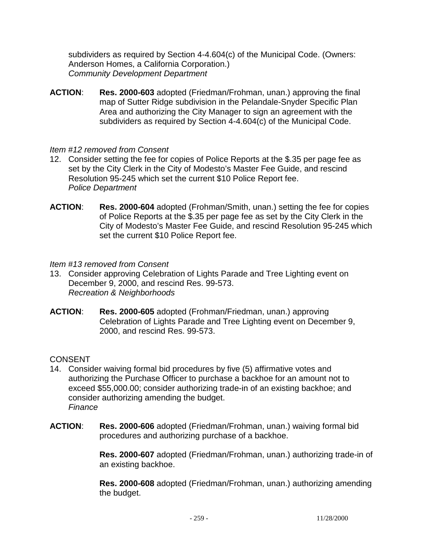subdividers as required by Section 4-4.604(c) of the Municipal Code. (Owners: Anderson Homes, a California Corporation.) *Community Development Department* 

**ACTION**: **Res. 2000-603** adopted (Friedman/Frohman, unan.) approving the final map of Sutter Ridge subdivision in the Pelandale-Snyder Specific Plan Area and authorizing the City Manager to sign an agreement with the subdividers as required by Section 4-4.604(c) of the Municipal Code.

### *Item #12 removed from Consent*

- 12. Consider setting the fee for copies of Police Reports at the \$.35 per page fee as set by the City Clerk in the City of Modesto's Master Fee Guide, and rescind Resolution 95-245 which set the current \$10 Police Report fee. *Police Department*
- **ACTION**: **Res. 2000-604** adopted (Frohman/Smith, unan.) setting the fee for copies of Police Reports at the \$.35 per page fee as set by the City Clerk in the City of Modesto's Master Fee Guide, and rescind Resolution 95-245 which set the current \$10 Police Report fee.

#### *Item #13 removed from Consent*

- 13. Consider approving Celebration of Lights Parade and Tree Lighting event on December 9, 2000, and rescind Res. 99-573. *Recreation & Neighborhoods*
- **ACTION**: **Res. 2000-605** adopted (Frohman/Friedman, unan.) approving Celebration of Lights Parade and Tree Lighting event on December 9, 2000, and rescind Res. 99-573.

### **CONSENT**

- 14. Consider waiving formal bid procedures by five (5) affirmative votes and authorizing the Purchase Officer to purchase a backhoe for an amount not to exceed \$55,000.00; consider authorizing trade-in of an existing backhoe; and consider authorizing amending the budget. *Finance*
- **ACTION**: **Res. 2000-606** adopted (Friedman/Frohman, unan.) waiving formal bid procedures and authorizing purchase of a backhoe.

**Res. 2000-607** adopted (Friedman/Frohman, unan.) authorizing trade-in of an existing backhoe.

**Res. 2000-608** adopted (Friedman/Frohman, unan.) authorizing amending the budget.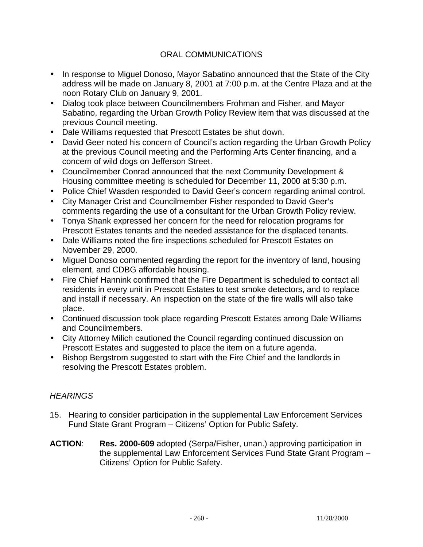### ORAL COMMUNICATIONS

- In response to Miguel Donoso, Mayor Sabatino announced that the State of the City address will be made on January 8, 2001 at 7:00 p.m. at the Centre Plaza and at the noon Rotary Club on January 9, 2001.
- Dialog took place between Councilmembers Frohman and Fisher, and Mayor Sabatino, regarding the Urban Growth Policy Review item that was discussed at the previous Council meeting.
- Dale Williams requested that Prescott Estates be shut down.
- David Geer noted his concern of Council's action regarding the Urban Growth Policy at the previous Council meeting and the Performing Arts Center financing, and a concern of wild dogs on Jefferson Street.
- Councilmember Conrad announced that the next Community Development & Housing committee meeting is scheduled for December 11, 2000 at 5:30 p.m.
- Police Chief Wasden responded to David Geer's concern regarding animal control.
- City Manager Crist and Councilmember Fisher responded to David Geer's comments regarding the use of a consultant for the Urban Growth Policy review.
- Tonya Shank expressed her concern for the need for relocation programs for Prescott Estates tenants and the needed assistance for the displaced tenants.
- Dale Williams noted the fire inspections scheduled for Prescott Estates on November 29, 2000.
- Miguel Donoso commented regarding the report for the inventory of land, housing element, and CDBG affordable housing.
- Fire Chief Hannink confirmed that the Fire Department is scheduled to contact all residents in every unit in Prescott Estates to test smoke detectors, and to replace and install if necessary. An inspection on the state of the fire walls will also take place.
- Continued discussion took place regarding Prescott Estates among Dale Williams and Councilmembers.
- City Attorney Milich cautioned the Council regarding continued discussion on Prescott Estates and suggested to place the item on a future agenda.
- Bishop Bergstrom suggested to start with the Fire Chief and the landlords in resolving the Prescott Estates problem.

# *HEARINGS*

- 15. Hearing to consider participation in the supplemental Law Enforcement Services Fund State Grant Program – Citizens' Option for Public Safety.
- **ACTION**: **Res. 2000-609** adopted (Serpa/Fisher, unan.) approving participation in the supplemental Law Enforcement Services Fund State Grant Program – Citizens' Option for Public Safety.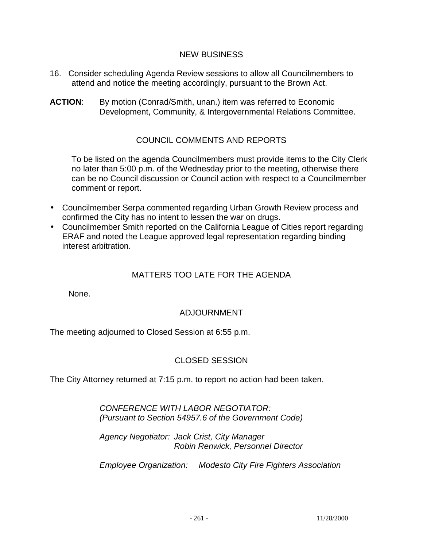### NEW BUSINESS

- 16. Consider scheduling Agenda Review sessions to allow all Councilmembers to attend and notice the meeting accordingly, pursuant to the Brown Act.
- **ACTION:** By motion (Conrad/Smith, unan.) item was referred to Economic Development, Community, & Intergovernmental Relations Committee.

### COUNCIL COMMENTS AND REPORTS

To be listed on the agenda Councilmembers must provide items to the City Clerk no later than 5:00 p.m. of the Wednesday prior to the meeting, otherwise there can be no Council discussion or Council action with respect to a Councilmember comment or report.

- Councilmember Serpa commented regarding Urban Growth Review process and confirmed the City has no intent to lessen the war on drugs.
- Councilmember Smith reported on the California League of Cities report regarding ERAF and noted the League approved legal representation regarding binding interest arbitration.

### MATTERS TOO LATE FOR THE AGENDA

None.

### ADJOURNMENT

The meeting adjourned to Closed Session at 6:55 p.m.

#### CLOSED SESSION

The City Attorney returned at 7:15 p.m. to report no action had been taken.

 *CONFERENCE WITH LABOR NEGOTIATOR: (Pursuant to Section 54957.6 of the Government Code)* 

 *Agency Negotiator: Jack Crist, City Manager Robin Renwick, Personnel Director* 

 *Employee Organization: Modesto City Fire Fighters Association*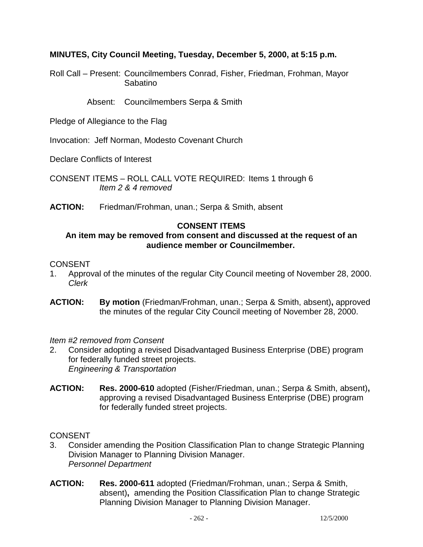### **MINUTES, City Council Meeting, Tuesday, December 5, 2000, at 5:15 p.m.**

Roll Call – Present: Councilmembers Conrad, Fisher, Friedman, Frohman, Mayor Sabatino

Absent: Councilmembers Serpa & Smith

Pledge of Allegiance to the Flag

Invocation: Jeff Norman, Modesto Covenant Church

Declare Conflicts of Interest

CONSENT ITEMS – ROLL CALL VOTE REQUIRED: Items 1 through 6 *Item 2 & 4 removed* 

**ACTION:** Friedman/Frohman, unan.; Serpa & Smith, absent

#### **CONSENT ITEMS**

### **An item may be removed from consent and discussed at the request of an audience member or Councilmember.**

#### **CONSENT**

- 1. Approval of the minutes of the regular City Council meeting of November 28, 2000. *Clerk*
- **ACTION: By motion** (Friedman/Frohman, unan.; Serpa & Smith, absent)**,** approved the minutes of the regular City Council meeting of November 28, 2000.

*Item #2 removed from Consent* 

- 2. Consider adopting a revised Disadvantaged Business Enterprise (DBE) program for federally funded street projects. *Engineering & Transportation*
- **ACTION: Res. 2000-610** adopted (Fisher/Friedman, unan.; Serpa & Smith, absent)**,** approving a revised Disadvantaged Business Enterprise (DBE) program for federally funded street projects.

**CONSENT** 

- 3. Consider amending the Position Classification Plan to change Strategic Planning Division Manager to Planning Division Manager. *Personnel Department*
- **ACTION: Res. 2000-611** adopted (Friedman/Frohman, unan.; Serpa & Smith, absent)**,** amending the Position Classification Plan to change Strategic Planning Division Manager to Planning Division Manager.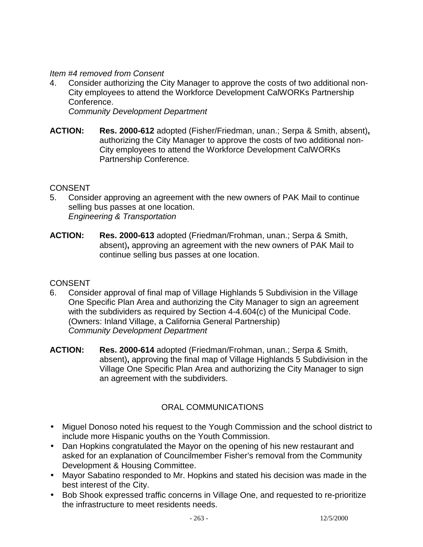*Item #4 removed from Consent* 

4. Consider authorizing the City Manager to approve the costs of two additional non-City employees to attend the Workforce Development CalWORKs Partnership Conference.

*Community Development Department*

**ACTION: Res. 2000-612** adopted (Fisher/Friedman, unan.; Serpa & Smith, absent)**,** authorizing the City Manager to approve the costs of two additional non-City employees to attend the Workforce Development CalWORKs Partnership Conference.

#### **CONSENT**

- 5. Consider approving an agreement with the new owners of PAK Mail to continue selling bus passes at one location. *Engineering & Transportation*
- **ACTION: Res. 2000-613** adopted (Friedman/Frohman, unan.; Serpa & Smith, absent)**,** approving an agreement with the new owners of PAK Mail to continue selling bus passes at one location.

#### **CONSENT**

- 6. Consider approval of final map of Village Highlands 5 Subdivision in the Village One Specific Plan Area and authorizing the City Manager to sign an agreement with the subdividers as required by Section 4-4.604(c) of the Municipal Code. (Owners: Inland Village, a California General Partnership) *Community Development Department*
- **ACTION: Res. 2000-614** adopted (Friedman/Frohman, unan.; Serpa & Smith, absent)**,** approving the final map of Village Highlands 5 Subdivision in the Village One Specific Plan Area and authorizing the City Manager to sign an agreement with the subdividers.

# ORAL COMMUNICATIONS

- Miguel Donoso noted his request to the Yough Commission and the school district to include more Hispanic youths on the Youth Commission.
- Dan Hopkins congratulated the Mayor on the opening of his new restaurant and asked for an explanation of Councilmember Fisher's removal from the Community Development & Housing Committee.
- Mayor Sabatino responded to Mr. Hopkins and stated his decision was made in the best interest of the City.
- Bob Shook expressed traffic concerns in Village One, and requested to re-prioritize the infrastructure to meet residents needs.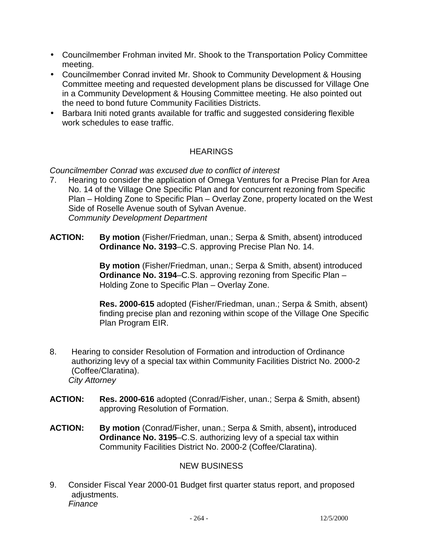- Councilmember Frohman invited Mr. Shook to the Transportation Policy Committee meeting.
- Councilmember Conrad invited Mr. Shook to Community Development & Housing Committee meeting and requested development plans be discussed for Village One in a Community Development & Housing Committee meeting. He also pointed out the need to bond future Community Facilities Districts.
- Barbara Initi noted grants available for traffic and suggested considering flexible work schedules to ease traffic.

# **HEARINGS**

*Councilmember Conrad was excused due to conflict of interest* 

- 7. Hearing to consider the application of Omega Ventures for a Precise Plan for Area No. 14 of the Village One Specific Plan and for concurrent rezoning from Specific Plan – Holding Zone to Specific Plan – Overlay Zone, property located on the West Side of Roselle Avenue south of Sylvan Avenue. *Community Development Department*
- **ACTION: By motion** (Fisher/Friedman, unan.; Serpa & Smith, absent) introduced **Ordinance No. 3193**–C.S. approving Precise Plan No. 14.

 **By motion** (Fisher/Friedman, unan.; Serpa & Smith, absent) introduced **Ordinance No. 3194**–C.S. approving rezoning from Specific Plan – Holding Zone to Specific Plan – Overlay Zone.

 **Res. 2000-615** adopted (Fisher/Friedman, unan.; Serpa & Smith, absent) finding precise plan and rezoning within scope of the Village One Specific Plan Program EIR.

- 8. Hearing to consider Resolution of Formation and introduction of Ordinance authorizing levy of a special tax within Community Facilities District No. 2000-2 (Coffee/Claratina). *City Attorney*
- **ACTION: Res. 2000-616** adopted (Conrad/Fisher, unan.; Serpa & Smith, absent) approving Resolution of Formation.
- **ACTION: By motion** (Conrad/Fisher, unan.; Serpa & Smith, absent)**,** introduced **Ordinance No. 3195**–C.S. authorizing levy of a special tax within Community Facilities District No. 2000-2 (Coffee/Claratina).

### NEW BUSINESS

9. Consider Fiscal Year 2000-01 Budget first quarter status report, and proposed adiustments. *Finance*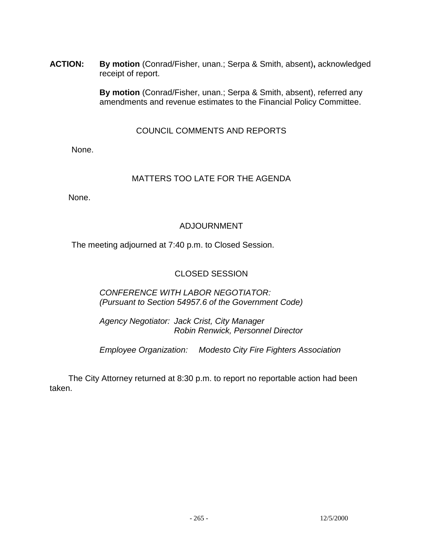**ACTION: By motion** (Conrad/Fisher, unan.; Serpa & Smith, absent)**,** acknowledged receipt of report.

> **By motion** (Conrad/Fisher, unan.; Serpa & Smith, absent), referred any amendments and revenue estimates to the Financial Policy Committee.

> > COUNCIL COMMENTS AND REPORTS

None.

## MATTERS TOO LATE FOR THE AGENDA

None.

## ADJOURNMENT

The meeting adjourned at 7:40 p.m. to Closed Session.

## CLOSED SESSION

 *CONFERENCE WITH LABOR NEGOTIATOR: (Pursuant to Section 54957.6 of the Government Code)* 

 *Agency Negotiator: Jack Crist, City Manager Robin Renwick, Personnel Director* 

 *Employee Organization: Modesto City Fire Fighters Association* 

 The City Attorney returned at 8:30 p.m. to report no reportable action had been taken.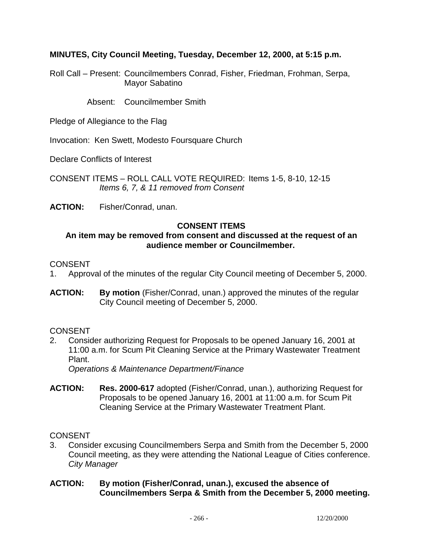**MINUTES, City Council Meeting, Tuesday, December 12, 2000, at 5:15 p.m.** 

Roll Call – Present: Councilmembers Conrad, Fisher, Friedman, Frohman, Serpa, Mayor Sabatino

Absent: Councilmember Smith

Pledge of Allegiance to the Flag

Invocation: Ken Swett, Modesto Foursquare Church

Declare Conflicts of Interest

CONSENT ITEMS – ROLL CALL VOTE REQUIRED: Items 1-5, 8-10, 12-15 *Items 6, 7, & 11 removed from Consent* 

**ACTION:** Fisher/Conrad, unan.

### **CONSENT ITEMS**

### **An item may be removed from consent and discussed at the request of an audience member or Councilmember.**

#### CONSENT

- 1. Approval of the minutes of the regular City Council meeting of December 5, 2000.
- **ACTION: By motion** (Fisher/Conrad, unan.) approved the minutes of the regular City Council meeting of December 5, 2000.

#### **CONSENT**

2. Consider authorizing Request for Proposals to be opened January 16, 2001 at 11:00 a.m. for Scum Pit Cleaning Service at the Primary Wastewater Treatment Plant.

*Operations & Maintenance Department/Finance*

**ACTION: Res. 2000-617** adopted (Fisher/Conrad, unan.), authorizing Request for Proposals to be opened January 16, 2001 at 11:00 a.m. for Scum Pit Cleaning Service at the Primary Wastewater Treatment Plant.

CONSENT

3. Consider excusing Councilmembers Serpa and Smith from the December 5, 2000 Council meeting, as they were attending the National League of Cities conference. *City Manager* 

#### **ACTION: By motion (Fisher/Conrad, unan.), excused the absence of Councilmembers Serpa & Smith from the December 5, 2000 meeting.**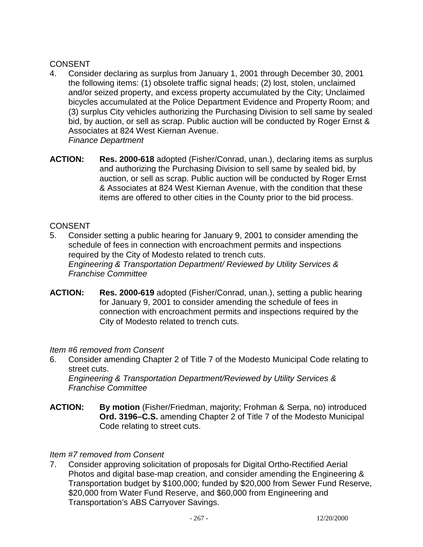## **CONSENT**

- 4. Consider declaring as surplus from January 1, 2001 through December 30, 2001 the following items: (1) obsolete traffic signal heads; (2) lost, stolen, unclaimed and/or seized property, and excess property accumulated by the City; Unclaimed bicycles accumulated at the Police Department Evidence and Property Room; and (3) surplus City vehicles authorizing the Purchasing Division to sell same by sealed bid, by auction, or sell as scrap. Public auction will be conducted by Roger Ernst & Associates at 824 West Kiernan Avenue. *Finance Department*
- **ACTION: Res. 2000-618** adopted (Fisher/Conrad, unan.), declaring items as surplus and authorizing the Purchasing Division to sell same by sealed bid, by auction, or sell as scrap. Public auction will be conducted by Roger Ernst & Associates at 824 West Kiernan Avenue, with the condition that these items are offered to other cities in the County prior to the bid process.

### **CONSENT**

- 5. Consider setting a public hearing for January 9, 2001 to consider amending the schedule of fees in connection with encroachment permits and inspections required by the City of Modesto related to trench cuts. *Engineering & Transportation Department/ Reviewed by Utility Services & Franchise Committee*
- **ACTION: Res. 2000-619** adopted (Fisher/Conrad, unan.), setting a public hearing for January 9, 2001 to consider amending the schedule of fees in connection with encroachment permits and inspections required by the City of Modesto related to trench cuts.

### *Item #6 removed from Consent*

6. Consider amending Chapter 2 of Title 7 of the Modesto Municipal Code relating to street cuts.

*Engineering & Transportation Department/Reviewed by Utility Services & Franchise Committee* 

**ACTION: By motion** (Fisher/Friedman, majority; Frohman & Serpa, no) introduced **Ord. 3196–C.S.** amending Chapter 2 of Title 7 of the Modesto Municipal Code relating to street cuts.

### *Item #7 removed from Consent*

7. Consider approving solicitation of proposals for Digital Ortho-Rectified Aerial Photos and digital base-map creation, and consider amending the Engineering & Transportation budget by \$100,000; funded by \$20,000 from Sewer Fund Reserve, \$20,000 from Water Fund Reserve, and \$60,000 from Engineering and Transportation's ABS Carryover Savings.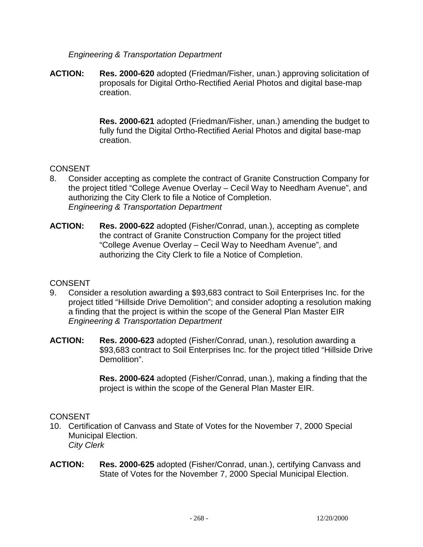### *Engineering & Transportation Department*

**ACTION: Res. 2000-620** adopted (Friedman/Fisher, unan.) approving solicitation of proposals for Digital Ortho-Rectified Aerial Photos and digital base-map creation.

> **Res. 2000-621** adopted (Friedman/Fisher, unan.) amending the budget to fully fund the Digital Ortho-Rectified Aerial Photos and digital base-map creation.

### **CONSENT**

- 8. Consider accepting as complete the contract of Granite Construction Company for the project titled "College Avenue Overlay – Cecil Way to Needham Avenue", and authorizing the City Clerk to file a Notice of Completion. *Engineering & Transportation Department*
- **ACTION: Res. 2000-622** adopted (Fisher/Conrad, unan.), accepting as complete the contract of Granite Construction Company for the project titled "College Avenue Overlay – Cecil Way to Needham Avenue", and authorizing the City Clerk to file a Notice of Completion.

#### **CONSENT**

- 9. Consider a resolution awarding a \$93,683 contract to Soil Enterprises Inc. for the project titled "Hillside Drive Demolition"; and consider adopting a resolution making a finding that the project is within the scope of the General Plan Master EIR *Engineering & Transportation Department*
- **ACTION: Res. 2000-623** adopted (Fisher/Conrad, unan.), resolution awarding a \$93,683 contract to Soil Enterprises Inc. for the project titled "Hillside Drive Demolition".

 **Res. 2000-624** adopted (Fisher/Conrad, unan.), making a finding that the project is within the scope of the General Plan Master EIR.

#### CONSENT

- 10. Certification of Canvass and State of Votes for the November 7, 2000 Special Municipal Election. *City Clerk*
- **ACTION: Res. 2000-625** adopted (Fisher/Conrad, unan.), certifying Canvass and State of Votes for the November 7, 2000 Special Municipal Election.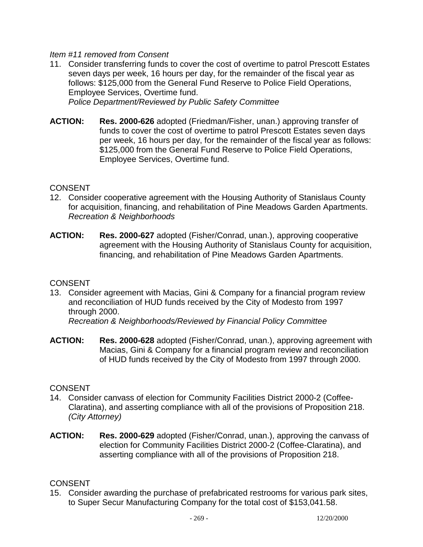### *Item #11 removed from Consent*

- 11. Consider transferring funds to cover the cost of overtime to patrol Prescott Estates seven days per week, 16 hours per day, for the remainder of the fiscal year as follows: \$125,000 from the General Fund Reserve to Police Field Operations, Employee Services, Overtime fund. *Police Department/Reviewed by Public Safety Committee*
- **ACTION: Res. 2000-626** adopted (Friedman/Fisher, unan.) approving transfer of funds to cover the cost of overtime to patrol Prescott Estates seven days per week, 16 hours per day, for the remainder of the fiscal year as follows: \$125,000 from the General Fund Reserve to Police Field Operations,

Employee Services, Overtime fund.

### **CONSENT**

- 12. Consider cooperative agreement with the Housing Authority of Stanislaus County for acquisition, financing, and rehabilitation of Pine Meadows Garden Apartments. *Recreation & Neighborhoods*
- **ACTION: Res. 2000-627** adopted (Fisher/Conrad, unan.), approving cooperative agreement with the Housing Authority of Stanislaus County for acquisition, financing, and rehabilitation of Pine Meadows Garden Apartments.

#### **CONSENT**

13. Consider agreement with Macias, Gini & Company for a financial program review and reconciliation of HUD funds received by the City of Modesto from 1997 through 2000.

*Recreation & Neighborhoods/Reviewed by Financial Policy Committee*

**ACTION: Res. 2000-628** adopted (Fisher/Conrad, unan.), approving agreement with Macias, Gini & Company for a financial program review and reconciliation of HUD funds received by the City of Modesto from 1997 through 2000.

#### **CONSENT**

- 14. Consider canvass of election for Community Facilities District 2000-2 (Coffee-Claratina), and asserting compliance with all of the provisions of Proposition 218. *(City Attorney)*
- **ACTION: Res. 2000-629** adopted (Fisher/Conrad, unan.), approving the canvass of election for Community Facilities District 2000-2 (Coffee-Claratina), and asserting compliance with all of the provisions of Proposition 218.

### **CONSENT**

15. Consider awarding the purchase of prefabricated restrooms for various park sites, to Super Secur Manufacturing Company for the total cost of \$153,041.58.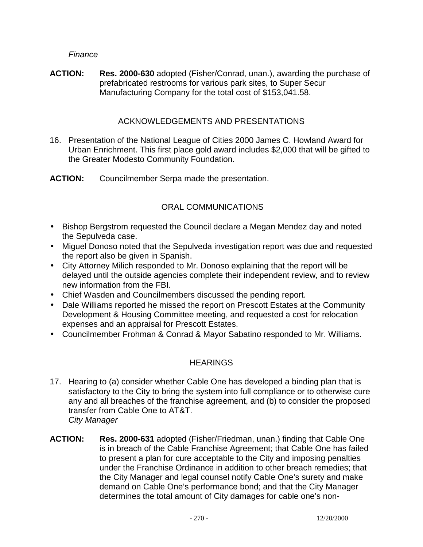*Finance* 

**ACTION: Res. 2000-630** adopted (Fisher/Conrad, unan.), awarding the purchase of prefabricated restrooms for various park sites, to Super Secur Manufacturing Company for the total cost of \$153,041.58.

### ACKNOWLEDGEMENTS AND PRESENTATIONS

- 16. Presentation of the National League of Cities 2000 James C. Howland Award for Urban Enrichment. This first place gold award includes \$2,000 that will be gifted to the Greater Modesto Community Foundation.
- **ACTION:** Councilmember Serpa made the presentation.

## ORAL COMMUNICATIONS

- Bishop Bergstrom requested the Council declare a Megan Mendez day and noted the Sepulveda case.
- Miguel Donoso noted that the Sepulveda investigation report was due and requested the report also be given in Spanish.
- City Attorney Milich responded to Mr. Donoso explaining that the report will be delayed until the outside agencies complete their independent review, and to review new information from the FBI.
- Chief Wasden and Councilmembers discussed the pending report.
- Dale Williams reported he missed the report on Prescott Estates at the Community Development & Housing Committee meeting, and requested a cost for relocation expenses and an appraisal for Prescott Estates.
- Councilmember Frohman & Conrad & Mayor Sabatino responded to Mr. Williams.

### **HEARINGS**

- 17. Hearing to (a) consider whether Cable One has developed a binding plan that is satisfactory to the City to bring the system into full compliance or to otherwise cure any and all breaches of the franchise agreement, and (b) to consider the proposed transfer from Cable One to AT&T. *City Manager*
- **ACTION: Res. 2000-631** adopted (Fisher/Friedman, unan.) finding that Cable One is in breach of the Cable Franchise Agreement; that Cable One has failed to present a plan for cure acceptable to the City and imposing penalties under the Franchise Ordinance in addition to other breach remedies; that the City Manager and legal counsel notify Cable One's surety and make demand on Cable One's performance bond; and that the City Manager determines the total amount of City damages for cable one's non-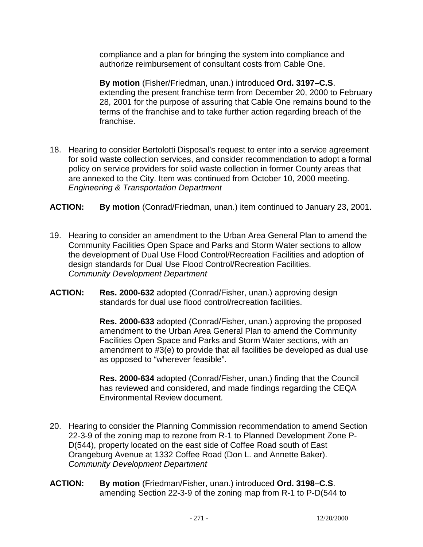compliance and a plan for bringing the system into compliance and authorize reimbursement of consultant costs from Cable One.

 **By motion** (Fisher/Friedman, unan.) introduced **Ord. 3197–C.S**. extending the present franchise term from December 20, 2000 to February 28, 2001 for the purpose of assuring that Cable One remains bound to the terms of the franchise and to take further action regarding breach of the franchise.

- 18. Hearing to consider Bertolotti Disposal's request to enter into a service agreement for solid waste collection services, and consider recommendation to adopt a formal policy on service providers for solid waste collection in former County areas that are annexed to the City. Item was continued from October 10, 2000 meeting. *Engineering & Transportation Department*
- **ACTION: By motion** (Conrad/Friedman, unan.) item continued to January 23, 2001.
- 19. Hearing to consider an amendment to the Urban Area General Plan to amend the Community Facilities Open Space and Parks and Storm Water sections to allow the development of Dual Use Flood Control/Recreation Facilities and adoption of design standards for Dual Use Flood Control/Recreation Facilities. *Community Development Department*
- **ACTION: Res. 2000-632** adopted (Conrad/Fisher, unan.) approving design standards for dual use flood control/recreation facilities.

 **Res. 2000-633** adopted (Conrad/Fisher, unan.) approving the proposed amendment to the Urban Area General Plan to amend the Community Facilities Open Space and Parks and Storm Water sections, with an amendment to #3(e) to provide that all facilities be developed as dual use as opposed to "wherever feasible".

 **Res. 2000-634** adopted (Conrad/Fisher, unan.) finding that the Council has reviewed and considered, and made findings regarding the CEQA Environmental Review document.

- 20. Hearing to consider the Planning Commission recommendation to amend Section 22-3-9 of the zoning map to rezone from R-1 to Planned Development Zone P-D(544), property located on the east side of Coffee Road south of East Orangeburg Avenue at 1332 Coffee Road (Don L. and Annette Baker). *Community Development Department*
- **ACTION: By motion** (Friedman/Fisher, unan.) introduced **Ord. 3198–C.S**. amending Section 22-3-9 of the zoning map from R-1 to P-D(544 to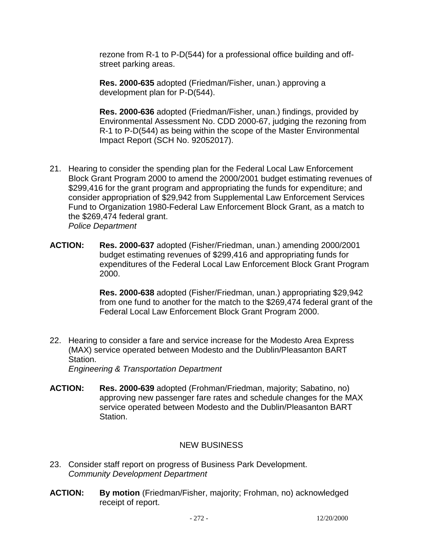rezone from R-1 to P-D(544) for a professional office building and offstreet parking areas.

 **Res. 2000-635** adopted (Friedman/Fisher, unan.) approving a development plan for P-D(544).

 **Res. 2000-636** adopted (Friedman/Fisher, unan.) findings, provided by Environmental Assessment No. CDD 2000-67, judging the rezoning from R-1 to P-D(544) as being within the scope of the Master Environmental Impact Report (SCH No. 92052017).

- 21. Hearing to consider the spending plan for the Federal Local Law Enforcement Block Grant Program 2000 to amend the 2000/2001 budget estimating revenues of \$299,416 for the grant program and appropriating the funds for expenditure; and consider appropriation of \$29,942 from Supplemental Law Enforcement Services Fund to Organization 1980-Federal Law Enforcement Block Grant, as a match to the \$269,474 federal grant. *Police Department*
- **ACTION: Res. 2000-637** adopted (Fisher/Friedman, unan.) amending 2000/2001 budget estimating revenues of \$299,416 and appropriating funds for expenditures of the Federal Local Law Enforcement Block Grant Program 2000.

 **Res. 2000-638** adopted (Fisher/Friedman, unan.) appropriating \$29,942 from one fund to another for the match to the \$269,474 federal grant of the Federal Local Law Enforcement Block Grant Program 2000.

22. Hearing to consider a fare and service increase for the Modesto Area Express (MAX) service operated between Modesto and the Dublin/Pleasanton BART Station.

*Engineering & Transportation Department* 

**ACTION: Res. 2000-639** adopted (Frohman/Friedman, majority; Sabatino, no) approving new passenger fare rates and schedule changes for the MAX service operated between Modesto and the Dublin/Pleasanton BART Station.

### NEW BUSINESS

- 23. Consider staff report on progress of Business Park Development. *Community Development Department*
- **ACTION: By motion** (Friedman/Fisher, majority; Frohman, no) acknowledged receipt of report.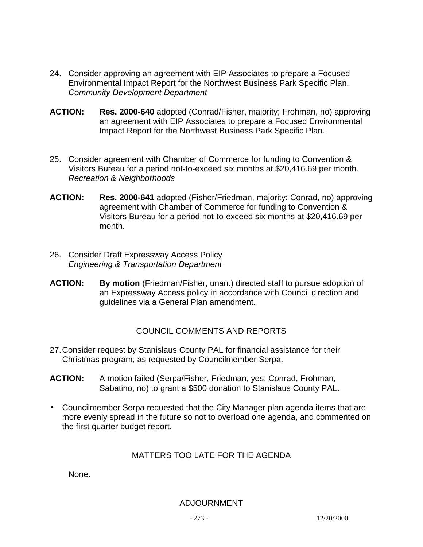- 24. Consider approving an agreement with EIP Associates to prepare a Focused Environmental Impact Report for the Northwest Business Park Specific Plan. *Community Development Department*
- **ACTION: Res. 2000-640** adopted (Conrad/Fisher, majority; Frohman, no) approving an agreement with EIP Associates to prepare a Focused Environmental Impact Report for the Northwest Business Park Specific Plan.
- 25. Consider agreement with Chamber of Commerce for funding to Convention & Visitors Bureau for a period not-to-exceed six months at \$20,416.69 per month. *Recreation & Neighborhoods*
- **ACTION: Res. 2000-641** adopted (Fisher/Friedman, majority; Conrad, no) approving agreement with Chamber of Commerce for funding to Convention & Visitors Bureau for a period not-to-exceed six months at \$20,416.69 per month.
- 26. Consider Draft Expressway Access Policy *Engineering & Transportation Department*
- **ACTION: By motion** (Friedman/Fisher, unan.) directed staff to pursue adoption of an Expressway Access policy in accordance with Council direction and guidelines via a General Plan amendment.

### COUNCIL COMMENTS AND REPORTS

- 27. Consider request by Stanislaus County PAL for financial assistance for their Christmas program, as requested by Councilmember Serpa.
- **ACTION:** A motion failed (Serpa/Fisher, Friedman, yes; Conrad, Frohman, Sabatino, no) to grant a \$500 donation to Stanislaus County PAL.
- Councilmember Serpa requested that the City Manager plan agenda items that are more evenly spread in the future so not to overload one agenda, and commented on the first quarter budget report.

### MATTERS TOO LATE FOR THE AGENDA

None.

#### ADJOURNMENT